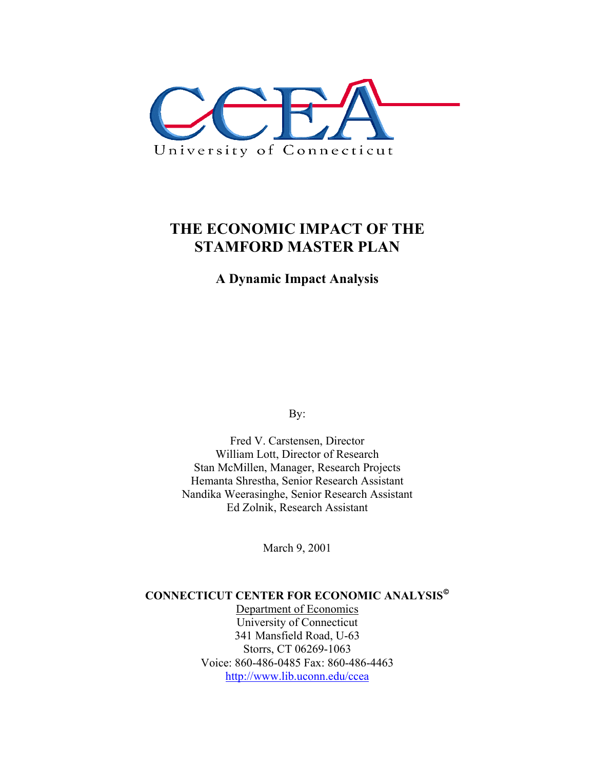

# **THE ECONOMIC IMPACT OF THE STAMFORD MASTER PLAN**

**A Dynamic Impact Analysis** 

By:

Fred V. Carstensen, Director William Lott, Director of Research Stan McMillen, Manager, Research Projects Hemanta Shrestha, Senior Research Assistant Nandika Weerasinghe, Senior Research Assistant Ed Zolnik, Research Assistant

March 9, 2001

## **CONNECTICUT CENTER FOR ECONOMIC ANALYSIS**

Department of Economics University of Connecticut 341 Mansfield Road, U-63 Storrs, CT 06269-1063 Voice: 860-486-0485 Fax: 860-486-4463 http://www.lib.uconn.edu/ccea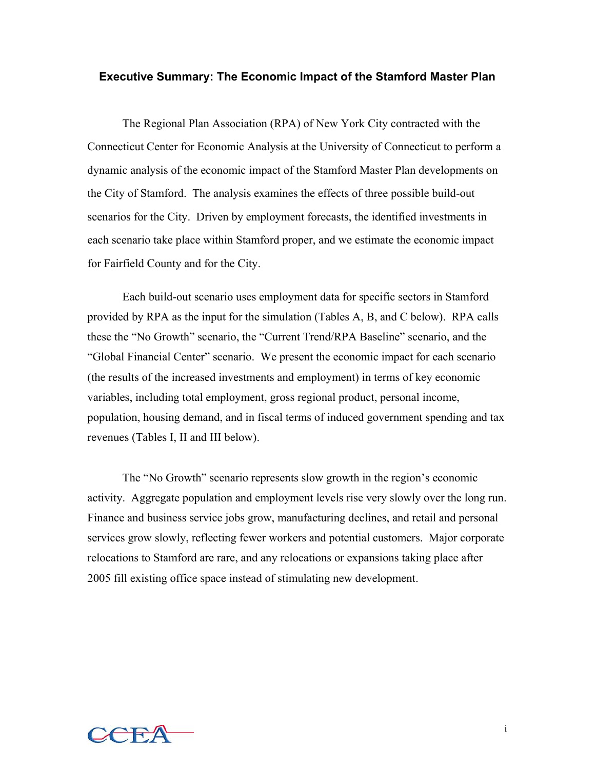#### **Executive Summary: The Economic Impact of the Stamford Master Plan**

 The Regional Plan Association (RPA) of New York City contracted with the Connecticut Center for Economic Analysis at the University of Connecticut to perform a dynamic analysis of the economic impact of the Stamford Master Plan developments on the City of Stamford. The analysis examines the effects of three possible build-out scenarios for the City. Driven by employment forecasts, the identified investments in each scenario take place within Stamford proper, and we estimate the economic impact for Fairfield County and for the City.

Each build-out scenario uses employment data for specific sectors in Stamford provided by RPA as the input for the simulation (Tables A, B, and C below). RPA calls these the "No Growth" scenario, the "Current Trend/RPA Baseline" scenario, and the "Global Financial Center" scenario. We present the economic impact for each scenario (the results of the increased investments and employment) in terms of key economic variables, including total employment, gross regional product, personal income, population, housing demand, and in fiscal terms of induced government spending and tax revenues (Tables I, II and III below).

The "No Growth" scenario represents slow growth in the region's economic activity. Aggregate population and employment levels rise very slowly over the long run. Finance and business service jobs grow, manufacturing declines, and retail and personal services grow slowly, reflecting fewer workers and potential customers. Major corporate relocations to Stamford are rare, and any relocations or expansions taking place after 2005 fill existing office space instead of stimulating new development.

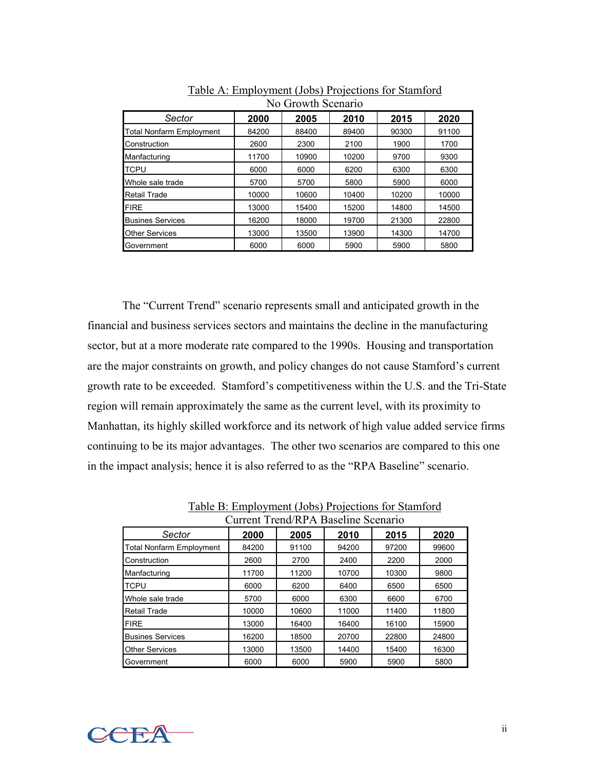|                                 |       | TWO OTOWILL DUCHALIU |       |       |       |
|---------------------------------|-------|----------------------|-------|-------|-------|
| Sector                          | 2000  | 2005                 | 2010  | 2015  | 2020  |
| <b>Total Nonfarm Employment</b> | 84200 | 88400                | 89400 | 90300 | 91100 |
| Construction                    | 2600  | 2300                 | 2100  | 1900  | 1700  |
| Manfacturing                    | 11700 | 10900                | 10200 | 9700  | 9300  |
| <b>TCPU</b>                     | 6000  | 6000                 | 6200  | 6300  | 6300  |
| Whole sale trade                | 5700  | 5700                 | 5800  | 5900  | 6000  |
| <b>Retail Trade</b>             | 10000 | 10600                | 10400 | 10200 | 10000 |
| <b>FIRE</b>                     | 13000 | 15400                | 15200 | 14800 | 14500 |
| <b>Busines Services</b>         | 16200 | 18000                | 19700 | 21300 | 22800 |
| <b>Other Services</b>           | 13000 | 13500                | 13900 | 14300 | 14700 |
| Government                      | 6000  | 6000                 | 5900  | 5900  | 5800  |

Table A: Employment (Jobs) Projections for Stamford No Growth Scenario

The "Current Trend" scenario represents small and anticipated growth in the financial and business services sectors and maintains the decline in the manufacturing sector, but at a more moderate rate compared to the 1990s. Housing and transportation are the major constraints on growth, and policy changes do not cause Stamford's current growth rate to be exceeded. Stamford's competitiveness within the U.S. and the Tri-State region will remain approximately the same as the current level, with its proximity to Manhattan, its highly skilled workforce and its network of high value added service firms continuing to be its major advantages. The other two scenarios are compared to this one in the impact analysis; hence it is also referred to as the "RPA Baseline" scenario.

| Current Trend/RPA Basemie Scenario |       |       |       |       |       |
|------------------------------------|-------|-------|-------|-------|-------|
| Sector                             | 2000  | 2005  | 2010  | 2015  | 2020  |
| <b>Total Nonfarm Employment</b>    | 84200 | 91100 | 94200 | 97200 | 99600 |
| Construction                       | 2600  | 2700  | 2400  | 2200  | 2000  |
| Manfacturing                       | 11700 | 11200 | 10700 | 10300 | 9800  |
| <b>TCPU</b>                        | 6000  | 6200  | 6400  | 6500  | 6500  |
| Whole sale trade                   | 5700  | 6000  | 6300  | 6600  | 6700  |
| <b>Retail Trade</b>                | 10000 | 10600 | 11000 | 11400 | 11800 |
| <b>FIRE</b>                        | 13000 | 16400 | 16400 | 16100 | 15900 |
| <b>Busines Services</b>            | 16200 | 18500 | 20700 | 22800 | 24800 |
| <b>Other Services</b>              | 13000 | 13500 | 14400 | 15400 | 16300 |
| Government                         | 6000  | 6000  | 5900  | 5900  | 5800  |

Table B: Employment (Jobs) Projections for Stamford Current Trend/RPA Baseline Scenario

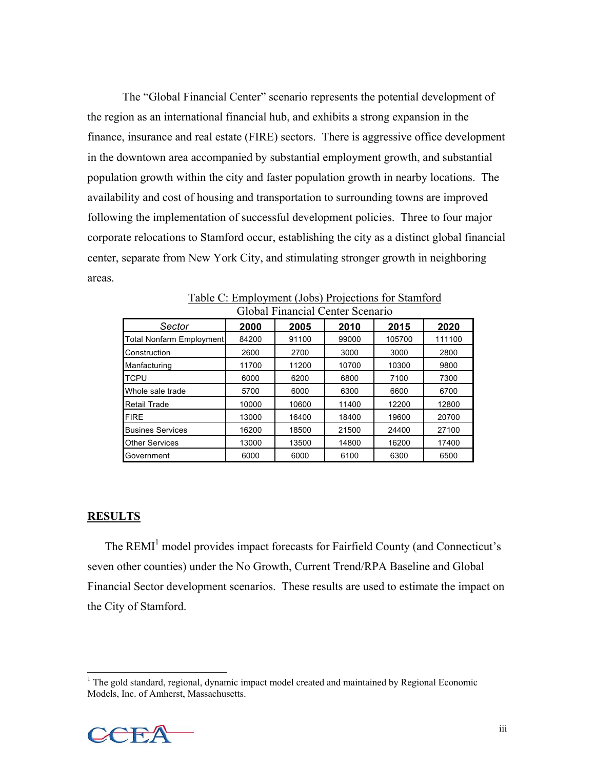The "Global Financial Center" scenario represents the potential development of the region as an international financial hub, and exhibits a strong expansion in the finance, insurance and real estate (FIRE) sectors. There is aggressive office development in the downtown area accompanied by substantial employment growth, and substantial population growth within the city and faster population growth in nearby locations. The availability and cost of housing and transportation to surrounding towns are improved following the implementation of successful development policies. Three to four major corporate relocations to Stamford occur, establishing the city as a distinct global financial center, separate from New York City, and stimulating stronger growth in neighboring areas.

| <u>sivour i manoiar conter soonario</u> |       |       |       |        |        |
|-----------------------------------------|-------|-------|-------|--------|--------|
| Sector                                  | 2000  | 2005  | 2010  | 2015   | 2020   |
| <b>Total Nonfarm Employment</b>         | 84200 | 91100 | 99000 | 105700 | 111100 |
| Construction                            | 2600  | 2700  | 3000  | 3000   | 2800   |
| Manfacturing                            | 11700 | 11200 | 10700 | 10300  | 9800   |
| <b>I</b> TCPU                           | 6000  | 6200  | 6800  | 7100   | 7300   |
| Whole sale trade                        | 5700  | 6000  | 6300  | 6600   | 6700   |
| <b>Retail Trade</b>                     | 10000 | 10600 | 11400 | 12200  | 12800  |
| <b>FIRE</b>                             | 13000 | 16400 | 18400 | 19600  | 20700  |
| <b>Busines Services</b>                 | 16200 | 18500 | 21500 | 24400  | 27100  |
| <b>Other Services</b>                   | 13000 | 13500 | 14800 | 16200  | 17400  |
| Government                              | 6000  | 6000  | 6100  | 6300   | 6500   |

Table C: Employment (Jobs) Projections for Stamford Global Financial Center Scenario

### **RESULTS**

 $\overline{a}$ 

The  $REMI<sup>1</sup>$  model provides impact forecasts for Fairfield County (and Connecticut's seven other counties) under the No Growth, Current Trend/RPA Baseline and Global Financial Sector development scenarios. These results are used to estimate the impact on the City of Stamford.

<sup>&</sup>lt;sup>1</sup> The gold standard, regional, dynamic impact model created and maintained by Regional Economic Models, Inc. of Amherst, Massachusetts.

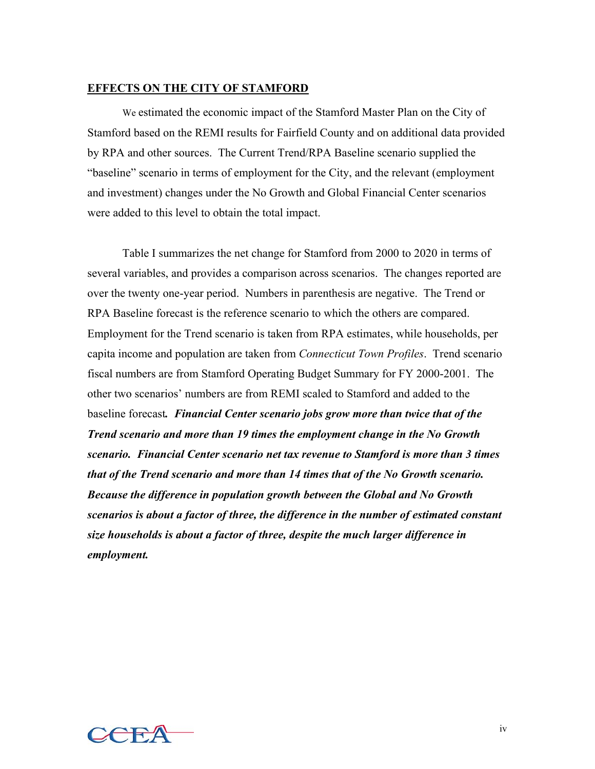#### **EFFECTS ON THE CITY OF STAMFORD**

 We estimated the economic impact of the Stamford Master Plan on the City of Stamford based on the REMI results for Fairfield County and on additional data provided by RPA and other sources. The Current Trend/RPA Baseline scenario supplied the "baseline" scenario in terms of employment for the City, and the relevant (employment and investment) changes under the No Growth and Global Financial Center scenarios were added to this level to obtain the total impact.

Table I summarizes the net change for Stamford from 2000 to 2020 in terms of several variables, and provides a comparison across scenarios. The changes reported are over the twenty one-year period. Numbers in parenthesis are negative. The Trend or RPA Baseline forecast is the reference scenario to which the others are compared. Employment for the Trend scenario is taken from RPA estimates, while households, per capita income and population are taken from *Connecticut Town Profiles*. Trend scenario fiscal numbers are from Stamford Operating Budget Summary for FY 2000-2001. The other two scenarios' numbers are from REMI scaled to Stamford and added to the baseline forecast*. Financial Center scenario jobs grow more than twice that of the Trend scenario and more than 19 times the employment change in the No Growth scenario. Financial Center scenario net tax revenue to Stamford is more than 3 times that of the Trend scenario and more than 14 times that of the No Growth scenario. Because the difference in population growth between the Global and No Growth scenarios is about a factor of three, the difference in the number of estimated constant size households is about a factor of three, despite the much larger difference in employment.*

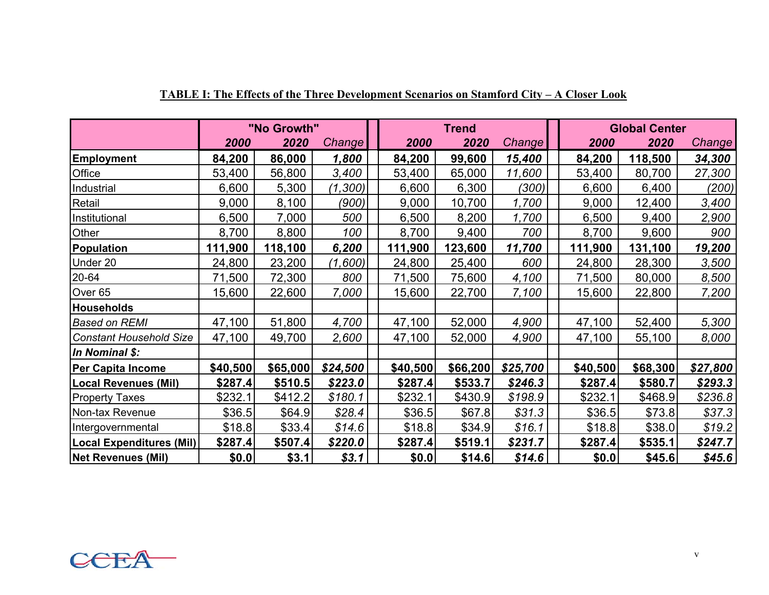|                                |          | "No Growth" |          |          | <b>Trend</b> |          |          | <b>Global Center</b> |          |
|--------------------------------|----------|-------------|----------|----------|--------------|----------|----------|----------------------|----------|
|                                | 2000     | 2020        | Change   | 2000     | 2020         | Change   | 2000     | 2020                 | Change   |
| <b>Employment</b>              | 84,200   | 86,000      | 1,800    | 84,200   | 99,600       | 15,400   | 84,200   | 118,500              | 34,300   |
| Office                         | 53,400   | 56,800      | 3,400    | 53,400   | 65,000       | 11,600   | 53,400   | 80,700               | 27,300   |
| Industrial                     | 6,600    | 5,300       | (1, 300) | 6,600    | 6,300        | (300)    | 6,600    | 6,400                | (200)    |
| Retail                         | 9,000    | 8,100       | (900)    | 9,000    | 10,700       | 1,700    | 9,000    | 12,400               | 3,400    |
| Institutional                  | 6,500    | 7,000       | 500      | 6,500    | 8,200        | 1,700    | 6,500    | 9,400                | 2,900    |
| Other                          | 8,700    | 8,800       | 100      | 8,700    | 9,400        | 700      | 8,700    | 9,600                | 900      |
| Population                     | 111,900  | 118,100     | 6,200    | 111,900  | 123,600      | 11,700   | 111,900  | 131,100              | 19,200   |
| Under 20                       | 24,800   | 23,200      | (1,600)  | 24,800   | 25,400       | 600      | 24,800   | 28,300               | 3,500    |
| 20-64                          | 71,500   | 72,300      | 800      | 71,500   | 75,600       | 4,100    | 71,500   | 80,000               | 8,500    |
| Over <sub>65</sub>             | 15,600   | 22,600      | 7,000    | 15,600   | 22,700       | 7,100    | 15,600   | 22,800               | 7,200    |
| <b>Households</b>              |          |             |          |          |              |          |          |                      |          |
| <b>Based on REMI</b>           | 47,100   | 51,800      | 4,700    | 47,100   | 52,000       | 4,900    | 47,100   | 52,400               | 5,300    |
| <b>Constant Household Size</b> | 47,100   | 49,700      | 2,600    | 47,100   | 52,000       | 4,900    | 47,100   | 55,100               | 8,000    |
| In Nominal \$:                 |          |             |          |          |              |          |          |                      |          |
| Per Capita Income              | \$40,500 | \$65,000    | \$24,500 | \$40,500 | \$66,200     | \$25,700 | \$40,500 | \$68,300             | \$27,800 |
| <b>Local Revenues (Mil)</b>    | \$287.4  | \$510.5     | \$223.0  | \$287.4  | \$533.7      | \$246.3  | \$287.4  | \$580.7              | \$293.3  |
| <b>Property Taxes</b>          | \$232.1  | \$412.2     | \$180.1  | \$232.1  | \$430.9      | \$198.9  | \$232.1  | \$468.9              | \$236.8  |
| Non-tax Revenue                | \$36.5   | \$64.9      | \$28.4   | \$36.5   | \$67.8       | \$31.3   | \$36.5   | \$73.8               | \$37.3   |
| Intergovernmental              | \$18.8   | \$33.4      | \$14.6   | \$18.8   | \$34.9       | \$16.1   | \$18.8   | \$38.0               | \$19.2   |
| Local Expenditures (Mil)       | \$287.4  | \$507.4     | \$220.0  | \$287.4  | \$519.1      | \$231.7  | \$287.4  | \$535.1              | \$247.7  |
| <b>Net Revenues (Mil)</b>      | \$0.0    | \$3.1       | \$3.1    | \$0.0]   | \$14.6       | \$14.6   | \$0.0    | \$45.6               | \$45.6   |

## **TABLE I: The Effects of the Three Development Scenarios on Stamford City – A Closer Look**

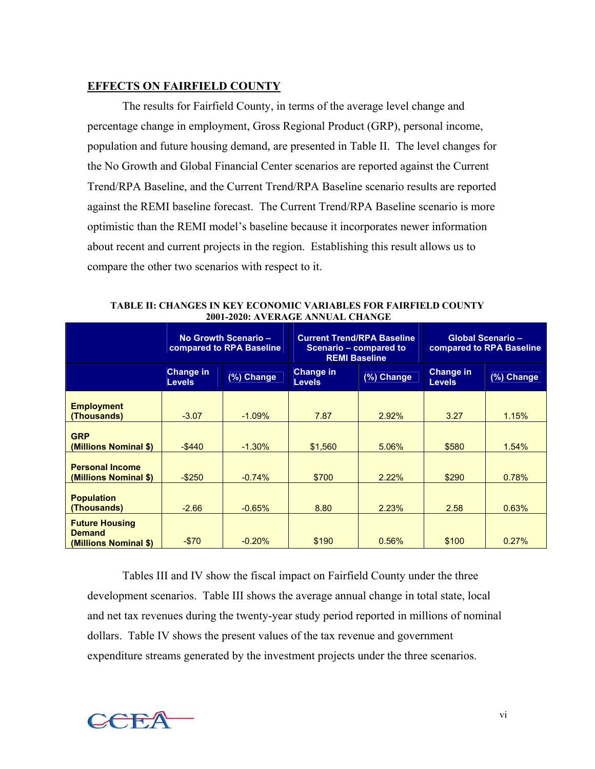### **EFFECTS ON FAIRFIELD COUNTY**

The results for Fairfield County, in terms of the average level change and percentage change in employment, Gross Regional Product (GRP), personal income, population and future housing demand, are presented in Table II. The level changes for the No Growth and Global Financial Center scenarios are reported against the Current Trend/RPA Baseline, and the Current Trend/RPA Baseline scenario results are reported against the REMI baseline forecast. The Current Trend/RPA Baseline scenario is more optimistic than the REMI model's baseline because it incorporates newer information about recent and current projects in the region. Establishing this result allows us to compare the other two scenarios with respect to it.

|                                                                 | No Growth Scenario -<br>compared to RPA Baseline |            | <b>Current Trend/RPA Baseline</b><br>Scenario – compared to<br><b>REMI Baseline</b> |            | <b>Global Scenario -</b><br>compared to RPA Baseline |            |
|-----------------------------------------------------------------|--------------------------------------------------|------------|-------------------------------------------------------------------------------------|------------|------------------------------------------------------|------------|
|                                                                 | Change in<br><b>Levels</b>                       | (%) Change | Change in<br><b>Levels</b>                                                          | (%) Change | Change in<br><b>Levels</b>                           | (%) Change |
| <b>Employment</b><br>(Thousands)                                | $-3.07$                                          | $-1.09%$   | 7.87                                                                                | 2.92%      | 3.27                                                 | 1.15%      |
| <b>GRP</b><br>(Millions Nominal \$)                             | $-$ \$440                                        | $-1.30%$   | \$1,560                                                                             | 5.06%      | \$580                                                | 1.54%      |
| <b>Personal Income</b><br>(Millions Nominal \$)                 | $-$ \$250                                        | $-0.74%$   | \$700                                                                               | 2.22%      | \$290                                                | 0.78%      |
| <b>Population</b><br>(Thousands)                                | $-2.66$                                          | $-0.65%$   | 8.80                                                                                | 2.23%      | 2.58                                                 | 0.63%      |
| <b>Future Housing</b><br><b>Demand</b><br>(Millions Nominal \$) | $-570$                                           | $-0.20%$   | \$190                                                                               | 0.56%      | \$100                                                | 0.27%      |

**TABLE II: CHANGES IN KEY ECONOMIC VARIABLES FOR FAIRFIELD COUNTY 2001-2020: AVERAGE ANNUAL CHANGE**

 Tables III and IV show the fiscal impact on Fairfield County under the three development scenarios. Table III shows the average annual change in total state, local and net tax revenues during the twenty-year study period reported in millions of nominal dollars. Table IV shows the present values of the tax revenue and government expenditure streams generated by the investment projects under the three scenarios.

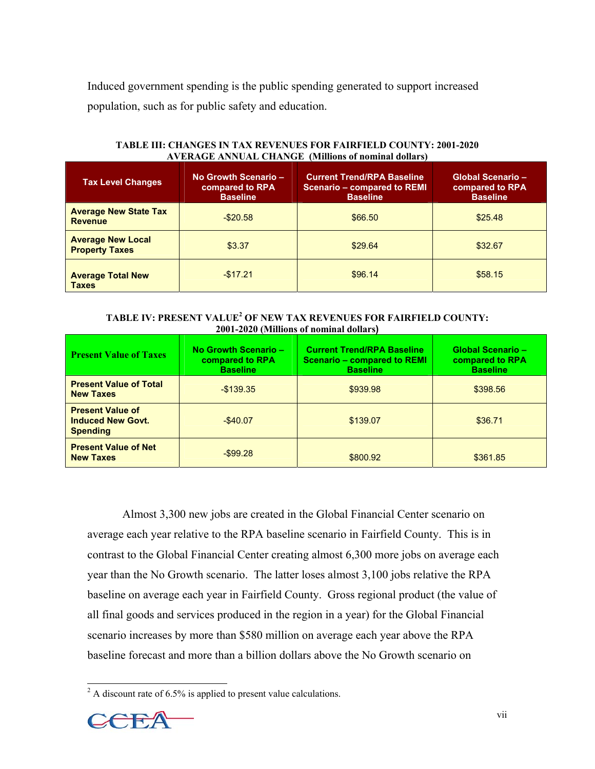Induced government spending is the public spending generated to support increased population, such as for public safety and education.

| <b>Tax Level Changes</b>                          | No Growth Scenario -<br>compared to RPA<br><b>Baseline</b> | <b>Current Trend/RPA Baseline</b><br><b>Scenario – compared to REMI</b><br><b>Baseline</b> | Global Scenario -<br>compared to RPA<br><b>Baseline</b> |
|---------------------------------------------------|------------------------------------------------------------|--------------------------------------------------------------------------------------------|---------------------------------------------------------|
| <b>Average New State Tax</b><br><b>Revenue</b>    | $-$ \$20.58                                                | \$66.50                                                                                    | \$25.48                                                 |
| <b>Average New Local</b><br><b>Property Taxes</b> | \$3.37                                                     | \$29.64                                                                                    | \$32.67                                                 |
| <b>Average Total New</b><br><b>Taxes</b>          | $-$17.21$                                                  | \$96.14                                                                                    | \$58.15                                                 |

#### **TABLE III: CHANGES IN TAX REVENUES FOR FAIRFIELD COUNTY: 2001-2020 AVERAGE ANNUAL CHANGE (Millions of nominal dollars)**

#### TABLE IV: PRESENT VALUE<sup>2</sup> OF NEW TAX REVENUES FOR FAIRFIELD COUNTY: **2001-2020 (Millions of nominal dollars)**

| <b>Present Value of Taxes</b>                                          | No Growth Scenario -<br><b>compared to RPA</b><br><b>Baseline</b> | <b>Current Trend/RPA Baseline</b><br><b>Scenario - compared to REMI</b><br><b>Baseline</b> | Global Scenario -<br>compared to RPA<br><b>Baseline</b> |
|------------------------------------------------------------------------|-------------------------------------------------------------------|--------------------------------------------------------------------------------------------|---------------------------------------------------------|
| <b>Present Value of Total</b><br><b>New Taxes</b>                      | $-$139.35$                                                        | \$939.98                                                                                   | \$398.56                                                |
| <b>Present Value of</b><br><b>Induced New Govt.</b><br><b>Spending</b> | $-$ \$40.07                                                       | \$139.07                                                                                   | \$36.71                                                 |
| <b>Present Value of Net</b><br><b>New Taxes</b>                        | $-$ \$99.28                                                       | \$800.92                                                                                   | \$361.85                                                |

 Almost 3,300 new jobs are created in the Global Financial Center scenario on average each year relative to the RPA baseline scenario in Fairfield County. This is in contrast to the Global Financial Center creating almost 6,300 more jobs on average each year than the No Growth scenario. The latter loses almost 3,100 jobs relative the RPA baseline on average each year in Fairfield County. Gross regional product (the value of all final goods and services produced in the region in a year) for the Global Financial scenario increases by more than \$580 million on average each year above the RPA baseline forecast and more than a billion dollars above the No Growth scenario on

 $\overline{a}$  $^{2}$  A discount rate of 6.5% is applied to present value calculations.

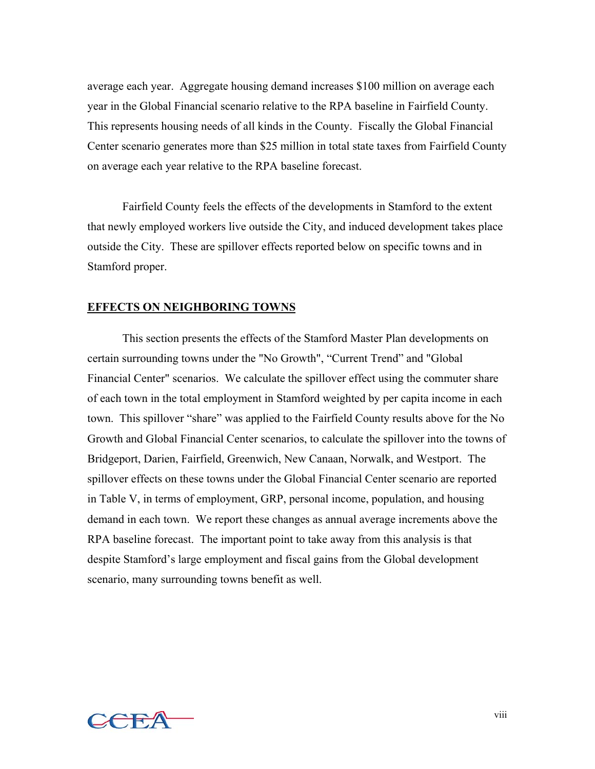average each year. Aggregate housing demand increases \$100 million on average each year in the Global Financial scenario relative to the RPA baseline in Fairfield County. This represents housing needs of all kinds in the County. Fiscally the Global Financial Center scenario generates more than \$25 million in total state taxes from Fairfield County on average each year relative to the RPA baseline forecast.

Fairfield County feels the effects of the developments in Stamford to the extent that newly employed workers live outside the City, and induced development takes place outside the City. These are spillover effects reported below on specific towns and in Stamford proper.

#### **EFFECTS ON NEIGHBORING TOWNS**

 This section presents the effects of the Stamford Master Plan developments on certain surrounding towns under the "No Growth", "Current Trend" and "Global Financial Center" scenarios. We calculate the spillover effect using the commuter share of each town in the total employment in Stamford weighted by per capita income in each town. This spillover "share" was applied to the Fairfield County results above for the No Growth and Global Financial Center scenarios, to calculate the spillover into the towns of Bridgeport, Darien, Fairfield, Greenwich, New Canaan, Norwalk, and Westport. The spillover effects on these towns under the Global Financial Center scenario are reported in Table V, in terms of employment, GRP, personal income, population, and housing demand in each town. We report these changes as annual average increments above the RPA baseline forecast. The important point to take away from this analysis is that despite Stamford's large employment and fiscal gains from the Global development scenario, many surrounding towns benefit as well.

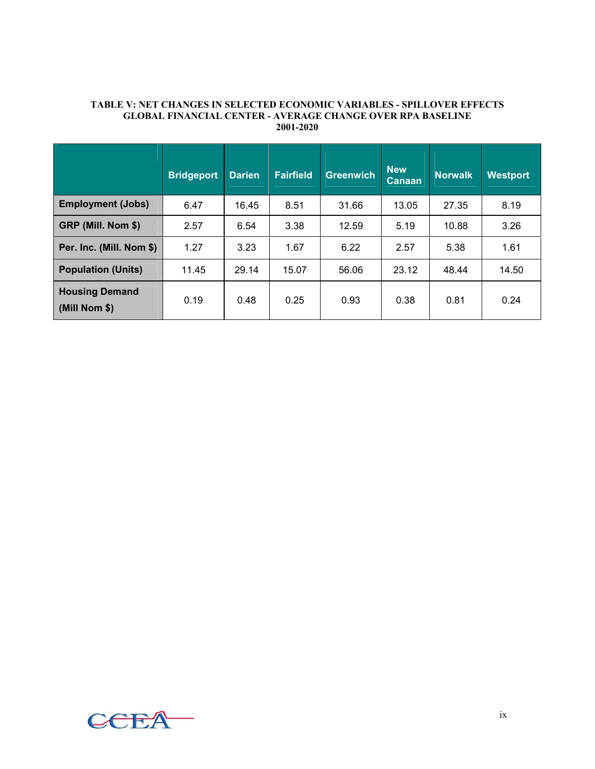#### **TABLE V: NET CHANGES IN SELECTED ECONOMIC VARIABLES - SPILLOVER EFFECTS GLOBAL FINANCIAL CENTER - AVERAGE CHANGE OVER RPA BASELINE 2001-2020**

|                                        | <b>Bridgeport</b> | <b>Darien</b> | <b>Fairfield</b> | <b>Greenwich</b> | <b>New</b><br><b>Canaan</b> | <b>Norwalk</b> | <b>Westport</b> |
|----------------------------------------|-------------------|---------------|------------------|------------------|-----------------------------|----------------|-----------------|
| <b>Employment (Jobs)</b>               | 6.47              | 16.45         | 8.51             | 31.66            | 13.05                       | 27.35          | 8.19            |
| GRP (Mill. Nom \$)                     | 2.57              | 6.54          | 3.38             | 12.59            | 5.19                        | 10.88          | 3.26            |
| Per. Inc. (Mill. Nom \$)               | 1.27              | 3.23          | 1.67             | 6.22             | 2.57                        | 5.38           | 1.61            |
| <b>Population (Units)</b>              | 11.45             | 29.14         | 15.07            | 56.06            | 23.12                       | 48.44          | 14.50           |
| <b>Housing Demand</b><br>(Mill Nom \$) | 0.19              | 0.48          | 0.25             | 0.93             | 0.38                        | 0.81           | 0.24            |

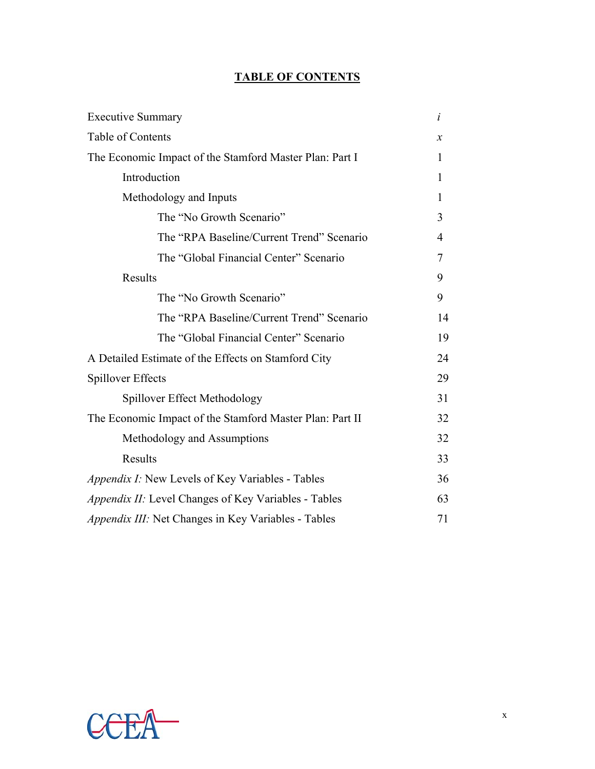## **TABLE OF CONTENTS**

| <b>Executive Summary</b>                                 | $\dot{i}$ |  |  |  |  |
|----------------------------------------------------------|-----------|--|--|--|--|
| Table of Contents                                        |           |  |  |  |  |
| The Economic Impact of the Stamford Master Plan: Part I  |           |  |  |  |  |
| Introduction                                             |           |  |  |  |  |
| Methodology and Inputs                                   | 1         |  |  |  |  |
| The "No Growth Scenario"                                 | 3         |  |  |  |  |
| The "RPA Baseline/Current Trend" Scenario                | 4         |  |  |  |  |
| The "Global Financial Center" Scenario                   | 7         |  |  |  |  |
| Results                                                  | 9         |  |  |  |  |
| The "No Growth Scenario"                                 | 9         |  |  |  |  |
| The "RPA Baseline/Current Trend" Scenario                | 14        |  |  |  |  |
| The "Global Financial Center" Scenario                   | 19        |  |  |  |  |
| A Detailed Estimate of the Effects on Stamford City      | 24        |  |  |  |  |
| Spillover Effects                                        | 29        |  |  |  |  |
| Spillover Effect Methodology                             | 31        |  |  |  |  |
| The Economic Impact of the Stamford Master Plan: Part II | 32        |  |  |  |  |
| Methodology and Assumptions                              | 32        |  |  |  |  |
| Results                                                  | 33        |  |  |  |  |
| <i>Appendix I:</i> New Levels of Key Variables - Tables  | 36        |  |  |  |  |
| Appendix II: Level Changes of Key Variables - Tables     |           |  |  |  |  |
| Appendix III: Net Changes in Key Variables - Tables      |           |  |  |  |  |

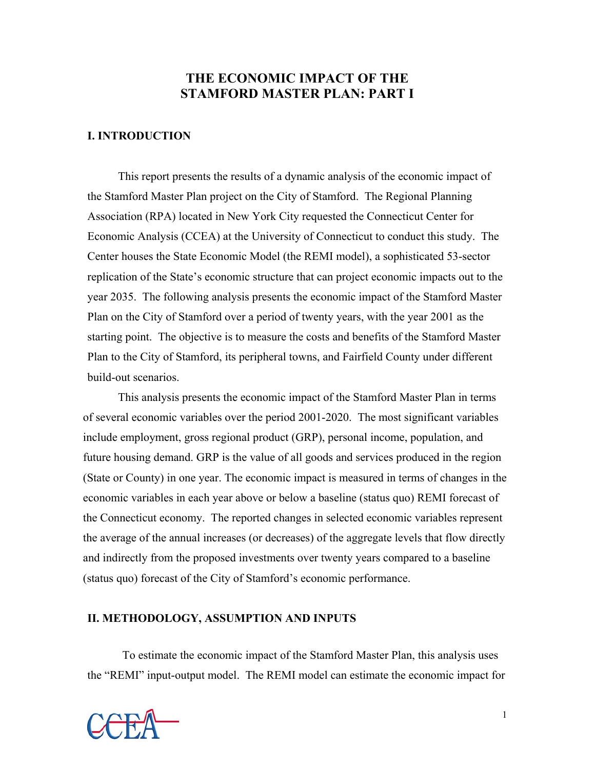## **THE ECONOMIC IMPACT OF THE STAMFORD MASTER PLAN: PART I**

#### **I. INTRODUCTION**

This report presents the results of a dynamic analysis of the economic impact of the Stamford Master Plan project on the City of Stamford. The Regional Planning Association (RPA) located in New York City requested the Connecticut Center for Economic Analysis (CCEA) at the University of Connecticut to conduct this study. The Center houses the State Economic Model (the REMI model), a sophisticated 53-sector replication of the State's economic structure that can project economic impacts out to the year 2035. The following analysis presents the economic impact of the Stamford Master Plan on the City of Stamford over a period of twenty years, with the year 2001 as the starting point. The objective is to measure the costs and benefits of the Stamford Master Plan to the City of Stamford, its peripheral towns, and Fairfield County under different build-out scenarios.

 This analysis presents the economic impact of the Stamford Master Plan in terms of several economic variables over the period 2001-2020. The most significant variables include employment, gross regional product (GRP), personal income, population, and future housing demand. GRP is the value of all goods and services produced in the region (State or County) in one year. The economic impact is measured in terms of changes in the economic variables in each year above or below a baseline (status quo) REMI forecast of the Connecticut economy. The reported changes in selected economic variables represent the average of the annual increases (or decreases) of the aggregate levels that flow directly and indirectly from the proposed investments over twenty years compared to a baseline (status quo) forecast of the City of Stamford's economic performance.

#### **II. METHODOLOGY, ASSUMPTION AND INPUTS**

To estimate the economic impact of the Stamford Master Plan, this analysis uses the "REMI" input-output model. The REMI model can estimate the economic impact for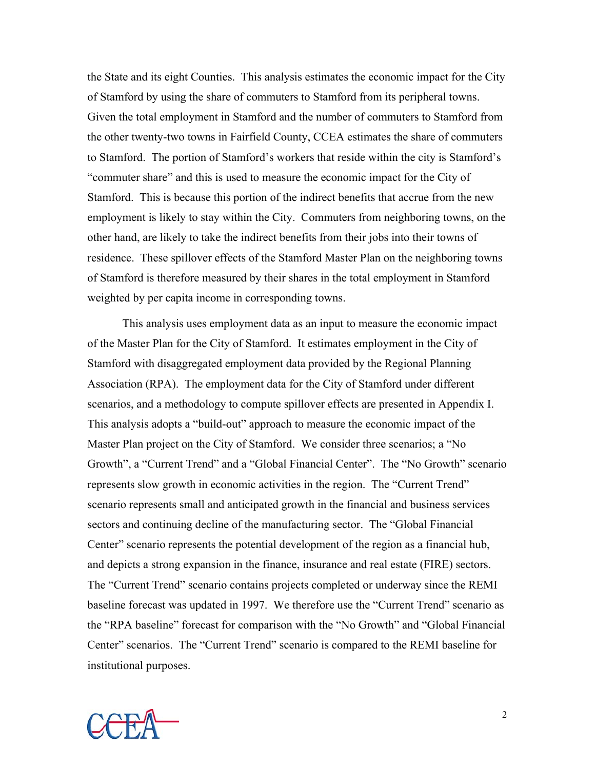the State and its eight Counties. This analysis estimates the economic impact for the City of Stamford by using the share of commuters to Stamford from its peripheral towns. Given the total employment in Stamford and the number of commuters to Stamford from the other twenty-two towns in Fairfield County, CCEA estimates the share of commuters to Stamford. The portion of Stamford's workers that reside within the city is Stamford's "commuter share" and this is used to measure the economic impact for the City of Stamford. This is because this portion of the indirect benefits that accrue from the new employment is likely to stay within the City. Commuters from neighboring towns, on the other hand, are likely to take the indirect benefits from their jobs into their towns of residence. These spillover effects of the Stamford Master Plan on the neighboring towns of Stamford is therefore measured by their shares in the total employment in Stamford weighted by per capita income in corresponding towns.

 This analysis uses employment data as an input to measure the economic impact of the Master Plan for the City of Stamford. It estimates employment in the City of Stamford with disaggregated employment data provided by the Regional Planning Association (RPA). The employment data for the City of Stamford under different scenarios, and a methodology to compute spillover effects are presented in Appendix I. This analysis adopts a "build-out" approach to measure the economic impact of the Master Plan project on the City of Stamford. We consider three scenarios; a "No Growth", a "Current Trend" and a "Global Financial Center". The "No Growth" scenario represents slow growth in economic activities in the region. The "Current Trend" scenario represents small and anticipated growth in the financial and business services sectors and continuing decline of the manufacturing sector. The "Global Financial Center" scenario represents the potential development of the region as a financial hub, and depicts a strong expansion in the finance, insurance and real estate (FIRE) sectors. The "Current Trend" scenario contains projects completed or underway since the REMI baseline forecast was updated in 1997. We therefore use the "Current Trend" scenario as the "RPA baseline" forecast for comparison with the "No Growth" and "Global Financial Center" scenarios. The "Current Trend" scenario is compared to the REMI baseline for institutional purposes.

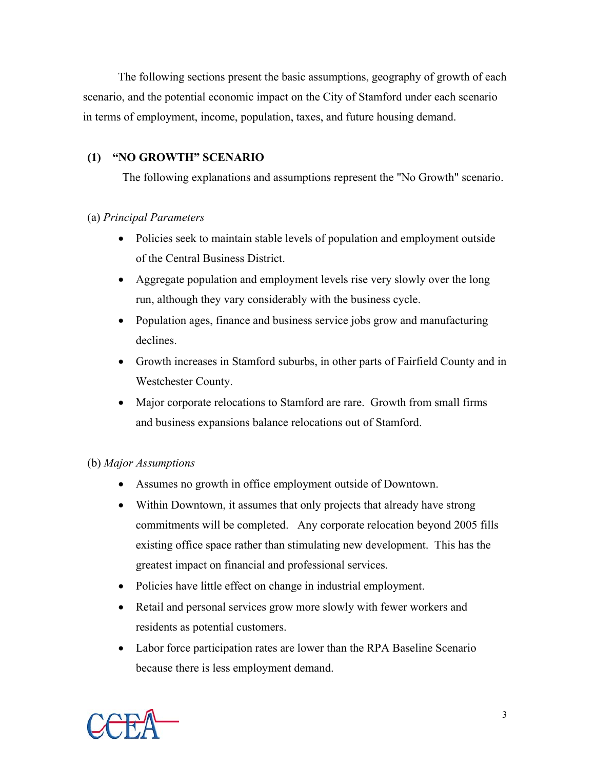The following sections present the basic assumptions, geography of growth of each scenario, and the potential economic impact on the City of Stamford under each scenario in terms of employment, income, population, taxes, and future housing demand.

## **(1) "NO GROWTH" SCENARIO**

The following explanations and assumptions represent the "No Growth" scenario.

## (a) *Principal Parameters*

- Policies seek to maintain stable levels of population and employment outside of the Central Business District.
- Aggregate population and employment levels rise very slowly over the long run, although they vary considerably with the business cycle.
- Population ages, finance and business service jobs grow and manufacturing declines.
- Growth increases in Stamford suburbs, in other parts of Fairfield County and in Westchester County.
- Major corporate relocations to Stamford are rare. Growth from small firms and business expansions balance relocations out of Stamford.

## (b) *Major Assumptions*

- Assumes no growth in office employment outside of Downtown.
- Within Downtown, it assumes that only projects that already have strong commitments will be completed. Any corporate relocation beyond 2005 fills existing office space rather than stimulating new development. This has the greatest impact on financial and professional services.
- Policies have little effect on change in industrial employment.
- Retail and personal services grow more slowly with fewer workers and residents as potential customers.
- Labor force participation rates are lower than the RPA Baseline Scenario because there is less employment demand.

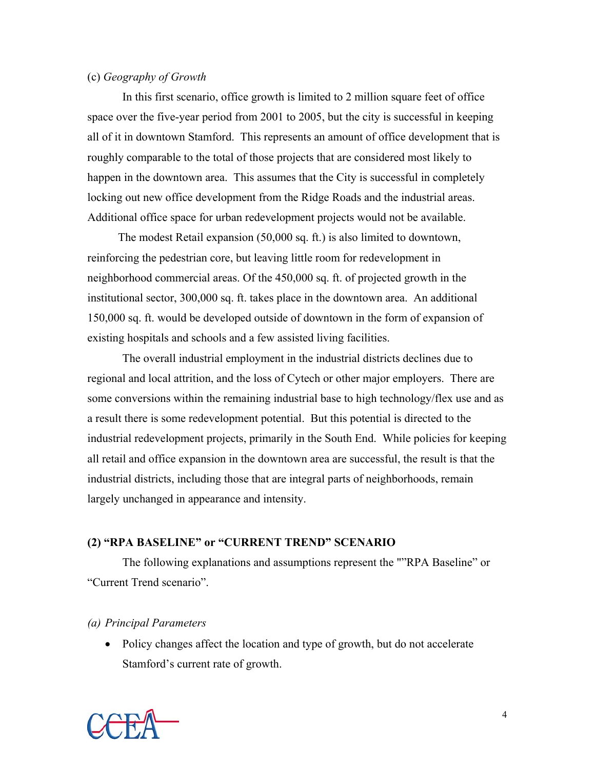### (c) *Geography of Growth*

 In this first scenario, office growth is limited to 2 million square feet of office space over the five-year period from 2001 to 2005, but the city is successful in keeping all of it in downtown Stamford. This represents an amount of office development that is roughly comparable to the total of those projects that are considered most likely to happen in the downtown area. This assumes that the City is successful in completely locking out new office development from the Ridge Roads and the industrial areas. Additional office space for urban redevelopment projects would not be available.

 The modest Retail expansion (50,000 sq. ft.) is also limited to downtown, reinforcing the pedestrian core, but leaving little room for redevelopment in neighborhood commercial areas. Of the 450,000 sq. ft. of projected growth in the institutional sector, 300,000 sq. ft. takes place in the downtown area. An additional 150,000 sq. ft. would be developed outside of downtown in the form of expansion of existing hospitals and schools and a few assisted living facilities.

 The overall industrial employment in the industrial districts declines due to regional and local attrition, and the loss of Cytech or other major employers. There are some conversions within the remaining industrial base to high technology/flex use and as a result there is some redevelopment potential. But this potential is directed to the industrial redevelopment projects, primarily in the South End. While policies for keeping all retail and office expansion in the downtown area are successful, the result is that the industrial districts, including those that are integral parts of neighborhoods, remain largely unchanged in appearance and intensity.

### **(2) "RPA BASELINE" or "CURRENT TREND" SCENARIO**

 The following explanations and assumptions represent the ""RPA Baseline" or "Current Trend scenario".

### *(a) Principal Parameters*

• Policy changes affect the location and type of growth, but do not accelerate Stamford's current rate of growth.

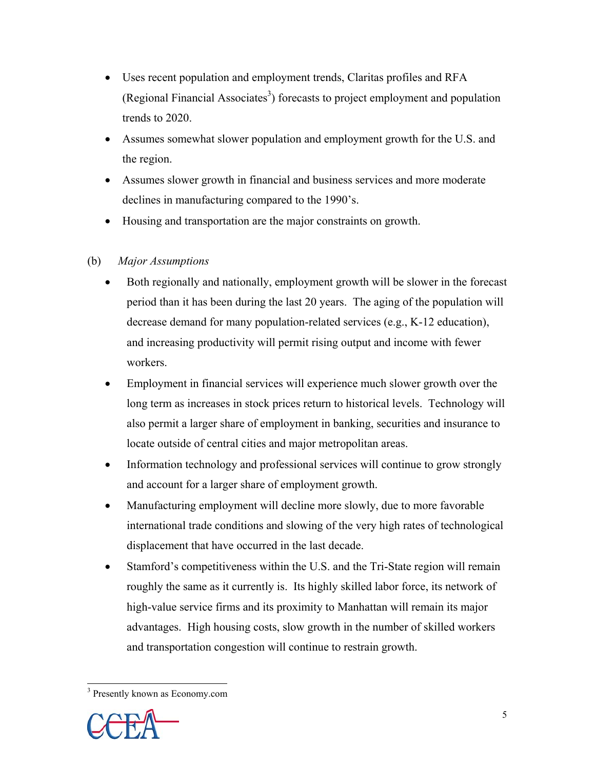- Uses recent population and employment trends, Claritas profiles and RFA (Regional Financial Associates<sup>3</sup>) forecasts to project employment and population trends to 2020.
- Assumes somewhat slower population and employment growth for the U.S. and the region.
- Assumes slower growth in financial and business services and more moderate declines in manufacturing compared to the 1990's.
- Housing and transportation are the major constraints on growth.
- (b) *Major Assumptions*
	- Both regionally and nationally, employment growth will be slower in the forecast period than it has been during the last 20 years. The aging of the population will decrease demand for many population-related services (e.g., K-12 education), and increasing productivity will permit rising output and income with fewer workers.
	- Employment in financial services will experience much slower growth over the long term as increases in stock prices return to historical levels. Technology will also permit a larger share of employment in banking, securities and insurance to locate outside of central cities and major metropolitan areas.
	- Information technology and professional services will continue to grow strongly and account for a larger share of employment growth.
	- Manufacturing employment will decline more slowly, due to more favorable international trade conditions and slowing of the very high rates of technological displacement that have occurred in the last decade.
	- Stamford's competitiveness within the U.S. and the Tri-State region will remain roughly the same as it currently is. Its highly skilled labor force, its network of high-value service firms and its proximity to Manhattan will remain its major advantages. High housing costs, slow growth in the number of skilled workers and transportation congestion will continue to restrain growth.

 $\overline{a}$ <sup>3</sup> Presently known as Economy.com

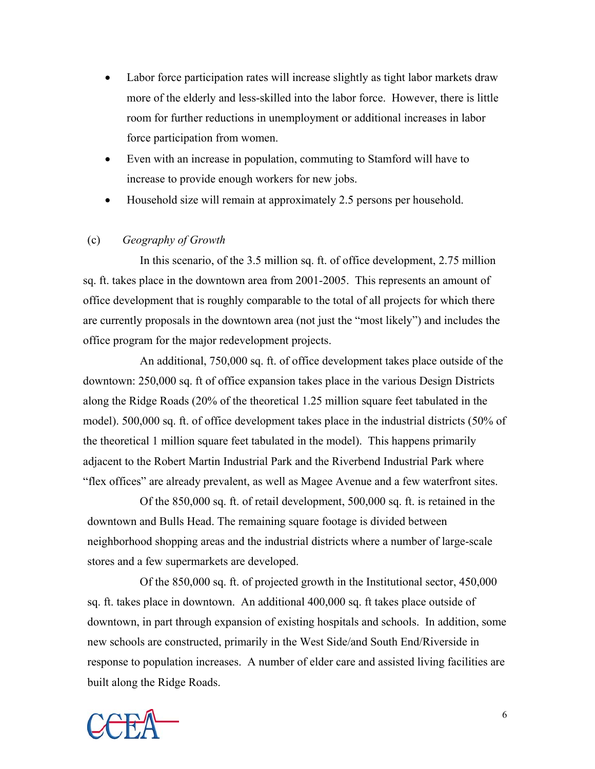- Labor force participation rates will increase slightly as tight labor markets draw more of the elderly and less-skilled into the labor force. However, there is little room for further reductions in unemployment or additional increases in labor force participation from women.
- Even with an increase in population, commuting to Stamford will have to increase to provide enough workers for new jobs.
- Household size will remain at approximately 2.5 persons per household.

## (c) *Geography of Growth*

 In this scenario, of the 3.5 million sq. ft. of office development, 2.75 million sq. ft. takes place in the downtown area from 2001-2005. This represents an amount of office development that is roughly comparable to the total of all projects for which there are currently proposals in the downtown area (not just the "most likely") and includes the office program for the major redevelopment projects.

 An additional, 750,000 sq. ft. of office development takes place outside of the downtown: 250,000 sq. ft of office expansion takes place in the various Design Districts along the Ridge Roads (20% of the theoretical 1.25 million square feet tabulated in the model). 500,000 sq. ft. of office development takes place in the industrial districts (50% of the theoretical 1 million square feet tabulated in the model). This happens primarily adjacent to the Robert Martin Industrial Park and the Riverbend Industrial Park where "flex offices" are already prevalent, as well as Magee Avenue and a few waterfront sites.

 Of the 850,000 sq. ft. of retail development, 500,000 sq. ft. is retained in the downtown and Bulls Head. The remaining square footage is divided between neighborhood shopping areas and the industrial districts where a number of large-scale stores and a few supermarkets are developed.

 Of the 850,000 sq. ft. of projected growth in the Institutional sector, 450,000 sq. ft. takes place in downtown. An additional 400,000 sq. ft takes place outside of downtown, in part through expansion of existing hospitals and schools. In addition, some new schools are constructed, primarily in the West Side/and South End/Riverside in response to population increases. A number of elder care and assisted living facilities are built along the Ridge Roads.

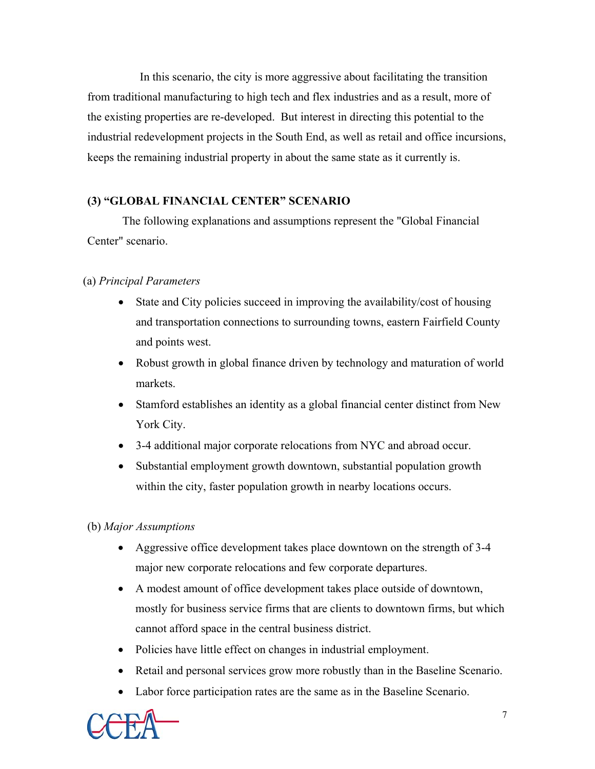In this scenario, the city is more aggressive about facilitating the transition from traditional manufacturing to high tech and flex industries and as a result, more of the existing properties are re-developed. But interest in directing this potential to the industrial redevelopment projects in the South End, as well as retail and office incursions, keeps the remaining industrial property in about the same state as it currently is.

## **(3) "GLOBAL FINANCIAL CENTER" SCENARIO**

 The following explanations and assumptions represent the "Global Financial Center" scenario.

## (a) *Principal Parameters*

- State and City policies succeed in improving the availability/cost of housing and transportation connections to surrounding towns, eastern Fairfield County and points west.
- Robust growth in global finance driven by technology and maturation of world markets.
- Stamford establishes an identity as a global financial center distinct from New York City.
- 3-4 additional major corporate relocations from NYC and abroad occur.
- Substantial employment growth downtown, substantial population growth within the city, faster population growth in nearby locations occurs.
- (b) *Major Assumptions*
	- Aggressive office development takes place downtown on the strength of 3-4 major new corporate relocations and few corporate departures.
	- A modest amount of office development takes place outside of downtown, mostly for business service firms that are clients to downtown firms, but which cannot afford space in the central business district.
	- Policies have little effect on changes in industrial employment.
	- Retail and personal services grow more robustly than in the Baseline Scenario.
	- Labor force participation rates are the same as in the Baseline Scenario.

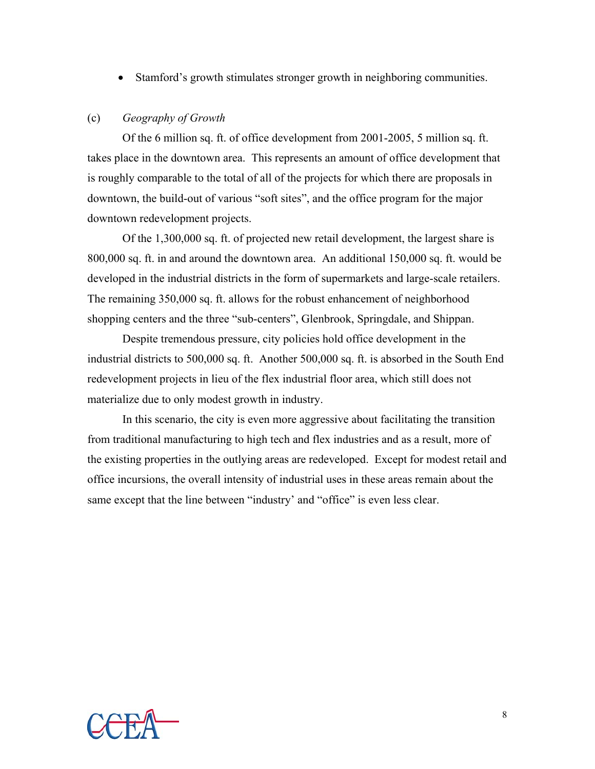Stamford's growth stimulates stronger growth in neighboring communities.

#### (c) *Geography of Growth*

Of the 6 million sq. ft. of office development from 2001-2005, 5 million sq. ft. takes place in the downtown area. This represents an amount of office development that is roughly comparable to the total of all of the projects for which there are proposals in downtown, the build-out of various "soft sites", and the office program for the major downtown redevelopment projects.

Of the 1,300,000 sq. ft. of projected new retail development, the largest share is 800,000 sq. ft. in and around the downtown area. An additional 150,000 sq. ft. would be developed in the industrial districts in the form of supermarkets and large-scale retailers. The remaining 350,000 sq. ft. allows for the robust enhancement of neighborhood shopping centers and the three "sub-centers", Glenbrook, Springdale, and Shippan.

Despite tremendous pressure, city policies hold office development in the industrial districts to 500,000 sq. ft. Another 500,000 sq. ft. is absorbed in the South End redevelopment projects in lieu of the flex industrial floor area, which still does not materialize due to only modest growth in industry.

In this scenario, the city is even more aggressive about facilitating the transition from traditional manufacturing to high tech and flex industries and as a result, more of the existing properties in the outlying areas are redeveloped. Except for modest retail and office incursions, the overall intensity of industrial uses in these areas remain about the same except that the line between "industry' and "office" is even less clear.

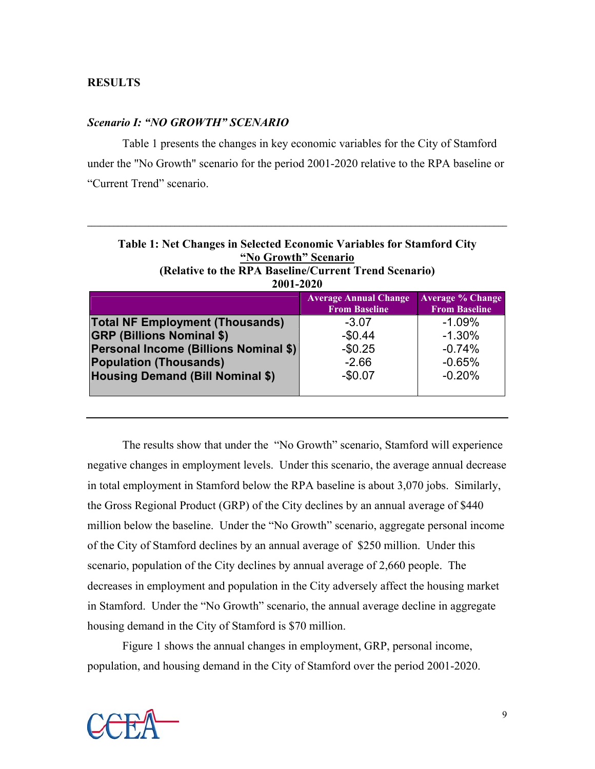### **RESULTS**

#### *Scenario I: "NO GROWTH" SCENARIO*

Table 1 presents the changes in key economic variables for the City of Stamford under the "No Growth" scenario for the period 2001-2020 relative to the RPA baseline or "Current Trend" scenario.

| Table 1: Net Changes in Selected Economic Variables for Stamford City |
|-----------------------------------------------------------------------|
| "No Growth" Scenario                                                  |
| (Relative to the RPA Baseline/Current Trend Scenario)                 |
| 2001-2020                                                             |

|                                         | <b>Average Annual Change</b><br><b>From Baseline</b> | <b>Average % Change</b><br><b>From Baseline</b> |
|-----------------------------------------|------------------------------------------------------|-------------------------------------------------|
| <b>Total NF Employment (Thousands)</b>  | $-3.07$                                              | $-1.09\%$                                       |
| <b>GRP (Billions Nominal \$)</b>        | $-$0.44$                                             | $-1.30\%$                                       |
| Personal Income (Billions Nominal \$)   | $-$0.25$                                             | $-0.74%$                                        |
| <b>Population (Thousands)</b>           | $-2.66$                                              | $-0.65%$                                        |
| <b>Housing Demand (Bill Nominal \$)</b> | $-$0.07$                                             | $-0.20%$                                        |
|                                         |                                                      |                                                 |

The results show that under the "No Growth" scenario, Stamford will experience negative changes in employment levels. Under this scenario, the average annual decrease in total employment in Stamford below the RPA baseline is about 3,070 jobs. Similarly, the Gross Regional Product (GRP) of the City declines by an annual average of \$440 million below the baseline. Under the "No Growth" scenario, aggregate personal income of the City of Stamford declines by an annual average of \$250 million. Under this scenario, population of the City declines by annual average of 2,660 people. The decreases in employment and population in the City adversely affect the housing market in Stamford. Under the "No Growth" scenario, the annual average decline in aggregate housing demand in the City of Stamford is \$70 million.

Figure 1 shows the annual changes in employment, GRP, personal income, population, and housing demand in the City of Stamford over the period 2001-2020.

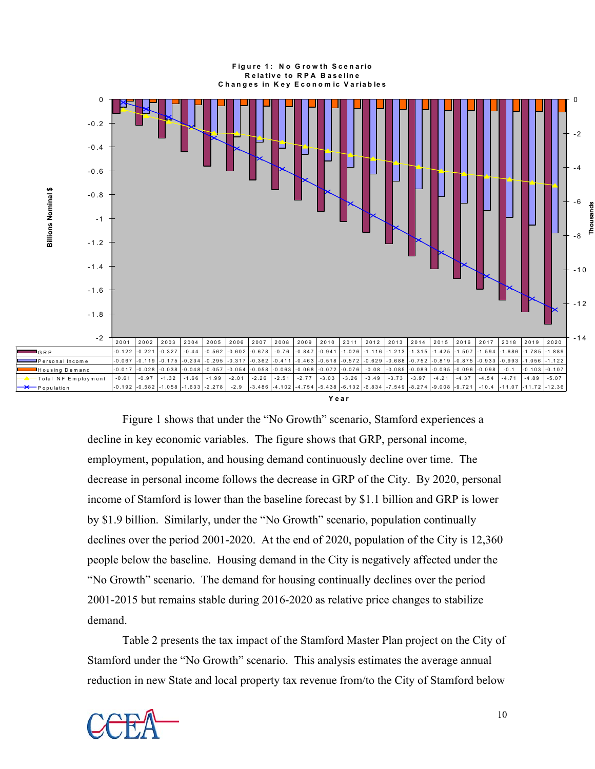

**Year**

Figure 1 shows that under the "No Growth" scenario, Stamford experiences a decline in key economic variables. The figure shows that GRP, personal income, employment, population, and housing demand continuously decline over time. The decrease in personal income follows the decrease in GRP of the City. By 2020, personal income of Stamford is lower than the baseline forecast by \$1.1 billion and GRP is lower by \$1.9 billion. Similarly, under the "No Growth" scenario, population continually declines over the period 2001-2020. At the end of 2020, population of the City is 12,360 people below the baseline. Housing demand in the City is negatively affected under the "No Growth" scenario. The demand for housing continually declines over the period 2001-2015 but remains stable during 2016-2020 as relative price changes to stabilize demand.

Table 2 presents the tax impact of the Stamford Master Plan project on the City of Stamford under the "No Growth" scenario. This analysis estimates the average annual reduction in new State and local property tax revenue from/to the City of Stamford below

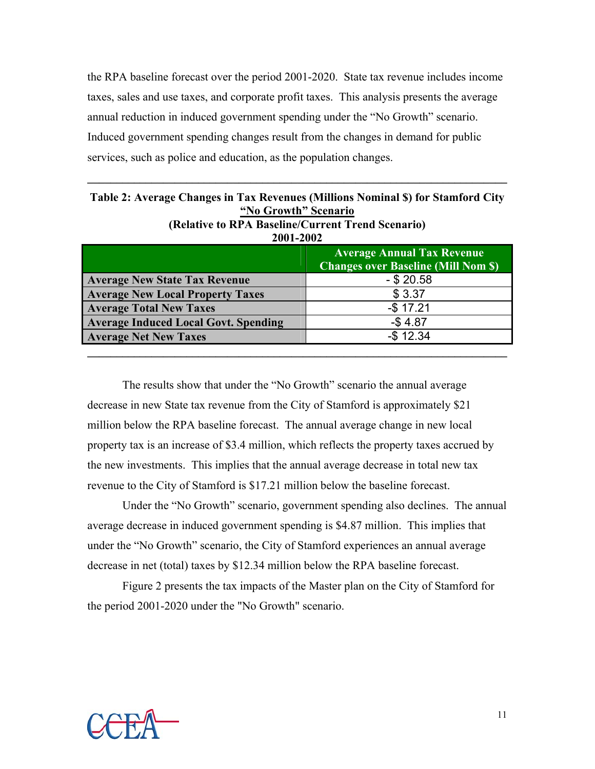the RPA baseline forecast over the period 2001-2020. State tax revenue includes income taxes, sales and use taxes, and corporate profit taxes. This analysis presents the average annual reduction in induced government spending under the "No Growth" scenario. Induced government spending changes result from the changes in demand for public services, such as police and education, as the population changes.

**\_\_\_\_\_\_\_\_\_\_\_\_\_\_\_\_\_\_\_\_\_\_\_\_\_\_\_\_\_\_\_\_\_\_\_\_\_\_\_\_\_\_\_\_\_\_\_\_\_\_\_\_\_\_\_\_\_\_\_\_\_\_\_\_\_\_\_\_\_\_\_\_ Table 2: Average Changes in Tax Revenues (Millions Nominal \$) for Stamford City** 

| Table 2: Average Changes in Tax Revenues (Millions Nominal 5) for Stamford City<br>"No Growth" Scenario<br>(Relative to RPA Baseline/Current Trend Scenario)<br>2001-2002 |              |  |  |  |  |
|---------------------------------------------------------------------------------------------------------------------------------------------------------------------------|--------------|--|--|--|--|
| <b>Average Annual Tax Revenue</b><br><b>Changes over Baseline (Mill Nom \$)</b>                                                                                           |              |  |  |  |  |
| <b>Average New State Tax Revenue</b>                                                                                                                                      | $-$ \$ 20.58 |  |  |  |  |
| <b>Average New Local Property Taxes</b>                                                                                                                                   | \$3.37       |  |  |  |  |
| <b>Average Total New Taxes</b>                                                                                                                                            | $-$17.21$    |  |  |  |  |
| $-$4.87$<br><b>Average Induced Local Govt. Spending</b>                                                                                                                   |              |  |  |  |  |
| $-$ \$12.34<br><b>Average Net New Taxes</b>                                                                                                                               |              |  |  |  |  |
|                                                                                                                                                                           |              |  |  |  |  |

 The results show that under the "No Growth" scenario the annual average decrease in new State tax revenue from the City of Stamford is approximately \$21 million below the RPA baseline forecast. The annual average change in new local property tax is an increase of \$3.4 million, which reflects the property taxes accrued by the new investments. This implies that the annual average decrease in total new tax revenue to the City of Stamford is \$17.21 million below the baseline forecast.

 Under the "No Growth" scenario, government spending also declines. The annual average decrease in induced government spending is \$4.87 million. This implies that under the "No Growth" scenario, the City of Stamford experiences an annual average decrease in net (total) taxes by \$12.34 million below the RPA baseline forecast.

 Figure 2 presents the tax impacts of the Master plan on the City of Stamford for the period 2001-2020 under the "No Growth" scenario.

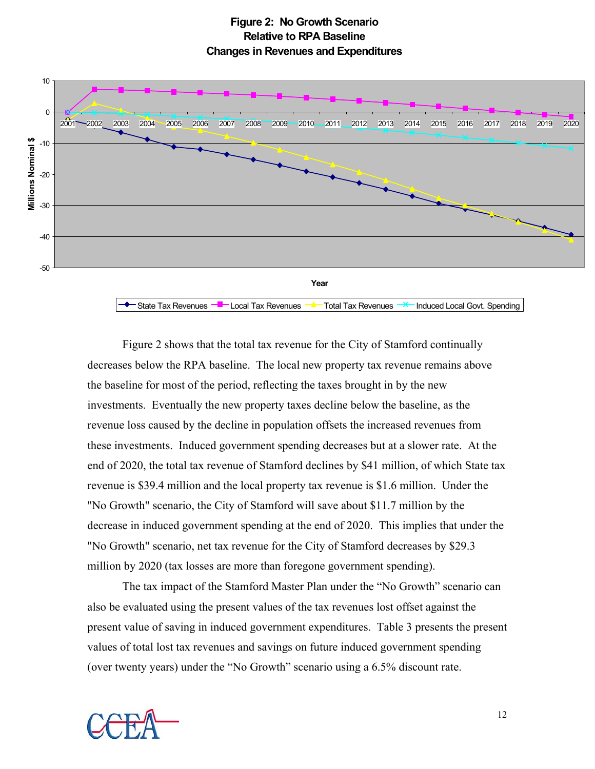### **Figure 2: No Growth Scenario Relative to RPA Baseline Changes in Revenues and Expenditures**



 Figure 2 shows that the total tax revenue for the City of Stamford continually decreases below the RPA baseline. The local new property tax revenue remains above the baseline for most of the period, reflecting the taxes brought in by the new investments. Eventually the new property taxes decline below the baseline, as the revenue loss caused by the decline in population offsets the increased revenues from these investments. Induced government spending decreases but at a slower rate. At the end of 2020, the total tax revenue of Stamford declines by \$41 million, of which State tax revenue is \$39.4 million and the local property tax revenue is \$1.6 million. Under the "No Growth" scenario, the City of Stamford will save about \$11.7 million by the decrease in induced government spending at the end of 2020. This implies that under the "No Growth" scenario, net tax revenue for the City of Stamford decreases by \$29.3 million by 2020 (tax losses are more than foregone government spending).

 The tax impact of the Stamford Master Plan under the "No Growth" scenario can also be evaluated using the present values of the tax revenues lost offset against the present value of saving in induced government expenditures. Table 3 presents the present values of total lost tax revenues and savings on future induced government spending (over twenty years) under the "No Growth" scenario using a 6.5% discount rate.

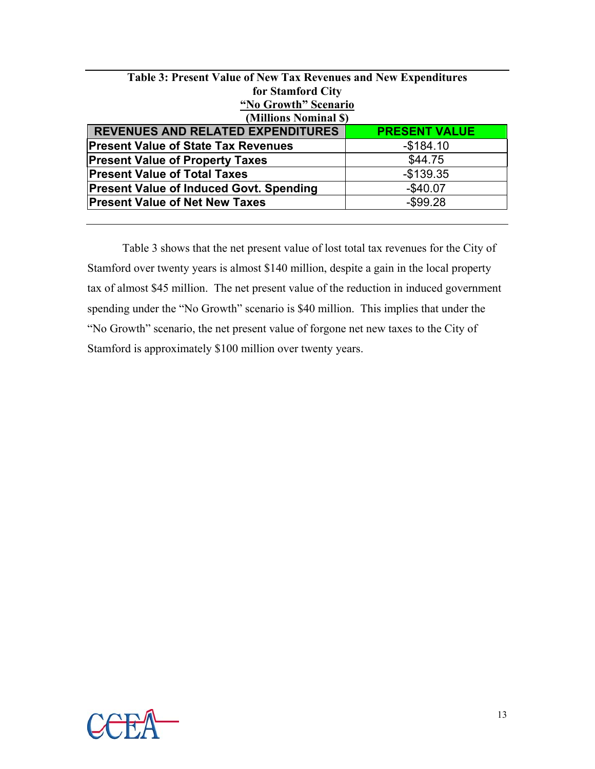| Table 3: Present Value of New Tax Revenues and New Expenditures |                      |  |
|-----------------------------------------------------------------|----------------------|--|
| for Stamford City                                               |                      |  |
| "No Growth" Scenario                                            |                      |  |
| (Millions Nominal \$)                                           |                      |  |
| <b>REVENUES AND RELATED EXPENDITURES</b>                        | <b>PRESENT VALUE</b> |  |
| <b>Present Value of State Tax Revenues</b>                      | $-$184.10$           |  |
| <b>Present Value of Property Taxes</b>                          | \$44.75              |  |
| <b>Present Value of Total Taxes</b>                             | $-$139.35$           |  |
| <b>Present Value of Induced Govt. Spending</b>                  | $-$40.07$            |  |
| <b>Present Value of Net New Taxes</b>                           | $-$ \$99.28          |  |
|                                                                 |                      |  |

 Table 3 shows that the net present value of lost total tax revenues for the City of Stamford over twenty years is almost \$140 million, despite a gain in the local property tax of almost \$45 million. The net present value of the reduction in induced government spending under the "No Growth" scenario is \$40 million. This implies that under the "No Growth" scenario, the net present value of forgone net new taxes to the City of Stamford is approximately \$100 million over twenty years.

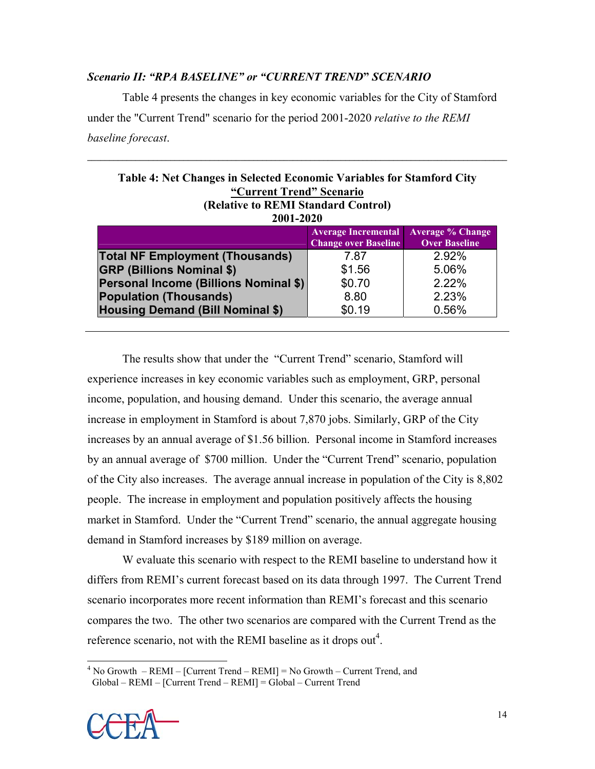### *Scenario II: "RPA BASELINE" or "CURRENT TREND***"** *SCENARIO*

Table 4 presents the changes in key economic variables for the City of Stamford under the "Current Trend" scenario for the period 2001-2020 *relative to the REMI baseline forecast*.

 $\mathcal{L}_\mathcal{L} = \{ \mathcal{L}_\mathcal{L} = \{ \mathcal{L}_\mathcal{L} = \{ \mathcal{L}_\mathcal{L} = \{ \mathcal{L}_\mathcal{L} = \{ \mathcal{L}_\mathcal{L} = \{ \mathcal{L}_\mathcal{L} = \{ \mathcal{L}_\mathcal{L} = \{ \mathcal{L}_\mathcal{L} = \{ \mathcal{L}_\mathcal{L} = \{ \mathcal{L}_\mathcal{L} = \{ \mathcal{L}_\mathcal{L} = \{ \mathcal{L}_\mathcal{L} = \{ \mathcal{L}_\mathcal{L} = \{ \mathcal{L}_\mathcal{$ 

| Table 4: Net Changes in Selected Economic Variables for Stamford City<br>"Current Trend" Scenario<br>(Relative to REMI Standard Control)<br>2001-2020 |                                                           |                                                 |
|-------------------------------------------------------------------------------------------------------------------------------------------------------|-----------------------------------------------------------|-------------------------------------------------|
|                                                                                                                                                       | <b>Average Incremental</b><br><b>Change over Baseline</b> | <b>Average % Change</b><br><b>Over Baseline</b> |
| <b>Total NF Employment (Thousands)</b>                                                                                                                | 7.87                                                      | 2.92%                                           |
| <b>GRP (Billions Nominal \$)</b>                                                                                                                      | \$1.56                                                    | 5.06%                                           |
| Personal Income (Billions Nominal \$)                                                                                                                 | \$0.70                                                    | 2.22%                                           |
| <b>Population (Thousands)</b>                                                                                                                         | 8.80                                                      | 2.23%                                           |
| <b>Housing Demand (Bill Nominal \$)</b>                                                                                                               | \$0.19                                                    | 0.56%                                           |

The results show that under the "Current Trend" scenario, Stamford will experience increases in key economic variables such as employment, GRP, personal income, population, and housing demand. Under this scenario, the average annual increase in employment in Stamford is about 7,870 jobs. Similarly, GRP of the City increases by an annual average of \$1.56 billion. Personal income in Stamford increases by an annual average of \$700 million. Under the "Current Trend" scenario, population of the City also increases. The average annual increase in population of the City is 8,802 people. The increase in employment and population positively affects the housing market in Stamford. Under the "Current Trend" scenario, the annual aggregate housing demand in Stamford increases by \$189 million on average.

W evaluate this scenario with respect to the REMI baseline to understand how it differs from REMI's current forecast based on its data through 1997. The Current Trend scenario incorporates more recent information than REMI's forecast and this scenario compares the two. The other two scenarios are compared with the Current Trend as the reference scenario, not with the REMI baseline as it drops out<sup>4</sup>.

 4 No Growth – REMI – [Current Trend – REMI] = No Growth – Current Trend, and Global – REMI – [Current Trend – REMI] = Global – Current Trend

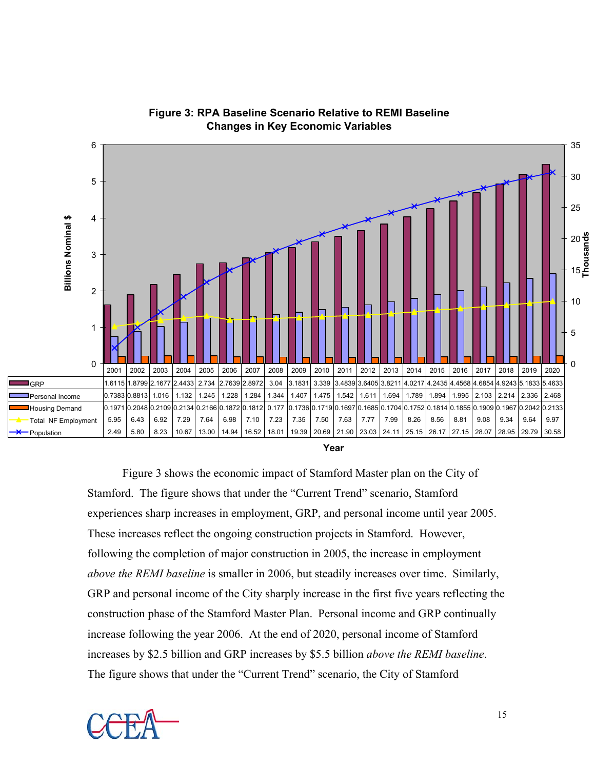

**Figure 3: RPA Baseline Scenario Relative to REMI Baseline Changes in Key Economic Variables**

**Year**

Figure 3 shows the economic impact of Stamford Master plan on the City of Stamford. The figure shows that under the "Current Trend" scenario, Stamford experiences sharp increases in employment, GRP, and personal income until year 2005. These increases reflect the ongoing construction projects in Stamford. However, following the completion of major construction in 2005, the increase in employment *above the REMI baseline* is smaller in 2006, but steadily increases over time. Similarly, GRP and personal income of the City sharply increase in the first five years reflecting the construction phase of the Stamford Master Plan. Personal income and GRP continually increase following the year 2006. At the end of 2020, personal income of Stamford increases by \$2.5 billion and GRP increases by \$5.5 billion *above the REMI baseline*. The figure shows that under the "Current Trend" scenario, the City of Stamford

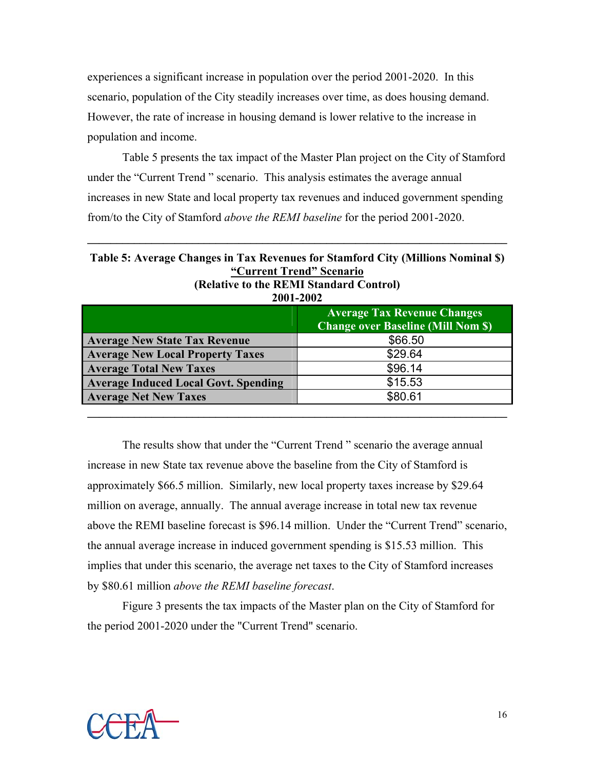experiences a significant increase in population over the period 2001-2020. In this scenario, population of the City steadily increases over time, as does housing demand. However, the rate of increase in housing demand is lower relative to the increase in population and income.

 Table 5 presents the tax impact of the Master Plan project on the City of Stamford under the "Current Trend " scenario. This analysis estimates the average annual increases in new State and local property tax revenues and induced government spending from/to the City of Stamford *above the REMI baseline* for the period 2001-2020.

## **Table 5: Average Changes in Tax Revenues for Stamford City (Millions Nominal \$) "Current Trend" Scenario**

**\_\_\_\_\_\_\_\_\_\_\_\_\_\_\_\_\_\_\_\_\_\_\_\_\_\_\_\_\_\_\_\_\_\_\_\_\_\_\_\_\_\_\_\_\_\_\_\_\_\_\_\_\_\_\_\_\_\_\_\_\_\_\_\_\_\_\_\_\_\_\_\_** 

| (Relative to the REMI Standard Control) |
|-----------------------------------------|
| 2001-2002                               |

|                                             | <b>Average Tax Revenue Changes</b><br><b>Change over Baseline (Mill Nom \$)</b> |
|---------------------------------------------|---------------------------------------------------------------------------------|
| <b>Average New State Tax Revenue</b>        | \$66.50                                                                         |
| <b>Average New Local Property Taxes</b>     | \$29.64                                                                         |
| <b>Average Total New Taxes</b>              | \$96.14                                                                         |
| <b>Average Induced Local Govt. Spending</b> | \$15.53                                                                         |
| <b>Average Net New Taxes</b>                | \$80.61                                                                         |
|                                             |                                                                                 |

 The results show that under the "Current Trend " scenario the average annual increase in new State tax revenue above the baseline from the City of Stamford is approximately \$66.5 million. Similarly, new local property taxes increase by \$29.64 million on average, annually. The annual average increase in total new tax revenue above the REMI baseline forecast is \$96.14 million. Under the "Current Trend" scenario, the annual average increase in induced government spending is \$15.53 million. This implies that under this scenario, the average net taxes to the City of Stamford increases by \$80.61 million *above the REMI baseline forecast*.

 Figure 3 presents the tax impacts of the Master plan on the City of Stamford for the period 2001-2020 under the "Current Trend" scenario.

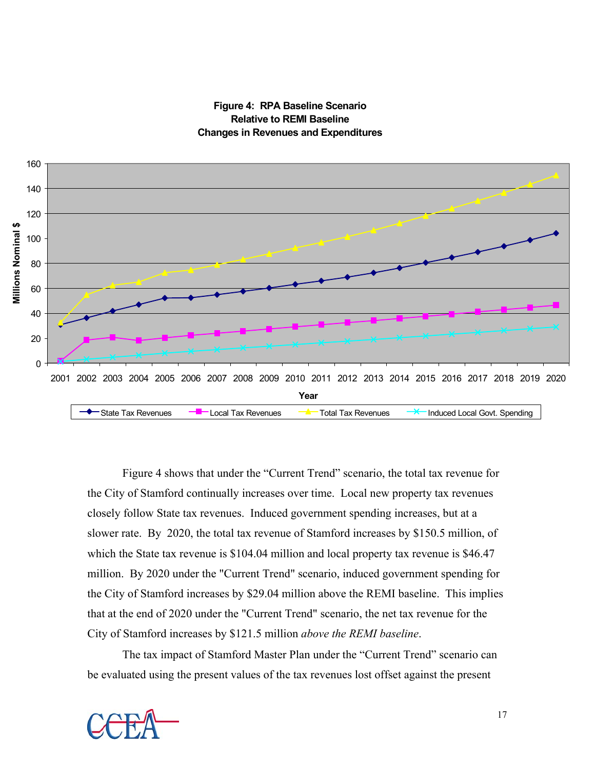



 Figure 4 shows that under the "Current Trend" scenario, the total tax revenue for the City of Stamford continually increases over time. Local new property tax revenues closely follow State tax revenues. Induced government spending increases, but at a slower rate. By 2020, the total tax revenue of Stamford increases by \$150.5 million, of which the State tax revenue is \$104.04 million and local property tax revenue is \$46.47 million. By 2020 under the "Current Trend" scenario, induced government spending for the City of Stamford increases by \$29.04 million above the REMI baseline. This implies that at the end of 2020 under the "Current Trend" scenario, the net tax revenue for the City of Stamford increases by \$121.5 million *above the REMI baseline*.

 The tax impact of Stamford Master Plan under the "Current Trend" scenario can be evaluated using the present values of the tax revenues lost offset against the present

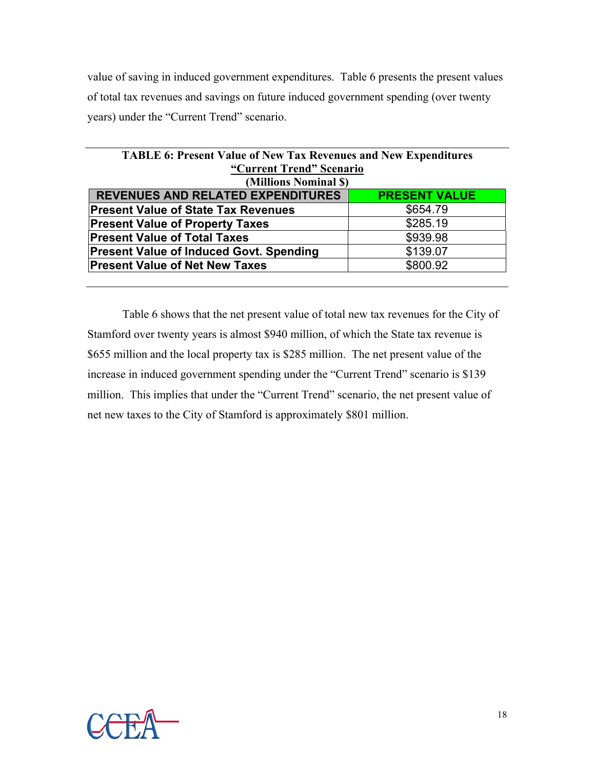value of saving in induced government expenditures. Table 6 presents the present values of total tax revenues and savings on future induced government spending (over twenty years) under the "Current Trend" scenario.

| <b>TABLE 6: Present Value of New Tax Revenues and New Expenditures</b> |                      |  |
|------------------------------------------------------------------------|----------------------|--|
| "Current Trend" Scenario                                               |                      |  |
| (Millions Nominal \$)                                                  |                      |  |
| <b>REVENUES AND RELATED EXPENDITURES</b>                               | <b>PRESENT VALUE</b> |  |
| <b>Present Value of State Tax Revenues</b>                             | \$654.79             |  |
| <b>Present Value of Property Taxes</b>                                 | \$285.19             |  |
| <b>Present Value of Total Taxes</b>                                    | \$939.98             |  |
| <b>Present Value of Induced Govt. Spending</b>                         | \$139.07             |  |
| <b>Present Value of Net New Taxes</b>                                  | \$800.92             |  |
|                                                                        |                      |  |

 Table 6 shows that the net present value of total new tax revenues for the City of Stamford over twenty years is almost \$940 million, of which the State tax revenue is \$655 million and the local property tax is \$285 million. The net present value of the increase in induced government spending under the "Current Trend" scenario is \$139 million. This implies that under the "Current Trend" scenario, the net present value of net new taxes to the City of Stamford is approximately \$801 million.

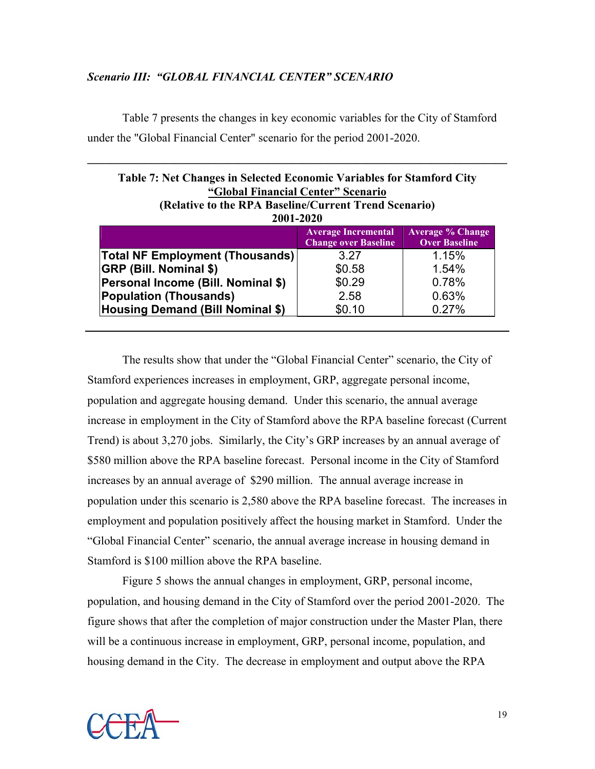#### *Scenario III: "GLOBAL FINANCIAL CENTER" SCENARIO*

Table 7 presents the changes in key economic variables for the City of Stamford under the "Global Financial Center" scenario for the period 2001-2020.

**\_\_\_\_\_\_\_\_\_\_\_\_\_\_\_\_\_\_\_\_\_\_\_\_\_\_\_\_\_\_\_\_\_\_\_\_\_\_\_\_\_\_\_\_\_\_\_\_\_\_\_\_\_\_\_\_\_\_\_\_\_\_\_\_\_\_\_\_\_\_\_\_** 

| Table 7: Net Changes in Selected Economic Variables for Stamford City<br>"Global Financial Center" Scenario<br>(Relative to the RPA Baseline/Current Trend Scenario)<br>2001-2020 |                                                           |                                                 |
|-----------------------------------------------------------------------------------------------------------------------------------------------------------------------------------|-----------------------------------------------------------|-------------------------------------------------|
|                                                                                                                                                                                   | <b>Average Incremental</b><br><b>Change over Baseline</b> | <b>Average % Change</b><br><b>Over Baseline</b> |
| Total NF Employment (Thousands)                                                                                                                                                   | 3.27                                                      | 1.15%                                           |
| <b>GRP (Bill. Nominal \$)</b>                                                                                                                                                     | \$0.58                                                    | 1.54%                                           |
| Personal Income (Bill. Nominal \$)                                                                                                                                                | \$0.29                                                    | 0.78%                                           |
| <b>Population (Thousands)</b>                                                                                                                                                     | 2.58                                                      | 0.63%                                           |
| Housing Demand (Bill Nominal \$)                                                                                                                                                  | \$0.10                                                    | 0.27%                                           |

The results show that under the "Global Financial Center" scenario, the City of Stamford experiences increases in employment, GRP, aggregate personal income, population and aggregate housing demand. Under this scenario, the annual average increase in employment in the City of Stamford above the RPA baseline forecast (Current Trend) is about 3,270 jobs. Similarly, the City's GRP increases by an annual average of \$580 million above the RPA baseline forecast. Personal income in the City of Stamford increases by an annual average of \$290 million. The annual average increase in population under this scenario is 2,580 above the RPA baseline forecast. The increases in employment and population positively affect the housing market in Stamford. Under the "Global Financial Center" scenario, the annual average increase in housing demand in Stamford is \$100 million above the RPA baseline.

Figure 5 shows the annual changes in employment, GRP, personal income, population, and housing demand in the City of Stamford over the period 2001-2020. The figure shows that after the completion of major construction under the Master Plan, there will be a continuous increase in employment, GRP, personal income, population, and housing demand in the City. The decrease in employment and output above the RPA

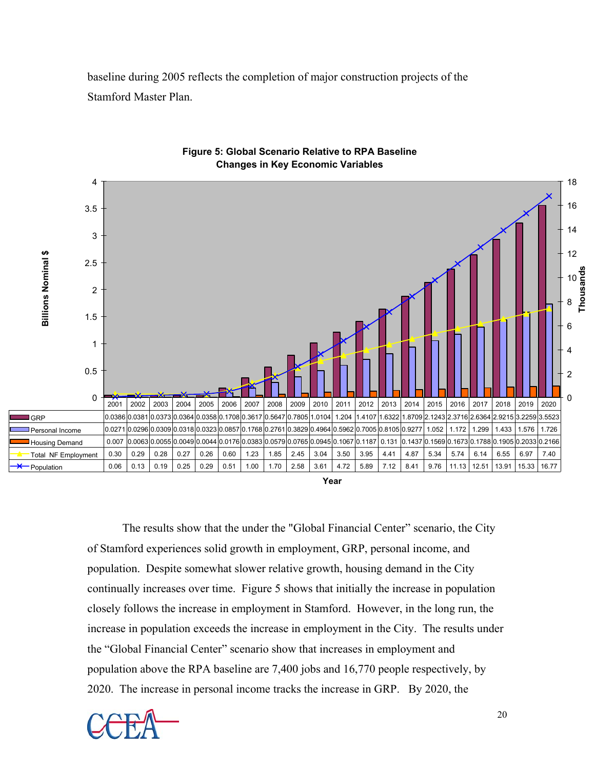baseline during 2005 reflects the completion of major construction projects of the Stamford Master Plan.



The results show that the under the "Global Financial Center" scenario, the City of Stamford experiences solid growth in employment, GRP, personal income, and population. Despite somewhat slower relative growth, housing demand in the City continually increases over time. Figure 5 shows that initially the increase in population closely follows the increase in employment in Stamford. However, in the long run, the increase in population exceeds the increase in employment in the City. The results under the "Global Financial Center" scenario show that increases in employment and population above the RPA baseline are 7,400 jobs and 16,770 people respectively, by 2020. The increase in personal income tracks the increase in GRP. By 2020, the

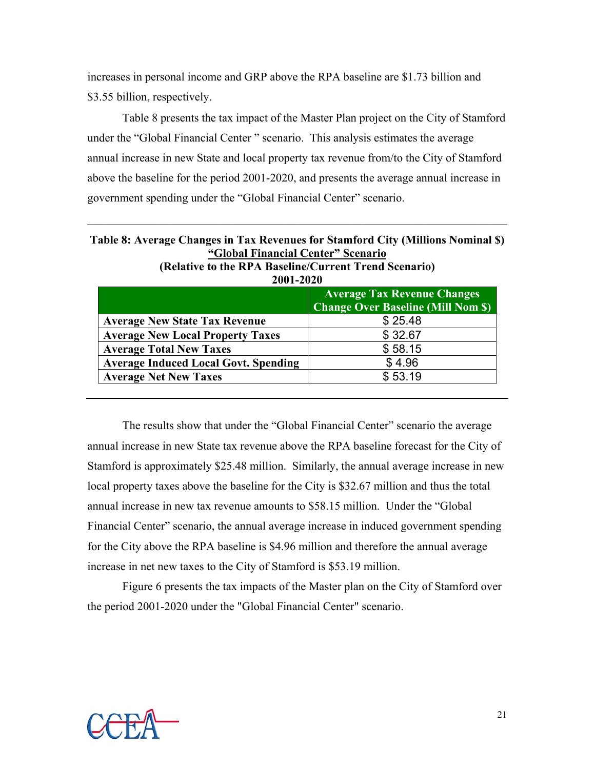increases in personal income and GRP above the RPA baseline are \$1.73 billion and \$3.55 billion, respectively.

Table 8 presents the tax impact of the Master Plan project on the City of Stamford under the "Global Financial Center " scenario. This analysis estimates the average annual increase in new State and local property tax revenue from/to the City of Stamford above the baseline for the period 2001-2020, and presents the average annual increase in government spending under the "Global Financial Center" scenario.

**Table 8: Average Changes in Tax Revenues for Stamford City (Millions Nominal \$) "Global Financial Center" Scenario**

 $\mathcal{L}_\text{max}$  , and the contribution of the contribution of the contribution of the contribution of the contribution of the contribution of the contribution of the contribution of the contribution of the contribution of t

| (Relative to the RPA Baseline/Current Trend Scenario) |
|-------------------------------------------------------|
| 2001-2020                                             |

|                                             | <b>Average Tax Revenue Changes</b>        |
|---------------------------------------------|-------------------------------------------|
|                                             | <b>Change Over Baseline (Mill Nom \$)</b> |
| <b>Average New State Tax Revenue</b>        | \$25.48                                   |
| <b>Average New Local Property Taxes</b>     | \$32.67                                   |
| <b>Average Total New Taxes</b>              | \$58.15                                   |
| <b>Average Induced Local Govt. Spending</b> | \$4.96                                    |
| <b>Average Net New Taxes</b>                | \$53.19                                   |
|                                             |                                           |

 The results show that under the "Global Financial Center" scenario the average annual increase in new State tax revenue above the RPA baseline forecast for the City of Stamford is approximately \$25.48 million. Similarly, the annual average increase in new local property taxes above the baseline for the City is \$32.67 million and thus the total annual increase in new tax revenue amounts to \$58.15 million. Under the "Global Financial Center" scenario, the annual average increase in induced government spending for the City above the RPA baseline is \$4.96 million and therefore the annual average increase in net new taxes to the City of Stamford is \$53.19 million.

 Figure 6 presents the tax impacts of the Master plan on the City of Stamford over the period 2001-2020 under the "Global Financial Center" scenario.

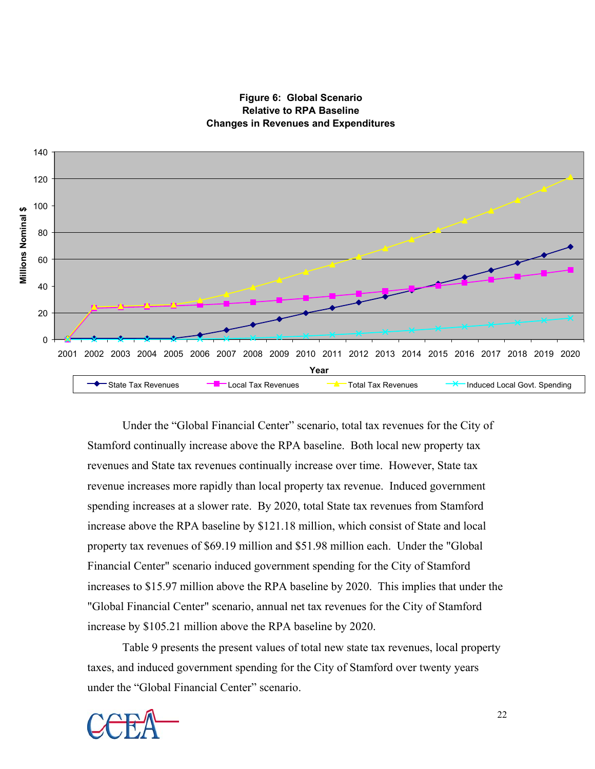140 120 100 Millions Nominal \$ **Millions Nominal \$** 80 60 40 20 0 2001 2002 2003 2004 2005 2006 2007 2008 2009 2010 2011 2012 2013 2014 2015 2016 2017 2018 2019 2020 **Year** FState Tax Revenues Local Tax Revenues Total Tax Revenues Total Tax Revenues Total Tax Revenues Total Govt. Spending

**Figure 6: Global Scenario Relative to RPA Baseline Changes in Revenues and Expenditures**

 Under the "Global Financial Center" scenario, total tax revenues for the City of Stamford continually increase above the RPA baseline. Both local new property tax revenues and State tax revenues continually increase over time. However, State tax revenue increases more rapidly than local property tax revenue. Induced government spending increases at a slower rate. By 2020, total State tax revenues from Stamford increase above the RPA baseline by \$121.18 million, which consist of State and local property tax revenues of \$69.19 million and \$51.98 million each. Under the "Global Financial Center" scenario induced government spending for the City of Stamford increases to \$15.97 million above the RPA baseline by 2020. This implies that under the "Global Financial Center" scenario, annual net tax revenues for the City of Stamford increase by \$105.21 million above the RPA baseline by 2020.

 Table 9 presents the present values of total new state tax revenues, local property taxes, and induced government spending for the City of Stamford over twenty years under the "Global Financial Center" scenario.

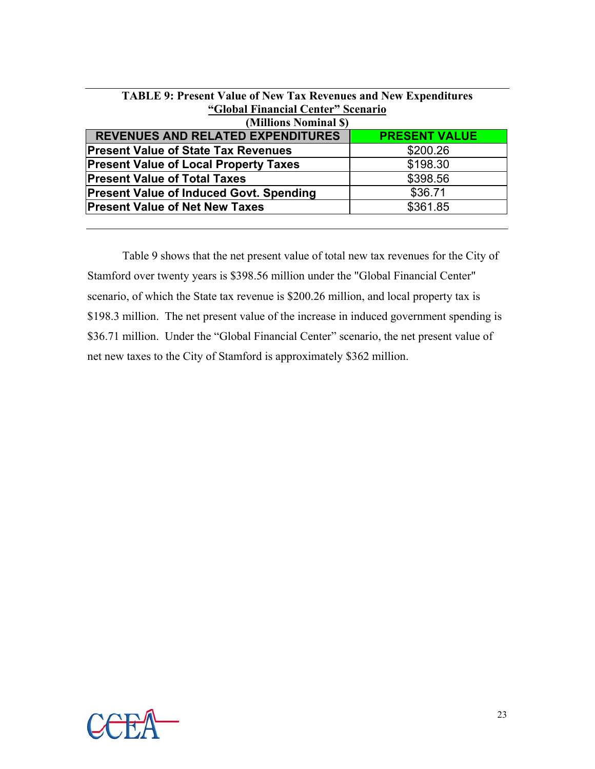| <b>TABLE 9: Present Value of New Tax Revenues and New Expenditures</b> |                      |  |
|------------------------------------------------------------------------|----------------------|--|
| "Global Financial Center" Scenario                                     |                      |  |
| (Millions Nominal \$)                                                  |                      |  |
| <b>REVENUES AND RELATED EXPENDITURES</b>                               | <b>PRESENT VALUE</b> |  |
| <b>Present Value of State Tax Revenues</b>                             | \$200.26             |  |
| <b>Present Value of Local Property Taxes</b>                           | \$198.30             |  |
| <b>Present Value of Total Taxes</b>                                    | \$398.56             |  |
| <b>Present Value of Induced Govt. Spending</b>                         | \$36.71              |  |
| <b>Present Value of Net New Taxes</b>                                  | \$361.85             |  |
|                                                                        |                      |  |

 Table 9 shows that the net present value of total new tax revenues for the City of Stamford over twenty years is \$398.56 million under the "Global Financial Center" scenario, of which the State tax revenue is \$200.26 million, and local property tax is \$198.3 million. The net present value of the increase in induced government spending is \$36.71 million. Under the "Global Financial Center" scenario, the net present value of net new taxes to the City of Stamford is approximately \$362 million.

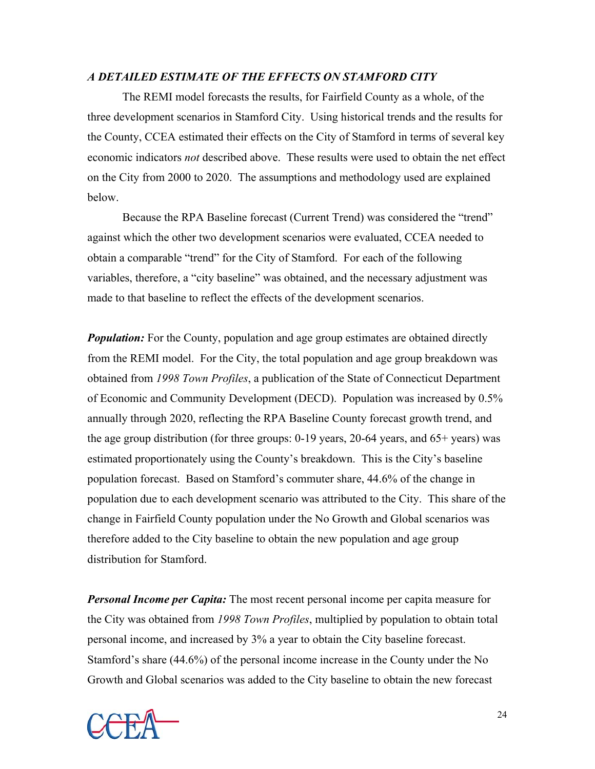#### *A DETAILED ESTIMATE OF THE EFFECTS ON STAMFORD CITY*

 The REMI model forecasts the results, for Fairfield County as a whole, of the three development scenarios in Stamford City. Using historical trends and the results for the County, CCEA estimated their effects on the City of Stamford in terms of several key economic indicators *not* described above. These results were used to obtain the net effect on the City from 2000 to 2020. The assumptions and methodology used are explained below.

Because the RPA Baseline forecast (Current Trend) was considered the "trend" against which the other two development scenarios were evaluated, CCEA needed to obtain a comparable "trend" for the City of Stamford. For each of the following variables, therefore, a "city baseline" was obtained, and the necessary adjustment was made to that baseline to reflect the effects of the development scenarios.

*Population:* For the County, population and age group estimates are obtained directly from the REMI model. For the City, the total population and age group breakdown was obtained from *1998 Town Profiles*, a publication of the State of Connecticut Department of Economic and Community Development (DECD). Population was increased by 0.5% annually through 2020, reflecting the RPA Baseline County forecast growth trend, and the age group distribution (for three groups: 0-19 years, 20-64 years, and 65+ years) was estimated proportionately using the County's breakdown. This is the City's baseline population forecast. Based on Stamford's commuter share, 44.6% of the change in population due to each development scenario was attributed to the City. This share of the change in Fairfield County population under the No Growth and Global scenarios was therefore added to the City baseline to obtain the new population and age group distribution for Stamford.

*Personal Income per Capita:* The most recent personal income per capita measure for the City was obtained from *1998 Town Profiles*, multiplied by population to obtain total personal income, and increased by 3% a year to obtain the City baseline forecast. Stamford's share (44.6%) of the personal income increase in the County under the No Growth and Global scenarios was added to the City baseline to obtain the new forecast

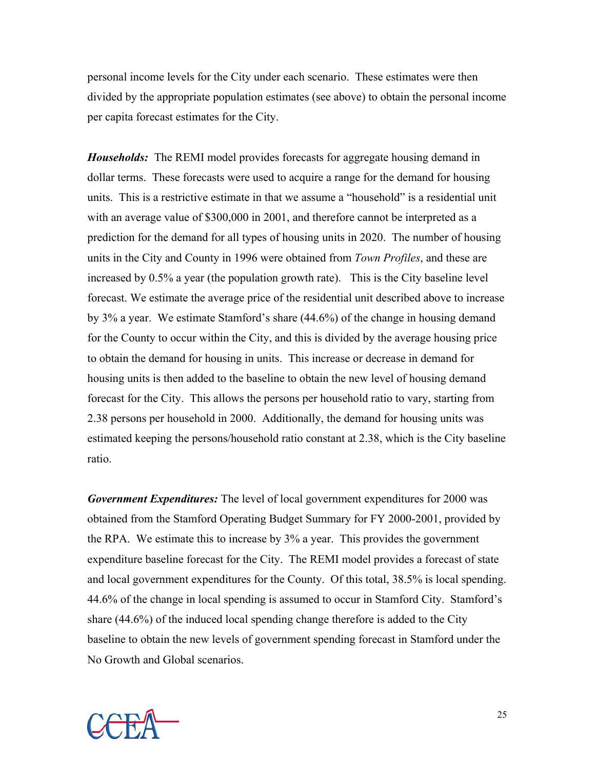personal income levels for the City under each scenario. These estimates were then divided by the appropriate population estimates (see above) to obtain the personal income per capita forecast estimates for the City.

*Households:* The REMI model provides forecasts for aggregate housing demand in dollar terms. These forecasts were used to acquire a range for the demand for housing units. This is a restrictive estimate in that we assume a "household" is a residential unit with an average value of \$300,000 in 2001, and therefore cannot be interpreted as a prediction for the demand for all types of housing units in 2020. The number of housing units in the City and County in 1996 were obtained from *Town Profiles*, and these are increased by 0.5% a year (the population growth rate). This is the City baseline level forecast. We estimate the average price of the residential unit described above to increase by 3% a year. We estimate Stamford's share (44.6%) of the change in housing demand for the County to occur within the City, and this is divided by the average housing price to obtain the demand for housing in units. This increase or decrease in demand for housing units is then added to the baseline to obtain the new level of housing demand forecast for the City. This allows the persons per household ratio to vary, starting from 2.38 persons per household in 2000. Additionally, the demand for housing units was estimated keeping the persons/household ratio constant at 2.38, which is the City baseline ratio.

*Government Expenditures:* The level of local government expenditures for 2000 was obtained from the Stamford Operating Budget Summary for FY 2000-2001, provided by the RPA. We estimate this to increase by 3% a year. This provides the government expenditure baseline forecast for the City. The REMI model provides a forecast of state and local government expenditures for the County. Of this total, 38.5% is local spending. 44.6% of the change in local spending is assumed to occur in Stamford City. Stamford's share (44.6%) of the induced local spending change therefore is added to the City baseline to obtain the new levels of government spending forecast in Stamford under the No Growth and Global scenarios.

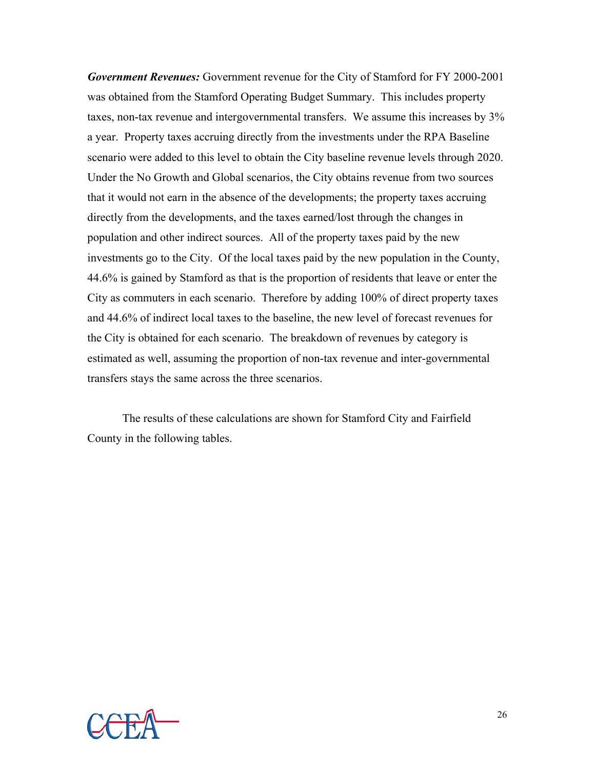*Government Revenues:* Government revenue for the City of Stamford for FY 2000-2001 was obtained from the Stamford Operating Budget Summary. This includes property taxes, non-tax revenue and intergovernmental transfers. We assume this increases by 3% a year. Property taxes accruing directly from the investments under the RPA Baseline scenario were added to this level to obtain the City baseline revenue levels through 2020. Under the No Growth and Global scenarios, the City obtains revenue from two sources that it would not earn in the absence of the developments; the property taxes accruing directly from the developments, and the taxes earned/lost through the changes in population and other indirect sources. All of the property taxes paid by the new investments go to the City. Of the local taxes paid by the new population in the County, 44.6% is gained by Stamford as that is the proportion of residents that leave or enter the City as commuters in each scenario. Therefore by adding 100% of direct property taxes and 44.6% of indirect local taxes to the baseline, the new level of forecast revenues for the City is obtained for each scenario. The breakdown of revenues by category is estimated as well, assuming the proportion of non-tax revenue and inter-governmental transfers stays the same across the three scenarios.

 The results of these calculations are shown for Stamford City and Fairfield County in the following tables.

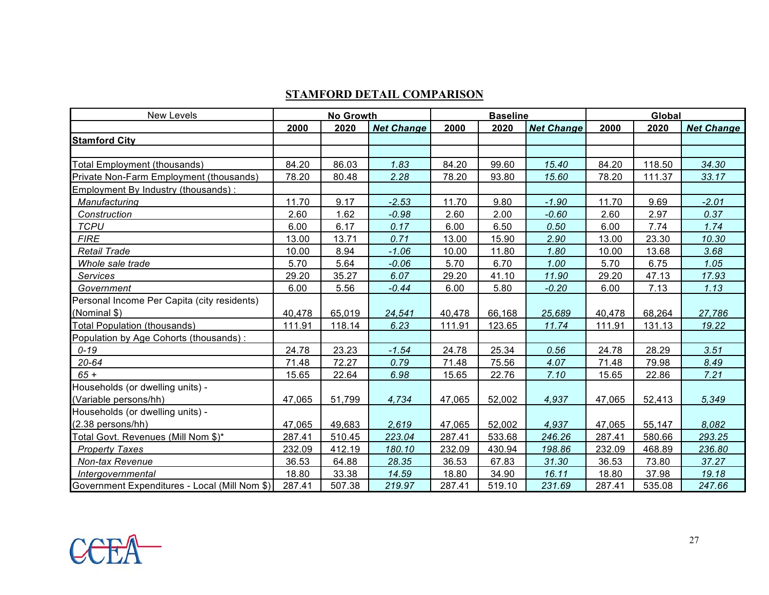## **STAMFORD DETAIL COMPARISON**

| New Levels                                    |        | <b>No Growth</b> |                   |        | <b>Baseline</b> |                   | Global |        |                   |  |  |
|-----------------------------------------------|--------|------------------|-------------------|--------|-----------------|-------------------|--------|--------|-------------------|--|--|
|                                               | 2000   | 2020             | <b>Net Change</b> | 2000   | 2020            | <b>Net Change</b> | 2000   | 2020   | <b>Net Change</b> |  |  |
| <b>Stamford City</b>                          |        |                  |                   |        |                 |                   |        |        |                   |  |  |
|                                               |        |                  |                   |        |                 |                   |        |        |                   |  |  |
| <b>Total Employment (thousands)</b>           | 84.20  | 86.03            | 1.83              | 84.20  | 99.60           | 15.40             | 84.20  | 118.50 | 34.30             |  |  |
| Private Non-Farm Employment (thousands)       | 78.20  | 80.48            | 2.28              | 78.20  | 93.80           | 15.60             | 78.20  | 111.37 | 33.17             |  |  |
| Employment By Industry (thousands):           |        |                  |                   |        |                 |                   |        |        |                   |  |  |
| Manufacturing                                 | 11.70  | 9.17             | $-2.53$           | 11.70  | 9.80            | $-1.90$           | 11.70  | 9.69   | $-2.01$           |  |  |
| Construction                                  | 2.60   | 1.62             | $-0.98$           | 2.60   | 2.00            | $-0.60$           | 2.60   | 2.97   | 0.37              |  |  |
| <b>TCPU</b>                                   | 6.00   | 6.17             | 0.17              | 6.00   | 6.50            | 0.50              | 6.00   | 7.74   | 1.74              |  |  |
| <b>FIRE</b>                                   | 13.00  | 13.71            | 0.71              | 13.00  | 15.90           | 2.90              | 13.00  | 23.30  | 10.30             |  |  |
| <b>Retail Trade</b>                           | 10.00  | 8.94             | $-1.06$           | 10.00  | 11.80           | 1.80              | 10.00  | 13.68  | 3.68              |  |  |
| Whole sale trade                              | 5.70   | 5.64             | $-0.06$           | 5.70   | 6.70            | 1.00              | 5.70   | 6.75   | 1.05              |  |  |
| Services                                      | 29.20  | 35.27            | 6.07              | 29.20  | 41.10           | 11.90             | 29.20  | 47.13  | 17.93             |  |  |
| Government                                    | 6.00   | 5.56             | $-0.44$           | 6.00   | 5.80            | $-0.20$           | 6.00   | 7.13   | 1.13              |  |  |
| Personal Income Per Capita (city residents)   |        |                  |                   |        |                 |                   |        |        |                   |  |  |
| (Nominal \$)                                  | 40,478 | 65,019           | 24,541            | 40,478 | 66,168          | 25,689            | 40,478 | 68,264 | 27,786            |  |  |
| <b>Total Population (thousands)</b>           | 111.91 | 118.14           | 6.23              | 111.91 | 123.65          | 11.74             | 111.91 | 131.13 | 19.22             |  |  |
| Population by Age Cohorts (thousands):        |        |                  |                   |        |                 |                   |        |        |                   |  |  |
| $0 - 19$                                      | 24.78  | 23.23            | $-1.54$           | 24.78  | 25.34           | 0.56              | 24.78  | 28.29  | 3.51              |  |  |
| $20 - 64$                                     | 71.48  | 72.27            | 0.79              | 71.48  | 75.56           | 4.07              | 71.48  | 79.98  | 8.49              |  |  |
| $65 +$                                        | 15.65  | 22.64            | 6.98              | 15.65  | 22.76           | 7.10              | 15.65  | 22.86  | 7.21              |  |  |
| Households (or dwelling units) -              |        |                  |                   |        |                 |                   |        |        |                   |  |  |
| (Variable persons/hh)                         | 47,065 | 51,799           | 4,734             | 47,065 | 52,002          | 4,937             | 47,065 | 52,413 | 5,349             |  |  |
| Households (or dwelling units) -              |        |                  |                   |        |                 |                   |        |        |                   |  |  |
| (2.38 persons/hh)                             | 47,065 | 49,683           | 2,619             | 47,065 | 52,002          | 4,937             | 47,065 | 55,147 | 8,082             |  |  |
| Total Govt. Revenues (Mill Nom \$)*           | 287.41 | 510.45           | 223.04            | 287.41 | 533.68          | 246.26            | 287.41 | 580.66 | 293.25            |  |  |
| <b>Property Taxes</b>                         | 232.09 | 412.19           | 180.10            | 232.09 | 430.94          | 198.86            | 232.09 | 468.89 | 236.80            |  |  |
| Non-tax Revenue                               | 36.53  | 64.88            | 28.35             | 36.53  | 67.83           | 31.30             | 36.53  | 73.80  | 37.27             |  |  |
| Intergovernmental                             | 18.80  | 33.38            | 14.59             | 18.80  | 34.90           | 16.11             | 18.80  | 37.98  | 19.18             |  |  |
| Government Expenditures - Local (Mill Nom \$) | 287.41 | 507.38           | 219.97            | 287.41 | 519.10          | 231.69            | 287.41 | 535.08 | 247.66            |  |  |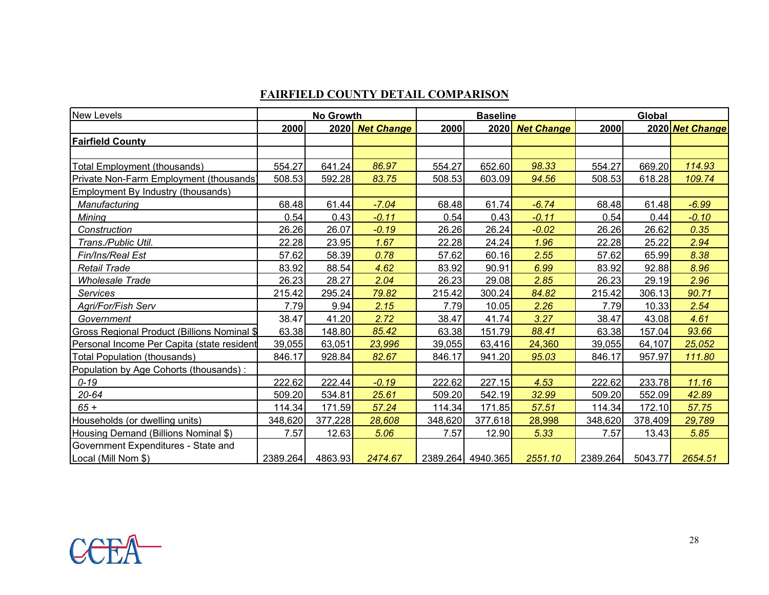## **FAIRFIELD COUNTY DETAIL COMPARISON**

| New Levels                                  |          | <b>No Growth</b> |                 |         | <b>Baseline</b>   |                 | Global   |         |                 |  |  |
|---------------------------------------------|----------|------------------|-----------------|---------|-------------------|-----------------|----------|---------|-----------------|--|--|
|                                             | 2000     |                  | 2020 Net Change | 2000    |                   | 2020 Net Change | 2000     |         | 2020 Net Change |  |  |
| <b>Fairfield County</b>                     |          |                  |                 |         |                   |                 |          |         |                 |  |  |
|                                             |          |                  |                 |         |                   |                 |          |         |                 |  |  |
| <b>Total Employment (thousands)</b>         | 554.27   | 641.24           | 86.97           | 554.27  | 652.60            | 98.33           | 554.27   | 669.20  | 114.93          |  |  |
| Private Non-Farm Employment (thousands      | 508.53   | 592.28           | 83.75           | 508.53  | 603.09            | 94.56           | 508.53   | 618.28  | 109.74          |  |  |
| Employment By Industry (thousands)          |          |                  |                 |         |                   |                 |          |         |                 |  |  |
| Manufacturing                               | 68.48    | 61.44            | $-7.04$         | 68.48   | 61.74             | $-6.74$         | 68.48    | 61.48   | $-6.99$         |  |  |
| Mining                                      | 0.54     | 0.43             | $-0.11$         | 0.54    | 0.43              | $-0.11$         | 0.54     | 0.44    | $-0.10$         |  |  |
| Construction                                | 26.26    | 26.07            | $-0.19$         | 26.26   | 26.24             | $-0.02$         | 26.26    | 26.62   | 0.35            |  |  |
| Trans./Public Util.                         | 22.28    | 23.95            | 1.67            | 22.28   | 24.24             | 1.96            | 22.28    | 25.22   | 2.94            |  |  |
| Fin/Ins/Real Est                            | 57.62    | 58.39            | 0.78            | 57.62   | 60.16             | 2.55            | 57.62    | 65.99   | 8.38            |  |  |
| <b>Retail Trade</b>                         | 83.92    | 88.54            | 4.62            | 83.92   | 90.91             | 6.99            | 83.92    | 92.88   | 8.96            |  |  |
| <b>Wholesale Trade</b>                      | 26.23    | 28.27            | 2.04            | 26.23   | 29.08             | 2.85            | 26.23    | 29.19   | 2.96            |  |  |
| <b>Services</b>                             | 215.42   | 295.24           | 79.82           | 215.42  | 300.24            | 84.82           | 215.42   | 306.13  | 90.71           |  |  |
| Agri/For/Fish Serv                          | 7.79     | 9.94             | 2.15            | 7.79    | 10.05             | 2.26            | 7.79     | 10.33   | 2.54            |  |  |
| Government                                  | 38.47    | 41.20            | 2.72            | 38.47   | 41.74             | 3.27            | 38.47    | 43.08   | 4.61            |  |  |
| Gross Regional Product (Billions Nominal \$ | 63.38    | 148.80           | 85.42           | 63.38   | 151.79            | 88.41           | 63.38    | 157.04  | 93.66           |  |  |
| Personal Income Per Capita (state resident  | 39,055   | 63,051           | 23,996          | 39,055  | 63,416            | 24,360          | 39,055   | 64,107  | 25,052          |  |  |
| <b>Total Population (thousands)</b>         | 846.17   | 928.84           | 82.67           | 846.17  | 941.20            | 95.03           | 846.17   | 957.97  | 111.80          |  |  |
| Population by Age Cohorts (thousands):      |          |                  |                 |         |                   |                 |          |         |                 |  |  |
| $0 - 19$                                    | 222.62   | 222.44           | $-0.19$         | 222.62  | 227.15            | 4.53            | 222.62   | 233.78  | 11.16           |  |  |
| 20-64                                       | 509.20   | 534.81           | 25.61           | 509.20  | 542.19            | 32.99           | 509.20   | 552.09  | 42.89           |  |  |
| $65 +$                                      | 114.34   | 171.59           | 57.24           | 114.34  | 171.85            | 57.51           | 114.34   | 172.10  | 57.75           |  |  |
| Households (or dwelling units)              | 348,620  | 377,228          | 28,608          | 348,620 | 377,618           | 28,998          | 348,620  | 378,409 | 29,789          |  |  |
| Housing Demand (Billions Nominal \$)        | 7.57     | 12.63            | 5.06            | 7.57    | 12.90             | 5.33            | 7.57     | 13.43   | 5.85            |  |  |
| Government Expenditures - State and         |          |                  |                 |         |                   |                 |          |         |                 |  |  |
| Local (Mill Nom \$)                         | 2389.264 | 4863.93          | 2474.67         |         | 2389.264 4940.365 | 2551.10         | 2389.264 | 5043.77 | 2654.51         |  |  |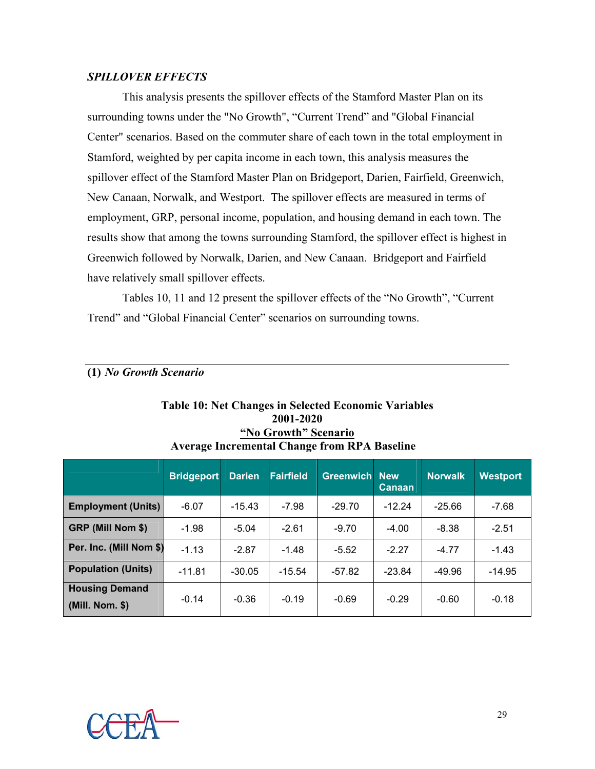## *SPILLOVER EFFECTS*

This analysis presents the spillover effects of the Stamford Master Plan on its surrounding towns under the "No Growth", "Current Trend" and "Global Financial Center" scenarios. Based on the commuter share of each town in the total employment in Stamford, weighted by per capita income in each town, this analysis measures the spillover effect of the Stamford Master Plan on Bridgeport, Darien, Fairfield, Greenwich, New Canaan, Norwalk, and Westport. The spillover effects are measured in terms of employment, GRP, personal income, population, and housing demand in each town. The results show that among the towns surrounding Stamford, the spillover effect is highest in Greenwich followed by Norwalk, Darien, and New Canaan. Bridgeport and Fairfield have relatively small spillover effects.

Tables 10, 11 and 12 present the spillover effects of the "No Growth", "Current Trend" and "Global Financial Center" scenarios on surrounding towns.

**(1)** *No Growth Scenario* 

| Average flictemental Change from KFA Dasenne |                   |               |                  |                      |               |                |                 |  |  |  |  |  |  |  |
|----------------------------------------------|-------------------|---------------|------------------|----------------------|---------------|----------------|-----------------|--|--|--|--|--|--|--|
|                                              | <b>Bridgeport</b> | <b>Darien</b> | <b>Fairfield</b> | <b>Greenwich New</b> | <b>Canaan</b> | <b>Norwalk</b> | <b>Westport</b> |  |  |  |  |  |  |  |
| <b>Employment (Units)</b>                    | $-6.07$           | $-15.43$      | $-7.98$          | $-29.70$             | $-12.24$      | $-25.66$       | $-7.68$         |  |  |  |  |  |  |  |
| GRP (Mill Nom \$)                            | $-1.98$           | $-5.04$       | $-2.61$          | $-9.70$              | $-4.00$       | $-8.38$        | $-2.51$         |  |  |  |  |  |  |  |
| Per. Inc. (Mill Nom \$)                      | $-1.13$           | $-2.87$       | $-1.48$          | $-5.52$              | $-2.27$       | $-4.77$        | $-1.43$         |  |  |  |  |  |  |  |
| <b>Population (Units)</b>                    | $-11.81$          | $-30.05$      | $-15.54$         | $-57.82$             | $-23.84$      | $-49.96$       | $-14.95$        |  |  |  |  |  |  |  |
| <b>Housing Demand</b><br>(Mill. Nom. \$)     | $-0.14$           | $-0.36$       | $-0.19$          | $-0.69$              | $-0.29$       | $-0.60$        | $-0.18$         |  |  |  |  |  |  |  |

## **Table 10: Net Changes in Selected Economic Variables 2001-2020 "No Growth" Scenario Average Incremental Change from RPA Baseline**

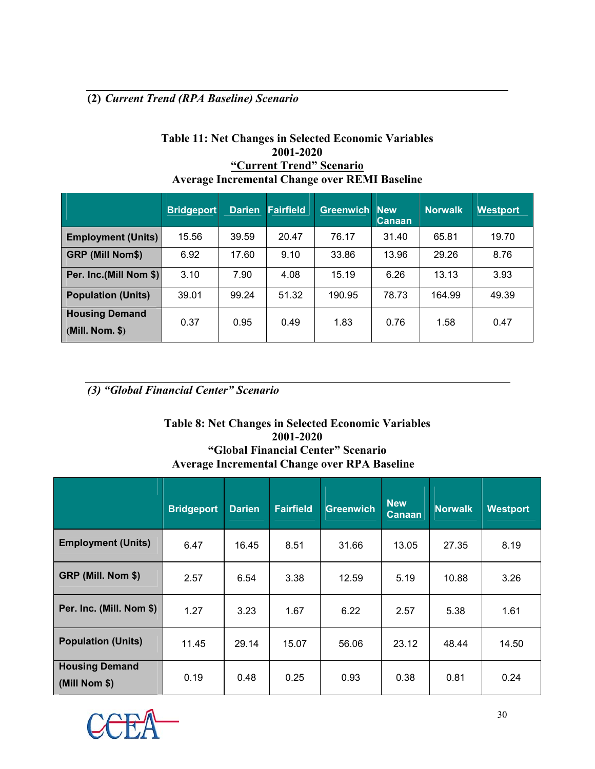# **(2)** *Current Trend (RPA Baseline) Scenario*

| <b>Table 11: Net Changes in Selected Economic Variables</b> |
|-------------------------------------------------------------|
| 2001-2020                                                   |
| "Current Trend" Scenario                                    |
| <b>Average Incremental Change over REMI Baseline</b>        |

|                                          | <b>Bridgeport</b> | <b>Darien</b> | <b>Fairfield</b> | <b>Greenwich New</b> | <b>Canaan</b> | <b>Norwalk</b> | <b>Westport</b> |
|------------------------------------------|-------------------|---------------|------------------|----------------------|---------------|----------------|-----------------|
| <b>Employment (Units)</b>                | 15.56             | 39.59         | 20.47            | 76.17                | 31.40         | 65.81          | 19.70           |
| <b>GRP (Mill Nom\$)</b>                  | 6.92              | 17.60         | 9.10             | 33.86                | 13.96         | 29.26          | 8.76            |
| Per. Inc.(Mill Nom \$)                   | 3.10              | 7.90          | 4.08             | 15.19                | 6.26          | 13.13          | 3.93            |
| <b>Population (Units)</b>                | 39.01             | 99.24         | 51.32            | 190.95               | 78.73         | 164.99         | 49.39           |
| <b>Housing Demand</b><br>(Mill. Nom. \$) | 0.37              | 0.95          | 0.49             | 1.83                 | 0.76          | 1.58           | 0.47            |

*(3) "Global Financial Center" Scenario* 

## **Table 8: Net Changes in Selected Economic Variables 2001-2020 "Global Financial Center" Scenario Average Incremental Change over RPA Baseline**

|                                        | <b>Bridgeport</b> | <b>Darien</b> | <b>Fairfield</b> | <b>Greenwich</b> | <b>New</b><br><b>Canaan</b> | <b>Norwalk</b> | <b>Westport</b> |
|----------------------------------------|-------------------|---------------|------------------|------------------|-----------------------------|----------------|-----------------|
| <b>Employment (Units)</b>              | 6.47              | 16.45         | 8.51             | 31.66            | 13.05                       | 27.35          | 8.19            |
| GRP (Mill. Nom \$)                     | 2.57              | 6.54          | 3.38             | 12.59            | 5.19                        | 10.88          | 3.26            |
| Per. Inc. (Mill. Nom \$)               | 1.27              | 3.23          | 1.67             | 6.22             | 2.57                        | 5.38           | 1.61            |
| <b>Population (Units)</b>              | 11.45             | 29.14         | 15.07            | 56.06            | 23.12                       | 48.44          | 14.50           |
| <b>Housing Demand</b><br>(Mill Nom \$) | 0.19              | 0.48          | 0.25             | 0.93             | 0.38                        | 0.81           | 0.24            |

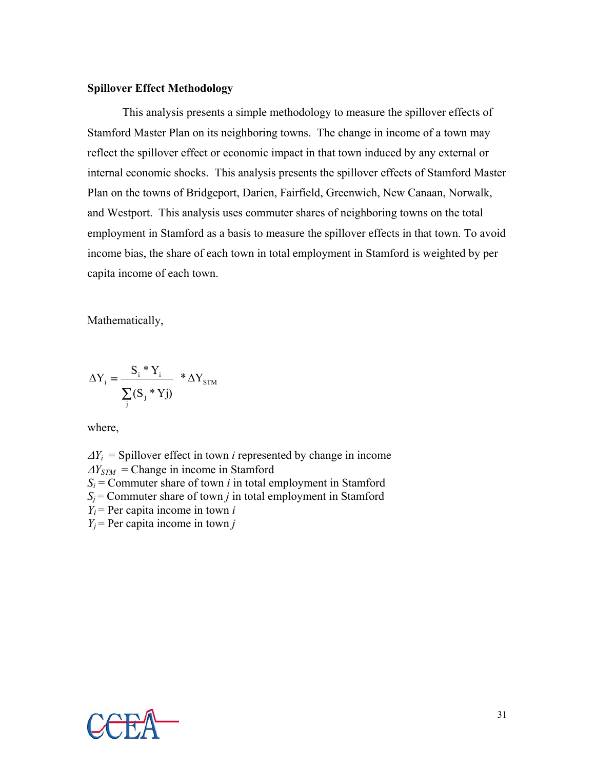## **Spillover Effect Methodology**

This analysis presents a simple methodology to measure the spillover effects of Stamford Master Plan on its neighboring towns. The change in income of a town may reflect the spillover effect or economic impact in that town induced by any external or internal economic shocks. This analysis presents the spillover effects of Stamford Master Plan on the towns of Bridgeport, Darien, Fairfield, Greenwich, New Canaan, Norwalk, and Westport. This analysis uses commuter shares of neighboring towns on the total employment in Stamford as a basis to measure the spillover effects in that town. To avoid income bias, the share of each town in total employment in Stamford is weighted by per capita income of each town.

Mathematically,

$$
\Delta Y_{i} = \frac{S_{i} * Y_{i}}{\sum_{j} (S_{j} * Y_{j})} * \Delta Y_{STM}
$$

where,

 $\Delta Y_i$  = Spillover effect in town *i* represented by change in income  $\Delta Y_{STM}$  = Change in income in Stamford  $S_i$  = Commuter share of town *i* in total employment in Stamford  $S_i$  = Commuter share of town *j* in total employment in Stamford  $Y_i$  = Per capita income in town *i*  $Y_i$  = Per capita income in town *j* 

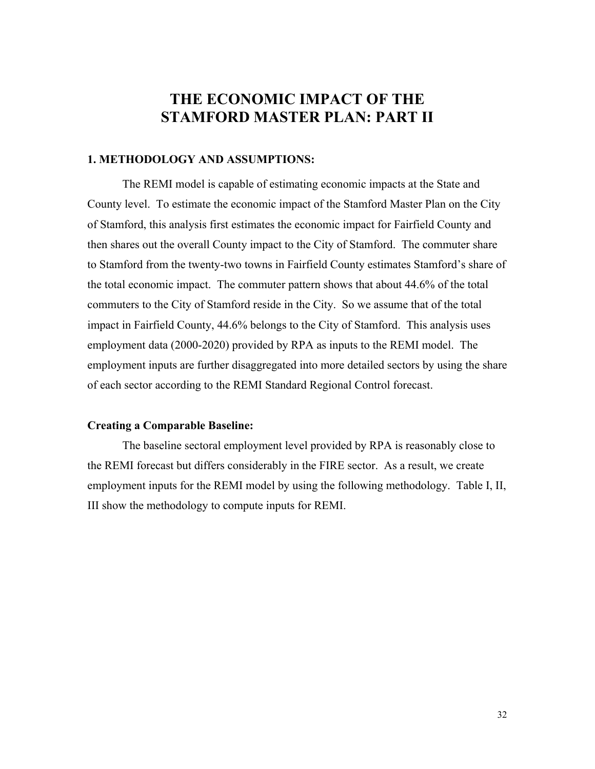# **THE ECONOMIC IMPACT OF THE STAMFORD MASTER PLAN: PART II**

## **1. METHODOLOGY AND ASSUMPTIONS:**

The REMI model is capable of estimating economic impacts at the State and County level. To estimate the economic impact of the Stamford Master Plan on the City of Stamford, this analysis first estimates the economic impact for Fairfield County and then shares out the overall County impact to the City of Stamford. The commuter share to Stamford from the twenty-two towns in Fairfield County estimates Stamford's share of the total economic impact. The commuter pattern shows that about 44.6% of the total commuters to the City of Stamford reside in the City. So we assume that of the total impact in Fairfield County, 44.6% belongs to the City of Stamford. This analysis uses employment data (2000-2020) provided by RPA as inputs to the REMI model. The employment inputs are further disaggregated into more detailed sectors by using the share of each sector according to the REMI Standard Regional Control forecast.

## **Creating a Comparable Baseline:**

The baseline sectoral employment level provided by RPA is reasonably close to the REMI forecast but differs considerably in the FIRE sector. As a result, we create employment inputs for the REMI model by using the following methodology. Table I, II, III show the methodology to compute inputs for REMI.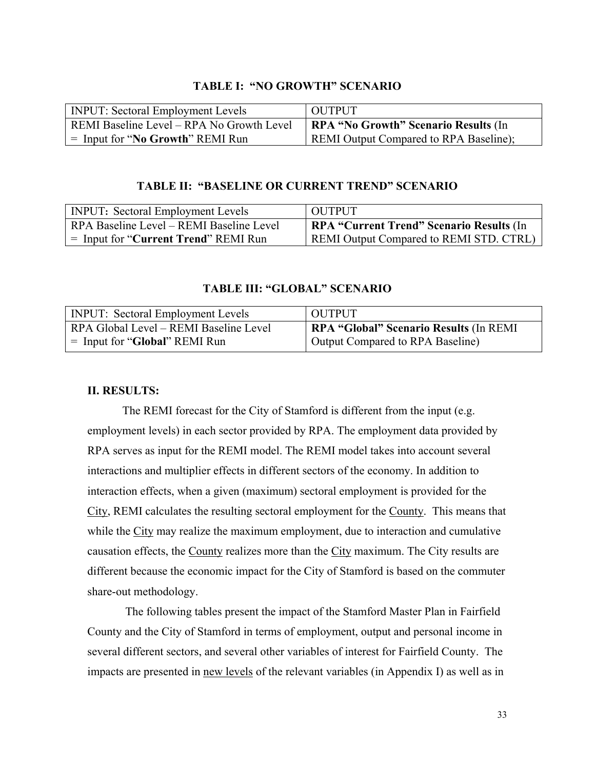## **TABLE I: "NO GROWTH" SCENARIO**

| <b>INPUT: Sectoral Employment Levels</b>  | <b>OUTPUT</b>                               |
|-------------------------------------------|---------------------------------------------|
| REMI Baseline Level – RPA No Growth Level | <b>RPA "No Growth" Scenario Results (In</b> |
| $=$ Input for "No Growth" REMI Run        | REMI Output Compared to RPA Baseline);      |

## **TABLE II: "BASELINE OR CURRENT TREND" SCENARIO**

| <b>INPUT: Sectoral Employment Levels</b>          | <b>OUTPUT</b>                                   |
|---------------------------------------------------|-------------------------------------------------|
| RPA Baseline Level – REMI Baseline Level          | <b>RPA "Current Trend" Scenario Results (In</b> |
| $'$ = Input for " <b>Current Trend</b> " REMI Run | <b>REMI Output Compared to REMI STD. CTRL)</b>  |

## **TABLE III: "GLOBAL" SCENARIO**

| <b>INPUT:</b> Sectoral Employment Levels   | <b>OUTPUT</b>                            |
|--------------------------------------------|------------------------------------------|
| RPA Global Level – REMI Baseline Level     | RPA "Global" Scenario Results (In REMI   |
| $'$ = Input for " <b>Global</b> " REMI Run | <b>Output Compared to RPA Baseline</b> ) |

## **II. RESULTS:**

The REMI forecast for the City of Stamford is different from the input (e.g. employment levels) in each sector provided by RPA. The employment data provided by RPA serves as input for the REMI model. The REMI model takes into account several interactions and multiplier effects in different sectors of the economy. In addition to interaction effects, when a given (maximum) sectoral employment is provided for the City, REMI calculates the resulting sectoral employment for the County. This means that while the City may realize the maximum employment, due to interaction and cumulative causation effects, the County realizes more than the City maximum. The City results are different because the economic impact for the City of Stamford is based on the commuter share-out methodology.

 The following tables present the impact of the Stamford Master Plan in Fairfield County and the City of Stamford in terms of employment, output and personal income in several different sectors, and several other variables of interest for Fairfield County. The impacts are presented in new levels of the relevant variables (in Appendix I) as well as in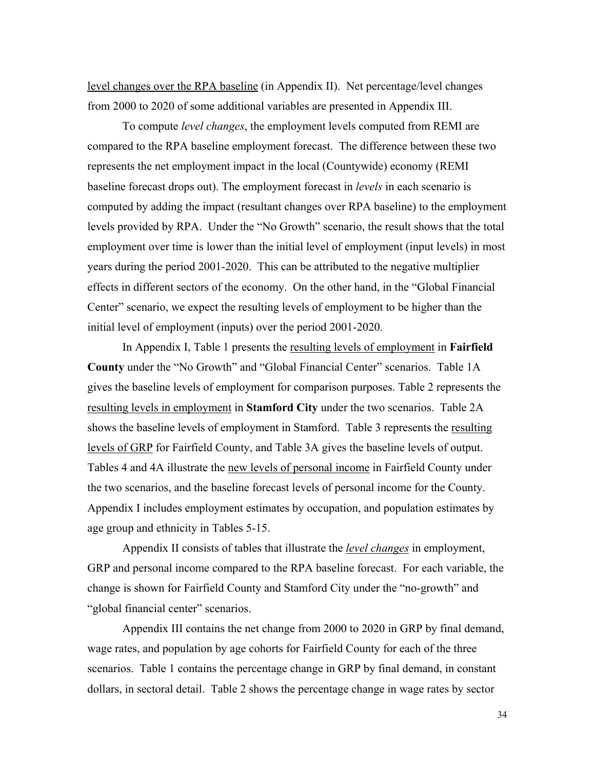level changes over the RPA baseline (in Appendix II). Net percentage/level changes from 2000 to 2020 of some additional variables are presented in Appendix III.

To compute *level changes*, the employment levels computed from REMI are compared to the RPA baseline employment forecast. The difference between these two represents the net employment impact in the local (Countywide) economy (REMI baseline forecast drops out). The employment forecast in *levels* in each scenario is computed by adding the impact (resultant changes over RPA baseline) to the employment levels provided by RPA. Under the "No Growth" scenario, the result shows that the total employment over time is lower than the initial level of employment (input levels) in most years during the period 2001-2020. This can be attributed to the negative multiplier effects in different sectors of the economy. On the other hand, in the "Global Financial Center" scenario, we expect the resulting levels of employment to be higher than the initial level of employment (inputs) over the period 2001-2020.

In Appendix I, Table 1 presents the resulting levels of employment in **Fairfield County** under the "No Growth" and "Global Financial Center" scenarios. Table 1A gives the baseline levels of employment for comparison purposes. Table 2 represents the resulting levels in employment in **Stamford City** under the two scenarios. Table 2A shows the baseline levels of employment in Stamford. Table 3 represents the resulting levels of GRP for Fairfield County, and Table 3A gives the baseline levels of output. Tables 4 and 4A illustrate the new levels of personal income in Fairfield County under the two scenarios, and the baseline forecast levels of personal income for the County. Appendix I includes employment estimates by occupation, and population estimates by age group and ethnicity in Tables 5-15.

Appendix II consists of tables that illustrate the *level changes* in employment, GRP and personal income compared to the RPA baseline forecast. For each variable, the change is shown for Fairfield County and Stamford City under the "no-growth" and "global financial center" scenarios.

Appendix III contains the net change from 2000 to 2020 in GRP by final demand, wage rates, and population by age cohorts for Fairfield County for each of the three scenarios. Table 1 contains the percentage change in GRP by final demand, in constant dollars, in sectoral detail. Table 2 shows the percentage change in wage rates by sector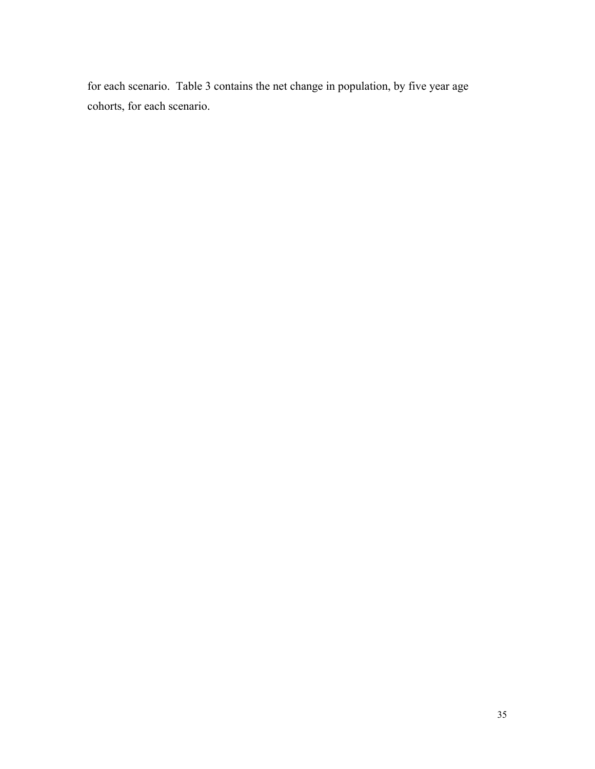for each scenario. Table 3 contains the net change in population, by five year age cohorts, for each scenario.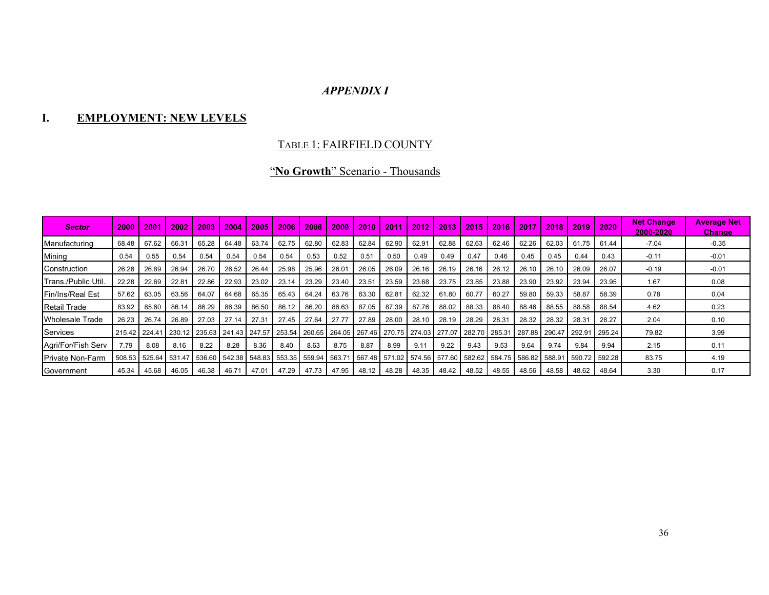#### *APPENDIX I*

#### **I.EMPLOYMENT: NEW LEVELS**

#### TABLE 1: FAIRFIELD COUNTY

#### "**No Growth**" Scenario - Thousands

| Sector <sup>7</sup>     | 2000  | 2001  | 2002    | 2003  | 2004   | 2005                                                                                                                                 | 2006    | 2008                    | 2009  | 2010        | 2011  | 2012        | 2013        | 2015  | 2016  | 2017    | 2018  | 2019      | 2020  | <b>Net Change</b><br>2000-2020 | <b>Average Net</b><br><b>Change</b> |
|-------------------------|-------|-------|---------|-------|--------|--------------------------------------------------------------------------------------------------------------------------------------|---------|-------------------------|-------|-------------|-------|-------------|-------------|-------|-------|---------|-------|-----------|-------|--------------------------------|-------------------------------------|
| Manufacturing           | 68.48 | 67.62 | 66.31   | 65.28 | 64.48  | 63.74                                                                                                                                |         | 62.75 62.80             | 62.83 | 62.84       | 62.90 |             | 62.91 62.88 | 62.63 | 62.46 | 62.26   | 62.03 | $61.75$ I | 61.44 | $-7.04$                        | $-0.35$                             |
| Mining                  | 0.54  | 0.55  | 0.54    | 0.54  | 0.54   | 0.54                                                                                                                                 | 0.54    | 0.53                    | 0.52  | 0.51        | 0.50  | 0.49        | 0.49        | 0.47  | 0.46  | 0.45    | 0.45  | 0.44      | 0.43  | $-0.11$                        | $-0.01$                             |
| Construction            | 26.26 | 26.89 | 26.94   | 26.70 | 26.52  | 26.44                                                                                                                                | 25.98   | 25.96                   | 26.01 | 26.05       | 26.09 |             | 26.16 26.19 | 26.16 | 26.12 | 26.10   | 26.10 | 26.09     | 26.07 | $-0.19$                        | $-0.01$                             |
| Trans./Public Util.     | 22.28 | 22.69 | 22.81   | 22.86 | 22.93  | 23.02                                                                                                                                | 23.14   | 23.29                   | 23.40 | 23.51       | 23.59 | 23.68       | 23.75       | 23.85 | 23.88 | 23.90   | 23.92 | 23.94     | 23.95 | 1.67                           | 0.08                                |
| <b>Fin/Ins/Real Est</b> | 57.62 | 63.05 | 63.56 1 | 64.07 | 64.68  | 65.35                                                                                                                                |         | 65.43 64.24             | 63.76 | 63.30       | 62.81 |             | 62.32 61.80 | 60.77 | 60.27 | 59.80   | 59.33 | 58.87     | 58.39 | 0.78                           | 0.04                                |
| Retail Trade            | 83.92 | 85.60 | 86.14   | 86.29 | 86.39  | 86.50                                                                                                                                |         | 86.12 86.20             |       | 86.63 87.05 | 87.39 |             | 87.76 88.02 | 88.33 | 88.40 | 88.46   | 88.55 | 88.58     | 88.54 | 4.62                           | 0.23                                |
| <b>Wholesale Trade</b>  | 26.23 | 26.74 | 26.89   | 27.03 | 127.14 | 27.31                                                                                                                                | 27.45 I | 27.64                   | 27.77 | 27.89       | 28.00 | 28.10 28.19 |             | 28.29 | 28.31 | 28.32   | 28.32 | 28.31     | 28.27 | 2.04                           | 0.10                                |
| Services                |       |       |         |       |        | 215.42 224.41 230.12 235.63 241.43 247.57 253.54 260.65 264.05 267.46 270.75 274.03 277.07 282.70 285.31 287.88 290.47 292.91 295.24 |         |                         |       |             |       |             |             |       |       |         |       |           |       | 79.82                          | 3.99                                |
| Agri/For/Fish Serv      | 7.79  | 8.08  | 8.16    | 8.22  | 8.28   | 8.36                                                                                                                                 | 8.40    | 8.63                    | 8.75  | 8.87        | 8.99  | 9.11        | 9.22        | 9.43  | 9.53  | 9.64    | 9.74  | 9.84      | 9.94  | 2.15                           | 0.11                                |
| <b>Private Non-Farm</b> |       |       |         |       |        | 599.28 571.47 536.60 542.38 548.83 553.35 559.94 563.71 567.48 571.02 574.56 577.60 582.62 588.75 586.82 588.91 590.72 592.28        |         |                         |       |             |       |             |             |       |       |         |       |           |       | 83.75                          | 4.19                                |
| Government              | 45.34 | 45.68 | 46.05 l | 46.38 | 46.71  | 47.01                                                                                                                                |         | 47.29 47.73 47.95 48.12 |       |             | 48.28 |             | 48.35 48.42 | 48.52 | 48.55 | 48.56 I | 48.58 | 48.62     | 48.64 | 3.30                           | 0.17                                |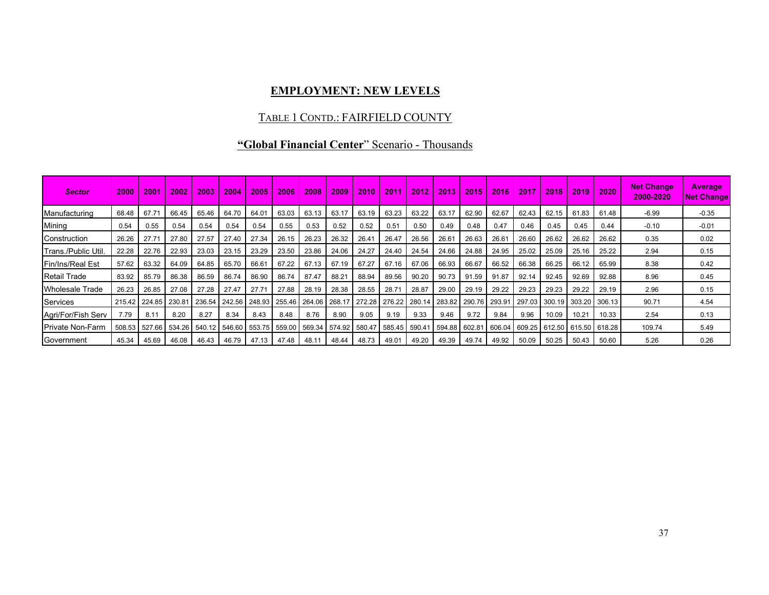## **EMPLOYMENT: NEW LEVELS**

### TABLE 1 CONTD.: FAIRFIELD COUNTY

### **"Global Financial Center**" Scenario - Thousands

| <b>Sector</b>           | 2000  | 2001                                                                                                                                 | 2002        | 2003  | 2004  | 2005        | 2006  | 2008  | 2009  | 2010  | 2011                                                                                                                                          | 2012  | 2013  | 2015  | 2016  | 2017  | 2018  | 2019  | 2020  | <b>Net Change</b><br>2000-2020 | <b>Average</b><br><b>Net Change</b> |
|-------------------------|-------|--------------------------------------------------------------------------------------------------------------------------------------|-------------|-------|-------|-------------|-------|-------|-------|-------|-----------------------------------------------------------------------------------------------------------------------------------------------|-------|-------|-------|-------|-------|-------|-------|-------|--------------------------------|-------------------------------------|
| Manufacturing           | 68.48 | 67.71                                                                                                                                | 66.45       | 65.46 | 64.70 | 64.01       | 63.03 | 63.13 | 63.17 | 63.19 | 63.23                                                                                                                                         | 63.22 | 63.17 | 62.90 | 62.67 | 62.43 | 62.15 | 61.83 | 61.48 | $-6.99$                        | $-0.35$                             |
| Mining                  | 0.54  | 0.55                                                                                                                                 | 0.54        | 0.54  | 0.54  | 0.54        | 0.55  | 0.53  | 0.52  | 0.52  | 0.51                                                                                                                                          | 0.50  | 0.49  | 0.48  | 0.47  | 0.46  | 0.45  | 0.45  | 0.44  | $-0.10$                        | $-0.01$                             |
| Construction            | 26.26 | 27.71                                                                                                                                | 27.80       | 27.57 | 27.40 | 27.34       | 26.15 | 26.23 | 26.32 | 26.41 | 26.47                                                                                                                                         | 26.56 | 26.61 | 26.63 | 26.61 | 26.60 | 26.62 | 26.62 | 26.62 | 0.35                           | 0.02                                |
| lTrans./Public Util.    | 22.28 |                                                                                                                                      | 22.76 22.93 | 23.03 | 23.15 | 23.29       | 23.50 | 23.86 | 24.06 | 24.27 | 24.40                                                                                                                                         | 24.54 | 24.66 | 24.88 | 24.95 | 25.02 | 25.09 | 25.16 | 25.22 | 2.94                           | 0.15                                |
| Fin/Ins/Real Est        | 57.62 | 63.32                                                                                                                                | 64.09       | 64.85 | 65.70 | 66.61       | 67.22 | 67.13 | 67.19 | 67.27 | 67.16                                                                                                                                         | 67.06 | 66.93 | 66.67 | 66.52 | 66.38 | 66.25 | 66.12 | 65.99 | 8.38                           | 0.42                                |
| <b>Retail Trade</b>     | 83.92 | 85.79                                                                                                                                | 86.38       | 86.59 | 86.74 | 86.90       | 86.74 | 87.47 | 88.21 | 88.94 | 89.56                                                                                                                                         | 90.20 | 90.73 | 91.59 | 91.87 | 92.14 | 92.45 | 92.69 | 92.88 | 8.96                           | 0.45                                |
| Wholesale Trade         | 26.23 | 26.85                                                                                                                                | 27.08       | 27.28 | 27.47 | 27.71       | 27.88 | 28.19 | 28.38 | 28.55 | 28.71                                                                                                                                         | 28.87 | 29.00 | 29.19 | 29.22 | 29.23 | 29.23 | 29.22 | 29.19 | 2.96                           | 0.15                                |
| Services                |       | 215.42 224.85 230.81                                                                                                                 |             |       |       |             |       |       |       |       | 236.54   242.56   248.93   255.46   264.06   268.17   272.28   276.22   280.14   283.82   290.76   293.91   297.03   300.19   303.20   306.13 |       |       |       |       |       |       |       |       | 90.71                          | 4.54                                |
| Agri/For/Fish Serv      | 7.79  | 8.11                                                                                                                                 | 8.20        | 8.27  | 8.34  | 8.43        | 8.48  | 8.76  | 8.90  | 9.05  | 9.19                                                                                                                                          | 9.33  | 9.46  | 9.72  | 9.84  | 9.96  | 10.09 | 10.21 | 10.33 | 2.54                           | 0.13                                |
| <b>Private Non-Farm</b> |       | 508.53 527.66 534.26 540.12 546.60 553.75 559.00 569.34 574.92 580.47 585.45 590.41 594.88 602.81 606.04 609.25 612.50 615.50 618.28 |             |       |       |             |       |       |       |       |                                                                                                                                               |       |       |       |       |       |       |       |       | 109.74                         | 5.49                                |
| Government              | 45.34 | 45.69                                                                                                                                | 46.08       | 46.43 |       | 46.79 47.13 | 47.48 | 48.11 | 48.44 | 48.73 | 49.01                                                                                                                                         | 49.20 | 49.39 | 49.74 | 49.92 | 50.09 | 50.25 | 50.43 | 50.60 | 5.26                           | 0.26                                |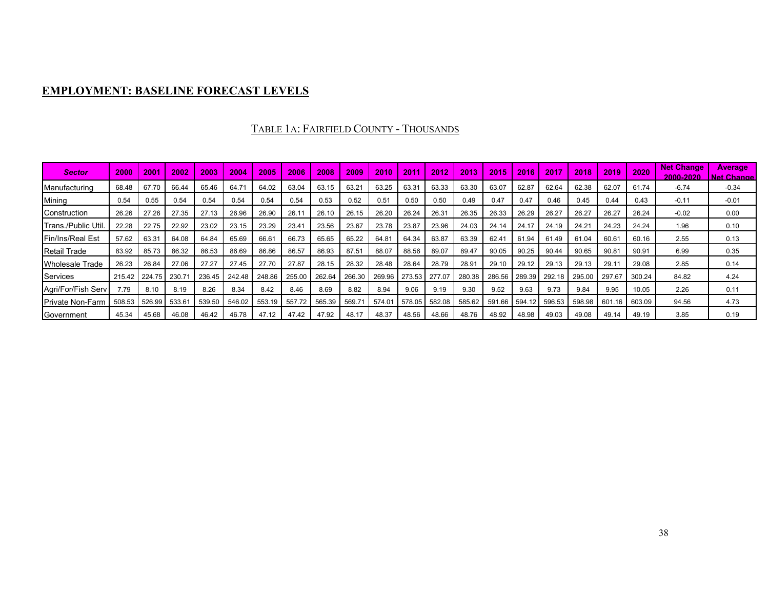## **EMPLOYMENT: BASELINE FORECAST LEVELS**

| <b>Sector</b>           | 2000   | 2001         | 2002   | 2003   | 2004   | 2005   | 2006          | 2008   | 2009   | 2010   | 2011   | 2012   | 2013   | 2015   | 2016          | 2017   | 2018   | 2019   | 2020   | <b>Net Change</b><br>2000-2020 | Average<br>Net Change |
|-------------------------|--------|--------------|--------|--------|--------|--------|---------------|--------|--------|--------|--------|--------|--------|--------|---------------|--------|--------|--------|--------|--------------------------------|-----------------------|
| Manufacturing           | 68.48  | 67.70        | 66.44  | 65.46  | 64.7'  | 64.02  | 63.04         | 63.15  | 63.21  | 63.25  | 63.31  | 63.33  | 63.30  | 63.07  | 62.87         | 62.64  | 62.38  | 62.07  | 61.74  | -6.74                          | $-0.34$               |
| Mining                  | 0.54   | 0.55         | 0.54   | 0.54   | 0.54   | 0.54   | 0.54          | 0.53   | 0.52   | 0.51   | 0.50   | 0.50   | 0.49   | 0.47   | 0.47          | 0.46   | 0.45   | 0.44   | 0.43   | $-0.11$                        | $-0.01$               |
| Construction            | 26.26  | 27.26        | 27.35  | 27.13  | 26.96  | 26.90  | 26.11         | 26.10  | 26.15  | 26.20  | 26.24  | 26.31  | 26.35  | 26.33  | 26.29         | 26.27  | 26.27  | 26.27  | 26.24  | $-0.02$                        | 0.00                  |
| Trans./Public Util.     | 22.28  | 22.75        | 22.92  | 23.02  | 23.15  | 23.29  | 23.41         | 23.56  | 23.67  | 23.78  | 23.87  | 23.96  | 24.03  | 24.14  | 24.17         | 24.19  | 24.21  | 24.23  | 24.24  | 1.96                           | 0.10                  |
| Fin/Ins/Real Est        | 57.62  | 63.31        | 64.08  | 64.84  | 65.69  | 66.61  | 66.73         | 65.65  | 65.22  | 64.81  | 64.34  | 63.87  | 63.39  | 62.41  | 61.94         | 61.49  | 61.04  | 60.61  | 60.16  | 2.55                           | 0.13                  |
| <b>Retail Trade</b>     | 83.92  | 85.73        | 86.32  | 86.53  | 86.69  | 86.86  | 86.57         | 86.93  | 87.51  | 88.07  | 88.56  | 89.07  | 89.47  | 90.05  | 90.25         | 90.44  | 90.65  | 90.81  | 90.91  | 6.99                           | 0.35                  |
| <b>Wholesale Trade</b>  | 26.23  | 26.84        | 27.06  | 27.27  | 27.45  | 27.70  | 27.87         | 28.15  | 28.32  | 28.48  | 28.64  | 28.79  | 28.91  | 29.10  | 29.12         | 29.13  | 29.13  | 29.11  | 29.08  | 2.85                           | 0.14                  |
| Services                | 215.42 | 224.75 230.7 |        | 236.45 | 242.48 | 248.86 | 255.00        | 262.64 | 266.30 | 269.96 | 273.53 | 277.07 | 280.38 | 286.56 | 289.39        | 292.18 | 295.00 | 297.67 | 300.24 | 84.82                          | 4.24                  |
| Agri/For/Fish Serv      | 7.79   | 8.10         | 8.19   | 8.26   | 8.34   | 8.42   | 8.46          | 8.69   | 8.82   | 8.94   | 9.06   | 9.19   | 9.30   | 9.52   | 9.63          | 9.73   | 9.84   | 9.95   | 10.05  | 2.26                           | 0.11                  |
| <b>Private Non-Farm</b> | 508.53 | 526.99       | 533.61 | 539.50 | 546.02 |        | 553.19 557.72 | 565.39 | 569.71 | 574.01 | 578.05 | 582.08 | 585.62 |        | 591.66 594.12 | 596.53 | 598.98 | 601.16 | 603.09 | 94.56                          | 4.73                  |
| Government              | 45.34  | 45.68        | 46.08  | 46.42  | 46.78  | 47.12  | 47.42         | 47.92  | 48.17  | 48.37  | 48.56  | 48.66  | 48.76  | 48.92  | 48.98         | 49.03  | 49.08  | 49.14  | 49.19  | 3.85                           | 0.19                  |

#### TABLE 1A: FAIRFIELD COUNTY - THOUSANDS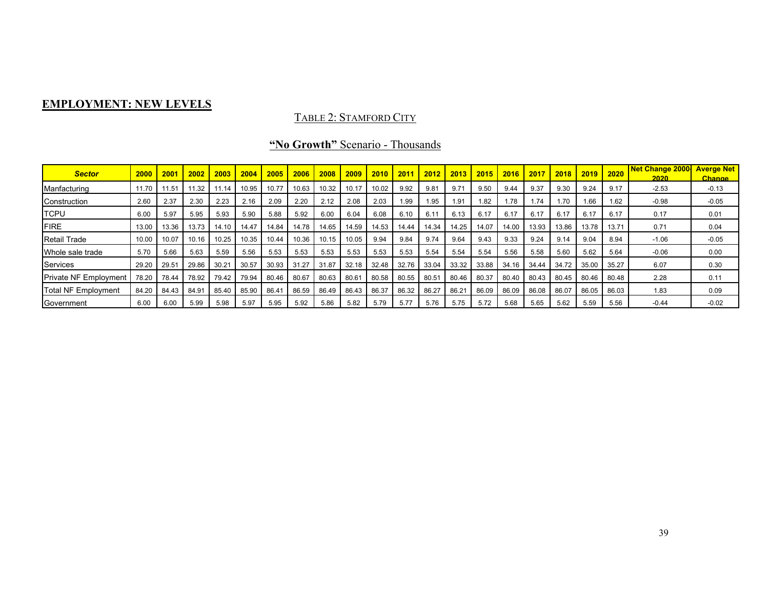## **EMPLOYMENT: NEW LEVELS**

### TABLE 2: STAMFORD CITY

### **"No Growth"** Scenario - Thousands

| <b>Sector</b>                 | 2000  | 2001  | 2002  | 2003           | 2004  | 2005  | 2006  | 2008  | 2009           | 2010  | 2011  | 2012  | 2013  | 2015  | 2016  | 2017  | 2018  | 2019  | 2020  | <b>Net Change 2000</b><br>2020 | <b>Averge Net</b><br>Change |
|-------------------------------|-------|-------|-------|----------------|-------|-------|-------|-------|----------------|-------|-------|-------|-------|-------|-------|-------|-------|-------|-------|--------------------------------|-----------------------------|
| Manfacturing                  | 11.70 | 11.51 | 11.32 | 11.14          | 10.95 | 10.77 | 10.63 | 10.32 | 10.1           | 10.02 | 9.92  | 9.81  | 9.71  | 9.50  | 9.44  | 9.37  | 9.30  | 9.24  | 9.17  | $-2.53$                        | $-0.13$                     |
| Construction                  | 2.60  | 2.37  | 2.30  | 2.23           | 2.16  | 2.09  | 2.20  | 2.12  | 2.08           | 2.03  | 1.99  | 1.95  | 1.91  | 1.82  | 1.78  | 1.74  | 1.70  | 1.66  | 1.62  | $-0.98$                        | $-0.05$                     |
| <b>TCPU</b>                   | 6.00  | 5.97  | 5.95  | 5.93           | 5.90  | 5.88  | 5.92  | 6.00  | 6.04           | 6.08  | 6.10  | 6.11  | 6.13  | 6.17  | 6.17  | 6.17  | 6.17  | 6.17  | 6.17  | 0.17                           | 0.01                        |
| <b>IFIRE</b>                  | 13.00 | 13.36 | 13.73 | 14.10          | 14.47 | 14.84 | 14.78 | 14.65 | 14.59          | 14.53 | 14.44 | 14.34 | 14.25 | 14.07 | 14.00 | 13.93 | 13.86 | 13.78 | 13.71 | 0.71                           | 0.04                        |
| <b>Retail Trade</b>           | 10.00 | 10.07 | 10.16 | 10.25          | 10.35 | 10.44 | 10.36 | 10.15 | 10.05          | 9.94  | 9.84  | 9.74  | 9.64  | 9.43  | 9.33  | 9.24  | 9.14  | 9.04  | 8.94  | $-1.06$                        | $-0.05$                     |
| Whole sale trade              | 5.70  | 5.66  | 5.63  | 5.59           | 5.56  | 5.53  | 5.53  | 5.53  | 5.53           | 5.53  | 5.53  | 5.54  | 5.54  | 5.54  | 5.56  | 5.58  | 5.60  | 5.62  | 5.64  | $-0.06$                        | 0.00                        |
| Services                      | 29.20 | 29.51 | 29.86 | $30.2^{\circ}$ | 30.57 | 30.93 | 31.27 | 31.87 | 32.18          | 32.48 | 32.76 | 33.04 | 33.32 | 33.88 | 34.16 | 34.44 | 34.72 | 35.00 | 35.27 | 6.07                           | 0.30                        |
| <b>IPrivate NF Employment</b> | 78.20 | 78.44 | 78.92 | 79.42          | 79.94 | 80.46 | 80.67 | 80.63 | $80.6^{\circ}$ | 80.58 | 80.55 | 80.51 | 80.46 | 80.37 | 80.40 | 80.43 | 80.45 | 80.46 | 80.48 | 2.28                           | 0.11                        |
| <b>Total NF Employment</b>    | 84.20 | 84.43 | 84.91 | 85.40          | 85.90 | 86.41 | 86.59 | 86.49 | 86.43          | 86.37 | 86.32 | 86.27 | 86.21 | 86.09 | 86.09 | 86.08 | 86.07 | 86.05 | 86.03 | 1.83                           | 0.09                        |
| Government                    | 6.00  | 6.00  | 5.99  | 5.98           | 5.97  | 5.95  | 5.92  | 5.86  | 5.82           | 5.79  | 5.77  | 5.76  | 5.75  | 5.72  | 5.68  | 5.65  | 5.62  | 5.59  | 5.56  | $-0.44$                        | $-0.02$                     |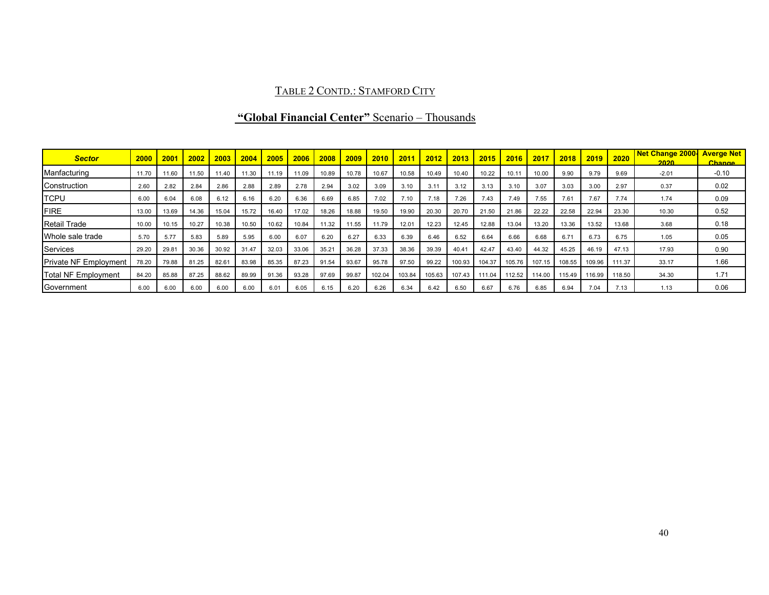### TABLE 2 CONTD.: STAMFORD CITY

#### **"Global Financial Center"** Scenario – Thousands

| <b>Sector</b>         | 2000  | 2001  | 2002  | 2003  | 2004  | 2005  | 2006  | 2008  | 2009  | 2010   | 201'   | 2012   | 2013   | 2015   | 2016   | 2017   | 2018   | 2019   | 2020   | Net Change 2000<br>2020 | <b>Averge Net</b><br>Change |
|-----------------------|-------|-------|-------|-------|-------|-------|-------|-------|-------|--------|--------|--------|--------|--------|--------|--------|--------|--------|--------|-------------------------|-----------------------------|
| Manfacturing          | 11.70 | 11.60 | 11.50 | 11.40 | 11.30 | 11.19 | 11.09 | 10.89 | 10.78 | 10.67  | 10.58  | 10.49  | 10.40  | 10.22  | 10.11  | 10.00  | 9.90   | 9.79   | 9.69   | $-2.01$                 | $-0.10$                     |
| Construction          | 2.60  | 2.82  | 2.84  | 2.86  | 2.88  | 2.89  | 2.78  | 2.94  | 3.02  | 3.09   | 3.10   | 3.11   | 3.12   | 3.13   | 3.10   | 3.07   | 3.03   | 3.00   | 2.97   | 0.37                    | 0.02                        |
| <b>ITCPU</b>          | 6.00  | 6.04  | 6.08  | 6.12  | 6.16  | 6.20  | 6.36  | 6.69  | 6.85  | 7.02   | 7.10   | 7.18   | 7.26   | 7.43   | 7.49   | 7.55   | 7.61   | 7.67   | 7.74   | 1.74                    | 0.09                        |
| <b>IFIRE</b>          | 13.00 | 13.69 | 14.36 | 15.04 | 15.72 | 16.40 | 17.02 | 18.26 | 18.88 | 19.50  | 19.90  | 20.30  | 20.70  | 21.50  | 21.86  | 22.22  | 22.58  | 22.94  | 23.30  | 10.30                   | 0.52                        |
| Retail Trade          | 10.00 | 10.15 | 10.27 | 10.38 | 10.50 | 10.62 | 10.84 | 11.32 | 11.55 | 11.79  | 12.01  | 12.23  | 12.45  | 12.88  | 13.04  | 13.20  | 13.36  | 13.52  | 13.68  | 3.68                    | 0.18                        |
| Whole sale trade      | 5.70  | 5.77  | 5.83  | 5.89  | 5.95  | 6.00  | 6.07  | 6.20  | 6.27  | 6.33   | 6.39   | 6.46   | 6.52   | 6.64   | 6.66   | 6.68   | 6.71   | 6.73   | 6.75   | 1.05                    | 0.05                        |
| Services              | 29.20 | 29.81 | 30.36 | 30.92 | 31.47 | 32.03 | 33.06 | 35.21 | 36.28 | 37.33  | 38.36  | 39.39  | 40.41  | 42.47  | 43.40  | 44.32  | 45.25  | 46.19  | 47.13  | 17.93                   | 0.90                        |
| Private NF Employment | 78.20 | 79.88 | 81.25 | 82.61 | 83.98 | 85.35 | 87.23 | 91.54 | 93.67 | 95.78  | 97.50  | 99.22  | 100.93 | 104.37 | 105.76 | 107.15 | 108.55 | 109.96 | 111.37 | 33.17                   | 1.66                        |
| Total NF Employment   | 84.20 | 85.88 | 87.25 | 88.62 | 89.99 | 91.36 | 93.28 | 97.69 | 99.87 | 102.04 | 103.84 | 105.63 | 107.43 | 111.04 | 112.52 | 114.00 | 115.49 | 116.99 | 118.50 | 34.30                   | 1.71                        |
| Government            | 6.00  | 6.00  | 6.00  | 6.00  | 6.00  | 6.01  | 6.05  | 6.15  | 6.20  | 6.26   | 6.34   | 6.42   | 6.50   | 6.67   | 6.76   | 6.85   | 6.94   | 7.04   | 7.13   | 1.13                    | 0.06                        |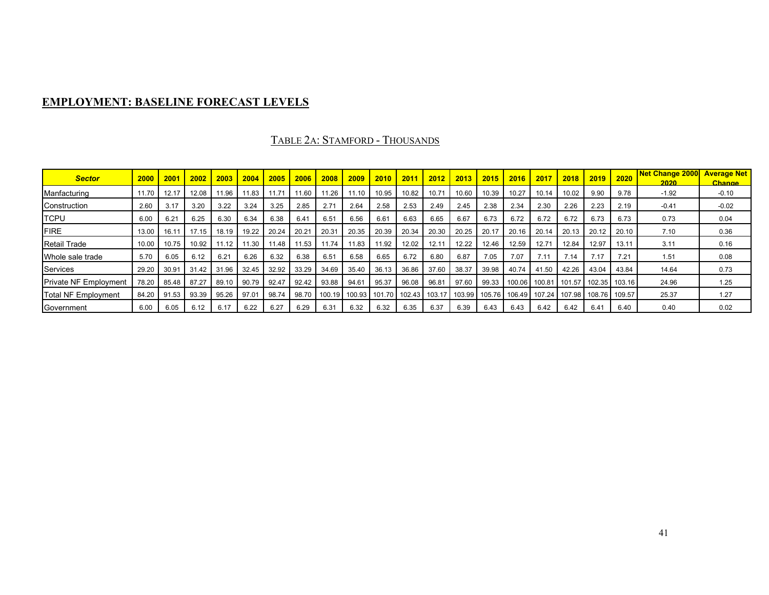## **EMPLOYMENT: BASELINE FORECAST LEVELS**

## TABLE 2A: STAMFORD - THOUSANDS

| <b>Sector</b>                | 2000  | 2001  | $2002$ l | 2003  | 2004  | 2005  | 2006    | 2008                                                        | 2009  | 2010        | 2011  | 2012           | 2013  | 2015   | 2016          | 2017  | 2018   | 2019  | 2020            | <b>Net Change 2000</b><br>2020 | <b>Average Net</b><br>Channe |
|------------------------------|-------|-------|----------|-------|-------|-------|---------|-------------------------------------------------------------|-------|-------------|-------|----------------|-------|--------|---------------|-------|--------|-------|-----------------|--------------------------------|------------------------------|
| Manfacturing                 | 11.70 | 12.17 | 12.08    | 11.96 | 11.83 | 11.71 | 11.60   | 11.26                                                       | 11.10 | 10.95       | 10.82 | $10.7^{\circ}$ | 10.60 | 10.39  | 10.27         | 10.14 | 10.02  | 9.90  | 9.78            | $-1.92$                        | $-0.10$                      |
| Construction                 | 2.60  | 3.17  | 3.20     | 3.22  | 3.24  | 3.25  | 2.85    | 2.71                                                        | 2.64  | 2.58        | 2.53  | 2.49           | 2.45  | 2.38   | 2.34          | 2.30  | 2.26   | 2.23  | 2.19            | $-0.41$                        | $-0.02$                      |
| TCPU                         | 6.00  | 6.21  | 6.25     | 6.30  | 6.34  | 6.38  | 6.41    | 6.51                                                        | 6.56  | 6.61        | 6.63  | 6.65           | 6.67  | 6.73   | 6.72          | 6.72  | 6.72   | 6.73  | 6.73            | 0.73                           | 0.04                         |
| <b>FIRE</b>                  | 13.00 | 16.11 | 17.15    | 18.19 | 19.22 | 20.24 | 20.21   | 20.31                                                       | 20.35 | 20.39       | 20.34 | 20.30          | 20.25 | 20.17  | 20.16         | 20.14 | 20.13  | 20.12 | 20.10           | 7.10                           | 0.36                         |
| Retail Trade                 | 10.00 | 10.75 | 10.92    | 11.12 | 11.30 | 11.48 | $11.53$ | 11.74                                                       | 11.83 | 11.92       | 12.02 | 12.1           | 12.22 | 12.46  | 12.59         | 12.7' | 12.84  | 12.97 | 13.11           | 3.11                           | 0.16                         |
| Whole sale trade             | 5.70  | 6.05  | 6.12     | 6.21  | 6.26  | 6.32  | 6.38    | 6.51                                                        | 6.58  | 6.65        | 6.72  | 6.80           | 6.87  | 7.05   | 7.07          | 7.11  | 7.14   | 7.17  | 7.21            | 1.51                           | 0.08                         |
| Services                     | 29.20 | 30.91 | 31.42    | 31.96 | 32.45 | 32.92 |         | 33.29 34.69                                                 | 35.40 | 36.13 36.86 |       | 37.60          | 38.37 | 39.98  | 40.74         | 41.50 | 42.26  | 43.04 | 43.84           | 14.64                          | 0.73                         |
| <b>Private NF Employment</b> | 78.20 | 85.48 | 87.27    | 89.10 | 90.79 | 92.47 |         | 92.42 93.88                                                 | 94.61 | 95.37       | 96.08 | 96.81          | 97.60 | 99.33  | 100.06 100.81 |       | 101.57 |       | 102.35   103.16 | 24.96                          | 1.25                         |
| <b>Total NF Employment</b>   | 84.20 | 91.53 | 93.39    | 95.26 | 97.01 | 98.74 |         | 98.70   100.19   100.93   101.70   102.43   103.17   103.99 |       |             |       |                |       | 105.76 | 106.49 107.24 |       | 107.98 |       | 108.76 109.57   | 25.37                          | 1.27                         |
| Government                   | 6.00  | 6.05  | 6.12     | 6.17  | 6.22  | 6.27  | 6.29    | 6.31                                                        | 6.32  | 6.32        | 6.35  | 6.37           | 6.39  | 6.43   | 6.43          | 6.42  | 6.42   | 6.41  | 6.40            | 0.40                           | 0.02                         |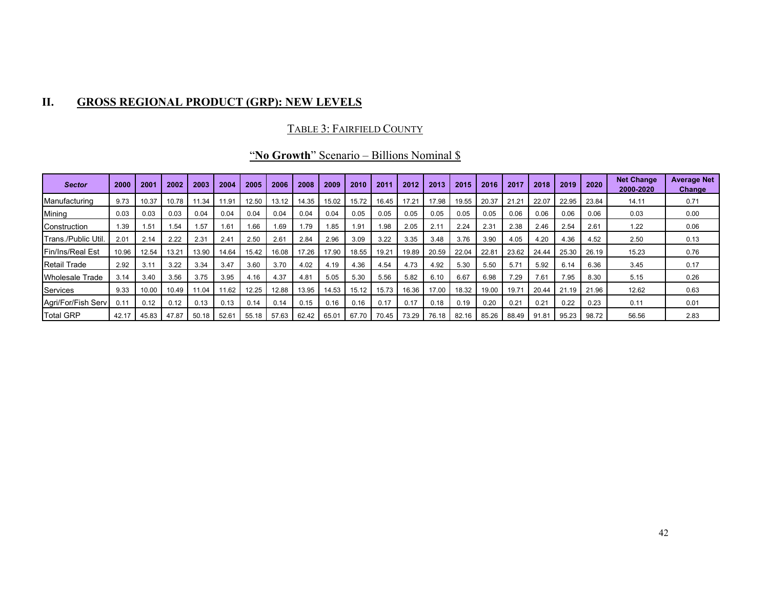#### **II.GROSS REGIONAL PRODUCT (GRP): NEW LEVELS**

### TABLE 3: FAIRFIELD COUNTY

## "**No Growth**" Scenario – Billions Nominal \$

| <b>Sector</b>        | 2000          | 2001  | 2002    | 2003  | 2004          | 2005  | 2006  | 2008  | 2009  | 2010        | 2011  | 2012  | 2013  | 2015  | 2016  | 2017  | 2018  | 2019  | 2020  | <b>Net Change</b><br>2000-2020 | <b>Average Net</b><br>Change |
|----------------------|---------------|-------|---------|-------|---------------|-------|-------|-------|-------|-------------|-------|-------|-------|-------|-------|-------|-------|-------|-------|--------------------------------|------------------------------|
| <b>Manufacturing</b> | 9.73          | 10.37 | 10.78   | 11.34 | 11.91         | 12.50 | 13.12 | 14.35 | 15.02 | 15.72       | 16.45 | 17.21 | 17.98 | 19.55 | 20.37 | 21.21 | 22.07 | 22.95 | 23.84 | 14.11                          | 0.71                         |
| Mining               | 0.03          | 0.03  | 0.03    | 0.04  | 0.04          | 0.04  | 0.04  | 0.04  | 0.04  | 0.05        | 0.05  | 0.05  | 0.05  | 0.05  | 0.05  | 0.06  | 0.06  | 0.06  | 0.06  | 0.03                           | 0.00                         |
| Construction         | 1.39          | 1.51  | ـ 54، ۱ | 1.57  | 1.61          | 1.66  | 1.69  | 1.79  | .85   | 91. ،       | 1.98  | 2.05  | 2.11  | 2.24  | 2.31  | 2.38  | 2.46  | 2.54  | 2.61  | 1.22                           | 0.06                         |
| Trans./Public Util.  | 2.01          | 2.14  | 2.22    | 2.31  | $2.4^{\circ}$ | 2.50  | 2.61  | 2.84  | 2.96  | 3.09        | 3.22  | 3.35  | 3.48  | 3.76  | 3.90  | 4.05  | 4.20  | 4.36  | 4.52  | 2.50                           | 0.13                         |
| Fin/Ins/Real Est     | 10.96         | 12.54 | 13.21   | 13.90 | 14.64         | 15.42 | 16.08 | 17.26 | 17.90 | 18.55       | 19.21 | 19.89 | 20.59 | 22.04 | 22.8  | 23.62 | 24.44 | 25.30 | 26.19 | 15.23                          | 0.76                         |
| Retail Trade         | 2.92          | 3.11  | 3.22    | 3.34  | 3.47          | 3.60  | 3.70  | 4.02  | 4.19  | 4.36        | 4.54  | 4.73  | 4.92  | 5.30  | 5.50  | 5.71  | 5.92  | 6.14  | 6.36  | 3.45                           | 0.17                         |
| Wholesale Trade      | 3.14          | 3.40  | 3.56    | 3.75  | 3.95          | 4.16  | 4.37  | 4.81  | 5.05  | 5.30        | 5.56  | 5.82  | 6.10  | 6.67  | 6.98  | 7.29  | 7.61  | 7.95  | 8.30  | 5.15                           | 0.26                         |
| Services             | 9.33          | 10.00 | 10.49   | 11.04 | 11.62         | 12.25 | 12.88 | 13.95 | 14.53 | 15.12       | 15.73 | 16.36 | 17.00 | 18.32 | 19.00 | 19.71 | 20.44 | 21.19 | 21.96 | 12.62                          | 0.63                         |
| Agri/For/Fish Serv   | $0.1^{\circ}$ | 0.12  | 0.12    | 0.13  | 0.13          | 0.14  | 0.14  | 0.15  | 0.16  | 0.16        | 0.17  | 0.17  | 0.18  | 0.19  | 0.20  | 0.21  | 0.21  | 0.22  | 0.23  | 0.11                           | 0.01                         |
| <b>Total GRP</b>     | 42.17         | 45.83 | 47.87   | 50.18 | 52.61         | 55.18 | 57.63 | 62.42 | 65.01 | 67.70 70.45 |       | 73.29 | 76.18 | 82.16 | 85.26 | 88.49 | 91.81 | 95.23 | 98.72 | 56.56                          | 2.83                         |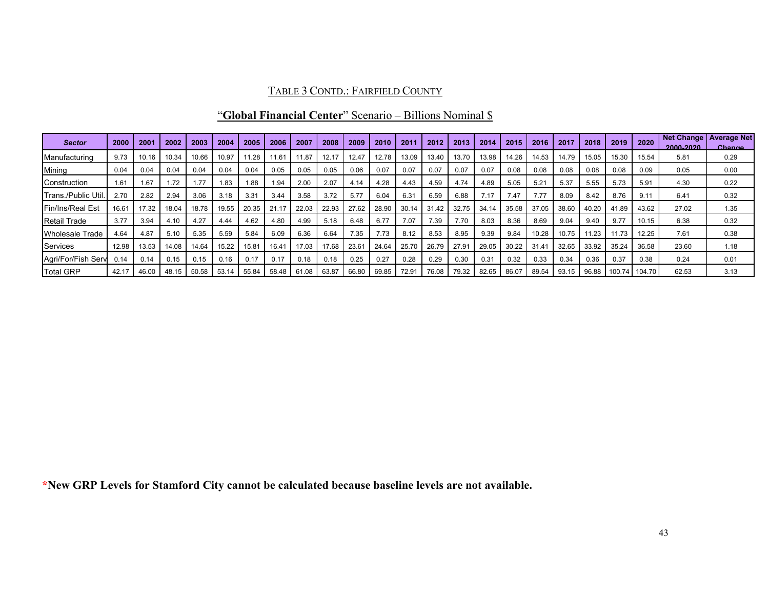### TABLE 3 CONTD.: FAIRFIELD COUNTY

## "**Global Financial Center**" Scenario – Billions Nominal \$

| <b>Sector</b>        | 2000  | 2001  | 2002  | 2003  | 2004  | 2005  | 2006  | 2007  | 2008  | 2009  | 2010  | 2011  | 2012  | 2013  | 2014  | 2015  | 2016  | 2017  | 2018  | 2019  | 2020          | 2000-2020 | Net Change   Average Net<br>Change |
|----------------------|-------|-------|-------|-------|-------|-------|-------|-------|-------|-------|-------|-------|-------|-------|-------|-------|-------|-------|-------|-------|---------------|-----------|------------------------------------|
| Manufacturing        | 9.73  | 10.16 | 10.34 | 10.66 | 10.97 | 11.28 | 11.61 | 11.87 | 12.17 | 12.47 | 12.78 | 13.09 | 13.40 | 13.70 | 13.98 | 14.26 | 14.53 | 14.79 | 15.05 | 15.30 | 15.54         | 5.81      | 0.29                               |
| Mining               | 0.04  | 0.04  | 0.04  | 0.04  | 0.04  | 0.04  | 0.05  | 0.05  | 0.05  | 0.06  | 0.07  | 0.07  | 0.07  | 0.07  | 0.07  | 0.08  | 0.08  | 0.08  | 0.08  | 0.08  | 0.09          | 0.05      | 0.00                               |
| Construction         | 1.61  | .67   | 1.72  | 1.77  | 1.83  | 1.88  | 1.94  | 2.00  | 2.07  | 4.14  | 4.28  | 4.43  | 4.59  | 4.74  | 4.89  | 5.05  | 5.21  | 5.37  | 5.55  | 5.73  | 5.91          | 4.30      | 0.22                               |
| Trans / Public Util. | 2.70  | 2.82  | 2.94  | 3.06  | 3.18  | 3.31  | 3.44  | 3.58  | 3.72  | 5.77  | 6.04  | 6.31  | 6.59  | 6.88  | 7.17  | 7.47  | 7.77  | 8.09  | 8.42  | 8.76  | 9.11          | 6.41      | 0.32                               |
| Fin/Ins/Real Est     | 16.61 | 17.32 | 18.04 | 18.78 | 19.55 | 20.35 | 21.17 | 22.03 | 22.93 | 27.62 | 28.90 | 30.14 | 31.42 | 32.75 | 34.14 | 35.58 | 37.05 | 38.60 | 40.20 | 41.89 | 43.62         | 27.02     | 1.35                               |
| Retail Trade         | 3.77  | 3.94  | 4.10  | 4.27  | 4.44  | 4.62  | 4.80  | 4.99  | 5.18  | 6.48  | 6.77  | 7.07  | 7.39  | 7.70  | 8.03  | 8.36  | 8.69  | 9.04  | 9.40  | 9.77  | 10.15         | 6.38      | 0.32                               |
| Wholesale Trade      | 4.64  | 4.87  | 5.10  | 5.35  | 5.59  | 5.84  | 6.09  | 6.36  | 6.64  | 7.35  | 7.73  | 8.12  | 8.53  | 8.95  | 9.39  | 9.84  | 10.28 | 10.75 | 11.23 | 11.73 | 12.25         | 7.61      | 0.38                               |
| Services             | 12.98 | 13.53 | 14.08 | 14.64 | 15.22 | 15.81 | 16.41 | 17.03 | 17.68 | 23.61 | 24.64 | 25.70 | 26.79 | 27.91 | 29.05 | 30.22 | 31.41 | 32.65 | 33.92 | 35.24 | 36.58         | 23.60     | 1.18                               |
| Agri/For/Fish Serv   | 0.14  | 0.14  | 0.15  | 0.15  | 0.16  | 0.17  | 0.17  | 0.18  | 0.18  | 0.25  | 0.27  | 0.28  | 0.29  | 0.30  | 0.31  | 0.32  | 0.33  | 0.34  | 0.36  | 0.37  | 0.38          | 0.24      | 0.01                               |
| Total GRP            | 42.17 | 46.00 | 48.15 | 50.58 | 53.14 | 55.84 | 58.48 | 61.08 | 63.87 | 66.80 | 69.85 | 72.91 | 76.08 | 79.32 | 82.65 | 86.07 | 89.54 | 93.15 | 96.88 |       | 100.74 104.70 | 62.53     | 3.13                               |

**\*New GRP Levels for Stamford City cannot be calculated because baseline levels are not available.**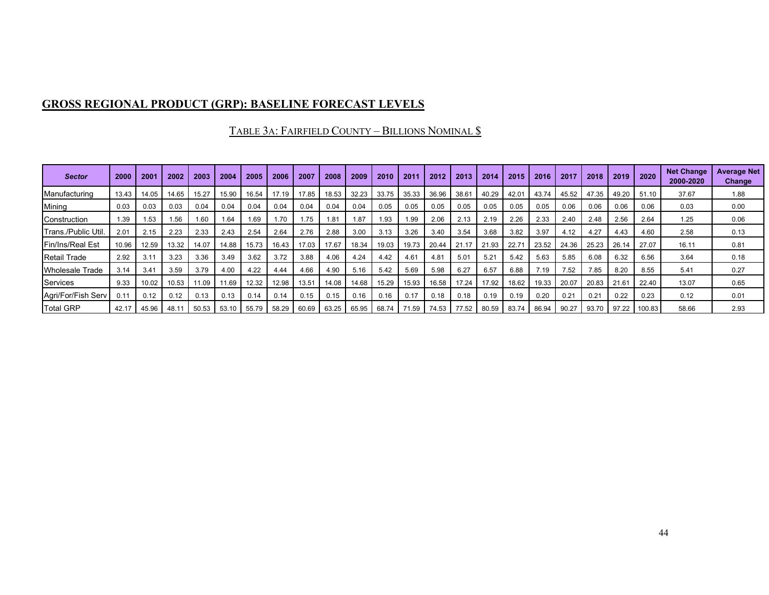# **GROSS REGIONAL PRODUCT (GRP): BASELINE FORECAST LEVELS**

## TABLE 3A: FAIRFIELD COUNTY – BILLIONS NOMINAL \$

| <b>Sector</b>          | 2000          | 2001  | 2002  | 2003  | 2004  | 2005  | 2006        | 2007  | 2008  | 2009  | 2010  | 201'  | 2012  | 2013        | 2014  | 2015  | 2016  | 2017  | 2018  | 2019  | 2020   | <b>Net Change</b><br>2000-2020 | <b>Average Net</b><br><b>Change</b> |
|------------------------|---------------|-------|-------|-------|-------|-------|-------------|-------|-------|-------|-------|-------|-------|-------------|-------|-------|-------|-------|-------|-------|--------|--------------------------------|-------------------------------------|
| Manufacturing          | 13.43         | 14.05 | 14.65 | 15.27 | 15.90 | 16.54 | 17.19       | 17.85 | 18.53 | 32.23 | 33.75 | 35.33 | 36.96 | 38.61       | 40.29 | 42.01 | 43.74 | 45.52 | 47.35 | 49.20 | 51.10  | 37.67                          | 1.88                                |
| Mining                 | 0.03          | 0.03  | 0.03  | 0.04  | 0.04  | 0.04  | 0.04        | 0.04  | 0.04  | 0.04  | 0.05  | 0.05  | 0.05  | 0.05        | 0.05  | 0.05  | 0.05  | 0.06  | 0.06  | 0.06  | 0.06   | 0.03                           | 0.00                                |
| Construction           | 1.39          | 1.53  | 1.56  | 1.60  | 1.64  | 1.69  | 1.70        | 1.75  | 1.81  | 1.87  | 1.93  | 1.99  | 2.06  | 2.13        | 2.19  | 2.26  | 2.33  | 2.40  | 2.48  | 2.56  | 2.64   | 1.25                           | 0.06                                |
| Trans./Public Util.    | $2.0^{\circ}$ | 2.15  | 2.23  | 2.33  | 2.43  | 2.54  | 2.64        | 2.76  | 2.88  | 3.00  | 3.13  | 3.26  | 3.40  | 3.54        | 3.68  | 3.82  | 3.97  | 4.12  | 4.27  | 4.43  | 4.60   | 2.58                           | 0.13                                |
| Fin/Ins/Real Est       | 10.96         | 12.59 | 13.32 | 14.07 | 14.88 | 15.73 | 16.43       | 17.03 | 17.67 | 18.34 | 19.03 | 19.73 | 20.44 | 21.17       | 21.93 | 22.7  | 23.52 | 24.36 | 25.23 | 26.14 | 27.07  | $16.1^{\circ}$                 | 0.81                                |
| <b>Retail Trade</b>    | 2.92          | 3.11  | 3.23  | 3.36  | 3.49  | 3.62  | 3.72        | 3.88  | 4.06  | 4.24  | 4.42  | 4.61  | 4.81  | 5.01        | 5.21  | 5.42  | 5.63  | 5.85  | 6.08  | 6.32  | 6.56   | 3.64                           | 0.18                                |
| <b>Wholesale Trade</b> | 3.14          | 3.41  | 3.59  | 3.79  | 4.00  | 4.22  | 4.44        | 4.66  | 4.90  | 5.16  | 5.42  | 5.69  | 5.98  | 6.27        | 6.57  | 6.88  | 7.19  | 7.52  | 7.85  | 8.20  | 8.55   | 5.41                           | 0.27                                |
| Services               | 9.33          | 10.02 | 10.53 | 11.09 | 11.69 | 12.32 | 12.98       | 13.51 | 14.08 | 14.68 | 15.29 | 15.93 | 16.58 | 17.24       | 17.92 | 18.62 | 19.33 | 20.07 | 20.83 | 21.61 | 22.40  | 13.07                          | 0.65                                |
| Agri/For/Fish Serv     | 0.1           | 0.12  | 0.12  | 0.13  | 0.13  | 0.14  | 0.14        | 0.15  | 0.15  | 0.16  | 0.16  | 0.17  | 0.18  | 0.18        | 0.19  | 0.19  | 0.20  | 0.21  | 0.21  | 0.22  | 0.23   | 0.12                           | 0.01                                |
| <b>Total GRP</b>       | 42.17         | 45.96 | 48.11 | 50.53 | 53.10 |       | 55.79 58.29 | 60.69 | 63.25 | 65.95 | 68.74 | 71.59 |       | 74.53 77.52 | 80.59 | 83.74 | 86.94 | 90.27 | 93.70 | 97.22 | 100.83 | 58.66                          | 2.93                                |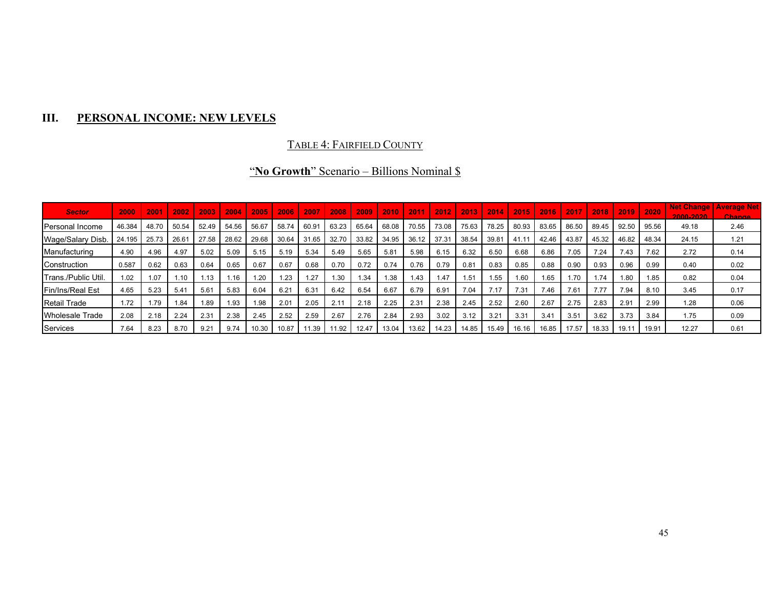#### **III.PERSONAL INCOME: NEW LEVELS**

## TABLE 4: FAIRFIELD COUNTY

# "**No Growth**" Scenario – Billions Nominal \$

| <b>Sector</b>            | 2000   | <b>2001</b> | 2002          | 2003  | 2004  | 2005  | 2006          | 2007  | 2008  | 2009  | 2010  | 2011  | 2012  | 2013  | 2014  | 2015  | 2016  | 2017          | 2018  |       | 2019 2020 | <b>Net Change</b><br>2000-<br>ാറാറ | Change |
|--------------------------|--------|-------------|---------------|-------|-------|-------|---------------|-------|-------|-------|-------|-------|-------|-------|-------|-------|-------|---------------|-------|-------|-----------|------------------------------------|--------|
| <b>Personal Income</b>   | 46.384 | 48.70       | 50.54         | 52.49 | 54.56 | 56.67 | 58.74         | 60.91 | 63.23 | 65.64 | 68.08 | 70.55 | 73.08 | 75.63 | 78.25 | 80.93 | 83.65 | 86.50         | 89.45 | 92.50 | 95.56     | 49.18                              | 2.46   |
| Wage/Salary Disb.        | 24.195 | 25.73       | 26.61         | 27.58 | 28.62 | 29.68 | 30.64         | 31.65 | 32.70 | 33.82 | 34.95 | 36.12 | 37.31 | 38.54 | 39.81 | 41.1  | 42.46 | 43.87         | 45.32 | 46.82 | 48.34     | 24.15                              | 1.21   |
| Manufacturing            | 4.90   | 4.96        | 4.97          | 5.02  | 5.09  | 5.15  | 5.19          | 5.34  | 5.49  | 5.65  | 5.81  | 5.98  | 6.15  | 6.32  | 6.50  | 6.68  | 6.86  | 7.05          | 7.24  | 7.43  | 7.62      | 2.72                               | 0.14   |
| Construction             | 0.587  | 0.62        | 0.63          | 0.64  | 0.65  | 0.67  | 0.67          | 0.68  | 0.70  | 0.72  | 0.74  | 0.76  | 0.79  | 0.81  | 0.83  | 0.85  | 0.88  | 0.90          | 0.93  | 0.96  | 0.99      | 0.40                               | 0.02   |
| Trans./Public Util.      | .02    | 1.07        | 1.10          | 1.13  | .16   | 1.20  | 1.23          | 1.27  | l.30  | 1.34  | 1.38  | 1.43  | 1.47  | 1.51  | 1.55  | 1.60  | 1.65  | 1.70          | 1.74  | .80   | 1.85      | 0.82                               | 0.04   |
| <b>IFin/Ins/Real Est</b> | 4.65   | 5.23        | $5.4^{\circ}$ | 5.61  | 5.83  | 6.04  | 6.21          | 6.31  | 6.42  | 6.54  | 6.67  | 6.79  | 6.91  | 7.04  | 7.17  | 31.'  | 7.46  | 7.61          | 7.77  | 7.94  | 8.10      | 3.45                               | 0.17   |
| <b>Retail Trade</b>      | 1.72   | 1.79        | 1.84          | 1.89  | 1.93  | 1.98  | $2.0^{\circ}$ | 2.05  | 2.11  | 2.18  | 2.25  | 2.31  | 2.38  | 2.45  | 2.52  | 2.60  | 2.67  | 2.75          | 2.83  | 2.91  | 2.99      | 1.28                               | 0.06   |
| Wholesale Trade          | 2.08   | 2.18        | 2.24          | 2.31  | 2.38  | 2.45  | 2.52          | 2.59  | 2.67  | 2.76  | 2.84  | 2.93  | 3.02  | 3.12  | 3.21  | 3.31  | 3.41  | $3.5^{\circ}$ | 3.62  | 3.73  | 3.84      | 1.75                               | 0.09   |
| Services                 | 7.64   | 8.23        | 8.70          | 9.21  | 9.74  | 10.30 | 10.87         | 11.39 | 11.92 | 12.47 | 13.04 | 13.62 | 14.23 | 14.85 | 15.49 | 16.16 | 16.85 | 17.57         | 18.33 | 19.1  | 19.91     | 12.27                              | 0.61   |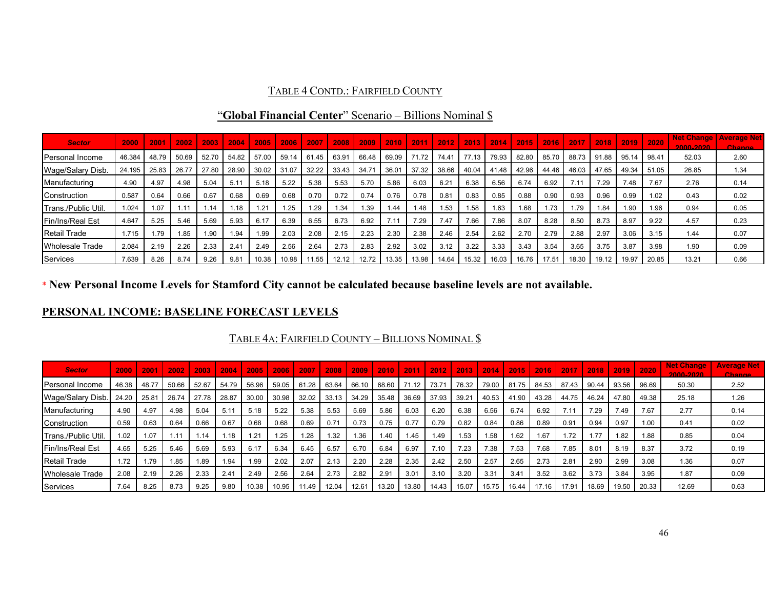## TABLE 4 CONTD.: FAIRFIELD COUNTY

## "**Global Financial Center**" Scenario – Billions Nominal \$

| <b>Sector</b>           | 2000   | 2001  | 2002  | 2003  | 2004  | 2005  | 2006  | 2007  | 2008  | 2009  | 2010  | 2011  | 2012  | 2013  | 2014  | 2015  | 2016  | 2017  | 2018  | 2019  | 2020  | <b>Net Change</b><br>2000-2020 | <b>Average Net</b><br>Channe |
|-------------------------|--------|-------|-------|-------|-------|-------|-------|-------|-------|-------|-------|-------|-------|-------|-------|-------|-------|-------|-------|-------|-------|--------------------------------|------------------------------|
| <b>Personal Income</b>  | 46.384 | 48.79 | 50.69 | 52.70 | 54.82 | 57.00 | 59.14 | 61.45 | 63.91 | 66.48 | 69.09 | 71.72 | 74.41 | 77.13 | 79.93 | 82.80 | 85.70 | 88.73 | 91.88 | 95.14 | 98.41 | 52.03                          | 2.60                         |
| Wage/Salary Disb.       | 24.195 | 25.83 | 26.77 | 27.80 | 28.90 | 30.02 | 31.07 | 32.22 | 33.43 | 34.71 | 36.01 | 37.32 | 38.66 | 40.04 | 41.48 | 42.96 | 44.46 | 46.03 | 47.65 | 49.34 | 51.05 | 26.85                          | 1.34                         |
| Manufacturing           | 4.90   | 4.97  | 4.98  | 5.04  | 5.11  | 5.18  | 5.22  | 5.38  | 5.53  | 5.70  | 5.86  | 6.03  | 6.21  | 6.38  | 6.56  | 6.74  | 6.92  | 7.11  | 7.29  | 7.48  | 7.67  | 2.76                           | 0.14                         |
| Construction            | 0.587  | 0.64  | 0.66  | 0.67  | 0.68  | 0.69  | 0.68  | 0.70  | 0.72  | 0.74  | 0.76  | 0.78  | 0.81  | 0.83  | 0.85  | 0.88  | 0.90  | 0.93  | 0.96  | 0.99  | 1.02  | 0.43                           | 0.02                         |
| Trans./Public Util.     | .024   | 1.07  | 1.11  | .14   | i.18  | 1.21  | 1.25  | 1.29  | .34   | 1.39  | 1.44  | 1.48  | 1.53  | 1.58  | 1.63  | 86.1  | 1.73  | 1.79  | 1.84  | 1.90  | 1.96  | 0.94                           | 0.05                         |
| <b>Fin/Ins/Real Est</b> | 4.647  | 5.25  | 5.46  | 5.69  | 5.93  | 6.17  | 6.39  | 6.55  | 6.73  | 6.92  | 7.11  | 7.29  | 7.47  | 7.66  | 7.86  | 8.07  | 8.28  | 8.50  | 8.73  | 8.97  | 9.22  | 4.57                           | 0.23                         |
| Retail Trade            | 1.715  | 1.79  | 1.85  | 1.90  | 1.94  | 1.99  | 2.03  | 2.08  | 2.15  | 2.23  | 2.3C  | 2.38  | 2.46  | 2.54  | 2.62  | 2.70  | 2.79  | 2.88  | 2.97  | 3.06  | 3.15  | 1.44                           | 0.07                         |
| Wholesale Trade         | 2.084  | 2.19  | 2.26  | 2.33  | 2.41  | 2.49  | 2.56  | 2.64  | 2.73  | 2.83  | 2.92  | 3.02  | 3.12  | 3.22  | 3.33  | 3.43  | 3.54  | 3.65  | 3.75  | 3.87  | 3.98  | 1.90                           | 0.09                         |
| Services                | 7.639  | 8.26  | 8.74  | 9.26  | 9.81  | 10.38 | 10.98 | 11.55 |       | 12.72 | 13.35 | 13.98 | 14.64 | 15.32 | 16.03 | 16.76 | 17.51 | 18.30 | 19.12 | 19.97 | 20.85 | 13.21                          | 0.66                         |

\* **New Personal Income Levels for Stamford City cannot be calculated because baseline levels are not available.** 

## **PERSONAL INCOME: BASELINE FORECAST LEVELS**

| TABLE 4A: FAIRFIELD COUNTY – BILLIONS NOMINAL \$ |  |
|--------------------------------------------------|--|
|--------------------------------------------------|--|

| <b>Sector</b>          | 2000  | 2001  | 2002  | 2003  | 2004          | 2005  | 2006  | 2007  | 2008        | 2009        | 2010  | 2011        | 2012  | 2013  | 2014  | 2015  | 2016  | 2017  | 2018  | 2019  | 2020  | Net Change<br>2000-2020 | <b>Average Net</b><br>Change |
|------------------------|-------|-------|-------|-------|---------------|-------|-------|-------|-------------|-------------|-------|-------------|-------|-------|-------|-------|-------|-------|-------|-------|-------|-------------------------|------------------------------|
| Personal Income        | 46.38 | 48.77 | 50.66 | 52.67 | 54.79         | 56.96 | 59.05 |       | 61.28 63.64 | 66.10 68.60 |       | 71.12 73.71 |       | 76.32 | 79.00 | 81.75 | 84.53 | 87.43 | 90.44 | 93.56 | 96.69 | 50.30                   | 2.52                         |
| Wage/Salary Disb.      | 24.20 | 25.81 | 26.74 | 27.78 | 28.87         | 30.00 | 30.98 | 32.02 | 33.13       | 34.29       | 35.48 | 36.69       | 37.93 | 39.21 | 40.53 | 41.90 | 43.28 | 44.75 | 46.24 | 47.80 | 49.38 | 25.18                   | 1.26                         |
| Manufacturing          | 4.90  | 4.97  | 4.98  | 5.04  | $5.1^{\circ}$ | 5.18  | 5.22  | 5.38  | 5.53        | 5.69        | 5.86  | 6.03        | 6.20  | 6.38  | 6.56  | 6.74  | 6.92  | 7.11  | 7.29  | 7.49  | 7.67  | 2.77                    | 0.14                         |
| Construction           | 0.59  | 0.63  | 0.64  | 0.66  | 0.67          | 0.68  | 0.68  | 0.69  | 0.71        | 0.73        | 0.75  | 0.77        | 0.79  | 0.82  | 0.84  | 0.86  | 0.89  | 0.91  | 0.94  | 0.97  | 1.00  | 0.41                    | 0.02                         |
| Trans./Public Util.    | 1.02  | 1.07  | .11   | 1.14  | 1.18          | 1.21  | .25   | 1.28  | 1.32        | 1.36        | .40   | 1.45        | 1.49  | 1.53  | 1.58  | 1.62  | 1.67  | .72   | .77   | 1.82  | 1.88  | 0.85                    | 0.04                         |
| Fin/Ins/Real Est       | 4.65  | 5.25  | 5.46  | 5.69  | 5.93          | 6.17  | 6.34  | 6.45  | 6.57        | 6.70        | 6.84  | 6.97        | 7.10  | 7.23  | 7.38  | 7.53  | 7.68  | 7.85  | 8.01  | 8.19  | 8.37  | 3.72                    | 0.19                         |
| Retail Trade           | 1.72  | 1.79  | .85   | 1.89  | 1.94          | 1.99  | 2.02  | 2.07  | 2.13        | 2.20        | 2.28  | 2.35        | 2.42  | 2.50  | 2.57  | 2.65  | 2.73  | 2.81  | 2.90  | 2.99  | 3.08  | 1.36                    | 0.07                         |
| <b>Wholesale Trade</b> | 2.08  | 2.19  | 2.26  | 2.33  | $2.4^{\circ}$ | 2.49  | 2.56  | 2.64  | 2.73        | 2.82        | 2.91  | 3.01        | 3.10  | 3.20  | 3.31  | 3.41  | 3.52  | 3.62  | 3.73  | 3.84  | 3.95  | 1.87                    | 0.09                         |
| Services               | 7.64  | 8.25  | 8.73  | 9.25  | 9.80          | 10.38 | 10.95 | 11.49 | 12.04       | 12.61       | 13.20 | 13.80       | 14.43 | 15.07 | 15.75 | 16.44 | 17.16 | 17.91 | 18.69 | 19.50 | 20.33 | 12.69                   | 0.63                         |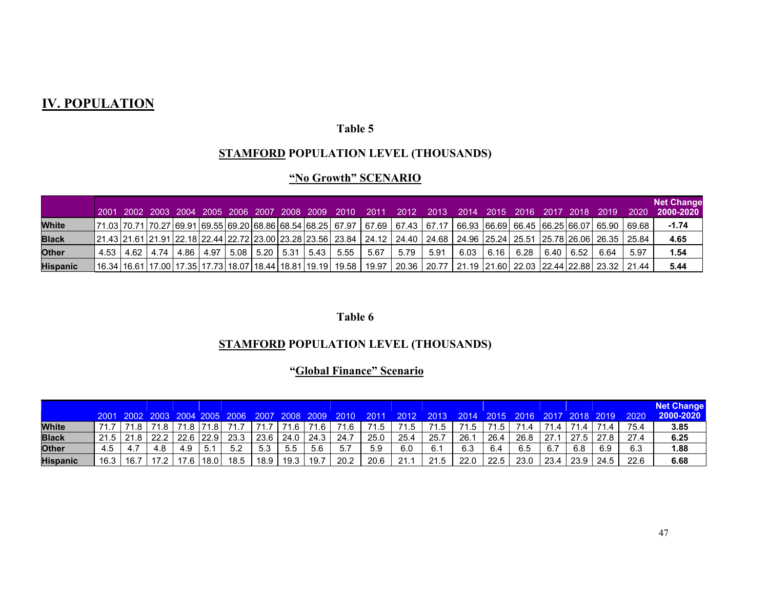# **IV. POPULATION**

#### **Table 5**

# **STAMFORD POPULATION LEVEL (THOUSANDS)**

### **"No Growth" SCENARIO**

|                 |  |                    |                                  |  |  |      |                                                              |                                                                                                                                                   |                                                                       |      |                    |      |      |           |      |        |      | <b>Net Change</b> |
|-----------------|--|--------------------|----------------------------------|--|--|------|--------------------------------------------------------------|---------------------------------------------------------------------------------------------------------------------------------------------------|-----------------------------------------------------------------------|------|--------------------|------|------|-----------|------|--------|------|-------------------|
|                 |  |                    |                                  |  |  |      | 2001 2002 2003 2004 2005 2006 2007 2008 2009 2010            | 2011                                                                                                                                              | $\sqrt{2012}$                                                         | 2013 | l 2014 2015 2016 i |      |      | 2017 2018 |      | '2019. | 2020 | 2000-2020         |
| White           |  |                    |                                  |  |  |      |                                                              | <u> 71.03 70.71 70.27 69.91 69.55 69.20 68.86 68.54 68.25  67.97   67.69   67.43   67.17   66.93  66.69  66.45  66.25 66.07  65.90   69.68   </u> |                                                                       |      |                    |      |      |           |      |        |      | $-1.74$           |
| <b>Black</b>    |  |                    |                                  |  |  |      |                                                              | 25.84 21.43 21.61 21.91 22.18 22.44 22.72 23.00 23.28 23.56 23.84 24.12 24.40 24.68 24.96 25.24 25.51 25.78 26.06 26.35 25.84                     |                                                                       |      |                    |      |      |           |      |        |      | 4.65              |
| <b>Other</b>    |  | 4.53   4.62   4.74 | 4.86   4.97   5.08   5.20   5.31 |  |  | 5.43 | 5.55                                                         | 5.67                                                                                                                                              | 5.79                                                                  | 5.91 | 6.03               | 6.16 | 6.28 | 6.40      | 6.52 | 6.64   | 5.97 | 1.54              |
| <b>Hispanic</b> |  |                    |                                  |  |  |      | 16.34 16.61 17.00 17.35 17.73 18.07 18.44 18.81 19.19  19.58 | 19.97 I                                                                                                                                           | 20.36   20.77   21.19   21.60   22.03   22.44   22.88   23.32   21.44 |      |                    |      |      |           |      |        |      | 5.44              |

#### **Table 6**

## **STAMFORD POPULATION LEVEL (THOUSANDS)**

### **"Global Finance" Scenario**

|                 |        |      |        |        |      |      |      |      |      | 2001 2002 2003 2004 2005 2006 2007 2008 2009 2010 | -2011 | 2012 | 2013 | 2014 |      | 2015 2016 2017 2018 2019 |      |          |        | 2020 | <b>Net Change</b><br>2000-2020 |
|-----------------|--------|------|--------|--------|------|------|------|------|------|---------------------------------------------------|-------|------|------|------|------|--------------------------|------|----------|--------|------|--------------------------------|
| White           | 71.7 L | 71.8 | 71.8 I | 71.8   | 71.8 |      |      | 71.6 | 71.6 | 71.6                                              | 1.5   | 71.5 | 71.5 | 1.5  |      | $.4 -$                   |      | $71.4$ I | 714    | 75.4 | 3.85                           |
| <b>Black</b>    | 21.5   | 21.8 | 22.2   | 22 6 I | 22.9 | 23.3 | 23.6 | 24.0 | 24.3 | 24.7                                              | 25.0  | 25.4 | 25.7 | 26.  | 26.4 | 26.8                     | 27.  | $27.5$ 1 | 27.8 l | 27.4 | 6.25                           |
| <b>Other</b>    |        | -4.7 |        | 4.9    | -5.1 | 5.2  | 5.3  | 5.5  | 5.6  | 5.7                                               | 5.9   | 6.0  | 6.1  | 6.3  | 6.4  | 6.5                      | 6.7  | 6.8      |        | 6.3  | 1.88                           |
| <b>Hispanic</b> | 16.3   | 16.  |        |        | 18.0 | 18.5 | 18.9 | 19.3 | 19.  | 20.2                                              | 20.6  | 21.  | 21.5 | 22.0 | 22.5 | 23.0                     | 23.4 | 23.9     | 24.5   | 22.6 | 6.68                           |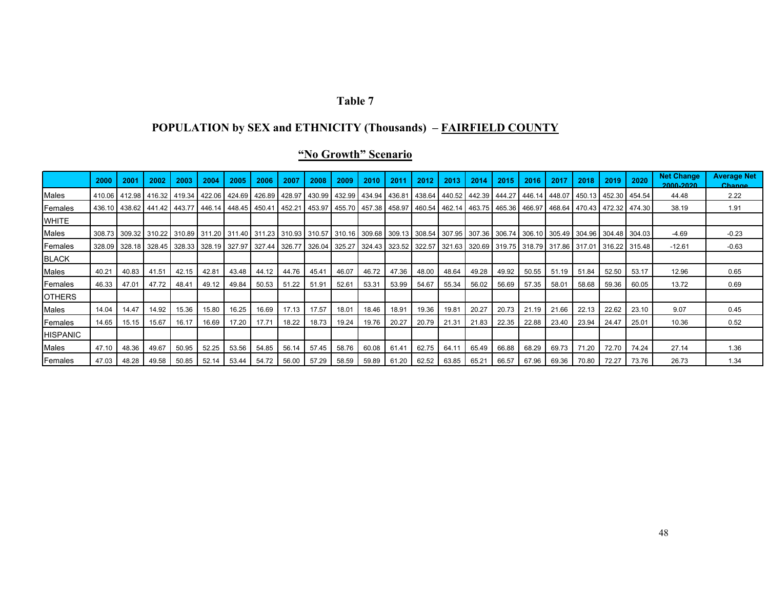# **POPULATION by SEX and ETHNICITY (Thousands) – FAIRFIELD COUNTY**

#### **"No Growth" Scenario**

|                 | 2000  | 2001  | 2002  | 2003        | 2004                                                                                                                                                                        | 2005                          | 2006  | 2007  | 2008  | 2009  | 2010  | 2011        | 2012  | 2013        | 2014  | 2015  | 2016          | 2017  | 2018  | 2019  | 2020  | <b>Net Change</b><br>2000-2020 | <b>Average Net</b><br>Change |
|-----------------|-------|-------|-------|-------------|-----------------------------------------------------------------------------------------------------------------------------------------------------------------------------|-------------------------------|-------|-------|-------|-------|-------|-------------|-------|-------------|-------|-------|---------------|-------|-------|-------|-------|--------------------------------|------------------------------|
| Males           |       |       |       |             | 410.06 412.98 416.32 416.32 419.34 422.06 424.69 426.89 428.97 430.99 432.99 434.94 436.81 438.64 440.52 442.39 444.27 446.14 448.07 450.13 452.30 454.54                   |                               |       |       |       |       |       |             |       |             |       |       |               |       |       |       |       | 44.48                          | 2.22                         |
| Females         |       |       |       |             | 43.77 443.77 446.14 472.32 474.30 458.97 466.97 460.54 462.97 458.97 457.38 458.97 457.38 458.97 460.54 462.14 463.75 465.36 466.97 468.64 470.43 472.32 474.30             |                               |       |       |       |       |       |             |       |             |       |       |               |       |       |       |       | 38.19                          | 1.91                         |
| <b>WHITE</b>    |       |       |       |             |                                                                                                                                                                             |                               |       |       |       |       |       |             |       |             |       |       |               |       |       |       |       |                                |                              |
| Males           |       |       |       |             | 304.48 304.48 304.48 304.48 304.48 304.48 304.48 305 310.57 310.93 310.57 310.16 309.68 309.13 308.54 307.95 307.95 307.36 306.74 306.10 305.49 304.96 304.48 304.48 304.03 |                               |       |       |       |       |       |             |       |             |       |       |               |       |       |       |       | $-4.69$                        | $-0.23$                      |
| Females         |       |       |       |             | 328.09 328.18 328.45 328.45 328.33 328.19 327.97 327.44 326.77 326.04 325.27 324.43 323.52 322.57 321.63 320.69 319.75 318.79 317.06 317.01 316.22 315.48                   |                               |       |       |       |       |       |             |       |             |       |       |               |       |       |       |       | $-12.61$                       | $-0.63$                      |
| <b>BLACK</b>    |       |       |       |             |                                                                                                                                                                             |                               |       |       |       |       |       |             |       |             |       |       |               |       |       |       |       |                                |                              |
| Males           | 40.21 | 40.83 | 41.51 | 42.15       | 42.81                                                                                                                                                                       | 43.48                         | 44.12 | 44.76 | 45.41 | 46.07 | 46.72 | 47.36       | 48.00 | 48.64       | 49.28 |       | 49.92 50.55   | 51.19 | 51.84 | 52.50 | 53.17 | 12.96                          | 0.65                         |
| Females         | 46.33 | 47.01 | 47.72 | 48.41       | 49.12                                                                                                                                                                       | 49.84                         | 50.53 | 51.22 | 51.91 | 52.61 | 53.31 | 53.99       | 54.67 | 55.34       | 56.02 |       | 56.69   57.35 | 58.01 | 58.68 | 59.36 | 60.05 | 13.72                          | 0.69                         |
| <b>OTHERS</b>   |       |       |       |             |                                                                                                                                                                             |                               |       |       |       |       |       |             |       |             |       |       |               |       |       |       |       |                                |                              |
| Males           | 14.04 | 14.47 | 14.92 | 15.36       | 15.80                                                                                                                                                                       | 16.25                         | 16.69 | 17.13 | 17.57 | 18.01 | 18.46 | 18.91       | 19.36 | 19.81       | 20.27 | 20.73 | 21.19         | 21.66 | 22.13 | 22.62 | 23.10 | 9.07                           | 0.45                         |
| Females         | 14.65 | 15.15 | 15.67 | 16.17       | 16.69                                                                                                                                                                       | 17.20                         | 17.71 | 18.22 | 18.73 | 19.24 | 19.76 | 20.27       | 20.79 | 21.31       | 21.83 | 22.35 | 22.88         | 23.40 | 23.94 | 24.47 | 25.01 | 10.36                          | 0.52                         |
| <b>HISPANIC</b> |       |       |       |             |                                                                                                                                                                             |                               |       |       |       |       |       |             |       |             |       |       |               |       |       |       |       |                                |                              |
| Males           | 47.10 | 48.36 | 49.67 | 50.95       | 52.25                                                                                                                                                                       | 53.56                         | 54.85 | 56.14 | 57.45 | 58.76 | 60.08 | 61.41       | 62.75 | 64.11       | 65.49 | 66.88 | 68.29         | 69.73 | 71.20 | 72.70 | 74.24 | 27.14                          | 1.36                         |
| Females         | 47.03 | 48.28 |       | 49.58 50.85 |                                                                                                                                                                             | 52.14 53.44 54.72 56.00 57.29 |       |       |       | 58.59 |       | 59.89 61.20 | 62.52 | 63.85 65.21 |       |       | 66.57 67.96   | 69.36 | 70.80 | 72.27 | 73.76 | 26.73                          | 1.34                         |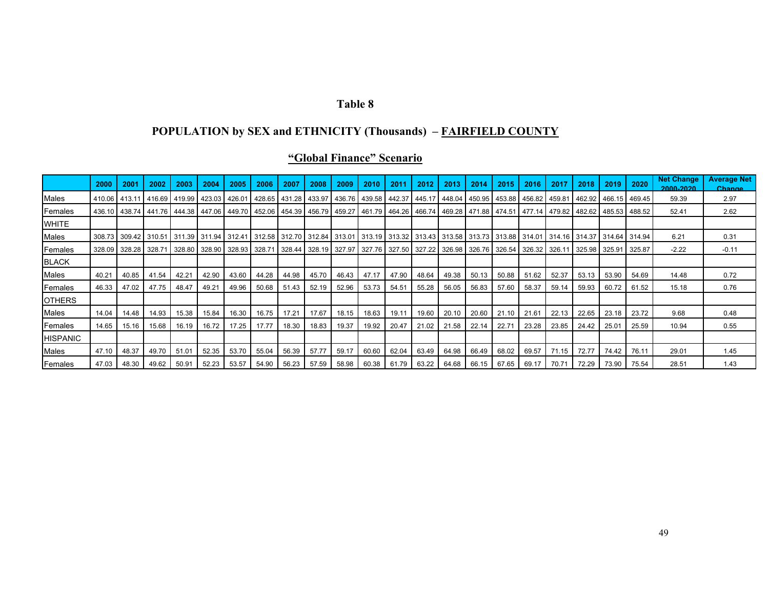# **POPULATION by SEX and ETHNICITY (Thousands) – FAIRFIELD COUNTY**

#### **"Global Finance" Scenario**

|                 | 2000  | 2001  | 2002    | 2003        | 2004                                                                                                                                                                                                                           | 2005  | 2006  | 2007  | 2008  | 2009  | 2010        | 2011  | 2012  | 2013  | 2014    | 2015                                                                          | 2016        | 2017  | 2018    | 2019  | 2020  | <b>Net Change</b><br>$2000 - 2020$ | <b>Average Net</b><br>Change |
|-----------------|-------|-------|---------|-------------|--------------------------------------------------------------------------------------------------------------------------------------------------------------------------------------------------------------------------------|-------|-------|-------|-------|-------|-------------|-------|-------|-------|---------|-------------------------------------------------------------------------------|-------------|-------|---------|-------|-------|------------------------------------|------------------------------|
| Males           |       |       |         |             | 410.06 413.11 416.69 419.99 423.03 426.01 428.65 431.28 433.97 436.76 439.58 442.37 445.17 448.04 450.95 453.88 456.82 456.82 459.81 462.92 466.15 469.45                                                                      |       |       |       |       |       |             |       |       |       |         |                                                                               |             |       |         |       |       | 59.39                              | 2.97                         |
| Females         |       |       |         |             | 48.52 485.52 482.62 484.78 471.88 471.88 471.88 471.18 471.18 471.18 471.88 471.18 479.82 484.52 485.53 488.52 485.53 488.52 485.53 488.52 485.53 488.52 485.53 488.52 485.53 488.52 485.53 488.52 485.53 488.52 485.53 488.52 |       |       |       |       |       |             |       |       |       |         |                                                                               |             |       |         |       |       | 52.41                              | 2.62                         |
| <b>WHITE</b>    |       |       |         |             |                                                                                                                                                                                                                                |       |       |       |       |       |             |       |       |       |         |                                                                               |             |       |         |       |       |                                    |                              |
| Males           |       |       |         |             | 308.73 309.42 310.51 311.39 311.94 312.41 312.58 312.70 312.84 313.01 313.19 313.32 313.43 313.58 313.73 313.88 314.01 314.16 314.37 314.46 314.37 314.64                                                                      |       |       |       |       |       |             |       |       |       |         |                                                                               |             |       |         |       |       | 6.21                               | 0.31                         |
| Females         |       |       |         |             | 328.08 328.28 328.71 328.80 328.90 328.93 328.71 328.44 328.19 327.97 327.76 327.50 327.50 327.22 326.98 326.76 326.54 326.54 326.32 326.11 325.98 325.91 325.91                                                               |       |       |       |       |       |             |       |       |       |         |                                                                               |             |       |         |       |       | $-2.22$                            | $-0.11$                      |
| <b>BLACK</b>    |       |       |         |             |                                                                                                                                                                                                                                |       |       |       |       |       |             |       |       |       |         |                                                                               |             |       |         |       |       |                                    |                              |
| Males           | 40.21 | 40.85 | 41.54   | 42.21       | 42.90                                                                                                                                                                                                                          | 43.60 | 44.28 | 44.98 | 45.70 | 46.43 | 47.17       | 47.90 | 48.64 | 49.38 | $50.13$ |                                                                               | 50.88 51.62 | 52.37 | 53.13   | 53.90 | 54.69 | 14.48                              | 0.72                         |
| Females         | 46.33 | 47.02 | 47.75   | 48.47       | 49.21                                                                                                                                                                                                                          | 49.96 | 50.68 | 51.43 | 52.19 | 52.96 | 53.73       | 54.51 | 55.28 | 56.05 | 56.83   | 57.60                                                                         | 158.37      | 59.14 | 59.93 1 | 60.72 | 61.52 | 15.18                              | 0.76                         |
| <b>OTHERS</b>   |       |       |         |             |                                                                                                                                                                                                                                |       |       |       |       |       |             |       |       |       |         |                                                                               |             |       |         |       |       |                                    |                              |
| Males           | 14.04 | 14.48 | 14.93   | 15.38       | 15.84                                                                                                                                                                                                                          | 16.30 | 16.75 | 17.21 | 17.67 | 18.15 | 18.63       | 19.11 | 19.60 | 20.10 | 20.60   | 21.10 21.61                                                                   |             | 22.13 | 22.65   | 23.18 | 23.72 | 9.68                               | 0.48                         |
| Females         | 14.65 | 15.16 | 15.68 l | 16.19       | 16.72                                                                                                                                                                                                                          | 17.25 | 17.77 | 18.30 | 18.83 | 19.37 | 19.92       | 20.47 | 21.02 | 21.58 | 22.14   | 22.71                                                                         | 23.28       | 23.85 | 24.42   | 25.01 | 25.59 | 10.94                              | 0.55                         |
| <b>HISPANIC</b> |       |       |         |             |                                                                                                                                                                                                                                |       |       |       |       |       |             |       |       |       |         |                                                                               |             |       |         |       |       |                                    |                              |
| Males           | 47.10 | 48.37 |         | 49.70 51.01 | 52.35                                                                                                                                                                                                                          | 53.70 | 55.04 | 56.39 | 57.77 | 59.17 | 60.60 62.04 |       | 63.49 | 64.98 | 66.49   | 68.02 69.57                                                                   |             | 71.15 | 72.77   | 74.42 | 76.11 | 29.01                              | 1.45                         |
| Females         | 47.03 | 48.30 |         | 49.62 50.91 | 52.23                                                                                                                                                                                                                          | 53.57 | 54.90 |       |       |       |             |       |       |       |         | 56.23   57.59   58.98   60.38   61.79   63.22   64.68   66.15   67.65   69.17 |             | 70.71 | 72.29   | 73.90 | 75.54 | 28.51                              | 1.43                         |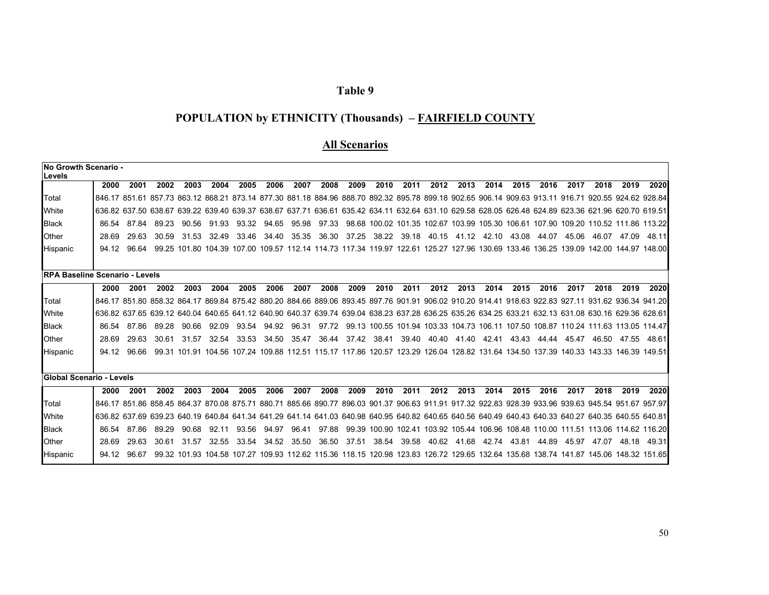# **POPULATION by ETHNICITY (Thousands) – FAIRFIELD COUNTY**

#### **All Scenarios**

| No Growth Scenario -                   |                      |        |                                    |               |                     |        |            |            |                                                                                            |                                                                       |        |        |       |               |       |       |                      |        |            |                                                                                                                                                    |        |
|----------------------------------------|----------------------|--------|------------------------------------|---------------|---------------------|--------|------------|------------|--------------------------------------------------------------------------------------------|-----------------------------------------------------------------------|--------|--------|-------|---------------|-------|-------|----------------------|--------|------------|----------------------------------------------------------------------------------------------------------------------------------------------------|--------|
| <b>Levels</b>                          | 2000                 | 2001   | 2002                               | 2003          | 2004                | 2005   | 2006       | 2007       | 2008                                                                                       | 2009                                                                  | 2010   | 2011   | 2012  | 2013          | 2014  | 2015  | 2016                 | 2017   | 2018       | 2019                                                                                                                                               | 2020   |
| Total                                  | 846.17               | 851.61 | 857.73                             | 863.12 868.21 |                     | 873.14 | 877.30     |            | 881 18 884 96                                                                              | 888.70 892.32 895.78 899.18 902.65 906.14                             |        |        |       |               |       |       | 909.63 913.11 916.71 |        | 920.55     | 924.62 928.84                                                                                                                                      |        |
| White                                  | 636.82 637.50 638.67 |        |                                    |               | 639 22 639 40       | 639.37 | 638.67     | 637 71     | 636.61                                                                                     |                                                                       |        |        |       |               |       |       |                      |        |            | 635.42 634.11 632.64 631.10 629.58 628.05 626.48 624.89 623.36 621.96 620.70 619.51                                                                |        |
| <b>Black</b>                           | 86.54                | 87.84  | 89.23                              | 90.56         | 91<br>.93           | 93.32  | 94.65      | .98<br>95. | 97.33                                                                                      |                                                                       |        |        |       |               |       |       |                      |        |            | 98.68 100.02 101.35 102.67 103.99 105.30 106.61 107.90 109.20 110.52 111.86 113.22                                                                 |        |
| Other                                  | 28.69                | 29.63  | 30.59                              | 31.53         | 32.49               | 33.46  | 34.40      | 35.35      | 36.30                                                                                      | 37.25                                                                 | 38.22  | 39.18  | 40.15 | 41.12         | 42.10 | 43.08 | 44.07                | 45.06  | 46.07      | 47.09                                                                                                                                              | 48.11  |
| Hispanic                               | 94.12                | 96.64  |                                    |               |                     |        |            |            |                                                                                            |                                                                       |        |        |       |               |       |       |                      |        |            | 99.25 101.80 104.39 107.00 109.57 112.14 114.73 117.34 119.97 122.61 125.27 127.96 130.69 133.46 136.25 139.09 142.00 144.97 148.00                |        |
| <b>IRPA Baseline Scenario - Levels</b> |                      |        |                                    |               |                     |        |            |            |                                                                                            |                                                                       |        |        |       |               |       |       |                      |        |            |                                                                                                                                                    |        |
|                                        | 2000                 | 2001   | 2002                               | 2003          | 2004                | 2005   | 2006       | 2007       | 2008                                                                                       | 2009                                                                  | 2010   | 2011   | 2012  | 2013          | 2014  | 2015  | 2016                 | 2017   | 2018       | 2019                                                                                                                                               | 2020   |
| Total                                  |                      |        | 846.17 851.80 858.32 864.17 869.84 |               |                     |        |            |            | 875.42 880.20 884.66 889.06 893.45 897.76 901.91 906.02 910.20 914.41 918.63 922.83 927.11 |                                                                       |        |        |       |               |       |       |                      |        |            | 931.62 936.34                                                                                                                                      | 941.20 |
| White                                  |                      |        |                                    |               |                     |        |            |            |                                                                                            |                                                                       |        |        |       |               |       |       |                      |        |            | 636.82 637.65 639.12 640.04 640.65 641.12 640.90 640.37 639.74 639.04 638.23 637.28 636.25 635.26 634.25 633.21 632.13 631.08 630.16 629.36 628.61 |        |
| Black                                  | 86.54                | 87.86  | 89.28                              | 90.66         | 92.09               | 93.54  | 94.92      | 31<br>96.  | 97.72                                                                                      |                                                                       |        |        |       |               |       |       |                      |        |            | 99.13 100.55 101.94 103.33 104.73 106.11 107.50 108.87 110.24 111.63 113.05 114.47                                                                 |        |
| <b>Other</b>                           | 28.69                | 29.63  | 30.61                              | 31.57         | 32.54               | 33.53  | 34.50      | 35.47      | 36.44                                                                                      | 37.42                                                                 | 38.41  | 39.40  | 40.40 | 41.40         | 42.41 | 43.43 | 44.44                | 45.47  | 46.50      | 47.55                                                                                                                                              | 48.61  |
| Hispanic                               | 94.12                | 96.66  | 99.31                              |               | 101.91 104.56       | 107.24 |            |            |                                                                                            |                                                                       |        |        |       |               |       |       |                      |        |            | 109.88 112.51 115.17 117.86 120.57 123.29 126.04 128.82 131.64 134.50 137.39 140.33 143.33 146.39 149.51                                           |        |
| <b>Global Scenario - Levels</b>        |                      |        |                                    |               |                     |        |            |            |                                                                                            |                                                                       |        |        |       |               |       |       |                      |        |            |                                                                                                                                                    |        |
|                                        | 2000                 | 2001   | 2002                               | 2003          | 2004                | 2005   | 2006       | 2007       | 2008                                                                                       | 2009                                                                  | 2010   | 2011   | 2012  | 2013          | 2014  | 2015  | 2016                 | 2017   | 2018       | 2019                                                                                                                                               | 2020   |
| Total                                  |                      |        | 846.17 851.86 858.45 864.37 870.08 |               |                     | 875.71 | 880.71     |            | 885.66 890.77                                                                              | 896.03 901.37 906.63 911.91 917.32 922.83 928.39 933.96 939.63 945.54 |        |        |       |               |       |       |                      |        |            | 951.67 957.97                                                                                                                                      |        |
| White                                  | 636.82 637.69 639.23 |        |                                    |               | 640.19 640.84       | 641.34 | .29<br>641 | 641.14     | 641.03                                                                                     |                                                                       |        |        |       |               |       |       |                      |        |            | 640.98 640.95 640.82 640.65 640.56 640.49 640.43 640.33 640.27 640.35 640.55 640.81                                                                |        |
| <b>Black</b>                           | 86.54                | 87.86  | 89.<br>.29                         | 90.68         | 92                  | 93.56  | 94.97      | 96.41      | 97.88                                                                                      | 99.39                                                                 | 100.90 | 102.41 |       | 103.92 105.44 |       |       | 106.96 108.48 110.00 | 111.51 | 113.06     | 114.62 116.20                                                                                                                                      |        |
| <b>Other</b>                           | 28.69                | 29.63  | 30.61                              | 31.57         | 32<br>.55           | 33.54  | 34.<br>.52 | 35.50      | 36.50                                                                                      | 37.51                                                                 | 38.54  | 39.58  | 40.62 | .68<br>41     | 42.74 | 43.81 | .89<br>44.           | 45.97  | 47<br>' 07 | 48.18                                                                                                                                              | 49.31  |
| Hispanic                               | 94.12                | 96.67  |                                    |               | 99.32 101.93 104.58 | 107.27 |            |            | 109.93 112.62 115.36 118.15 120.98 123.83 126.72 129.65 132.64 135.68 138.74               |                                                                       |        |        |       |               |       |       |                      | 141.87 | 145.06     | 148.32 151.65                                                                                                                                      |        |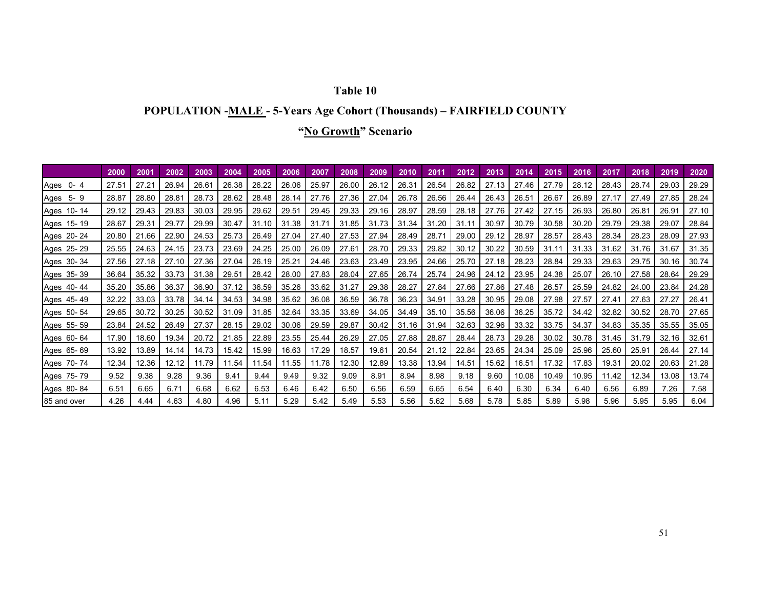# **POPULATION -MALE - 5-Years Age Cohort (Thousands) – FAIRFIELD COUNTY**

#### **"No Growth" Scenario**

|             | 2000  | 2001  | 2002  | 2003  | 2004  | 2005  | 2006  | 2007  | 2008  | 2009  | 2010  | 2011  | 2012  | 2013  | 2014  | 2015  | 2016  | 2017  | 2018  | 2019  | 2020  |
|-------------|-------|-------|-------|-------|-------|-------|-------|-------|-------|-------|-------|-------|-------|-------|-------|-------|-------|-------|-------|-------|-------|
| Ages 0-4    | 27.51 | 27.21 | 26.94 | 26.61 | 26.38 | 26.22 | 26.06 | 25.97 | 26.00 | 26.12 | 26.31 | 26.54 | 26.82 | 27.13 | 27.46 | 27.79 | 28.12 | 28.43 | 28.74 | 29.03 | 29.29 |
| Ages 5-9    | 28.87 | 28.80 | 28.81 | 28.73 | 28.62 | 28.48 | 28.14 | 27.76 | 27.36 | 27.04 | 26.78 | 26.56 | 26.44 | 26.43 | 26.51 | 26.67 | 26.89 | 27.17 | 27.49 | 27.85 | 28.24 |
| Ages 10-14  | 29.12 | 29.43 | 29.83 | 30.03 | 29.95 | 29.62 | 29.51 | 29.45 | 29.33 | 29.16 | 28.97 | 28.59 | 28.18 | 27.76 | 27.42 | 27.15 | 26.93 | 26.80 | 26.81 | 26.91 | 27.10 |
| Ages 15-19  | 28.67 | 29.31 | 29.77 | 29.99 | 30.47 | 31.10 | 31.38 | 31.71 | 31.85 | 31.73 | 31.34 | 31.20 | 31.11 | 30.97 | 30.79 | 30.58 | 30.20 | 29.79 | 29.38 | 29.07 | 28.84 |
| Ages 20-24  | 20.80 | 21.66 | 22.90 | 24.53 | 25.73 | 26.49 | 27.04 | 27.40 | 27.53 | 27.94 | 28.49 | 28.71 | 29.00 | 29.12 | 28.97 | 28.57 | 28.43 | 28.34 | 28.23 | 28.09 | 27.93 |
| Ages 25-29  | 25.55 | 24.63 | 24.15 | 23.73 | 23.69 | 24.25 | 25.00 | 26.09 | 27.61 | 28.70 | 29.33 | 29.82 | 30.12 | 30.22 | 30.59 | 31.11 | 31.33 | 31.62 | 31.76 | 31.67 | 31.35 |
| Ages 30-34  | 27.56 | 27.18 | 27.10 | 27.36 | 27.04 | 26.19 | 25.21 | 24.46 | 23.63 | 23.49 | 23.95 | 24.66 | 25.70 | 27.18 | 28.23 | 28.84 | 29.33 | 29.63 | 29.75 | 30.16 | 30.74 |
| Ages 35-39  | 36.64 | 35.32 | 33.73 | 31.38 | 29.51 | 28.42 | 28.00 | 27.83 | 28.04 | 27.65 | 26.74 | 25.74 | 24.96 | 24.12 | 23.95 | 24.38 | 25.07 | 26.10 | 27.58 | 28.64 | 29.29 |
| Ages 40-44  | 35.20 | 35.86 | 36.37 | 36.90 | 37.12 | 36.59 | 35.26 | 33.62 | 31.27 | 29.38 | 28.27 | 27.84 | 27.66 | 27.86 | 27.48 | 26.57 | 25.59 | 24.82 | 24.00 | 23.84 | 24.28 |
| Ages 45-49  | 32.22 | 33.03 | 33.78 | 34.14 | 34.53 | 34.98 | 35.62 | 36.08 | 36.59 | 36.78 | 36.23 | 34.91 | 33.28 | 30.95 | 29.08 | 27.98 | 27.57 | 27.41 | 27.63 | 27.27 | 26.41 |
| Ages 50-54  | 29.65 | 30.72 | 30.25 | 30.52 | 31.09 | 31.85 | 32.64 | 33.35 | 33.69 | 34.05 | 34.49 | 35.10 | 35.56 | 36.06 | 36.25 | 35.72 | 34.42 | 32.82 | 30.52 | 28.70 | 27.65 |
| Ages 55-59  | 23.84 | 24.52 | 26.49 | 27.37 | 28.15 | 29.02 | 30.06 | 29.59 | 29.87 | 30.42 | 31.16 | 31.94 | 32.63 | 32.96 | 33.32 | 33.75 | 34.37 | 34.83 | 35.35 | 35.55 | 35.05 |
| Ages 60-64  | 17.90 | 18.60 | 19.34 | 20.72 | 21.85 | 22.89 | 23.55 | 25.44 | 26.29 | 27.05 | 27.88 | 28.87 | 28.44 | 28.73 | 29.28 | 30.02 | 30.78 | 31.45 | 31.79 | 32.16 | 32.61 |
| Ages 65-69  | 13.92 | 13.89 | 14.14 | 14.73 | 15.42 | 15.99 | 16.63 | 17.29 | 18.57 | 19.61 | 20.54 | 21.12 | 22.84 | 23.65 | 24.34 | 25.09 | 25.96 | 25.60 | 25.91 | 26.44 | 27.14 |
| Ages 70-74  | 12.34 | 12.36 | 12.12 | 11.79 | 11.54 | 11.54 | 11.55 | 11.78 | 12.30 | 12.89 | 13.38 | 13.94 | 14.51 | 15.62 | 16.51 | 17.32 | 17.83 | 19.31 | 20.02 | 20.63 | 21.28 |
| Ages 75-79  | 9.52  | 9.38  | 9.28  | 9.36  | 9.41  | 9.44  | 9.49  | 9.32  | 9.09  | 8.91  | 8.94  | 8.98  | 9.18  | 9.60  | 10.08 | 10.49 | 10.95 | 11.42 | 12.34 | 13.08 | 13.74 |
| Ages 80-84  | 6.51  | 6.65  | 6.71  | 6.68  | 6.62  | 6.53  | 6.46  | 6.42  | 6.50  | 6.56  | 6.59  | 6.65  | 6.54  | 6.40  | 6.30  | 6.34  | 6.40  | 6.56  | 6.89  | 7.26  | 7.58  |
| 85 and over | 4.26  | 4.44  | 4.63  | 4.80  | 4.96  | 5.11  | 5.29  | 5.42  | 5.49  | 5.53  | 5.56  | 5.62  | 5.68  | 5.78  | 5.85  | 5.89  | 5.98  | 5.96  | 5.95  | 5.95  | 6.04  |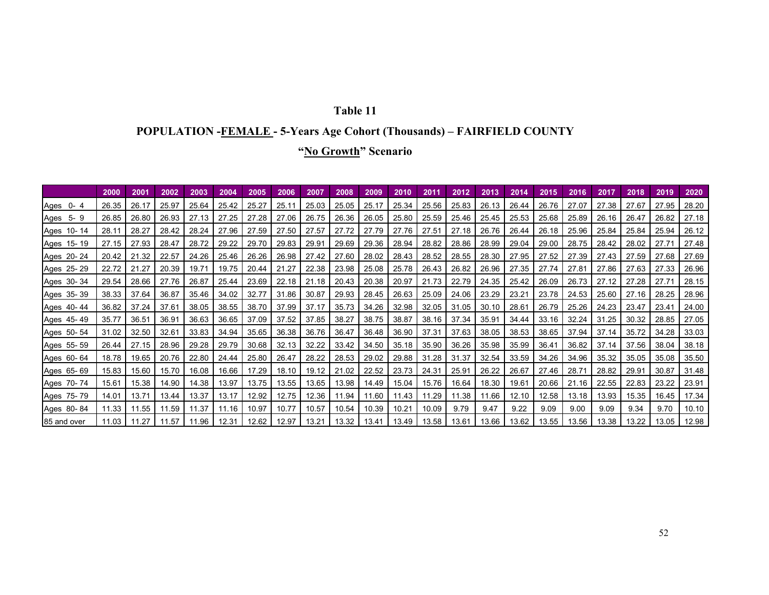# **POPULATION -FEMALE - 5-Years Age Cohort (Thousands) – FAIRFIELD COUNTY**

**"No Growth" Scenario** 

|             | 2000      | 2001  | 2002  | 2003  | 2004  | 2005        | 2006  | 2007  | 2008  | 2009  | 2010  | 2011  | 2012        | 2013  | 2014  | 2015  | 2016  | 2017  | 2018  | 2019  | 2020  |
|-------------|-----------|-------|-------|-------|-------|-------------|-------|-------|-------|-------|-------|-------|-------------|-------|-------|-------|-------|-------|-------|-------|-------|
| Ages 0-4    | 26.35     | 26.17 | 25.97 | 25.64 | 25.42 | 25.27       | 25.11 | 25.03 | 25.05 | 25.17 | 25.34 | 25.56 | 25.83       | 26.13 | 26.44 | 26.76 | 27.07 | 27.38 | 27.67 | 27.95 | 28.20 |
| Ages 5-9    | 26.85     | 26.80 | 26.93 | 27.13 | 27.25 | 27.28       | 27.06 | 26.75 | 26.36 | 26.05 | 25.80 | 25.59 | 25.46       | 25.45 | 25.53 | 25.68 | 25.89 | 26.16 | 26.47 | 26.82 | 27.18 |
| Ages 10-14  | 28.11     | 28.27 | 28.42 | 28.24 | 27.96 | 27.59       | 27.50 | 27.57 | 27.72 | 27.79 | 27.76 | 27.51 | 27.18       | 26.76 | 26.44 | 26.18 | 25.96 | 25.84 | 25.84 | 25.94 | 26.12 |
| Ages 15-19  | 27.15     | 27.93 | 28.47 | 28.72 | 29.22 | 29.70       | 29.83 | 29.91 | 29.69 | 29.36 | 28.94 | 28.82 | 28.86       | 28.99 | 29.04 | 29.00 | 28.75 | 28.42 | 28.02 | 27.71 | 27.48 |
| Ages 20-24  | 20.42     | 21.32 | 22.57 | 24.26 | 25.46 | 26.26       | 26.98 | 27.42 | 27.60 | 28.02 | 28.43 | 28.52 | 28.55       | 28.30 | 27.95 | 27.52 | 27.39 | 27.43 | 27.59 | 27.68 | 27.69 |
| Ages 25-29  | 22.72     | 21.27 | 20.39 | 19.71 | 19.75 | 20.44       | 21.27 | 22.38 | 23.98 | 25.08 | 25.78 | 26.43 | 26.82       | 26.96 | 27.35 | 27.74 | 27.81 | 27.86 | 27.63 | 27.33 | 26.96 |
| Ages 30-34  | 29.54     | 28.66 | 27.76 | 26.87 | 25.44 | 23.69       | 22.18 | 21.18 | 20.43 | 20.38 | 20.97 | 21.73 | 22.79       | 24.35 | 25.42 | 26.09 | 26.73 | 27.12 | 27.28 | 27.71 | 28.15 |
| Ages 35-39  | 38.33     | 37.64 | 36.87 | 35.46 | 34.02 | 32.77       | 31.86 | 30.87 | 29.93 | 28.45 | 26.63 | 25.09 | 24.06       | 23.29 | 23.21 | 23.78 | 24.53 | 25.60 | 27.16 | 28.25 | 28.96 |
| Ages 40-44  | 36.82     | 37.24 | 37.61 | 38.05 | 38.55 | 38.70       | 37.99 | 37.17 | 35.73 | 34.26 | 32.98 | 32.05 | 31.05       | 30.10 | 28.61 | 26.79 | 25.26 | 24.23 | 23.47 | 23.41 | 24.00 |
| Ages 45-49  | 35.77     | 36.51 | 36.91 | 36.63 | 36.65 | 37.09       | 37.52 | 37.85 | 38.27 | 38.75 | 38.87 | 38.16 | 37.34       | 35.91 | 34.44 | 33.16 | 32.24 | 31.25 | 30.32 | 28.85 | 27.05 |
| Ages 50-54  | 31.02     | 32.50 | 32.61 | 33.83 | 34.94 | 35.65       | 36.38 | 36.76 | 36.47 | 36.48 | 36.90 | 37.31 | 37.63       | 38.05 | 38.53 | 38.65 | 37.94 | 37.14 | 35.72 | 34.28 | 33.03 |
| Ages 55-59  | 26.44     | 27.15 | 28.96 | 29.28 | 29.79 | 30.68       | 32.13 | 32.22 | 33.42 | 34.50 | 35.18 | 35.90 | 36.26       | 35.98 | 35.99 | 36.41 | 36.82 | 37.14 | 37.56 | 38.04 | 38.18 |
| Ages 60-64  | 18.78     | 19.65 | 20.76 | 22.80 | 24.44 | 25.80       | 26.47 | 28.22 | 28.53 | 29.02 | 29.88 | 31.28 | 31.37       | 32.54 | 33.59 | 34.26 | 34.96 | 35.32 | 35.05 | 35.08 | 35.50 |
| Ages 65-69  | 15.83     | 15.60 | 15.70 | 16.08 | 16.66 | 17.29       | 18.10 | 19.12 | 21.02 | 22.52 | 23.73 | 24.31 | 25.91       | 26.22 | 26.67 | 27.46 | 28.71 | 28.82 | 29.91 | 30.87 | 31.48 |
| Ages 70-74  | 15.61     | 15.38 | 14.90 | 14.38 | 13.97 | 13.75       | 13.55 | 13.65 | 13.98 | 14.49 | 15.04 | 15.76 | 16.64       | 18.30 | 19.61 | 20.66 | 21.16 | 22.55 | 22.83 | 23.22 | 23.91 |
| Ages 75-79  | 14.01     | 13.71 | 13.44 | 13.37 | 13.17 | 12.92       | 12.75 | 12.36 | 11.94 | 11.60 | 11.43 | 11.29 | 11.38       | 11.66 | 12.10 | 12.58 | 13.18 | 13.93 | 15.35 | 16.45 | 17.34 |
| Ages 80-84  | 11.33     | 11.55 | 11.59 | 11.37 | 11.16 | 10.97       | 10.77 | 10.57 | 10.54 | 10.39 | 10.21 | 10.09 | 9.79        | 9.47  | 9.22  | 9.09  | 9.00  | 9.09  | 9.34  | 9.70  | 10.10 |
| 85 and over | $11.03$ I | 11.27 | 11.57 | 11.96 |       | 12.31 12.62 | 12.97 | 13.21 | 13.32 | 13.41 | 13.49 |       | 13.58 13.61 | 13.66 | 13.62 | 13.55 | 13.56 | 13.38 | 13.22 | 13.05 | 12.98 |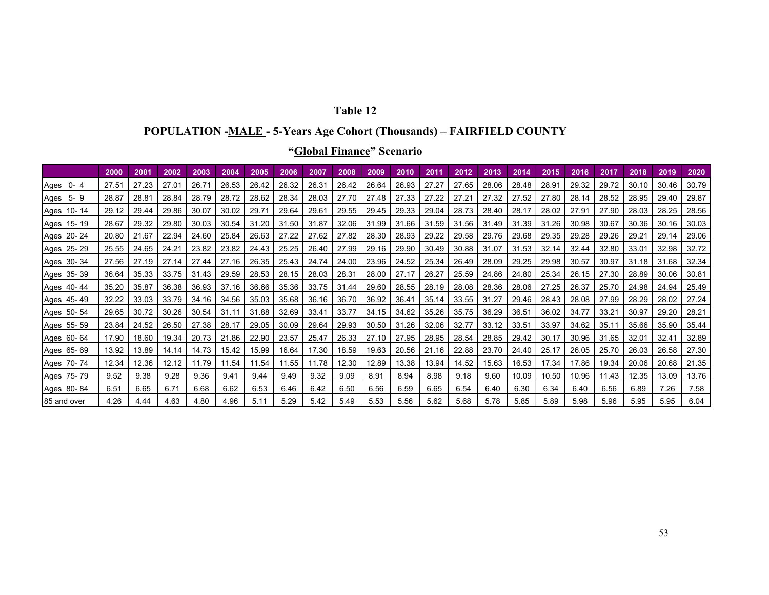# **POPULATION -MALE - 5-Years Age Cohort (Thousands) – FAIRFIELD COUNTY**

**"Global Finance" Scenario** 

|             | 2000  | 2001  | 2002  | 2003  | 2004  | 2005  | 2006  | 2007  | 2008  | 2009  | 2010  | 2011  | 2012  | 2013  | 2014  | 2015  | 2016  | 2017  | 2018  | 2019  | 2020  |
|-------------|-------|-------|-------|-------|-------|-------|-------|-------|-------|-------|-------|-------|-------|-------|-------|-------|-------|-------|-------|-------|-------|
| Ages 0-4    | 27.51 | 27.23 | 27.01 | 26.71 | 26.53 | 26.42 | 26.32 | 26.31 | 26.42 | 26.64 | 26.93 | 27.27 | 27.65 | 28.06 | 28.48 | 28.91 | 29.32 | 29.72 | 30.10 | 30.46 | 30.79 |
| Ages 5-9    | 28.87 | 28.81 | 28.84 | 28.79 | 28.72 | 28.62 | 28.34 | 28.03 | 27.70 | 27.48 | 27.33 | 27.22 | 27.21 | 27.32 | 27.52 | 27.80 | 28.14 | 28.52 | 28.95 | 29.40 | 29.87 |
| Ages 10-14  | 29.12 | 29.44 | 29.86 | 30.07 | 30.02 | 29.71 | 29.64 | 29.61 | 29.55 | 29.45 | 29.33 | 29.04 | 28.73 | 28.40 | 28.17 | 28.02 | 27.91 | 27.90 | 28.03 | 28.25 | 28.56 |
| Ages 15-19  | 28.67 | 29.32 | 29.80 | 30.03 | 30.54 | 31.20 | 31.50 | 31.87 | 32.06 | 31.99 | 31.66 | 31.59 | 31.56 | 31.49 | 31.39 | 31.26 | 30.98 | 30.67 | 30.36 | 30.16 | 30.03 |
| Ages 20-24  | 20.80 | 21.67 | 22.94 | 24.60 | 25.84 | 26.63 | 27.22 | 27.62 | 27.82 | 28.30 | 28.93 | 29.22 | 29.58 | 29.76 | 29.68 | 29.35 | 29.28 | 29.26 | 29.21 | 29.14 | 29.06 |
| Ages 25-29  | 25.55 | 24.65 | 24.21 | 23.82 | 23.82 | 24.43 | 25.25 | 26.40 | 27.99 | 29.16 | 29.90 | 30.49 | 30.88 | 31.07 | 31.53 | 32.14 | 32.44 | 32.80 | 33.01 | 32.98 | 32.72 |
| Ages 30-34  | 27.56 | 27.19 | 27.14 | 27.44 | 27.16 | 26.35 | 25.43 | 24.74 | 24.00 | 23.96 | 24.52 | 25.34 | 26.49 | 28.09 | 29.25 | 29.98 | 30.57 | 30.97 | 31.18 | 31.68 | 32.34 |
| Ages 35-39  | 36.64 | 35.33 | 33.75 | 31.43 | 29.59 | 28.53 | 28.15 | 28.03 | 28.31 | 28.00 | 27.17 | 26.27 | 25.59 | 24.86 | 24.80 | 25.34 | 26.15 | 27.30 | 28.89 | 30.06 | 30.81 |
| Ages 40-44  | 35.20 | 35.87 | 36.38 | 36.93 | 37.16 | 36.66 | 35.36 | 33.75 | 31.44 | 29.60 | 28.55 | 28.19 | 28.08 | 28.36 | 28.06 | 27.25 | 26.37 | 25.70 | 24.98 | 24.94 | 25.49 |
| Ages 45-49  | 32.22 | 33.03 | 33.79 | 34.16 | 34.56 | 35.03 | 35.68 | 36.16 | 36.70 | 36.92 | 36.41 | 35.14 | 33.55 | 31.27 | 29.46 | 28.43 | 28.08 | 27.99 | 28.29 | 28.02 | 27.24 |
| Ages 50-54  | 29.65 | 30.72 | 30.26 | 30.54 | 31.11 | 31.88 | 32.69 | 33.41 | 33.77 | 34.15 | 34.62 | 35.26 | 35.75 | 36.29 | 36.51 | 36.02 | 34.77 | 33.21 | 30.97 | 29.20 | 28.21 |
| Ages 55-59  | 23.84 | 24.52 | 26.50 | 27.38 | 28.17 | 29.05 | 30.09 | 29.64 | 29.93 | 30.50 | 31.26 | 32.06 | 32.77 | 33.12 | 33.51 | 33.97 | 34.62 | 35.11 | 35.66 | 35.90 | 35.44 |
| Ages 60-64  | 17.90 | 18.60 | 19.34 | 20.73 | 21.86 | 22.90 | 23.57 | 25.47 | 26.33 | 27.10 | 27.95 | 28.95 | 28.54 | 28.85 | 29.42 | 30.17 | 30.96 | 31.65 | 32.01 | 32.41 | 32.89 |
| Ages 65-69  | 13.92 | 13.89 | 14.14 | 14.73 | 15.42 | 15.99 | 16.64 | 17.30 | 18.59 | 19.63 | 20.56 | 21.16 | 22.88 | 23.70 | 24.40 | 25.17 | 26.05 | 25.70 | 26.03 | 26.58 | 27.30 |
| Ages 70-74  | 12.34 | 12.36 | 12.12 | 11.79 | 11.54 | 11.54 | 11.55 | 11.78 | 12.30 | 12.89 | 13.38 | 13.94 | 14.52 | 15.63 | 16.53 | 17.34 | 17.86 | 19.34 | 20.06 | 20.68 | 21.35 |
| Ages 75-79  | 9.52  | 9.38  | 9.28  | 9.36  | 9.41  | 9.44  | 9.49  | 9.32  | 9.09  | 8.91  | 8.94  | 8.98  | 9.18  | 9.60  | 10.09 | 10.50 | 10.96 | 1.43  | 12.35 | 13.09 | 13.76 |
| Ages 80-84  | 6.51  | 6.65  | 6.71  | 6.68  | 6.62  | 6.53  | 6.46  | 6.42  | 6.50  | 6.56  | 6.59  | 6.65  | 6.54  | 6.40  | 6.30  | 6.34  | 6.40  | 6.56  | 6.89  | 7.26  | 7.58  |
| 85 and over | 4.26  | 4.44  | 4.63  | 4.80  | 4.96  | 5.11  | 5.29  | 5.42  | 5.49  | 5.53  | 5.56  | 5.62  | 5.68  | 5.78  | 5.85  | 5.89  | 5.98  | 5.96  | 5.95  | 5.95  | 6.04  |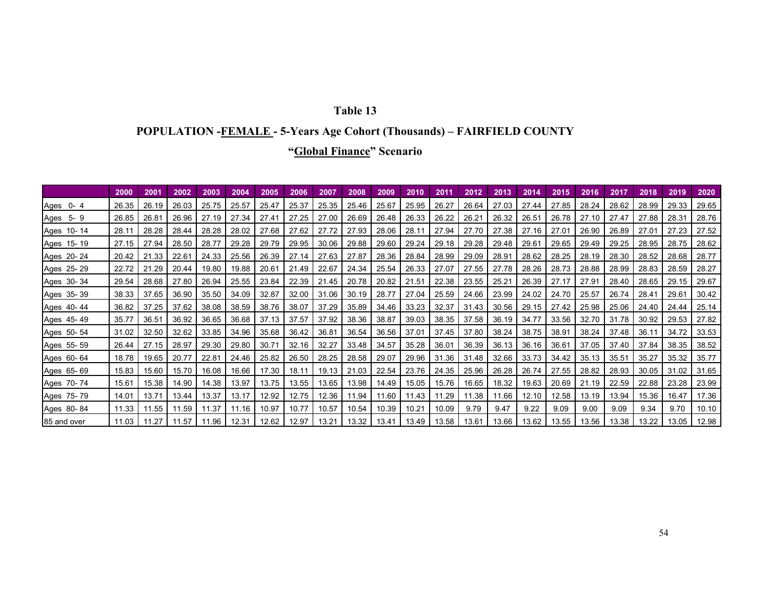# **POPULATION -FEMALE - 5-Years Age Cohort (Thousands) – FAIRFIELD COUNTY**

#### **"Global Finance" Scenario**

|             | 2000  | 2001  | 2002  | 2003  | 2004  | 2005  | 2006  | 2007  | 2008  | 2009  | 2010  | 2011  | 2012  | 2013  | 2014  | 2015  | 2016  | 2017  | 2018  | 2019  | 2020  |
|-------------|-------|-------|-------|-------|-------|-------|-------|-------|-------|-------|-------|-------|-------|-------|-------|-------|-------|-------|-------|-------|-------|
| 0-4<br>Ages | 26.35 | 26.19 | 26.03 | 25.75 | 25.57 | 25.47 | 25.37 | 25.35 | 25.46 | 25.67 | 25.95 | 26.27 | 26.64 | 27.03 | 27.44 | 27.85 | 28.24 | 28.62 | 28.99 | 29.33 | 29.65 |
| Ages 5-9    | 26.85 | 26.81 | 26.96 | 27.19 | 27.34 | 27.41 | 27.25 | 27.00 | 26.69 | 26.48 | 26.33 | 26.22 | 26.21 | 26.32 | 26.51 | 26.78 | 27.10 | 27.47 | 27.88 | 28.31 | 28.76 |
| Ages 10-14  | 28.11 | 28.28 | 28.44 | 28.28 | 28.02 | 27.68 | 27.62 | 27.72 | 27.93 | 28.06 | 28.11 | 27.94 | 27.70 | 27.38 | 27.16 | 27.01 | 26.90 | 26.89 | 27.01 | 27.23 | 27.52 |
| Ages 15-19  | 27.15 | 27.94 | 28.50 | 28.77 | 29.28 | 29.79 | 29.95 | 30.06 | 29.88 | 29.60 | 29.24 | 29.18 | 29.28 | 29.48 | 29.61 | 29.65 | 29.49 | 29.25 | 28.95 | 28.75 | 28.62 |
| Ages 20-24  | 20.42 | 21.33 | 22.61 | 24.33 | 25.56 | 26.39 | 27.14 | 27.63 | 27.87 | 28.36 | 28.84 | 28.99 | 29.09 | 28.91 | 28.62 | 28.25 | 28.19 | 28.30 | 28.52 | 28.68 | 28.77 |
| Ages 25-29  | 22.72 | 21.29 | 20.44 | 19.80 | 19.88 | 20.61 | 21.49 | 22.67 | 24.34 | 25.54 | 26.33 | 27.07 | 27.55 | 27.78 | 28.26 | 28.73 | 28.88 | 28.99 | 28.83 | 28.59 | 28.27 |
| Ages 30-34  | 29.54 | 28.68 | 27.80 | 26.94 | 25.55 | 23.84 | 22.39 | 21.45 | 20.78 | 20.82 | 21.51 | 22.38 | 23.55 | 25.21 | 26.39 | 27.17 | 27.91 | 28.40 | 28.65 | 29.15 | 29.67 |
| Ages 35-39  | 38.33 | 37.65 | 36.90 | 35.50 | 34.09 | 32.87 | 32.00 | 31.06 | 30.19 | 28.77 | 27.04 | 25.59 | 24.66 | 23.99 | 24.02 | 24.70 | 25.57 | 26.74 | 28.41 | 29.61 | 30.42 |
| Ages 40-44  | 36.82 | 37.25 | 37.62 | 38.08 | 38.59 | 38.76 | 38.07 | 37.29 | 35.89 | 34.46 | 33.23 | 32.37 | 31.43 | 30.56 | 29.15 | 27.42 | 25.98 | 25.06 | 24.40 | 24.44 | 25.14 |
| Ages 45-49  | 35.77 | 36.51 | 36.92 | 36.65 | 36.68 | 37.13 | 37.57 | 37.92 | 38.36 | 38.87 | 39.03 | 38.35 | 37.58 | 36.19 | 34.77 | 33.56 | 32.70 | 31.78 | 30.92 | 29.53 | 27.82 |
| Ages 50-54  | 31.02 | 32.50 | 32.62 | 33.85 | 34.96 | 35.68 | 36.42 | 36.81 | 36.54 | 36.56 | 37.01 | 37.45 | 37.80 | 38.24 | 38.75 | 38.91 | 38.24 | 37.48 | 36.11 | 34.72 | 33.53 |
| Ages 55-59  | 26.44 | 27.15 | 28.97 | 29.30 | 29.80 | 30.71 | 32.16 | 32.27 | 33.48 | 34.57 | 35.28 | 36.01 | 36.39 | 36.13 | 36.16 | 36.61 | 37.05 | 37.40 | 37.84 | 38.35 | 38.52 |
| Ages 60-64  | 18.78 | 19.65 | 20.77 | 22.81 | 24.46 | 25.82 | 26.50 | 28.25 | 28.58 | 29.07 | 29.96 | 31.36 | 31.48 | 32.66 | 33.73 | 34.42 | 35.13 | 35.51 | 35.27 | 35.32 | 35.77 |
| Ages 65-69  | 15.83 | 15.60 | 15.70 | 16.08 | 16.66 | 17.30 | 18.11 | 19.13 | 21.03 | 22.54 | 23.76 | 24.35 | 25.96 | 26.28 | 26.74 | 27.55 | 28.82 | 28.93 | 30.05 | 31.02 | 31.65 |
| Ages 70-74  | 15.61 | 15.38 | 14.90 | 14.38 | 13.97 | 13.75 | 13.55 | 13.65 | 13.98 | 14.49 | 15.05 | 15.76 | 16.65 | 18.32 | 19.63 | 20.69 | 21.19 | 22.59 | 22.88 | 23.28 | 23.99 |
| Ages 75-79  | 14.01 | 13.71 | 13.44 | 13.37 | 13.17 | 12.92 | 12.75 | 12.36 | 11.94 | 11.60 | 11.43 | 11.29 | 11.38 | 11.66 | 12.10 | 12.58 | 13.19 | 13.94 | 15.36 | 16.47 | 17.36 |
| Ages 80-84  | 11.33 | 11.55 | 11.59 | 11.37 | 11.16 | 10.97 | 10.77 | 10.57 | 10.54 | 10.39 | 10.21 | 10.09 | 9.79  | 9.47  | 9.22  | 9.09  | 9.00  | 9.09  | 9.34  | 9.70  | 10.10 |
| 85 and over | 11.03 | 11.27 | 11.57 | 11.96 | 12.31 | 12.62 | 12.97 | 13.21 | 13.32 | 13.41 | 13.49 | 13.58 | 13.61 | 13.66 | 13.62 | 13.55 | 13.56 | 13.38 | 13.22 | 13.05 | 12.98 |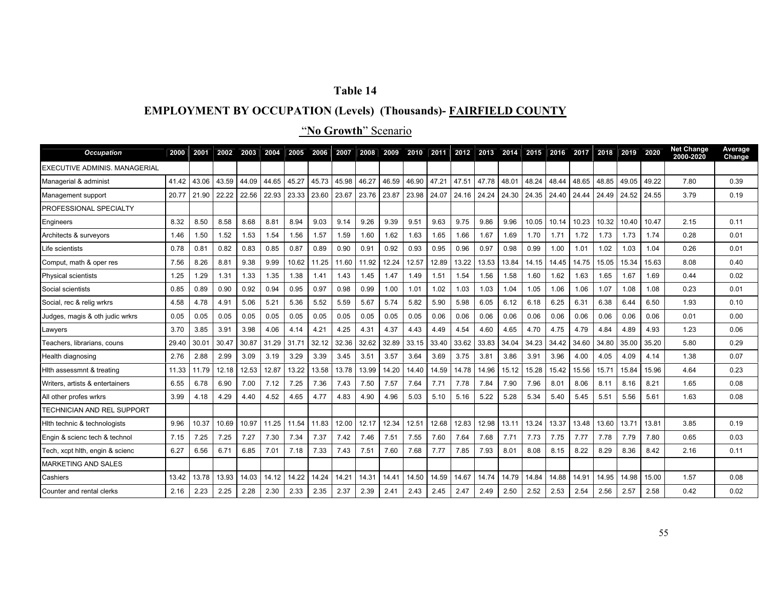# **EMPLOYMENT BY OCCUPATION (Levels) (Thousands)- FAIRFIELD COUNTY**

#### "**No Growth**" Scenario

| <b>Occupation</b>               | 2000  | 2001  | 2002  | 2003  | 2004  | 2005  | 2006  | 2007  | 2008  | 2009  | 2010  | 2011  | 2012  | 2013  | 2014  | 2015  | 2016  | 2017  | 2018  | 2019  | 2020  | <b>Net Change</b><br>2000-2020 | Average<br><b>Change</b> |
|---------------------------------|-------|-------|-------|-------|-------|-------|-------|-------|-------|-------|-------|-------|-------|-------|-------|-------|-------|-------|-------|-------|-------|--------------------------------|--------------------------|
| EXECUTIVE ADMINIS, MANAGERIAL   |       |       |       |       |       |       |       |       |       |       |       |       |       |       |       |       |       |       |       |       |       |                                |                          |
| Managerial & administ           | 41.42 | 43.06 | 43.59 | 44.09 | 44.65 | 45.27 | 45.73 | 45.98 | 46.27 | 46.59 | 46.90 | 47.21 | 47.51 | 47.78 | 48.01 | 48.24 | 48.44 | 48.65 | 48.85 | 49.05 | 49.22 | 7.80                           | 0.39                     |
| Management support              | 20.77 | 21.90 | 22.22 | 22.56 | 22.93 | 23.33 | 23.60 | 23.67 | 23.76 | 23.87 | 23.98 | 24.07 | 24.16 | 24.24 | 24.30 | 24.35 | 24.40 | 24.44 | 24.49 | 24.52 | 24.55 | 3.79                           | 0.19                     |
| PROFESSIONAL SPECIALTY          |       |       |       |       |       |       |       |       |       |       |       |       |       |       |       |       |       |       |       |       |       |                                |                          |
| Engineers                       | 8.32  | 8.50  | 8.58  | 8.68  | 8.81  | 8.94  | 9.03  | 9.14  | 9.26  | 9.39  | 9.51  | 9.63  | 9.75  | 9.86  | 9.96  | 10.05 | 10.14 | 10.23 | 10.32 | 10.40 | 10.47 | 2.15                           | 0.11                     |
| Architects & surveyors          | 1.46  | 1.50  | 1.52  | 1.53  | 1.54  | 1.56  | 1.57  | 1.59  | 1.60  | 1.62  | 1.63  | 1.65  | 1.66  | 1.67  | 1.69  | 1.70  | 1.71  | 1.72  | 1.73  | 1.73  | 1.74  | 0.28                           | 0.01                     |
| Life scientists                 | 0.78  | 0.81  | 0.82  | 0.83  | 0.85  | 0.87  | 0.89  | 0.90  | 0.91  | 0.92  | 0.93  | 0.95  | 0.96  | 0.97  | 0.98  | 0.99  | 1.00  | 1.01  | 1.02  | 1.03  | 1.04  | 0.26                           | 0.01                     |
| Comput, math & oper res         | 7.56  | 8.26  | 8.81  | 9.38  | 9.99  | 10.62 | 11.25 | 11.60 | 11.92 | 12.24 | 12.57 | 12.89 | 13.22 | 13.53 | 13.84 | 14.15 | 14.45 | 14.75 | 15.05 | 15.34 | 15.63 | 8.08                           | 0.40                     |
| <b>Physical scientists</b>      | 1.25  | 1.29  | 1.31  | 1.33  | 1.35  | 1.38  | 1.41  | 1.43  | 1.45  | 1.47  | 1.49  | 1.51  | 1.54  | 1.56  | 1.58  | 1.60  | 1.62  | 1.63  | 1.65  | 1.67  | 1.69  | 0.44                           | 0.02                     |
| Social scientists               | 0.85  | 0.89  | 0.90  | 0.92  | 0.94  | 0.95  | 0.97  | 0.98  | 0.99  | 1.00  | 1.01  | 1.02  | 1.03  | 1.03  | 1.04  | 1.05  | 1.06  | 1.06  | 1.07  | 1.08  | 1.08  | 0.23                           | 0.01                     |
| Social, rec & relig wrkrs       | 4.58  | 4.78  | 4.91  | 5.06  | 5.21  | 5.36  | 5.52  | 5.59  | 5.67  | 5.74  | 5.82  | 5.90  | 5.98  | 6.05  | 6.12  | 6.18  | 6.25  | 6.31  | 6.38  | 6.44  | 6.50  | 1.93                           | 0.10                     |
| Judges, magis & oth judic wrkrs | 0.05  | 0.05  | 0.05  | 0.05  | 0.05  | 0.05  | 0.05  | 0.05  | 0.05  | 0.05  | 0.05  | 0.06  | 0.06  | 0.06  | 0.06  | 0.06  | 0.06  | 0.06  | 0.06  | 0.06  | 0.06  | 0.01                           | 0.00                     |
| Lawyers                         | 3.70  | 3.85  | 3.91  | 3.98  | 4.06  | 4.14  | 4.21  | 4.25  | 4.31  | 4.37  | 4.43  | 4.49  | 4.54  | 4.60  | 4.65  | 4.70  | 4.75  | 4.79  | 4.84  | 4.89  | 4.93  | 1.23                           | 0.06                     |
| Teachers, librarians, couns     | 29.40 | 30.01 | 30.47 | 30.87 | 31.29 | 31.71 | 32.12 | 32.36 | 32.62 | 32.89 | 33.15 | 33.40 | 33.62 | 33.83 | 34.04 | 34.23 | 34.42 | 34.60 | 34.80 | 35.00 | 35.20 | 5.80                           | 0.29                     |
| Health diagnosing               | 2.76  | 2.88  | 2.99  | 3.09  | 3.19  | 3.29  | 3.39  | 3.45  | 3.51  | 3.57  | 3.64  | 3.69  | 3.75  | 3.81  | 3.86  | 3.91  | 3.96  | 4.00  | 4.05  | 4.09  | 4.14  | 1.38                           | 0.07                     |
| Hith assessmnt & treating       | 11.33 | 11.79 | 12.18 | 12.53 | 12.87 | 13.22 | 13.58 | 13.78 | 13.99 | 14.20 | 14.40 | 14.59 | 14.78 | 14.96 | 15.12 | 15.28 | 15.42 | 15.56 | 15.71 | 15.84 | 15.96 | 4.64                           | 0.23                     |
| Writers, artists & entertainers | 6.55  | 6.78  | 6.90  | 7.00  | 7.12  | 7.25  | 7.36  | 7.43  | 7.50  | 7.57  | 7.64  | 7.71  | 7.78  | 7.84  | 7.90  | 7.96  | 8.01  | 8.06  | 8.11  | 8.16  | 8.21  | 1.65                           | 0.08                     |
| All other profes wrkrs          | 3.99  | 4.18  | 4.29  | 4.40  | 4.52  | 4.65  | 4.77  | 4.83  | 4.90  | 4.96  | 5.03  | 5.10  | 5.16  | 5.22  | 5.28  | 5.34  | 5.40  | 5.45  | 5.51  | 5.56  | 5.61  | 1.63                           | 0.08                     |
| TECHNICIAN AND REL SUPPORT      |       |       |       |       |       |       |       |       |       |       |       |       |       |       |       |       |       |       |       |       |       |                                |                          |
| Hith technic & technologists    | 9.96  | 10.37 | 10.69 | 10.97 | 11.25 | 11.54 | 11.83 | 12.00 | 12.17 | 12.34 | 12.51 | 12.68 | 12.83 | 12.98 | 13.11 | 13.24 | 13.37 | 13.48 | 13.60 | 13.71 | 13.81 | 3.85                           | 0.19                     |
| Engin & scienc tech & technol   | 7.15  | 7.25  | 7.25  | 7.27  | 7.30  | 7.34  | 7.37  | 7.42  | 7.46  | 7.51  | 7.55  | 7.60  | 7.64  | 7.68  | 7.71  | 7.73  | 7.75  | 7.77  | 7.78  | 7.79  | 7.80  | 0.65                           | 0.03                     |
| Tech, xcpt hlth, engin & scienc | 6.27  | 6.56  | 6.71  | 6.85  | 7.01  | 7.18  | 7.33  | 7.43  | 7.51  | 7.60  | 7.68  | 7.77  | 7.85  | 7.93  | 8.01  | 8.08  | 8.15  | 8.22  | 8.29  | 8.36  | 8.42  | 2.16                           | 0.11                     |
| MARKETING AND SALES             |       |       |       |       |       |       |       |       |       |       |       |       |       |       |       |       |       |       |       |       |       |                                |                          |
| Cashiers                        | 13.42 | 13.78 | 13.93 | 14.03 | 14.12 | 14.22 | 14.24 | 14.21 | 14.31 | 14.41 | 14.50 | 14.59 | 14.67 | 14.74 | 14.79 | 14.84 | 14.88 | 14.91 | 14.95 | 14.98 | 15.00 | 1.57                           | 0.08                     |
| Counter and rental clerks       | 2.16  | 2.23  | 2.25  | 2.28  | 2.30  | 2.33  | 2.35  | 2.37  | 2.39  | 2.41  | 2.43  | 2.45  | 2.47  | 2.49  | 2.50  | 2.52  | 2.53  | 2.54  | 2.56  | 2.57  | 2.58  | 0.42                           | 0.02                     |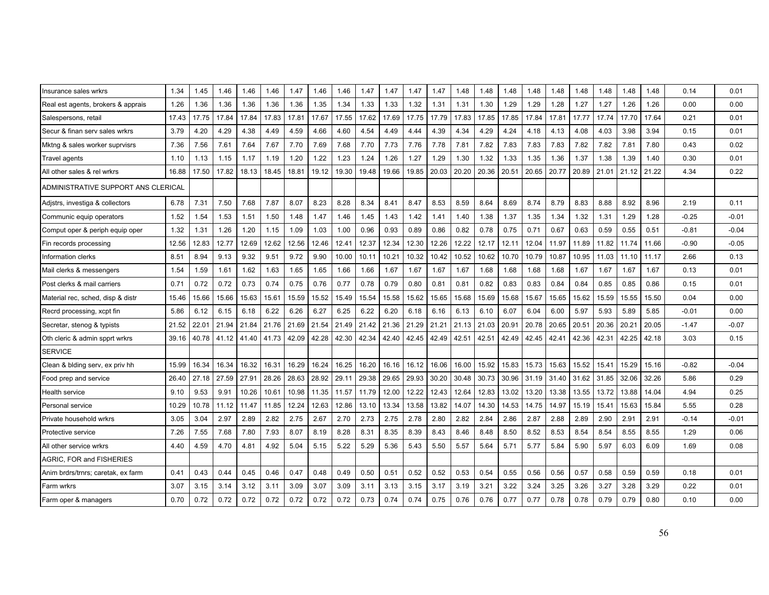| Insurance sales wrkrs               | 1.34  | .45   | 1.46  | 1.46  | 1.46  | 1.47  | 1.46  | 1.46  | 1.47  | 1.47  | 1.47  | 1.47  | 1.48  | 1.48  | 1.48  | 1.48  | 1.48  | 1.48  | 1.48  | 1.48  | 1.48  | 0.14    | 0.01    |
|-------------------------------------|-------|-------|-------|-------|-------|-------|-------|-------|-------|-------|-------|-------|-------|-------|-------|-------|-------|-------|-------|-------|-------|---------|---------|
| Real est agents, brokers & apprais  | 1.26  | 1.36  | 1.36  | 1.36  | 1.36  | 1.36  | 1.35  | 1.34  | 1.33  | 1.33  | 1.32  | 1.31  | 1.31  | 1.30  | 1.29  | 1.29  | 1.28  | 1.27  | 1.27  | 1.26  | 1.26  | 0.00    | 0.00    |
| Salespersons, retail                | 17.43 | 17.75 | 17.84 | 17.84 | 17.83 | 17.81 | 17.67 | 17.55 | 17.62 | 17.69 | 17.75 | 17.79 | 17.83 | 17.85 | 17.85 | 17.84 | 17.81 | 17.77 | 17.74 | 17.70 | 17.64 | 0.21    | 0.01    |
| Secur & finan serv sales wrkrs      | 3.79  | 4.20  | 4.29  | 4.38  | 4.49  | 4.59  | 4.66  | 4.60  | 4.54  | 4.49  | 4.44  | 4.39  | 4.34  | 4.29  | 4.24  | 4.18  | 4.13  | 4.08  | 4.03  | 3.98  | 3.94  | 0.15    | 0.01    |
| Mktng & sales worker suprvisrs      | 7.36  | 7.56  | 7.61  | 7.64  | 7.67  | 7.70  | 7.69  | 7.68  | 7.70  | 7.73  | 7.76  | 7.78  | 7.81  | 7.82  | 7.83  | 7.83  | 7.83  | 7.82  | 7.82  | 7.81  | 7.80  | 0.43    | 0.02    |
| Travel agents                       | 1.10  | 1.13  | 1.15  | 1.17  | 1.19  | 1.20  | 1.22  | 1.23  | 1.24  | 1.26  | 1.27  | 1.29  | 1.30  | 1.32  | 1.33  | 1.35  | 1.36  | 1.37  | 1.38  | 1.39  | 1.40  | 0.30    | 0.01    |
| All other sales & rel wrkrs         | 16.88 | 17.50 | 17.82 | 18.13 | 18.45 | 18.81 | 19.12 | 19.30 | 19.48 | 19.66 | 19.85 | 20.03 | 20.20 | 20.36 | 20.51 | 20.65 | 20.77 | 20.89 | 21.01 | 21.12 | 21.22 | 4.34    | 0.22    |
| ADMINISTRATIVE SUPPORT ANS CLERICAL |       |       |       |       |       |       |       |       |       |       |       |       |       |       |       |       |       |       |       |       |       |         |         |
| Adjstrs, investiga & collectors     | 6.78  | 7.31  | 7.50  | 7.68  | 7.87  | 8.07  | 8.23  | 8.28  | 8.34  | 8.41  | 8.47  | 8.53  | 8.59  | 8.64  | 8.69  | 8.74  | 8.79  | 8.83  | 8.88  | 8.92  | 8.96  | 2.19    | 0.11    |
| Communic equip operators            | 1.52  | 1.54  | 1.53  | 1.51  | 1.50  | 1.48  | 1.47  | 1.46  | 1.45  | 1.43  | 1.42  | 1.41  | 1.40  | 1.38  | 1.37  | 1.35  | 1.34  | 1.32  | 1.31  | 1.29  | 1.28  | $-0.25$ | $-0.01$ |
| Comput oper & periph equip oper     | 1.32  | 1.31  | 1.26  | 1.20  | 1.15  | 1.09  | 1.03  | 1.00  | 0.96  | 0.93  | 0.89  | 0.86  | 0.82  | 0.78  | 0.75  | 0.71  | 0.67  | 0.63  | 0.59  | 0.55  | 0.51  | $-0.81$ | $-0.04$ |
| Fin records processing              | 12.56 | 12.83 | 12.77 | 12.69 | 12.62 | 12.56 | 12.46 | 12.41 | 12.37 | 12.34 | 12.30 | 12.26 | 12.22 | 12.17 | 12.11 | 12.04 | 11.97 | 11.89 | 11.82 | 11.74 | 11.66 | $-0.90$ | $-0.05$ |
| Information clerks                  | 8.51  | 8.94  | 9.13  | 9.32  | 9.51  | 9.72  | 9.90  | 10.00 | 10.11 | 10.21 | 10.32 | 10.42 | 10.52 | 10.62 | 10.70 | 10.79 | 10.87 | 10.95 | 11.03 | 11.10 | 11.17 | 2.66    | 0.13    |
| Mail clerks & messengers            | 1.54  | 1.59  | 1.61  | 1.62  | 1.63  | 1.65  | 1.65  | 1.66  | 1.66  | 1.67  | 1.67  | 1.67  | 1.67  | 1.68  | 1.68  | 1.68  | 1.68  | 1.67  | 1.67  | 1.67  | 1.67  | 0.13    | 0.01    |
| Post clerks & mail carriers         | 0.71  | 0.72  | 0.72  | 0.73  | 0.74  | 0.75  | 0.76  | 0.77  | 0.78  | 0.79  | 0.80  | 0.81  | 0.81  | 0.82  | 0.83  | 0.83  | 0.84  | 0.84  | 0.85  | 0.85  | 0.86  | 0.15    | 0.01    |
| Material rec, sched, disp & distr   | 15.46 | 15.66 | 15.66 | 15.63 | 15.61 | 15.59 | 15.52 | 15.49 | 15.54 | 15.58 | 15.62 | 15.65 | 15.68 | 15.69 | 15.68 | 15.67 | 15.65 | 15.62 | 15.59 | 15.55 | 15.50 | 0.04    | 0.00    |
| Recrd processing, xcpt fin          | 5.86  | 6.12  | 6.15  | 6.18  | 6.22  | 6.26  | 6.27  | 6.25  | 6.22  | 6.20  | 6.18  | 6.16  | 6.13  | 6.10  | 6.07  | 6.04  | 6.00  | 5.97  | 5.93  | 5.89  | 5.85  | $-0.01$ | 0.00    |
| Secretar, stenog & typists          | 21.52 | 22.01 | 21.94 | 21.84 | 21.76 | 21.69 | 21.54 | 21.49 | 21.42 | 21.36 | 21.29 | 21.21 | 21.13 | 21.03 | 20.91 | 20.78 | 20.65 | 20.51 | 20.36 | 20.21 | 20.05 | $-1.47$ | $-0.07$ |
| Oth cleric & admin spprt wrkrs      | 39.16 | 40.78 | 41.12 | 41.40 | 41.73 | 42.09 | 42.28 | 42.30 | 42.34 | 42.40 | 42.45 | 42.49 | 42.51 | 42.51 | 42.49 | 42.45 | 42.41 | 42.36 | 42.31 | 42.25 | 42.18 | 3.03    | 0.15    |
| <b>SERVICE</b>                      |       |       |       |       |       |       |       |       |       |       |       |       |       |       |       |       |       |       |       |       |       |         |         |
| Clean & blding serv, ex priv hh     | 15.99 | 16.34 | 16.34 | 16.32 | 16.31 | 16.29 | 16.24 | 16.25 | 16.20 | 16.16 | 16.12 | 16.06 | 16.00 | 15.92 | 15.83 | 15.73 | 15.63 | 15.52 | 15.41 | 15.29 | 15.16 | $-0.82$ | $-0.04$ |
| Food prep and service               | 26.40 | 27.18 | 27.59 | 27.91 | 28.26 | 28.63 | 28.92 | 29.11 | 29.38 | 29.65 | 29.93 | 30.20 | 30.48 | 30.73 | 30.96 | 31.19 | 31.40 | 31.62 | 31.85 | 32.06 | 32.26 | 5.86    | 0.29    |
| <b>Health service</b>               | 9.10  | 9.53  | 9.91  | 10.26 | 10.61 | 10.98 | 11.35 | 11.57 | 11.79 | 12.00 | 12.22 | 12.43 | 12.64 | 12.83 | 13.02 | 13.20 | 13.38 | 13.55 | 13.72 | 13.88 | 14.04 | 4.94    | 0.25    |
| Personal service                    | 10.29 | 10.78 | 11.12 | 11.47 | 11.85 | 12.24 | 12.63 | 12.86 | 13.10 | 13.34 | 13.58 | 13.82 | 14.07 | 14.30 | 14.53 | 14.75 | 14.97 | 15.19 | 15.41 | 15.63 | 15.84 | 5.55    | 0.28    |
| Private household wrkrs             | 3.05  | 3.04  | 2.97  | 2.89  | 2.82  | 2.75  | 2.67  | 2.70  | 2.73  | 2.75  | 2.78  | 2.80  | 2.82  | 2.84  | 2.86  | 2.87  | 2.88  | 2.89  | 2.90  | 2.91  | 2.91  | $-0.14$ | $-0.01$ |
| <b>Protective service</b>           | 7.26  | 7.55  | 7.68  | 7.80  | 7.93  | 8.07  | 8.19  | 8.28  | 8.31  | 8.35  | 8.39  | 8.43  | 8.46  | 8.48  | 8.50  | 8.52  | 8.53  | 8.54  | 8.54  | 8.55  | 8.55  | 1.29    | 0.06    |
| All other service wrkrs             | 4.40  | 4.59  | 4.70  | 4.81  | 4.92  | 5.04  | 5.15  | 5.22  | 5.29  | 5.36  | 5.43  | 5.50  | 5.57  | 5.64  | 5.71  | 5.77  | 5.84  | 5.90  | 5.97  | 6.03  | 6.09  | 1.69    | 0.08    |
| AGRIC, FOR and FISHERIES            |       |       |       |       |       |       |       |       |       |       |       |       |       |       |       |       |       |       |       |       |       |         |         |
| Anim brdrs/trnrs; caretak, ex farm  | 0.41  | 0.43  | 0.44  | 0.45  | 0.46  | 0.47  | 0.48  | 0.49  | 0.50  | 0.51  | 0.52  | 0.52  | 0.53  | 0.54  | 0.55  | 0.56  | 0.56  | 0.57  | 0.58  | 0.59  | 0.59  | 0.18    | 0.01    |
| <b>Farm wrkrs</b>                   | 3.07  | 3.15  | 3.14  | 3.12  | 3.11  | 3.09  | 3.07  | 3.09  | 3.11  | 3.13  | 3.15  | 3.17  | 3.19  | 3.21  | 3.22  | 3.24  | 3.25  | 3.26  | 3.27  | 3.28  | 3.29  | 0.22    | 0.01    |
| Farm oper & managers                | 0.70  | 0.72  | 0.72  | 0.72  | 0.72  | 0.72  | 0.72  | 0.72  | 0.73  | 0.74  | 0.74  | 0.75  | 0.76  | 0.76  | 0.77  | 0.77  | 0.78  | 0.78  | 0.79  | 0.79  | 0.80  | 0.10    | 0.00    |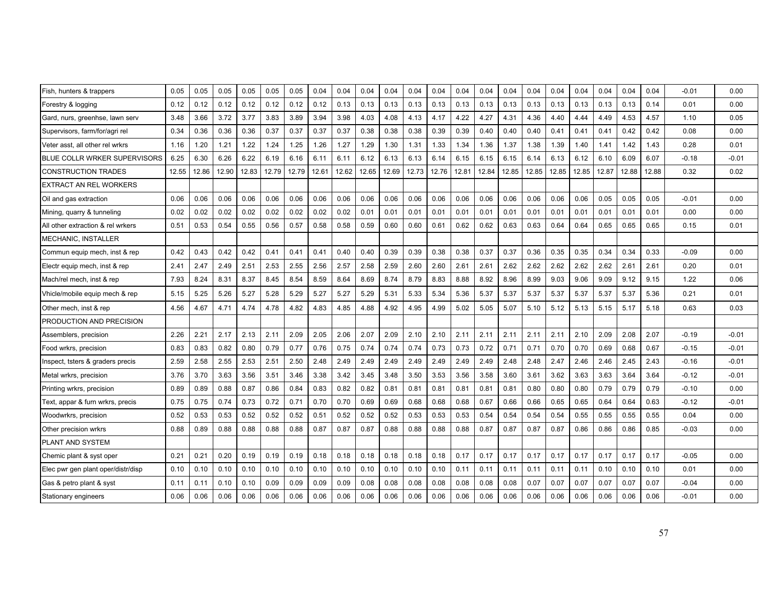| Fish, hunters & trappers             | 0.05  | 0.05  | 0.05  | 0.05  | 0.05  | 0.05  | 0.04  | 0.04  | 0.04  | 0.04  | 0.04  | 0.04  | 0.04  | 0.04  | 0.04  | 0.04  | 0.04  | 0.04  | 0.04  | 0.04  | 0.04  | -0.01   | 0.00    |
|--------------------------------------|-------|-------|-------|-------|-------|-------|-------|-------|-------|-------|-------|-------|-------|-------|-------|-------|-------|-------|-------|-------|-------|---------|---------|
| Forestry & logging                   | 0.12  | 0.12  | 0.12  | 0.12  | 0.12  | 0.12  | 0.12  | 0.13  | 0.13  | 0.13  | 0.13  | 0.13  | 0.13  | 0.13  | 0.13  | 0.13  | 0.13  | 0.13  | 0.13  | 0.13  | 0.14  | 0.01    | 0.00    |
| Gard, nurs, greenhse, lawn serv      | 3.48  | 3.66  | 3.72  | 3.77  | 3.83  | 3.89  | 3.94  | 3.98  | 4.03  | 4.08  | 4.13  | 4.17  | 4.22  | 4.27  | 4.31  | 4.36  | 4.40  | 4.44  | 4.49  | 4.53  | 4.57  | 1.10    | 0.05    |
| Supervisors, farm/for/agri rel       | 0.34  | 0.36  | 0.36  | 0.36  | 0.37  | 0.37  | 0.37  | 0.37  | 0.38  | 0.38  | 0.38  | 0.39  | 0.39  | 0.40  | 0.40  | 0.40  | 0.41  | 0.41  | 0.41  | 0.42  | 0.42  | 0.08    | 0.00    |
| Veter asst, all other rel wrkrs      | 1.16  | 1.20  | 1.21  | 1.22  | 1.24  | 1.25  | 1.26  | 1.27  | 1.29  | 1.30  | 1.31  | 1.33  | 1.34  | 1.36  | 1.37  | 1.38  | 1.39  | 1.40  | 1.41  | 1.42  | 1.43  | 0.28    | 0.01    |
| <b>IBLUE COLLR WRKER SUPERVISORS</b> | 6.25  | 6.30  | 6.26  | 6.22  | 6.19  | 6.16  | 6.11  | 6.11  | 6.12  | 6.13  | 6.13  | 6.14  | 6.15  | 6.15  | 6.15  | 6.14  | 6.13  | 6.12  | 6.10  | 6.09  | 6.07  | $-0.18$ | $-0.01$ |
| <b>CONSTRUCTION TRADES</b>           | 12.55 | 12.86 | 12.90 | 12.83 | 12.79 | 12.79 | 12.61 | 12.62 | 12.65 | 12.69 | 12.73 | 12.76 | 12.81 | 12.84 | 12.85 | 12.85 | 12.85 | 12.85 | 12.87 | 12.88 | 12.88 | 0.32    | 0.02    |
| <b>IEXTRACT AN REL WORKERS</b>       |       |       |       |       |       |       |       |       |       |       |       |       |       |       |       |       |       |       |       |       |       |         |         |
| Oil and gas extraction               | 0.06  | 0.06  | 0.06  | 0.06  | 0.06  | 0.06  | 0.06  | 0.06  | 0.06  | 0.06  | 0.06  | 0.06  | 0.06  | 0.06  | 0.06  | 0.06  | 0.06  | 0.06  | 0.05  | 0.05  | 0.05  | $-0.01$ | 0.00    |
| Mining, quarry & tunneling           | 0.02  | 0.02  | 0.02  | 0.02  | 0.02  | 0.02  | 0.02  | 0.02  | 0.01  | 0.01  | 0.01  | 0.01  | 0.01  | 0.01  | 0.01  | 0.01  | 0.01  | 0.01  | 0.01  | 0.01  | 0.01  | 0.00    | 0.00    |
| All other extraction & rel wrkers    | 0.51  | 0.53  | 0.54  | 0.55  | 0.56  | 0.57  | 0.58  | 0.58  | 0.59  | 0.60  | 0.60  | 0.61  | 0.62  | 0.62  | 0.63  | 0.63  | 0.64  | 0.64  | 0.65  | 0.65  | 0.65  | 0.15    | 0.01    |
| <b>MECHANIC, INSTALLER</b>           |       |       |       |       |       |       |       |       |       |       |       |       |       |       |       |       |       |       |       |       |       |         |         |
| Commun equip mech, inst & rep        | 0.42  | 0.43  | 0.42  | 0.42  | 0.41  | 0.41  | 0.41  | 0.40  | 0.40  | 0.39  | 0.39  | 0.38  | 0.38  | 0.37  | 0.37  | 0.36  | 0.35  | 0.35  | 0.34  | 0.34  | 0.33  | $-0.09$ | 0.00    |
| Electr equip mech, inst & rep        | 2.41  | 2.47  | 2.49  | 2.51  | 2.53  | 2.55  | 2.56  | 2.57  | 2.58  | 2.59  | 2.60  | 2.60  | 2.61  | 2.61  | 2.62  | 2.62  | 2.62  | 2.62  | 2.62  | 2.61  | 2.61  | 0.20    | 0.01    |
| Mach/rel mech, inst & rep            | 7.93  | 8.24  | 8.31  | 8.37  | 8.45  | 8.54  | 8.59  | 8.64  | 8.69  | 8.74  | 8.79  | 8.83  | 8.88  | 8.92  | 8.96  | 8.99  | 9.03  | 9.06  | 9.09  | 9.12  | 9.15  | 1.22    | 0.06    |
| Vhicle/mobile equip mech & rep       | 5.15  | 5.25  | 5.26  | 5.27  | 5.28  | 5.29  | 5.27  | 5.27  | 5.29  | 5.31  | 5.33  | 5.34  | 5.36  | 5.37  | 5.37  | 5.37  | 5.37  | 5.37  | 5.37  | 5.37  | 5.36  | 0.21    | 0.01    |
| Other mech, inst & rep               | 4.56  | 4.67  | 4.71  | 4.74  | 4.78  | 4.82  | 4.83  | 4.85  | 4.88  | 4.92  | 4.95  | 4.99  | 5.02  | 5.05  | 5.07  | 5.10  | 5.12  | 5.13  | 5.15  | 5.17  | 5.18  | 0.63    | 0.03    |
| PRODUCTION AND PRECISION             |       |       |       |       |       |       |       |       |       |       |       |       |       |       |       |       |       |       |       |       |       |         |         |
| Assemblers, precision                | 2.26  | 2.21  | 2.17  | 2.13  | 2.11  | 2.09  | 2.05  | 2.06  | 2.07  | 2.09  | 2.10  | 2.10  | 2.11  | 2.11  | 2.11  | 2.11  | 2.11  | 2.10  | 2.09  | 2.08  | 2.07  | $-0.19$ | $-0.01$ |
| Food wrkrs, precision                | 0.83  | 0.83  | 0.82  | 0.80  | 0.79  | 0.77  | 0.76  | 0.75  | 0.74  | 0.74  | 0.74  | 0.73  | 0.73  | 0.72  | 0.71  | 0.71  | 0.70  | 0.70  | 0.69  | 0.68  | 0.67  | $-0.15$ | $-0.01$ |
| Inspect, tsters & graders precis     | 2.59  | 2.58  | 2.55  | 2.53  | 2.51  | 2.50  | 2.48  | 2.49  | 2.49  | 2.49  | 2.49  | 2.49  | 2.49  | 2.49  | 2.48  | 2.48  | 2.47  | 2.46  | 2.46  | 2.45  | 2.43  | $-0.16$ | $-0.01$ |
| Metal wrkrs, precision               | 3.76  | 3.70  | 3.63  | 3.56  | 3.51  | 3.46  | 3.38  | 3.42  | 3.45  | 3.48  | 3.50  | 3.53  | 3.56  | 3.58  | 3.60  | 3.61  | 3.62  | 3.63  | 3.63  | 3.64  | 3.64  | $-0.12$ | $-0.01$ |
| Printing wrkrs, precision            | 0.89  | 0.89  | 0.88  | 0.87  | 0.86  | 0.84  | 0.83  | 0.82  | 0.82  | 0.81  | 0.81  | 0.81  | 0.81  | 0.81  | 0.81  | 0.80  | 0.80  | 0.80  | 0.79  | 0.79  | 0.79  | $-0.10$ | 0.00    |
| Text, appar & furn wrkrs, precis     | 0.75  | 0.75  | 0.74  | 0.73  | 0.72  | 0.71  | 0.70  | 0.70  | 0.69  | 0.69  | 0.68  | 0.68  | 0.68  | 0.67  | 0.66  | 0.66  | 0.65  | 0.65  | 0.64  | 0.64  | 0.63  | $-0.12$ | $-0.01$ |
| Woodwrkrs, precision                 | 0.52  | 0.53  | 0.53  | 0.52  | 0.52  | 0.52  | 0.51  | 0.52  | 0.52  | 0.52  | 0.53  | 0.53  | 0.53  | 0.54  | 0.54  | 0.54  | 0.54  | 0.55  | 0.55  | 0.55  | 0.55  | 0.04    | 0.00    |
| Other precision wrkrs                | 0.88  | 0.89  | 0.88  | 0.88  | 0.88  | 0.88  | 0.87  | 0.87  | 0.87  | 0.88  | 0.88  | 0.88  | 0.88  | 0.87  | 0.87  | 0.87  | 0.87  | 0.86  | 0.86  | 0.86  | 0.85  | $-0.03$ | 0.00    |
| <b>PLANT AND SYSTEM</b>              |       |       |       |       |       |       |       |       |       |       |       |       |       |       |       |       |       |       |       |       |       |         |         |
| Chemic plant & syst oper             | 0.21  | 0.21  | 0.20  | 0.19  | 0.19  | 0.19  | 0.18  | 0.18  | 0.18  | 0.18  | 0.18  | 0.18  | 0.17  | 0.17  | 0.17  | 0.17  | 0.17  | 0.17  | 0.17  | 0.17  | 0.17  | $-0.05$ | 0.00    |
| Elec pwr gen plant oper/distr/disp   | 0.10  | 0.10  | 0.10  | 0.10  | 0.10  | 0.10  | 0.10  | 0.10  | 0.10  | 0.10  | 0.10  | 0.10  | 0.11  | 0.11  | 0.11  | 0.11  | 0.11  | 0.11  | 0.10  | 0.10  | 0.10  | 0.01    | 0.00    |
| Gas & petro plant & syst             | 0.11  | 0.11  | 0.10  | 0.10  | 0.09  | 0.09  | 0.09  | 0.09  | 0.08  | 0.08  | 0.08  | 0.08  | 0.08  | 0.08  | 0.08  | 0.07  | 0.07  | 0.07  | 0.07  | 0.07  | 0.07  | $-0.04$ | 0.00    |
| Stationary engineers                 | 0.06  | 0.06  | 0.06  | 0.06  | 0.06  | 0.06  | 0.06  | 0.06  | 0.06  | 0.06  | 0.06  | 0.06  | 0.06  | 0.06  | 0.06  | 0.06  | 0.06  | 0.06  | 0.06  | 0.06  | 0.06  | $-0.01$ | 0.00    |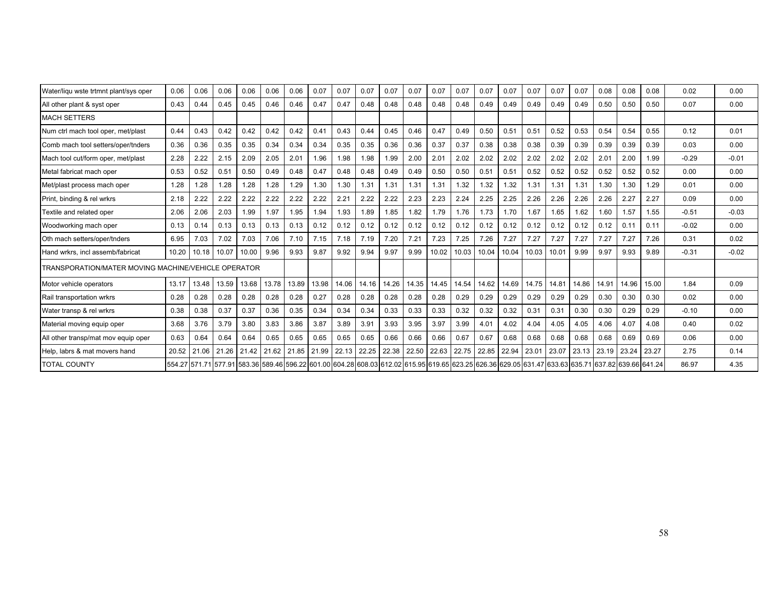| Water/liqu wste trtmnt plant/sys oper               | 0.06  | 0.06  | 0.06  | 0.06  | 0.06  | 0.06  | 0.07                                                                                                                          | 0.07  | 0.07  | 0.07  | 0.07  | 0.07          | 0.07  | 0.07  | 0.07  | 0.07  | 0.07  | 0.07  | 0.08  | 0.08                 | 0.08  | 0.02    | 0.00    |
|-----------------------------------------------------|-------|-------|-------|-------|-------|-------|-------------------------------------------------------------------------------------------------------------------------------|-------|-------|-------|-------|---------------|-------|-------|-------|-------|-------|-------|-------|----------------------|-------|---------|---------|
| All other plant & syst oper                         | 0.43  | 0.44  | 0.45  | 0.45  | 0.46  | 0.46  | 0.47                                                                                                                          | 0.47  | 0.48  | 0.48  | 0.48  | 0.48          | 0.48  | 0.49  | 0.49  | 0.49  | 0.49  | 0.49  | 0.50  | 0.50                 | 0.50  | 0.07    | 0.00    |
| <b>MACH SETTERS</b>                                 |       |       |       |       |       |       |                                                                                                                               |       |       |       |       |               |       |       |       |       |       |       |       |                      |       |         |         |
| Num ctrl mach tool oper, met/plast                  | 0.44  | 0.43  | 0.42  | 0.42  | 0.42  | 0.42  | 0.41                                                                                                                          | 0.43  | 0.44  | 0.45  | 0.46  | 0.47          | 0.49  | 0.50  | 0.51  | 0.51  | 0.52  | 0.53  | 0.54  | 0.54                 | 0.55  | 0.12    | 0.01    |
| Comb mach tool setters/oper/tnders                  | 0.36  | 0.36  | 0.35  | 0.35  | 0.34  | 0.34  | 0.34                                                                                                                          | 0.35  | 0.35  | 0.36  | 0.36  | 0.37          | 0.37  | 0.38  | 0.38  | 0.38  | 0.39  | 0.39  | 0.39  | 0.39                 | 0.39  | 0.03    | 0.00    |
| Mach tool cut/form oper, met/plast                  | 2.28  | 2.22  | 2.15  | 2.09  | 2.05  | 2.01  | 1.96                                                                                                                          | 1.98  | 1.98  | 1.99  | 2.00  | $2.0^{\circ}$ | 2.02  | 2.02  | 2.02  | 2.02  | 2.02  | 2.02  | 2.01  | 2.00                 | 1.99  | $-0.29$ | $-0.01$ |
| Metal fabricat mach oper                            | 0.53  | 0.52  | 0.51  | 0.50  | 0.49  | 0.48  | 0.47                                                                                                                          | 0.48  | 0.48  | 0.49  | 0.49  | 0.50          | 0.50  | 0.51  | 0.51  | 0.52  | 0.52  | 0.52  | 0.52  | 0.52                 | 0.52  | 0.00    | 0.00    |
| Met/plast process mach oper                         | 1.28  | .28   | 1.28  | .28   | 1.28  | .29   | 1.30                                                                                                                          | 1.30  | 1.31  | 1.31  | 1.31  | 1.31          | 1.32  | 1.32  | 1.32  | 1.31  | 1.31  | 1.31  | 1.30  | 1.30                 | .29   | 0.01    | 0.00    |
| Print, binding & rel wrkrs                          | 2.18  | 2.22  | 2.22  | 2.22  | 2.22  | 2.22  | 2.22                                                                                                                          | 2.21  | 2.22  | 2.22  | 2.23  | 2.23          | 2.24  | 2.25  | 2.25  | 2.26  | 2.26  | 2.26  | 2.26  | 2.27                 | 2.27  | 0.09    | 0.00    |
| Textile and related oper                            | 2.06  | 2.06  | 2.03  | .99   | 1.97  | 1.95  | 1.94                                                                                                                          | 1.93  | 1.89  | 1.85  | 1.82  | 1.79          | 1.76  | 1.73  | 1.70  | 1.67  | 1.65  | 1.62  | 1.60  | 1.57                 | 1.55  | $-0.51$ | $-0.03$ |
| Woodworking mach oper                               | 0.13  | 0.14  | 0.13  | 0.13  | 0.13  | 0.13  | 0.12                                                                                                                          | 0.12  | 0.12  | 0.12  | 0.12  | 0.12          | 0.12  | 0.12  | 0.12  | 0.12  | 0.12  | 0.12  | 0.12  | $0.1^{\circ}$        | 0.11  | $-0.02$ | 0.00    |
| Oth mach setters/oper/tnders                        | 6.95  | 7.03  | 7.02  | 7.03  | 7.06  | 7.10  | 7.15                                                                                                                          | 7.18  | 7.19  | 7.20  | 7.21  | 7.23          | 7.25  | 7.26  | 7.27  | 7.27  | 7.27  | 7.27  | 7.27  | 7.27                 | 7.26  | 0.31    | 0.02    |
| Hand wrkrs, incl assemb/fabricat                    | 10.20 | 10.18 | 10.07 | 10.00 | 9.96  | 9.93  | 9.87                                                                                                                          | 9.92  | 9.94  | 9.97  | 9.99  | 10.02         | 10.03 | 10.04 | 10.04 | 10.03 | 10.01 | 9.99  | 9.97  | 9.93                 | 9.89  | $-0.31$ | $-0.02$ |
| TRANSPORATION/MATER MOVING MACHINE/VEHICLE OPERATOR |       |       |       |       |       |       |                                                                                                                               |       |       |       |       |               |       |       |       |       |       |       |       |                      |       |         |         |
| Motor vehicle operators                             | 13.17 | 13.48 | 13.59 | 13.68 | 13.78 | 13.89 | 13.98                                                                                                                         | 14.06 | 14.16 | 14.26 | 14.35 | 14.45         | 14.54 | 14.62 | 14.69 | 14.75 | 14.81 | 14.86 | 14.91 | 14.96                | 15.00 | 1.84    | 0.09    |
| Rail transportation wrkrs                           | 0.28  | 0.28  | 0.28  | 0.28  | 0.28  | 0.28  | 0.27                                                                                                                          | 0.28  | 0.28  | 0.28  | 0.28  | 0.28          | 0.29  | 0.29  | 0.29  | 0.29  | 0.29  | 0.29  | 0.30  | 0.30                 | 0.30  | 0.02    | 0.00    |
| Water transp & rel wrkrs                            | 0.38  | 0.38  | 0.37  | 0.37  | 0.36  | 0.35  | 0.34                                                                                                                          | 0.34  | 0.34  | 0.33  | 0.33  | 0.33          | 0.32  | 0.32  | 0.32  | 0.31  | 0.31  | 0.30  | 0.30  | 0.29                 | 0.29  | $-0.10$ | 0.00    |
| Material moving equip oper                          | 3.68  | 3.76  | 3.79  | 3.80  | 3.83  | 3.86  | 3.87                                                                                                                          | 3.89  | 3.91  | 3.93  | 3.95  | 3.97          | 3.99  | 4.01  | 4.02  | 4.04  | 4.05  | 4.05  | 4.06  | 4.07                 | 4.08  | 0.40    | 0.02    |
| All other transp/mat mov equip oper                 | 0.63  | 0.64  | 0.64  | 0.64  | 0.65  | 0.65  | 0.65                                                                                                                          | 0.65  | 0.65  | 0.66  | 0.66  | 0.66          | 0.67  | 0.67  | 0.68  | 0.68  | 0.68  | 0.68  | 0.68  | 0.69                 | 0.69  | 0.06    | 0.00    |
| Help, labrs & mat movers hand                       | 20.52 | 21.06 | 21.26 | 21.42 | 21.62 | 21.85 | 21.99                                                                                                                         | 22.13 | 22.25 | 22.38 | 22.50 | 22.63         | 22.75 | 22.85 | 22.94 | 23.01 | 23.07 | 23.13 | 23.19 | 23.24                | 23.27 | 2.75    | 0.14    |
| <b>TOTAL COUNTY</b>                                 |       |       |       |       |       |       | 554.27 571.71 577.91 583.36 589.46 596.22 601.00 604.28 608.03 612.02 615.95 619.65 623.25 626.36 629.05 631.47 633.63 635.71 |       |       |       |       |               |       |       |       |       |       |       |       | 637.82 639.66 641.24 |       | 86.97   | 4.35    |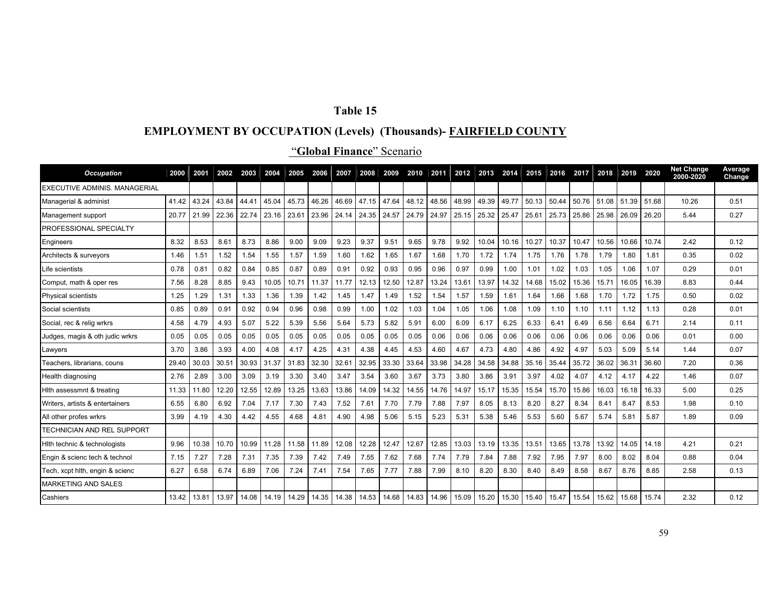# **EMPLOYMENT BY OCCUPATION (Levels) (Thousands)- FAIRFIELD COUNTY**

"**Global Finance**" Scenario

| <b>Occupation</b>               | 2000  | 2001  | 2002  | 2003  | 2004  | 2005  | 2006  | 2007  | 2008  | 2009  | 2010  | 2011  | 2012  | 2013  | 2014  | 2015  | 2016  | 2017  | 2018  | 2019  | 2020  | <b>Net Change</b><br>2000-2020 | <b>Average</b><br>Change |
|---------------------------------|-------|-------|-------|-------|-------|-------|-------|-------|-------|-------|-------|-------|-------|-------|-------|-------|-------|-------|-------|-------|-------|--------------------------------|--------------------------|
| EXECUTIVE ADMINIS. MANAGERIAL   |       |       |       |       |       |       |       |       |       |       |       |       |       |       |       |       |       |       |       |       |       |                                |                          |
| Managerial & administ           | 41.42 | 43.24 | 43.84 | 44.41 | 45.04 | 45.73 | 46.26 | 46.69 | 47.15 | 47.64 | 48.12 | 48.56 | 48.99 | 49.39 | 49.77 | 50.13 | 50.44 | 50.76 | 51.08 | 51.39 | 51.68 | 10.26                          | 0.51                     |
| Management support              | 20.77 | 21.99 | 22.36 | 22.74 | 23.16 | 23.61 | 23.96 | 24.14 | 24.35 | 24.57 | 24.79 | 24.97 | 25.15 | 25.32 | 25.47 | 25.61 | 25.73 | 25.86 | 25.98 | 26.09 | 26.20 | 5.44                           | 0.27                     |
| <b>PROFESSIONAL SPECIALTY</b>   |       |       |       |       |       |       |       |       |       |       |       |       |       |       |       |       |       |       |       |       |       |                                |                          |
| Engineers                       | 8.32  | 8.53  | 8.61  | 8.73  | 8.86  | 9.00  | 9.09  | 9.23  | 9.37  | 9.51  | 9.65  | 9.78  | 9.92  | 10.04 | 10.16 | 10.27 | 10.37 | 10.47 | 10.56 | 10.66 | 10.74 | 2.42                           | 0.12                     |
| Architects & surveyors          | 1.46  | .51   | 1.52  | .54   | 1.55  | 1.57  | 1.59  | 1.60  | 1.62  | 1.65  | 1.67  | 1.68  | 1.70  | 1.72  | 1.74  | 1.75  | 1.76  | 1.78  | 1.79  | 1.80  | 1.81  | 0.35                           | 0.02                     |
| Life scientists                 | 0.78  | 0.81  | 0.82  | 0.84  | 0.85  | 0.87  | 0.89  | 0.91  | 0.92  | 0.93  | 0.95  | 0.96  | 0.97  | 0.99  | 1.00  | 1.01  | 1.02  | 1.03  | 1.05  | 1.06  | 1.07  | 0.29                           | 0.01                     |
| Comput, math & oper res         | 7.56  | 8.28  | 8.85  | 9.43  | 10.05 | 10.71 | 11.37 | 11.77 | 12.13 | 12.50 | 12.87 | 13.24 | 13.61 | 13.97 | 14.32 | 14.68 | 15.02 | 15.36 | 15.71 | 16.05 | 16.39 | 8.83                           | 0.44                     |
| Physical scientists             | 1.25  | .29   | 1.31  | 1.33  | 1.36  | 1.39  | 1.42  | 1.45  | 1.47  | 1.49  | 1.52  | 1.54  | 1.57  | 1.59  | 1.61  | 1.64  | 1.66  | 1.68  | 1.70  | 1.72  | 1.75  | 0.50                           | 0.02                     |
| Social scientists               | 0.85  | 0.89  | 0.91  | 0.92  | 0.94  | 0.96  | 0.98  | 0.99  | 1.00  | 1.02  | 1.03  | 1.04  | 1.05  | 1.06  | 1.08  | 1.09  | 1.10  | 1.10  | 1.11  | 1.12  | 1.13  | 0.28                           | 0.01                     |
| Social, rec & relig wrkrs       | 4.58  | 4.79  | 4.93  | 5.07  | 5.22  | 5.39  | 5.56  | 5.64  | 5.73  | 5.82  | 5.91  | 6.00  | 6.09  | 6.17  | 6.25  | 6.33  | 6.41  | 6.49  | 6.56  | 6.64  | 6.71  | 2.14                           | 0.11                     |
| Judges, magis & oth judic wrkrs | 0.05  | 0.05  | 0.05  | 0.05  | 0.05  | 0.05  | 0.05  | 0.05  | 0.05  | 0.05  | 0.05  | 0.06  | 0.06  | 0.06  | 0.06  | 0.06  | 0.06  | 0.06  | 0.06  | 0.06  | 0.06  | 0.01                           | 0.00                     |
| Lawyers                         | 3.70  | 3.86  | 3.93  | 4.00  | 4.08  | 4.17  | 4.25  | 4.31  | 4.38  | 4.45  | 4.53  | 4.60  | 4.67  | 4.73  | 4.80  | 4.86  | 4.92  | 4.97  | 5.03  | 5.09  | 5.14  | 1.44                           | 0.07                     |
| Teachers, librarians, couns     | 29.40 | 30.03 | 30.51 | 30.93 | 31.37 | 31.83 | 32.30 | 32.61 | 32.95 | 33.30 | 33.64 | 33.98 | 34.28 | 34.58 | 34.88 | 35.16 | 35.44 | 35.72 | 36.02 | 36.31 | 36.60 | 7.20                           | 0.36                     |
| Health diagnosing               | 2.76  | 2.89  | 3.00  | 3.09  | 3.19  | 3.30  | 3.40  | 3.47  | 3.54  | 3.60  | 3.67  | 3.73  | 3.80  | 3.86  | 3.91  | 3.97  | 4.02  | 4.07  | 4.12  | 4.17  | 4.22  | 1.46                           | 0.07                     |
| Hith assessmnt & treating       | 11.33 | 11.80 | 12.20 | 12.55 | 12.89 | 13.25 | 13.63 | 13.86 | 14.09 | 14.32 | 14.55 | 14.76 | 14.97 | 15.17 | 15.35 | 15.54 | 15.70 | 15.86 | 16.03 | 16.18 | 16.33 | 5.00                           | 0.25                     |
| Writers, artists & entertainers | 6.55  | 6.80  | 6.92  | 7.04  | 7.17  | 7.30  | 7.43  | 7.52  | 7.61  | 7.70  | 7.79  | 7.88  | 7.97  | 8.05  | 8.13  | 8.20  | 8.27  | 8.34  | 8.41  | 8.47  | 8.53  | 1.98                           | 0.10                     |
| All other profes wrkrs          | 3.99  | 4.19  | 4.30  | 4.42  | 4.55  | 4.68  | 4.81  | 4.90  | 4.98  | 5.06  | 5.15  | 5.23  | 5.31  | 5.38  | 5.46  | 5.53  | 5.60  | 5.67  | 5.74  | 5.81  | 5.87  | 1.89                           | 0.09                     |
| TECHNICIAN AND REL SUPPORT      |       |       |       |       |       |       |       |       |       |       |       |       |       |       |       |       |       |       |       |       |       |                                |                          |
| Hith technic & technologists    | 9.96  | 10.38 | 10.70 | 10.99 | 11.28 | 11.58 | 11.89 | 12.08 | 12.28 | 12.47 | 12.67 | 12.85 | 13.03 | 13.19 | 13.35 | 13.51 | 13.65 | 13.78 | 13.92 | 14.05 | 14.18 | 4.21                           | 0.21                     |
| Engin & scienc tech & technol   | 7.15  | 7.27  | 7.28  | 7.31  | 7.35  | 7.39  | 7.42  | 7.49  | 7.55  | 7.62  | 7.68  | 7.74  | 7.79  | 7.84  | 7.88  | 7.92  | 7.95  | 7.97  | 8.00  | 8.02  | 8.04  | 0.88                           | 0.04                     |
| Tech, xcpt hith, engin & scienc | 6.27  | 6.58  | 6.74  | 6.89  | 7.06  | 7.24  | 7.41  | 7.54  | 7.65  | 7.77  | 7.88  | 7.99  | 8.10  | 8.20  | 8.30  | 8.40  | 8.49  | 8.58  | 8.67  | 8.76  | 8.85  | 2.58                           | 0.13                     |
| <b>MARKETING AND SALES</b>      |       |       |       |       |       |       |       |       |       |       |       |       |       |       |       |       |       |       |       |       |       |                                |                          |
| Cashiers                        | 13.42 | 13.81 | 13.97 | 14.08 | 14.19 | 14.29 | 14.35 | 14.38 | 14.53 | 14.68 | 14.83 | 14.96 | 15.09 | 15.20 | 15.30 | 15.40 | 15.47 | 15.54 | 15.62 | 15.68 | 15.74 | 2.32                           | 0.12                     |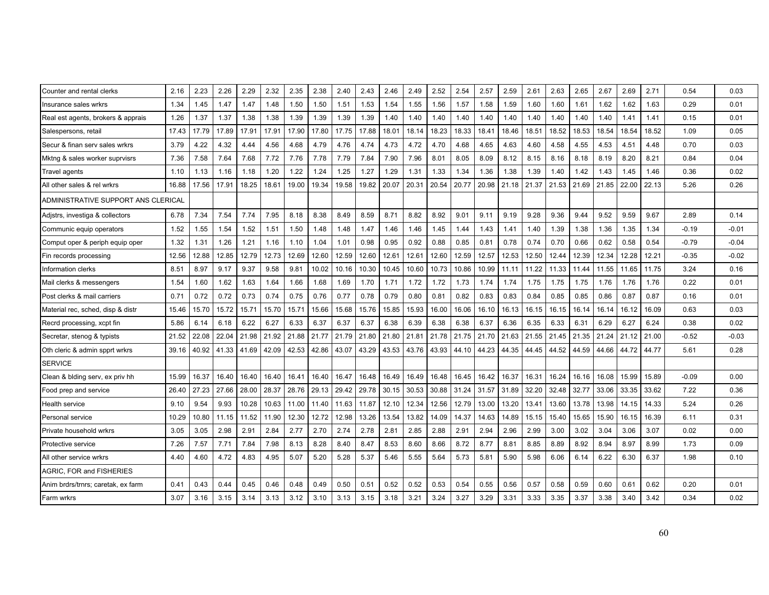| Counter and rental clerks           | 2.16  | 2.23  | 2.26  | 2.29  | 2.32  | 2.35  | 2.38  | 2.40  | 2.43  | 2.46              | 2.49  | 2.52  | 2.54  | 2.57  | 2.59  | 2.61  | 2.63  | 2.65  | 2.67  | 2.69  | 2.71  | 0.54    | 0.03    |
|-------------------------------------|-------|-------|-------|-------|-------|-------|-------|-------|-------|-------------------|-------|-------|-------|-------|-------|-------|-------|-------|-------|-------|-------|---------|---------|
| Insurance sales wrkrs               | 1.34  | 1.45  | 1.47  | 1.47  | 1.48  | 1.50  | 1.50  | 1.51  | 1.53  | 1.54              | 1.55  | 1.56  | 1.57  | 1.58  | 1.59  | 1.60  | 1.60  | 1.61  | 1.62  | 1.62  | 1.63  | 0.29    | 0.01    |
| Real est agents, brokers & apprais  | 1.26  | 1.37  | 1.37  | 1.38  | 1.38  | 1.39  | 1.39  | 1.39  | 1.39  | 1.40              | 1.40  | 1.40  | 1.40  | 1.40  | 1.40  | 1.40  | 1.40  | 1.40  | 1.40  | 1.41  | 1.41  | 0.15    | 0.01    |
| Salespersons, retail                | 17.43 | 17.79 | 17.89 | 17.91 | 17.91 | 17.90 | 17.80 | 17.75 | 17.88 | 18.0 <sup>7</sup> | 18.14 | 18.23 | 18.33 | 18.41 | 18.46 | 18.51 | 18.52 | 18.53 | 18.54 | 18.54 | 18.52 | 1.09    | 0.05    |
| Secur & finan serv sales wrkrs      | 3.79  | 4.22  | 4.32  | 4.44  | 4.56  | 4.68  | 4.79  | 4.76  | 4.74  | 4.73              | 4.72  | 4.70  | 4.68  | 4.65  | 4.63  | 4.60  | 4.58  | 4.55  | 4.53  | 4.51  | 4.48  | 0.70    | 0.03    |
| Mktng & sales worker suprvisrs      | 7.36  | 7.58  | 7.64  | 7.68  | 7.72  | 7.76  | 7.78  | 7.79  | 7.84  | 7.90              | 7.96  | 8.01  | 8.05  | 8.09  | 8.12  | 8.15  | 8.16  | 8.18  | 8.19  | 8.20  | 8.21  | 0.84    | 0.04    |
| <b>Travel agents</b>                | 1.10  | 1.13  | 1.16  | 1.18  | 1.20  | 1.22  | 1.24  | 1.25  | 1.27  | 1.29              | 1.31  | 1.33  | 1.34  | 1.36  | 1.38  | 1.39  | 1.40  | 1.42  | 1.43  | 1.45  | 1.46  | 0.36    | 0.02    |
| All other sales & rel wrkrs         | 16.88 | 17.56 | 17.91 | 18.25 | 18.61 | 19.00 | 19.34 | 19.58 | 19.82 | 20.07             | 20.31 | 20.54 | 20.77 | 20.98 | 21.18 | 21.37 | 21.53 | 21.69 | 21.85 | 22.00 | 22.13 | 5.26    | 0.26    |
| ADMINISTRATIVE SUPPORT ANS CLERICAL |       |       |       |       |       |       |       |       |       |                   |       |       |       |       |       |       |       |       |       |       |       |         |         |
| Adjstrs, investiga & collectors     | 6.78  | 7.34  | 7.54  | 7.74  | 7.95  | 8.18  | 8.38  | 8.49  | 8.59  | 8.71              | 8.82  | 8.92  | 9.01  | 9.11  | 9.19  | 9.28  | 9.36  | 9.44  | 9.52  | 9.59  | 9.67  | 2.89    | 0.14    |
| Communic equip operators            | 1.52  | 1.55  | 1.54  | 1.52  | 1.51  | 1.50  | 1.48  | 1.48  | 1.47  | 1.46              | 1.46  | 1.45  | 1.44  | 1.43  | 1.41  | 1.40  | 1.39  | 1.38  | 1.36  | 1.35  | 1.34  | $-0.19$ | $-0.01$ |
| Comput oper & periph equip oper     | 1.32  | 1.31  | 1.26  | 1.21  | 1.16  | 1.10  | 1.04  | 1.01  | 0.98  | 0.95              | 0.92  | 0.88  | 0.85  | 0.81  | 0.78  | 0.74  | 0.70  | 0.66  | 0.62  | 0.58  | 0.54  | $-0.79$ | $-0.04$ |
| Fin records processing              | 12.56 | 12.88 | 12.85 | 12.79 | 12.73 | 12.69 | 12.60 | 12.59 | 12.60 | 12.61             | 12.61 | 12.60 | 12.59 | 12.57 | 12.53 | 12.50 | 12.44 | 12.39 | 12.34 | 12.28 | 12.21 | $-0.35$ | $-0.02$ |
| Information clerks                  | 8.51  | 8.97  | 9.17  | 9.37  | 9.58  | 9.81  | 10.02 | 10.16 | 10.30 | 10.45             | 10.60 | 10.73 | 10.86 | 10.99 | 11.11 | 11.22 | 11.33 | 11.44 | 11.55 | 11.65 | 11.75 | 3.24    | 0.16    |
| Mail clerks & messengers            | 1.54  | 1.60  | 1.62  | 1.63  | 1.64  | 1.66  | 1.68  | 1.69  | 1.70  | 1.71              | 1.72  | 1.72  | 1.73  | 1.74  | 1.74  | 1.75  | 1.75  | 1.75  | 1.76  | 1.76  | 1.76  | 0.22    | 0.01    |
| Post clerks & mail carriers         | 0.71  | 0.72  | 0.72  | 0.73  | 0.74  | 0.75  | 0.76  | 0.77  | 0.78  | 0.79              | 0.80  | 0.81  | 0.82  | 0.83  | 0.83  | 0.84  | 0.85  | 0.85  | 0.86  | 0.87  | 0.87  | 0.16    | 0.01    |
| Material rec, sched, disp & distr   | 15.46 | 15.70 | 15.72 | 15.71 | 15.70 | 15.71 | 15.66 | 15.68 | 15.76 | 15.85             | 15.93 | 16.00 | 16.06 | 16.10 | 16.13 | 16.15 | 16.15 | 16.14 | 16.14 | 16.12 | 16.09 | 0.63    | 0.03    |
| Recrd processing, xcpt fin          | 5.86  | 6.14  | 6.18  | 6.22  | 6.27  | 6.33  | 6.37  | 6.37  | 6.37  | 6.38              | 6.39  | 6.38  | 6.38  | 6.37  | 6.36  | 6.35  | 6.33  | 6.31  | 6.29  | 6.27  | 6.24  | 0.38    | 0.02    |
| Secretar, stenog & typists          | 21.52 | 22.08 | 22.04 | 21.98 | 21.92 | 21.88 | 21.77 | 21.79 | 21.80 | 21.80             | 21.81 | 21.78 | 21.75 | 21.70 | 21.63 | 21.55 | 21.45 | 21.35 | 21.24 | 21.12 | 21.00 | $-0.52$ | $-0.03$ |
| Oth cleric & admin spprt wrkrs      | 39.16 | 40.92 | 41.33 | 41.69 | 42.09 | 42.53 | 42.86 | 43.07 | 43.29 | 43.53             | 43.76 | 43.93 | 44.10 | 44.23 | 44.35 | 44.45 | 44.52 | 44.59 | 44.66 | 44.72 | 44.77 | 5.61    | 0.28    |
| <b>SERVICE</b>                      |       |       |       |       |       |       |       |       |       |                   |       |       |       |       |       |       |       |       |       |       |       |         |         |
| Clean & blding serv, ex priv hh     | 15.99 | 16.37 | 16.40 | 16.40 | 16.40 | 16.41 | 16.40 | 16.47 | 16.48 | 16.49             | 16.49 | 16.48 | 16.45 | 16.42 | 16.37 | 16.31 | 16.24 | 16.16 | 16.08 | 15.99 | 15.89 | $-0.09$ | 0.00    |
| Food prep and service               | 26.40 | 27.23 | 27.66 | 28.00 | 28.37 | 28.76 | 29.13 | 29.42 | 29.78 | 30.15             | 30.53 | 30.88 | 31.24 | 31.57 | 31.89 | 32.20 | 32.48 | 32.77 | 33.06 | 33.35 | 33.62 | 7.22    | 0.36    |
| Health service                      | 9.10  | 9.54  | 9.93  | 10.28 | 10.63 | 11.00 | 11.40 | 11.63 | 11.87 | 12.10             | 12.34 | 12.56 | 12.79 | 13.00 | 13.20 | 13.41 | 13.60 | 13.78 | 13.98 | 14.15 | 14.33 | 5.24    | 0.26    |
| Personal service                    | 10.29 | 10.80 | 11.15 | 11.52 | 11.90 | 12.30 | 12.72 | 12.98 | 13.26 | 13.54             | 13.82 | 14.09 | 14.37 | 14.63 | 14.89 | 15.15 | 15.40 | 15.65 | 15.90 | 16.15 | 16.39 | 6.11    | 0.31    |
| Private household wrkrs             | 3.05  | 3.05  | 2.98  | 2.91  | 2.84  | 2.77  | 2.70  | 2.74  | 2.78  | 2.81              | 2.85  | 2.88  | 2.91  | 2.94  | 2.96  | 2.99  | 3.00  | 3.02  | 3.04  | 3.06  | 3.07  | 0.02    | 0.00    |
| Protective service                  | 7.26  | 7.57  | 7.71  | 7.84  | 7.98  | 8.13  | 8.28  | 8.40  | 8.47  | 8.53              | 8.60  | 8.66  | 8.72  | 8.77  | 8.81  | 8.85  | 8.89  | 8.92  | 8.94  | 8.97  | 8.99  | 1.73    | 0.09    |
| All other service wrkrs             | 4.40  | 4.60  | 4.72  | 4.83  | 4.95  | 5.07  | 5.20  | 5.28  | 5.37  | 5.46              | 5.55  | 5.64  | 5.73  | 5.81  | 5.90  | 5.98  | 6.06  | 6.14  | 6.22  | 6.30  | 6.37  | 1.98    | 0.10    |
| AGRIC, FOR and FISHERIES            |       |       |       |       |       |       |       |       |       |                   |       |       |       |       |       |       |       |       |       |       |       |         |         |
| Anim brdrs/trnrs; caretak, ex farm  | 0.41  | 0.43  | 0.44  | 0.45  | 0.46  | 0.48  | 0.49  | 0.50  | 0.51  | 0.52              | 0.52  | 0.53  | 0.54  | 0.55  | 0.56  | 0.57  | 0.58  | 0.59  | 0.60  | 0.61  | 0.62  | 0.20    | 0.01    |
| Farm wrkrs                          | 3.07  | 3.16  | 3.15  | 3.14  | 3.13  | 3.12  | 3.10  | 3.13  | 3.15  | 3.18              | 3.21  | 3.24  | 3.27  | 3.29  | 3.31  | 3.33  | 3.35  | 3.37  | 3.38  | 3.40  | 3.42  | 0.34    | 0.02    |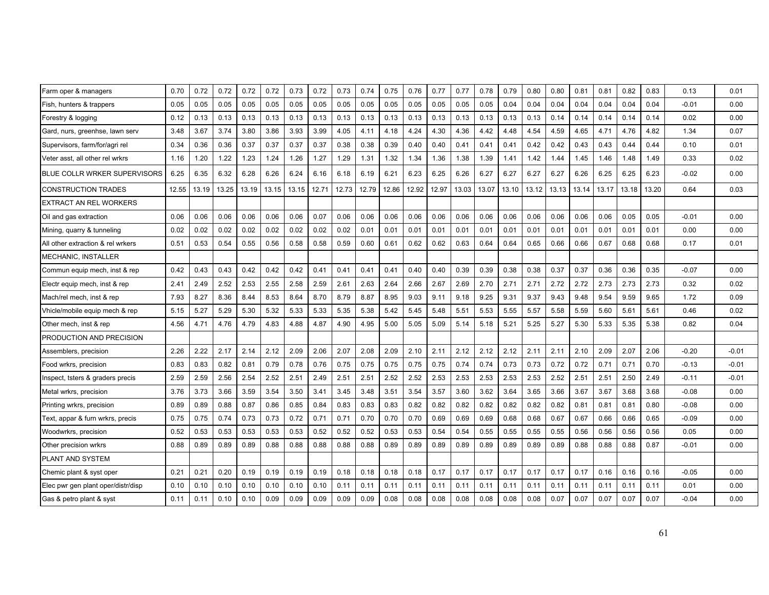| Farm oper & managers               | 0.70  | 0.72  | 0.72  | 0.72  | 0.72  | 0.73  | 0.72  | 0.73  | 0.74  | 0.75  | 0.76  | 0.77  | 0.77  | 0.78  | 0.79  | 0.80  | 0.80  | 0.81  | 0.81  | 0.82  | 0.83  | 0.13    | 0.01    |
|------------------------------------|-------|-------|-------|-------|-------|-------|-------|-------|-------|-------|-------|-------|-------|-------|-------|-------|-------|-------|-------|-------|-------|---------|---------|
| Fish, hunters & trappers           | 0.05  | 0.05  | 0.05  | 0.05  | 0.05  | 0.05  | 0.05  | 0.05  | 0.05  | 0.05  | 0.05  | 0.05  | 0.05  | 0.05  | 0.04  | 0.04  | 0.04  | 0.04  | 0.04  | 0.04  | 0.04  | $-0.01$ | 0.00    |
| Forestry & logging                 | 0.12  | 0.13  | 0.13  | 0.13  | 0.13  | 0.13  | 0.13  | 0.13  | 0.13  | 0.13  | 0.13  | 0.13  | 0.13  | 0.13  | 0.13  | 0.13  | 0.14  | 0.14  | 0.14  | 0.14  | 0.14  | 0.02    | 0.00    |
| Gard, nurs, greenhse, lawn serv    | 3.48  | 3.67  | 3.74  | 3.80  | 3.86  | 3.93  | 3.99  | 4.05  | 4.11  | 4.18  | 4.24  | 4.30  | 4.36  | 4.42  | 4.48  | 4.54  | 4.59  | 4.65  | 4.71  | 4.76  | 4.82  | 1.34    | 0.07    |
| Supervisors, farm/for/agri rel     | 0.34  | 0.36  | 0.36  | 0.37  | 0.37  | 0.37  | 0.37  | 0.38  | 0.38  | 0.39  | 0.40  | 0.40  | 0.41  | 0.41  | 0.41  | 0.42  | 0.42  | 0.43  | 0.43  | 0.44  | 0.44  | 0.10    | 0.01    |
| Veter asst, all other rel wrkrs    | 1.16  | 1.20  | 1.22  | 1.23  | 1.24  | 1.26  | 1.27  | 1.29  | 1.31  | 1.32  | 1.34  | 1.36  | 1.38  | 1.39  | 1.41  | 1.42  | 1.44  | 1.45  | 1.46  | 1.48  | 1.49  | 0.33    | 0.02    |
| IBLUE COLLR WRKER SUPERVISORS      | 6.25  | 6.35  | 6.32  | 6.28  | 6.26  | 6.24  | 6.16  | 6.18  | 6.19  | 6.21  | 6.23  | 6.25  | 6.26  | 6.27  | 6.27  | 6.27  | 6.27  | 6.26  | 6.25  | 6.25  | 6.23  | $-0.02$ | 0.00    |
| <b>CONSTRUCTION TRADES</b>         | 12.55 | 13.19 | 13.25 | 13.19 | 13.15 | 13.15 | 12.71 | 12.73 | 12.79 | 12.86 | 12.92 | 12.97 | 13.03 | 13.07 | 13.10 | 13.12 | 13.13 | 13.14 | 13.17 | 13.18 | 13.20 | 0.64    | 0.03    |
| <b>EXTRACT AN REL WORKERS</b>      |       |       |       |       |       |       |       |       |       |       |       |       |       |       |       |       |       |       |       |       |       |         |         |
| Oil and gas extraction             | 0.06  | 0.06  | 0.06  | 0.06  | 0.06  | 0.06  | 0.07  | 0.06  | 0.06  | 0.06  | 0.06  | 0.06  | 0.06  | 0.06  | 0.06  | 0.06  | 0.06  | 0.06  | 0.06  | 0.05  | 0.05  | $-0.01$ | 0.00    |
| Mining, quarry & tunneling         | 0.02  | 0.02  | 0.02  | 0.02  | 0.02  | 0.02  | 0.02  | 0.02  | 0.01  | 0.01  | 0.01  | 0.01  | 0.01  | 0.01  | 0.01  | 0.01  | 0.01  | 0.01  | 0.01  | 0.01  | 0.01  | 0.00    | 0.00    |
| All other extraction & rel wrkers  | 0.51  | 0.53  | 0.54  | 0.55  | 0.56  | 0.58  | 0.58  | 0.59  | 0.60  | 0.61  | 0.62  | 0.62  | 0.63  | 0.64  | 0.64  | 0.65  | 0.66  | 0.66  | 0.67  | 0.68  | 0.68  | 0.17    | 0.01    |
| MECHANIC, INSTALLER                |       |       |       |       |       |       |       |       |       |       |       |       |       |       |       |       |       |       |       |       |       |         |         |
| Commun equip mech, inst & rep      | 0.42  | 0.43  | 0.43  | 0.42  | 0.42  | 0.42  | 0.41  | 0.41  | 0.41  | 0.41  | 0.40  | 0.40  | 0.39  | 0.39  | 0.38  | 0.38  | 0.37  | 0.37  | 0.36  | 0.36  | 0.35  | $-0.07$ | 0.00    |
| Electr equip mech, inst & rep      | 2.41  | 2.49  | 2.52  | 2.53  | 2.55  | 2.58  | 2.59  | 2.61  | 2.63  | 2.64  | 2.66  | 2.67  | 2.69  | 2.70  | 2.71  | 2.71  | 2.72  | 2.72  | 2.73  | 2.73  | 2.73  | 0.32    | 0.02    |
| Mach/rel mech, inst & rep          | 7.93  | 8.27  | 8.36  | 8.44  | 8.53  | 8.64  | 8.70  | 8.79  | 8.87  | 8.95  | 9.03  | 9.11  | 9.18  | 9.25  | 9.31  | 9.37  | 9.43  | 9.48  | 9.54  | 9.59  | 9.65  | 1.72    | 0.09    |
| Vhicle/mobile equip mech & rep     | 5.15  | 5.27  | 5.29  | 5.30  | 5.32  | 5.33  | 5.33  | 5.35  | 5.38  | 5.42  | 5.45  | 5.48  | 5.51  | 5.53  | 5.55  | 5.57  | 5.58  | 5.59  | 5.60  | 5.61  | 5.61  | 0.46    | 0.02    |
| Other mech, inst & rep             | 4.56  | 4.71  | 4.76  | 4.79  | 4.83  | 4.88  | 4.87  | 4.90  | 4.95  | 5.00  | 5.05  | 5.09  | 5.14  | 5.18  | 5.21  | 5.25  | 5.27  | 5.30  | 5.33  | 5.35  | 5.38  | 0.82    | 0.04    |
| <b>PRODUCTION AND PRECISION</b>    |       |       |       |       |       |       |       |       |       |       |       |       |       |       |       |       |       |       |       |       |       |         |         |
| Assemblers, precision              | 2.26  | 2.22  | 2.17  | 2.14  | 2.12  | 2.09  | 2.06  | 2.07  | 2.08  | 2.09  | 2.10  | 2.11  | 2.12  | 2.12  | 2.12  | 2.11  | 2.11  | 2.10  | 2.09  | 2.07  | 2.06  | $-0.20$ | $-0.01$ |
| Food wrkrs, precision              | 0.83  | 0.83  | 0.82  | 0.81  | 0.79  | 0.78  | 0.76  | 0.75  | 0.75  | 0.75  | 0.75  | 0.75  | 0.74  | 0.74  | 0.73  | 0.73  | 0.72  | 0.72  | 0.71  | 0.71  | 0.70  | $-0.13$ | $-0.01$ |
| Inspect, tsters & graders precis   | 2.59  | 2.59  | 2.56  | 2.54  | 2.52  | 2.51  | 2.49  | 2.51  | 2.51  | 2.52  | 2.52  | 2.53  | 2.53  | 2.53  | 2.53  | 2.53  | 2.52  | 2.51  | 2.51  | 2.50  | 2.49  | $-0.11$ | $-0.01$ |
| Metal wrkrs, precision             | 3.76  | 3.73  | 3.66  | 3.59  | 3.54  | 3.50  | 3.41  | 3.45  | 3.48  | 3.51  | 3.54  | 3.57  | 3.60  | 3.62  | 3.64  | 3.65  | 3.66  | 3.67  | 3.67  | 3.68  | 3.68  | $-0.08$ | 0.00    |
| Printing wrkrs, precision          | 0.89  | 0.89  | 0.88  | 0.87  | 0.86  | 0.85  | 0.84  | 0.83  | 0.83  | 0.83  | 0.82  | 0.82  | 0.82  | 0.82  | 0.82  | 0.82  | 0.82  | 0.81  | 0.81  | 0.81  | 0.80  | $-0.08$ | 0.00    |
| Text, appar & furn wrkrs, precis   | 0.75  | 0.75  | 0.74  | 0.73  | 0.73  | 0.72  | 0.71  | 0.71  | 0.70  | 0.70  | 0.70  | 0.69  | 0.69  | 0.69  | 0.68  | 0.68  | 0.67  | 0.67  | 0.66  | 0.66  | 0.65  | $-0.09$ | 0.00    |
| Woodwrkrs, precision               | 0.52  | 0.53  | 0.53  | 0.53  | 0.53  | 0.53  | 0.52  | 0.52  | 0.52  | 0.53  | 0.53  | 0.54  | 0.54  | 0.55  | 0.55  | 0.55  | 0.55  | 0.56  | 0.56  | 0.56  | 0.56  | 0.05    | 0.00    |
| Other precision wrkrs              | 0.88  | 0.89  | 0.89  | 0.89  | 0.88  | 0.88  | 0.88  | 0.88  | 0.88  | 0.89  | 0.89  | 0.89  | 0.89  | 0.89  | 0.89  | 0.89  | 0.89  | 0.88  | 0.88  | 0.88  | 0.87  | $-0.01$ | 0.00    |
| PLANT AND SYSTEM                   |       |       |       |       |       |       |       |       |       |       |       |       |       |       |       |       |       |       |       |       |       |         |         |
| Chemic plant & syst oper           | 0.21  | 0.21  | 0.20  | 0.19  | 0.19  | 0.19  | 0.19  | 0.18  | 0.18  | 0.18  | 0.18  | 0.17  | 0.17  | 0.17  | 0.17  | 0.17  | 0.17  | 0.17  | 0.16  | 0.16  | 0.16  | $-0.05$ | 0.00    |
| Elec pwr gen plant oper/distr/disp | 0.10  | 0.10  | 0.10  | 0.10  | 0.10  | 0.10  | 0.10  | 0.11  | 0.11  | 0.11  | 0.11  | 0.11  | 0.11  | 0.11  | 0.11  | 0.11  | 0.11  | 0.11  | 0.11  | 0.11  | 0.11  | 0.01    | 0.00    |
| Gas & petro plant & syst           | 0.11  | 0.11  | 0.10  | 0.10  | 0.09  | 0.09  | 0.09  | 0.09  | 0.09  | 0.08  | 0.08  | 0.08  | 0.08  | 0.08  | 0.08  | 0.08  | 0.07  | 0.07  | 0.07  | 0.07  | 0.07  | $-0.04$ | 0.00    |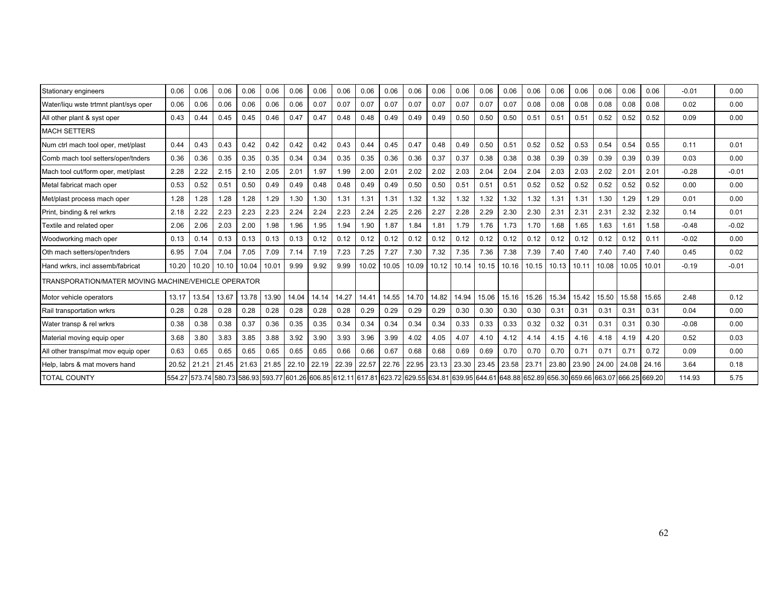| Stationary engineers                                | 0.06  | 0.06  | 0.06  | 0.06  | 0.06  | 0.06  | 0.06  | 0.06  | 0.06  | 0.06  | 0.06  | 0.06  | 0.06  | 0.06  | 0.06                                                                                                                                 | 0.06  | 0.06  | 0.06  | 0.06  | 0.06          | 0.06  | $-0.01$ | 0.00    |
|-----------------------------------------------------|-------|-------|-------|-------|-------|-------|-------|-------|-------|-------|-------|-------|-------|-------|--------------------------------------------------------------------------------------------------------------------------------------|-------|-------|-------|-------|---------------|-------|---------|---------|
| Water/ligu wste trtmnt plant/sys oper               | 0.06  | 0.06  | 0.06  | 0.06  | 0.06  | 0.06  | 0.07  | 0.07  | 0.07  | 0.07  | 0.07  | 0.07  | 0.07  | 0.07  | 0.07                                                                                                                                 | 0.08  | 0.08  | 0.08  | 0.08  | 0.08          | 0.08  | 0.02    | 0.00    |
| All other plant & syst oper                         | 0.43  | 0.44  | 0.45  | 0.45  | 0.46  | 0.47  | 0.47  | 0.48  | 0.48  | 0.49  | 0.49  | 0.49  | 0.50  | 0.50  | 0.50                                                                                                                                 | 0.51  | 0.51  | 0.51  | 0.52  | 0.52          | 0.52  | 0.09    | 0.00    |
| <b>MACH SETTERS</b>                                 |       |       |       |       |       |       |       |       |       |       |       |       |       |       |                                                                                                                                      |       |       |       |       |               |       |         |         |
| Num ctrl mach tool oper, met/plast                  | 0.44  | 0.43  | 0.43  | 0.42  | 0.42  | 0.42  | 0.42  | 0.43  | 0.44  | 0.45  | 0.47  | 0.48  | 0.49  | 0.50  | 0.51                                                                                                                                 | 0.52  | 0.52  | 0.53  | 0.54  | 0.54          | 0.55  | 0.11    | 0.01    |
| Comb mach tool setters/oper/tnders                  | 0.36  | 0.36  | 0.35  | 0.35  | 0.35  | 0.34  | 0.34  | 0.35  | 0.35  | 0.36  | 0.36  | 0.37  | 0.37  | 0.38  | 0.38                                                                                                                                 | 0.38  | 0.39  | 0.39  | 0.39  | 0.39          | 0.39  | 0.03    | 0.00    |
| Mach tool cut/form oper, met/plast                  | 2.28  | 2.22  | 2.15  | 2.10  | 2.05  | 2.01  | 1.97  | .99   | 2.00  | 2.01  | 2.02  | 2.02  | 2.03  | 2.04  | 2.04                                                                                                                                 | 2.04  | 2.03  | 2.03  | 2.02  | 2.01          | 2.01  | $-0.28$ | $-0.01$ |
| Metal fabricat mach oper                            | 0.53  | 0.52  | 0.51  | 0.50  | 0.49  | 0.49  | 0.48  | 0.48  | 0.49  | 0.49  | 0.50  | 0.50  | 0.51  | 0.51  | 0.51                                                                                                                                 | 0.52  | 0.52  | 0.52  | 0.52  | 0.52          | 0.52  | 0.00    | 0.00    |
| Met/plast process mach oper                         | 1.28  | .28   | 1.28  | 1.28  | 1.29  | 1.30  | 1.30  | .31   | 1.31  | 1.31  | 1.32  | 1.32  | 1.32  | 1.32  | 1.32                                                                                                                                 | 1.32  | 1.31  | 1.31  | 1.30  | 1.29          | .29   | 0.01    | 0.00    |
| Print, binding & rel wrkrs                          | 2.18  | 2.22  | 2.23  | 2.23  | 2.23  | 2.24  | 2.24  | 2.23  | 2.24  | 2.25  | 2.26  | 2.27  | 2.28  | 2.29  | 2.30                                                                                                                                 | 2.30  | 2.31  | 2.31  | 2.31  | 2.32          | 2.32  | 0.14    | 0.01    |
| Textile and related oper                            | 2.06  | 2.06  | 2.03  | 2.00  | 1.98  | 1.96  | 1.95  | .94   | 1.90  | 1.87  | 1.84  | 1.81  | 1.79  | 1.76  | 1.73                                                                                                                                 | 1.70  | 1.68  | 1.65  | 1.63  | 1.61          | 1.58  | $-0.48$ | $-0.02$ |
| Woodworking mach oper                               | 0.13  | 0.14  | 0.13  | 0.13  | 0.13  | 0.13  | 0.12  | 0.12  | 0.12  | 0.12  | 0.12  | 0.12  | 0.12  | 0.12  | 0.12                                                                                                                                 | 0.12  | 0.12  | 0.12  | 0.12  | 0.12          | 0.11  | $-0.02$ | 0.00    |
| Oth mach setters/oper/tnders                        | 6.95  | 7.04  | 7.04  | 7.05  | 7.09  | 7.14  | 7.19  | 7.23  | 7.25  | 7.27  | 7.30  | 7.32  | 7.35  | 7.36  | 7.38                                                                                                                                 | 7.39  | 7.40  | 7.40  | 7.40  | 7.40          | 7.40  | 0.45    | 0.02    |
| Hand wrkrs, incl assemb/fabricat                    | 10.20 | 10.20 | 10.10 | 10.04 | 10.01 | 9.99  | 9.92  | 9.99  | 10.02 | 10.05 | 10.09 | 10.12 | 10.14 | 10.15 | 10.16                                                                                                                                | 10.15 | 10.13 | 10.11 | 10.08 | 10.05         | 10.01 | $-0.19$ | $-0.01$ |
| TRANSPORATION/MATER MOVING MACHINE/VEHICLE OPERATOR |       |       |       |       |       |       |       |       |       |       |       |       |       |       |                                                                                                                                      |       |       |       |       |               |       |         |         |
| Motor vehicle operators                             | 13.17 | 13.54 | 13.67 | 13.78 | 13.90 | 14.04 | 14.14 | 14.27 | 14.41 | 14.55 | 14.70 | 14.82 | 14.94 | 15.06 | 15.16                                                                                                                                | 15.26 | 15.34 | 15.42 | 15.50 | 15.58         | 15.65 | 2.48    | 0.12    |
| Rail transportation wrkrs                           | 0.28  | 0.28  | 0.28  | 0.28  | 0.28  | 0.28  | 0.28  | 0.28  | 0.29  | 0.29  | 0.29  | 0.29  | 0.30  | 0.30  | 0.30                                                                                                                                 | 0.30  | 0.31  | 0.31  | 0.31  | 0.31          | 0.31  | 0.04    | 0.00    |
| Water transp & rel wrkrs                            | 0.38  | 0.38  | 0.38  | 0.37  | 0.36  | 0.35  | 0.35  | 0.34  | 0.34  | 0.34  | 0.34  | 0.34  | 0.33  | 0.33  | 0.33                                                                                                                                 | 0.32  | 0.32  | 0.31  | 0.31  | 0.31          | 0.30  | $-0.08$ | 0.00    |
| Material moving equip oper                          | 3.68  | 3.80  | 3.83  | 3.85  | 3.88  | 3.92  | 3.90  | 3.93  | 3.96  | 3.99  | 4.02  | 4.05  | 4.07  | 4.10  | 4.12                                                                                                                                 | 4.14  | 4.15  | 4.16  | 4.18  | 4.19          | 4.20  | 0.52    | 0.03    |
| All other transp/mat mov equip oper                 | 0.63  | 0.65  | 0.65  | 0.65  | 0.65  | 0.65  | 0.65  | 0.66  | 0.66  | 0.67  | 0.68  | 0.68  | 0.69  | 0.69  | 0.70                                                                                                                                 | 0.70  | 0.70  | 0.71  | 0.71  | 0.71          | 0.72  | 0.09    | 0.00    |
| Help, labrs & mat movers hand                       | 20.52 | 21.21 | 21.45 | 21.63 | 21.85 | 22.10 | 22.19 | 22.39 | 22.57 | 22.76 | 22.95 | 23.13 | 23.30 | 23.45 | 23.58                                                                                                                                | 23.71 | 23.80 | 23.90 | 24.00 | 24.08         | 24.16 | 3.64    | 0.18    |
| <b>TOTAL COUNTY</b>                                 |       |       |       |       |       |       |       |       |       |       |       |       |       |       | 554.27 573.74 580.73 586.93 593.77 601.26 606.85 612.11 617.81 623.72 629.55 634.81 639.95 644.61 648.88 652.89 656.30 659.66 663.07 |       |       |       |       | 666.25 669.20 |       | 114.93  | 5.75    |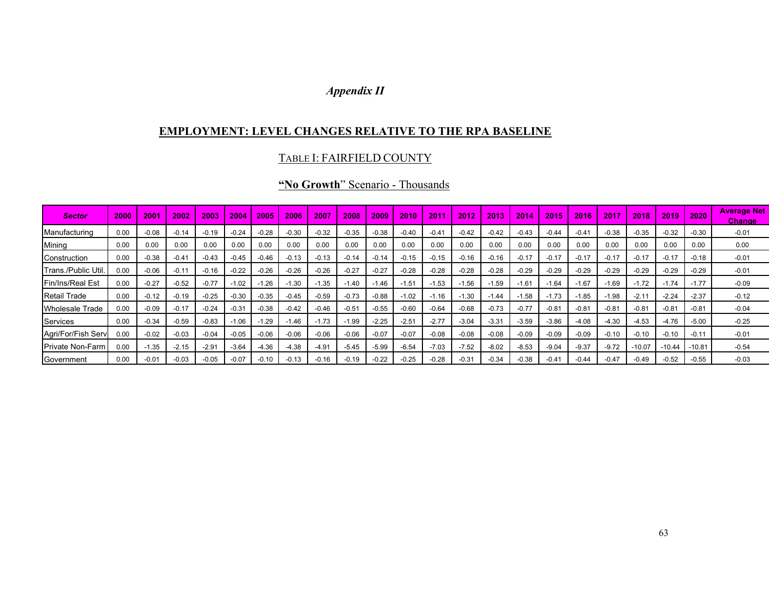# *Appendix II*

#### **EMPLOYMENT: LEVEL CHANGES RELATIVE TO THE RPA BASELINE**

### TABLE I: FAIRFIELD COUNTY

#### **"No Growth**" Scenario - Thousands

| <b>Sector</b>            | 2000 | 2001    | 2002    | 2003    | 2004    | 2005    | 2006    | 2007    | 2008    | 2009                            | 2010    | 2011    | 2012    | 2013    | 2014    | 2015    | 2016    | 2017    | 2018     | 2019     | 2020     | <b>Average Net</b><br><b>Change</b> |
|--------------------------|------|---------|---------|---------|---------|---------|---------|---------|---------|---------------------------------|---------|---------|---------|---------|---------|---------|---------|---------|----------|----------|----------|-------------------------------------|
| Manufacturing            | 0.00 | $-0.08$ | $-0.14$ | $-0.19$ | $-0.24$ | $-0.28$ | $-0.30$ | $-0.32$ | $-0.35$ | $-0.38$                         | $-0.40$ | $-0.42$ | $-0.42$ | $-0.42$ | $-0.43$ | $-0.44$ | $-0.42$ | $-0.38$ | $-0.35$  | $-0.32$  | $-0.30$  | $-0.01$                             |
| Mining                   | 0.00 | 0.00    | 0.00    | 0.00    | 0.00    | 0.00    | 0.00    | 0.00    | 0.00    | 0.00                            | 0.00    | 0.00    | 0.00    | 0.00    | 0.00    | 0.00    | 0.00    | 0.00    | 0.00     | 0.00     | 0.00     | 0.00                                |
| Construction             | 0.00 | $-0.38$ | $-0.47$ | $-0.43$ | $-0.45$ | $-0.46$ | $-0.13$ | $-0.13$ | $-0.14$ | $-0.14$                         | $-0.15$ | $-0.15$ | $-0.16$ | $-0.16$ | $-0.17$ | $-0.17$ | $-0.17$ | $-0.17$ | $-0.17$  | $-0.17$  | $-0.18$  | $-0.01$                             |
| Trans./Public Util       | 0.00 | $-0.06$ | $-0.1$  | $-0.16$ | $-0.22$ | $-0.26$ | $-0.26$ | $-0.26$ | $-0.27$ | $-0.27$                         | $-0.28$ | $-0.28$ | $-0.28$ | $-0.28$ | $-0.29$ | $-0.29$ | $-0.29$ | $-0.29$ | $-0.29$  | $-0.29$  | $-0.29$  | $-0.01$                             |
| Fin/Ins/Real Est         | 0.00 | $-0.27$ | $-0.52$ | $-0.77$ | $-1.02$ | $-1.26$ | $-1.30$ | $-1.35$ | $-1.40$ | .46<br>$\overline{\phantom{a}}$ | $-1.51$ | $-1.53$ | $-1.56$ | $-1.59$ | $-1.61$ | $-1.64$ | $-1.67$ | $-1.69$ | $-1.72$  | $-1.74$  | $-1.77$  | $-0.09$                             |
| <b>Retail Trade</b>      | 0.00 | $-0.12$ | $-0.19$ | $-0.25$ | $-0.30$ | $-0.35$ | $-0.45$ | $-0.59$ | $-0.73$ | $-0.88$                         | $-1.02$ | $-1.16$ | $-1.30$ | $-1.44$ | $-1.58$ | $-1.73$ | $-1.85$ | $-1.98$ | $-2.11$  | $-2.24$  | $-2.37$  | $-0.12$                             |
| <b>Wholesale Trade</b>   | 0.00 | $-0.09$ | $-0.17$ | $-0.24$ | $-0.31$ | $-0.38$ | $-0.42$ | $-0.46$ | $-0.51$ | $-0.55$                         | $-0.60$ | $-0.64$ | $-0.68$ | $-0.73$ | $-0.77$ | $-0.81$ | $-0.81$ | $-0.81$ | $-0.81$  | $-0.81$  | $-0.81$  | $-0.04$                             |
| Services                 | 0.00 | $-0.34$ | $-0.59$ | $-0.83$ | $-1.06$ | $-1.29$ | $-1.46$ | $-1.73$ | $-1.99$ | $-2.25$                         | $-2.51$ | $-2.77$ | $-3.04$ | $-3.31$ | $-3.59$ | $-3.86$ | $-4.08$ | $-4.30$ | $-4.53$  | $-4.76$  | $-5.00$  | $-0.25$                             |
| Agri/For/Fish Serv       | 0.00 | $-0.02$ | $-0.03$ | $-0.04$ | $-0.05$ | $-0.06$ | $-0.06$ | $-0.06$ | $-0.06$ | $-0.07$                         | $-0.07$ | $-0.08$ | $-0.08$ | $-0.08$ | $-0.09$ | $-0.09$ | $-0.09$ | $-0.10$ | $-0.10$  | $-0.10$  | $-0.11$  | $-0.01$                             |
| <b>IPrivate Non-Farm</b> | 0.00 | $-1.35$ | $-2.15$ | $-2.91$ | $-3.64$ | $-4.36$ | $-4.38$ | $-4.91$ | $-5.45$ | $-5.99$                         | $-6.54$ | $-7.03$ | $-7.52$ | $-8.02$ | $-8.53$ | $-9.04$ | $-9.37$ | $-9.72$ | $-10.07$ | $-10.44$ | $-10.81$ | $-0.54$                             |
| Government               | 0.00 | $-0.01$ | $-0.03$ | $-0.05$ | $-0.07$ | $-0.10$ | $-0.13$ | $-0.16$ | $-0.19$ | $-0.22$                         | $-0.25$ | $-0.28$ | $-0.31$ | $-0.34$ | $-0.38$ | $-0.41$ | $-0.44$ | $-0.47$ | $-0.49$  | $-0.52$  | $-0.55$  | $-0.03$                             |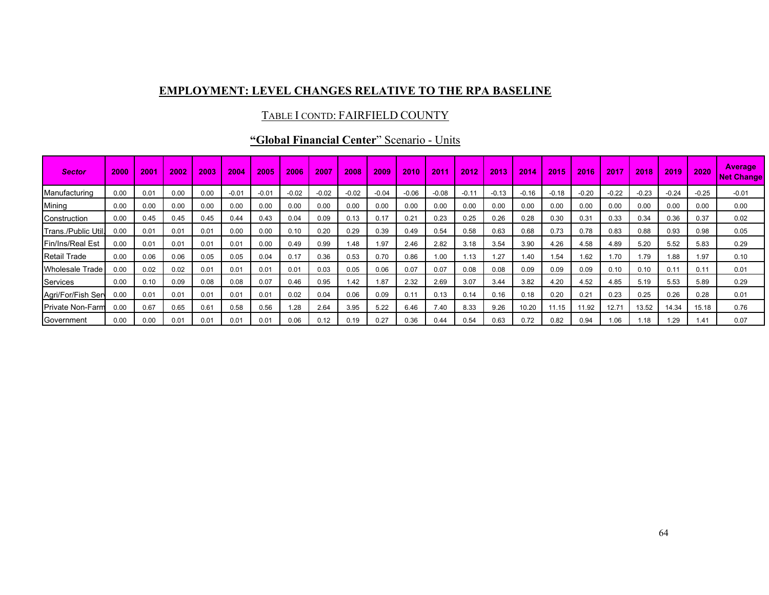## **EMPLOYMENT: LEVEL CHANGES RELATIVE TO THE RPA BASELINE**

## TABLE I CONTD: FAIRFIELD COUNTY

## **"Global Financial Center**" Scenario - Units

| <b>Sector</b>           | 2000 | 2001 | 2002 | 2003 | 2004    | 2005    | 2006    | 2007    | 2008    | 2009    | 2010    | 2011    | 2012   | 2013    | 2014    | 2015    | 2016    | 2017           | 2018    | 2019          | 2020          | <b>Average</b><br>Net Change |
|-------------------------|------|------|------|------|---------|---------|---------|---------|---------|---------|---------|---------|--------|---------|---------|---------|---------|----------------|---------|---------------|---------------|------------------------------|
| Manufacturing           | 0.00 | 0.01 | 0.00 | 0.00 | $-0.01$ | $-0.01$ | $-0.02$ | $-0.02$ | $-0.02$ | $-0.04$ | $-0.06$ | $-0.08$ | $-0.1$ | $-0.13$ | $-0.16$ | $-0.18$ | $-0.20$ | $-0.22$        | $-0.23$ | $-0.24$       | $-0.25$       | $-0.01$                      |
| Mining                  | 0.00 | 0.00 | 0.00 | 0.00 | 0.00    | 0.00    | 0.00    | 0.00    | 0.00    | 0.00    | 0.00    | 0.00    | 0.00   | 0.00    | 0.00    | 0.00    | 0.00    | 0.00           | 0.00    | 0.00          | 0.00          | 0.00                         |
| Construction            | 0.00 | 0.45 | 0.45 | 0.45 | 0.44    | 0.43    | 0.04    | 0.09    | 0.13    | 0.17    | 0.21    | 0.23    | 0.25   | 0.26    | 0.28    | 0.30    | 0.31    | 0.33           | 0.34    | 0.36          | 0.37          | 0.02                         |
| Trans./Public Util.     | 0.00 | 0.01 | 0.01 | 0.01 | 0.00    | 0.00    | 0.10    | 0.20    | 0.29    | 0.39    | 0.49    | 0.54    | 0.58   | 0.63    | 0.68    | 0.73    | 0.78    | 0.83           | 0.88    | 0.93          | 0.98          | 0.05                         |
| Fin/Ins/Real Est        | 0.00 | 0.01 | 0.01 | 0.01 | 0.01    | 0.00    | 0.49    | 0.99    | 1.48    | 1.97    | 2.46    | 2.82    | 3.18   | 3.54    | 3.90    | 4.26    | 4.58    | 4.89           | 5.20    | 5.52          | 5.83          | 0.29                         |
| <b>Retail Trade</b>     | 0.00 | 0.06 | 0.06 | 0.05 | 0.05    | 0.04    | 0.17    | 0.36    | 0.53    | 0.70    | 0.86    | 1.00    | 1.13   | 1.27    | 1.40    | 1.54    | 1.62    | 1.70           | 1.79    | 1.88          | 1.97          | 0.10                         |
| Wholesale Trade         | 0.00 | 0.02 | 0.02 | 0.01 | 0.01    | 0.01    | 0.01    | 0.03    | 0.05    | 0.06    | 0.07    | 0.07    | 0.08   | 0.08    | 0.09    | 0.09    | 0.09    | 0.10           | 0.10    | $0.1^{\circ}$ | $0.1^{\circ}$ | 0.01                         |
| Services                | 0.00 | 0.10 | 0.09 | 0.08 | 0.08    | 0.07    | 0.46    | 0.95    | 1.42    | 1.87    | 2.32    | 2.69    | 3.07   | 3.44    | 3.82    | 4.20    | 4.52    | 4.85           | 5.19    | 5.53          | 5.89          | 0.29                         |
| Agri/For/Fish Serv      | 0.00 | 0.01 | 0.01 | 0.01 | 0.01    | 0.01    | 0.02    | 0.04    | 0.06    | 0.09    | 0.11    | 0.13    | 0.14   | 0.16    | 0.18    | 0.20    | 0.21    | 0.23           | 0.25    | 0.26          | 0.28          | 0.01                         |
| <b>Private Non-Farm</b> | 0.00 | 0.67 | 0.65 | 0.61 | 0.58    | 0.56    | 1.28    | 2.64    | 3.95    | 5.22    | 6.46    | 7.40    | 8.33   | 9.26    | 10.20   | 11.15   | 11.92   | $12.7^{\circ}$ | 13.52   | 14.34         | 15.18         | 0.76                         |
| Government              | 0.00 | 0.00 | 0.01 | 0.01 | 0.01    | 0.01    | 0.06    | 0.12    | 0.19    | 0.27    | 0.36    | 0.44    | 0.54   | 0.63    | 0.72    | 0.82    | 0.94    | 1.06           | 1.18    | .29           | $1.4^{\circ}$ | 0.07                         |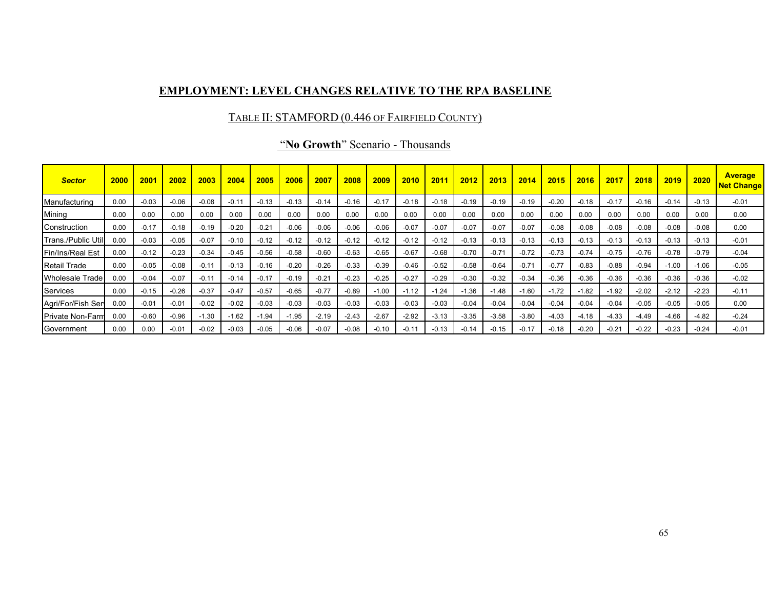## **EMPLOYMENT: LEVEL CHANGES RELATIVE TO THE RPA BASELINE**

## TABLE II: STAMFORD (0.446 OF FAIRFIELD COUNTY)

### "**No Growth**" Scenario - Thousands

| Sector                  | 2000 | 200 <sup>4</sup> | 2002    | 2003           | 2004    | 2005    | 2006    | 200 <sub>1</sub> | 2008    | 2009    | 2010    | 201'    | 2012    | 2013    | 2014    | 2015    | 2016    | 201     | 2018    | 2019    | 2020    | <b>Average</b><br><b>Net Change</b> |
|-------------------------|------|------------------|---------|----------------|---------|---------|---------|------------------|---------|---------|---------|---------|---------|---------|---------|---------|---------|---------|---------|---------|---------|-------------------------------------|
| Manufacturing           | 0.00 | $-0.03$          | $-0.06$ | $-0.08$        | $-0.11$ | $-0.13$ | $-0.13$ | $-0.14$          | $-0.16$ | $-0.17$ | $-0.18$ | $-0.18$ | $-0.19$ | $-0.19$ | $-0.19$ | $-0.20$ | $-0.18$ | $-0.17$ | $-0.16$ | $-0.14$ | $-0.13$ | $-0.01$                             |
| Mining                  | 0.00 | 0.00             | 0.00    | 0.00           | 0.00    | 0.00    | 0.00    | 0.00             | 0.00    | 0.00    | 0.00    | 0.00    | 0.00    | 0.00    | 0.00    | 0.00    | 0.00    | 0.00    | 0.00    | 0.00    | 0.00    | 0.00                                |
| Construction            | 0.00 | $-0.17$          | $-0.18$ | $-0.19$        | $-0.20$ | $-0.21$ | $-0.06$ | $-0.06$          | $-0.06$ | $-0.06$ | $-0.07$ | $-0.07$ | $-0.07$ | $-0.07$ | $-0.07$ | $-0.08$ | $-0.08$ | $-0.08$ | $-0.08$ | $-0.08$ | $-0.08$ | 0.00                                |
| Trans./Public Util      | 0.00 | $-0.03$          | $-0.05$ | $-0.07$        | $-0.10$ | $-0.12$ | $-0.12$ | $-0.12$          | $-0.12$ | $-0.12$ | $-0.12$ | $-0.12$ | $-0.13$ | $-0.13$ | $-0.13$ | $-0.13$ | $-0.13$ | $-0.13$ | $-0.13$ | $-0.13$ | $-0.13$ | $-0.01$                             |
| Fin/Ins/Real Est        | 0.00 | $-0.12$          | $-0.23$ | $-0.34$        | $-0.45$ | $-0.56$ | $-0.58$ | $-0.60$          | $-0.63$ | $-0.65$ | $-0.67$ | $-0.68$ | $-0.70$ | $-0.71$ | $-0.72$ | $-0.73$ | $-0.74$ | $-0.75$ | $-0.76$ | $-0.78$ | $-0.79$ | $-0.04$                             |
| <b>Retail Trade</b>     | 0.00 | $-0.05$          | $-0.08$ | $-0.1'$        | $-0.13$ | $-0.16$ | $-0.20$ | $-0.26$          | $-0.33$ | $-0.39$ | $-0.46$ | $-0.52$ | $-0.58$ | $-0.64$ | $-0.71$ | $-0.77$ | $-0.83$ | $-0.88$ | $-0.94$ | $-1.00$ | $-1.06$ | $-0.05$                             |
| <b>Wholesale Trade</b>  | 0.00 | $-0.04$          | $-0.07$ | $-0.1^{\circ}$ | $-0.14$ | $-0.17$ | $-0.19$ | $-0.21$          | $-0.23$ | $-0.25$ | $-0.27$ | $-0.29$ | $-0.30$ | $-0.32$ | $-0.34$ | $-0.36$ | $-0.36$ | $-0.36$ | $-0.36$ | $-0.36$ | $-0.36$ | $-0.02$                             |
| Services                | 0.00 | $-0.15$          | $-0.26$ | $-0.37$        | $-0.47$ | $-0.57$ | $-0.65$ | $-0.77$          | $-0.89$ | $-1.00$ | $-1.12$ | $-1.24$ | $-1.36$ | $-1.48$ | $-1.60$ | $-1.72$ | $-1.82$ | $-1.92$ | $-2.02$ | $-2.12$ | $-2.23$ | $-0.11$                             |
| Agri/For/Fish Ser       | 0.00 | $-0.01$          | $-0.01$ | $-0.02$        | $-0.02$ | $-0.03$ | $-0.03$ | $-0.03$          | $-0.03$ | $-0.03$ | $-0.03$ | $-0.03$ | $-0.04$ | $-0.04$ | $-0.04$ | $-0.04$ | $-0.04$ | $-0.04$ | $-0.05$ | $-0.05$ | $-0.05$ | 0.00                                |
| <b>Private Non-Farm</b> | 0.00 | $-0.60$          | $-0.96$ | $-1.30$        | $-1.62$ | $-1.94$ | $-1.95$ | $-2.19$          | $-2.43$ | $-2.67$ | $-2.92$ | $-3.13$ | $-3.35$ | $-3.58$ | $-3.80$ | $-4.03$ | $-4.18$ | $-4.33$ | $-4.49$ | $-4.66$ | $-4.82$ | $-0.24$                             |
| Government              | 0.00 | 0.00             | $-0.01$ | $-0.02$        | $-0.03$ | $-0.05$ | $-0.06$ | $-0.07$          | $-0.08$ | $-0.10$ | $-0.11$ | $-0.13$ | $-0.14$ | $-0.15$ | $-0.17$ | $-0.18$ | $-0.20$ | $-0.21$ | $-0.22$ | $-0.23$ | $-0.24$ | $-0.01$                             |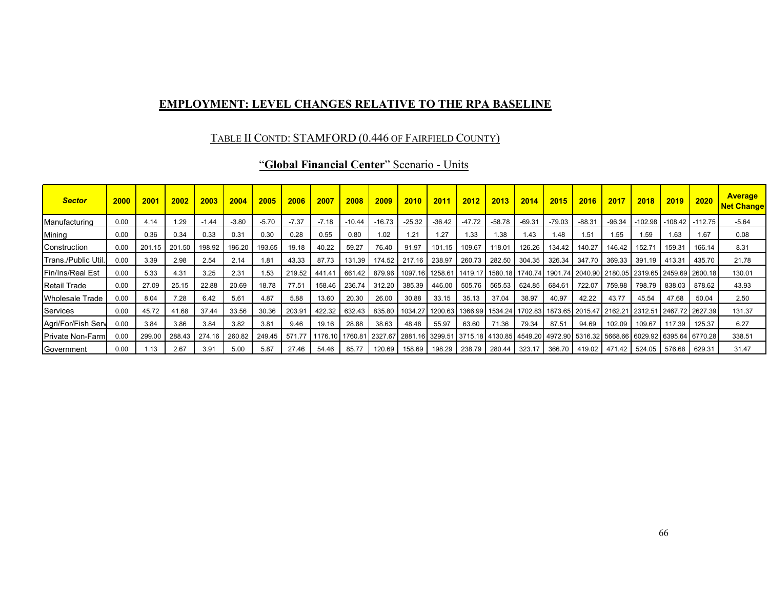## **EMPLOYMENT: LEVEL CHANGES RELATIVE TO THE RPA BASELINE**

## TABLE II CONTD: STAMFORD (0.446 OF FAIRFIELD COUNTY)

| <b>Sector</b>           | 2000 | $200^{\circ}$ | 2002   | 2003    | 2004    | 2005          | 2006    | 2007    | 2008     | 2009     | 2010                                                                                                                                               | 2011                                                                                    | 2012                                             | 2013     | 2014     | 2015   | 2016     | 2017     | 2018    | 2019                                                | 2020                | <b>Average</b><br><b>Net Change</b> |
|-------------------------|------|---------------|--------|---------|---------|---------------|---------|---------|----------|----------|----------------------------------------------------------------------------------------------------------------------------------------------------|-----------------------------------------------------------------------------------------|--------------------------------------------------|----------|----------|--------|----------|----------|---------|-----------------------------------------------------|---------------------|-------------------------------------|
| Manufacturing           | 0.00 | 4.14          | 1.29   | $-1.44$ | $-3.80$ | $-5.70$       | $-7.37$ | $-7.18$ | $-10.44$ | $-16.73$ | $-25.32$                                                                                                                                           | $-36.42$                                                                                | -47.72                                           | $-58.78$ | $-69.31$ | -79.03 | $-88.31$ | $-96.34$ | -102.98 |                                                     | $-108.42$ $-112.75$ | $-5.64$                             |
| Mining                  | 0.00 | 0.36          | 0.34   | 0.33    | 0.31    | 0.30          | 0.28    | 0.55    | 0.80     | 1.02     | 1.21                                                                                                                                               | 1.27                                                                                    | 1.33                                             | 1.38     | 1.43     | 1.48   | 1.51     | 1.55     | 1.59    | 1.63                                                | 1.67                | 0.08                                |
| Construction            | 0.00 | 201.15        | 201.50 | 198.92  | 196.20  | 193.65        | 19.18   | 40.22   | 59.27    | 76.40    | 91.97                                                                                                                                              | 101.15                                                                                  | 109.67                                           | 118.01   | 126.26   | 134.42 | 140.27   | 146.42   | 152.71  | 159.31                                              | 166.14              | 8.31                                |
| Trans./Public Util.     | 0.00 | 3.39          | 2.98   | 2.54    | 2.14    | 1.81          | 43.33   | 87.73   | 131.39   | 174.52   | 217.16 238.97                                                                                                                                      |                                                                                         | $\mid$ 260.73 $\mid$ 282.50 $\mid$ 304.35 $\mid$ |          |          | 326.34 |          |          |         | 347.70 369.33 391.19 413.31                         | 435.70              | 21.78                               |
| Fin/Ins/Real Est        | 0.00 | 5.33          | 4.31   | 3.25    | 2.31    | 1.53          | 219.52  | 441.41  | 661.42   | 879.96   |                                                                                                                                                    | 1097.16 1258.61 1419.17 1580.18 1740.74 1901.74 2040.90 2180.05 2319.65 2459.69 2600.18 |                                                  |          |          |        |          |          |         |                                                     |                     | 130.01                              |
| <b>Retail Trade</b>     | 0.00 | 27.09         | 25.15  | 22.88   | 20.69   | 18.78         | 77.51   | 158.46  | 236.74   | 312.20   | 385.39                                                                                                                                             |                                                                                         | 446.00   505.76   565.53   624.85   684.61       |          |          |        | 722.07   |          |         | 759.98 798.79 838.03 878.62                         |                     | 43.93                               |
| <b>Wholesale Trade</b>  | 0.00 | 8.04          | 7.28   | 6.42    | 5.61    | 4.87          | 5.88    | 13.60   | 20.30    | 26.00    | 30.88                                                                                                                                              | 33.15                                                                                   | 35.13                                            | 37.04    | 38.97    | 40.97  | 42.22    | 43.77    | 45.54   | 47.68                                               | 50.04               | 2.50                                |
| Services                | 0.00 | 45.72         | 41.68  | 37.44   | 33.56   | 30.36         | 203.91  | 422.32  | 632.43   |          | 835.80   1034.27   1200.63   1366.99   1534.24   1702.83   1873.65   2015.47   2162.21   2312.51   2467.72   2627.39                               |                                                                                         |                                                  |          |          |        |          |          |         |                                                     |                     | 131.37                              |
| Agri/For/Fish Serv      | 0.00 | 3.84          | 3.86   | 3.84    | 3.82    | 3.81          | 9.46    | 19.16   | 28.88    | 38.63    | 48.48                                                                                                                                              | 55.97                                                                                   | 63.60                                            | 71.36    | 79.34    | 87.51  | 94.69    | 102.09   | 109.67  | 117.39                                              | 125.37              | 6.27                                |
| <b>Private Non-Farm</b> | 0.00 | 299.00        | 288.43 | 274.16  |         | 260.82 249.45 |         |         |          |          | 571.77   1176.10   1760.81   2327.67   2881.16   3299.51   3715.18   4130.85   4549.20   4972.90   5316.32   5668.66   6029.92   6395.64   6770.28 |                                                                                         |                                                  |          |          |        |          |          |         |                                                     |                     | 338.51                              |
| Government              | 0.00 | 1.13          | 2.67   | 3.91    | 5.00    | 5.87          | 27.46   | 54.46   | 85.77    | 120.69   | 158.69                                                                                                                                             |                                                                                         | 198.29 238.79 280.44 323.17                      |          |          |        |          |          |         | 366.70   419.02   471.42   524.05   576.68   629.31 |                     | 31.47                               |

### "**Global Financial Center**" Scenario - Units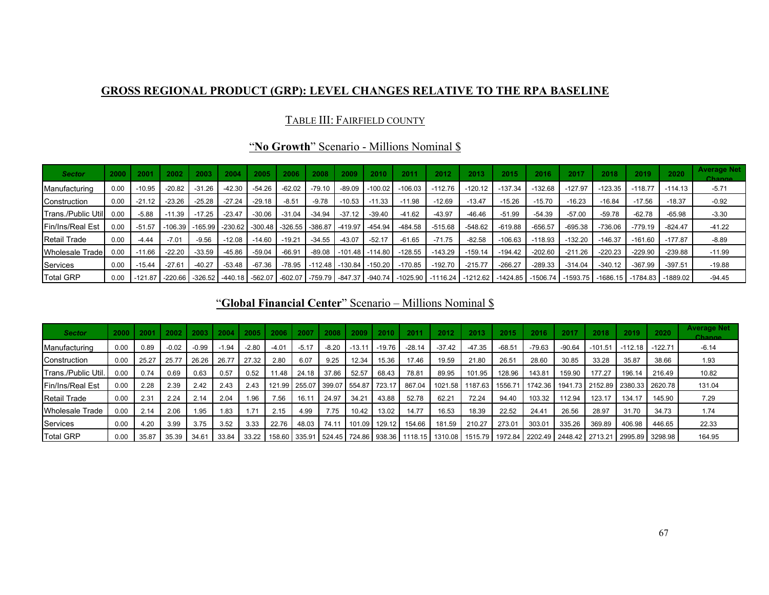## **GROSS REGIONAL PRODUCT (GRP): LEVEL CHANGES RELATIVE TO THE RPA BASELINE**

## TABLE III: FAIRFIELD COUNTY

## "**No Growth**" Scenario - Millions Nominal \$

| <b>Sector</b>          | 2000 | $200^{\circ}$ | 2002      | 2003      | 2004      | 2005     | 2006                                    | 2008     | 2009                | 2010                | $201^{\circ}$ | 2012                            | 2013      | 2015                                        | 2016      | 2017      | 2018       | 2019      | 2020       | <b>Average Net</b><br>Channel |
|------------------------|------|---------------|-----------|-----------|-----------|----------|-----------------------------------------|----------|---------------------|---------------------|---------------|---------------------------------|-----------|---------------------------------------------|-----------|-----------|------------|-----------|------------|-------------------------------|
| Manufacturing          | 0.00 | $-10.95$      | $-20.82$  | $-31.26$  | $-42.30$  | $-54.26$ | $-62.02$                                | -79.10   | $-89.09$            | $-100.02$           | $-106.03$     | $-112.76$                       | $-120.12$ | $-137.34$                                   | $-132.68$ | $-127.97$ | $-123.35$  | $-118.77$ | -114.13    | $-5.71$                       |
| Construction           | 0.00 | $-21.12$      | $-23.26$  | $-25.28$  | $-27.24$  | $-29.18$ | $-8.51$                                 | $-9.78$  | $-10.53$            | $-11.33$            | $-11.98$      | $-12.69$                        | $-13.47$  | $-15.26$                                    | $-15.70$  | $-16.23$  | $-16.84$   | $-17.56$  | -18.37     | $-0.92$                       |
| Trans./Public Util     | 0.00 | $-5.88$       | $-11.39$  | $-17.25$  | $-23.47$  | $-30.06$ | $-31.04$                                | $-34.94$ | $-37.12$            | $-39.40$            | $-41.62$      | $-43.97$                        | $-46.46$  | $-51.99$                                    | $-54.39$  | $-57.00$  | $-59.78$   | $-62.78$  | $-65.98$   | $-3.30$                       |
| Fin/Ins/Real Est       | 0.00 | $-51.57$      | $-106.39$ | -165.99   |           |          | $-230.62$ $-300.48$ $-326.55$ $-386.87$ |          | -419.97             | -454.94             | -484.58       | $-515.68$                       | $-548.62$ | -619.88                                     | $-656.57$ | $-695.38$ | $-736.06$  | -779.19   | -824.47    | $-41.22$                      |
| <b>Retail Trade</b>    | 0.00 | $-4.44$       | $-7.01$   | $-9.56$   | $-12.08$  | $-14.60$ | $-19.21$                                | $-34.55$ | $-43.07$            | $-52.17$            | $-61.65$      | $-71.75$                        | $-82.58$  | $-106.63$                                   | $-118.93$ | $-132.20$ | $-146.37$  | $-161.60$ | -177.87    | $-8.89$                       |
| <b>Wholesale Trade</b> | 0.00 | $-11.66$      | $-22.20$  | $-33.59$  | $-45.86$  | $-59.04$ | $-66.91$                                | $-89.08$ |                     | $-101.48$ $-114.80$ | $-128.55$     | $-143.29$                       | -159.14   | $-194.42$                                   | $-202.60$ | $-211.26$ | $-220.23$  | $-229.90$ | $-239.88$  | $-11.99$                      |
| Services               | 0.00 | $-15.44$      | $-27.61$  | $-40.27$  | $-53.48$  | $-67.36$ | $-78.95$                                |          | $-112.48$ $-130.84$ | $-150.20$           | -170.85       | -192.70                         | $-215.77$ | $-266.27$                                   | $-289.33$ | $-314.04$ | $-340.12$  | $-367.99$ | $-397.51$  | $-19.88$                      |
| <b>Total GRP</b>       | 0.00 | $-121.87$     | -220.66   | $-326.52$ | $-440.18$ |          | $-562.07$ $-602.07$                     |          | $-759.79$ $-847.37$ |                     |               | $-940.74$ $-1025.90$ $-1116.24$ |           | $-1212.62$ $-1424.85$ $-1506.74$ $-1593.75$ |           |           | $-1686.15$ | -1784.83  | $-1889.02$ | $-94.45$                      |

| <b>Sector</b>          | 2000 | 200   | 2002    | 2003    | 2004    | 2005    | 2006   | 2007           | 2008                               | 2009     | 2010     | 201      | 2012                                               | 2013     | 2015     | 2016                            | 201.     | 2018      | 2019                            | 2020      | <b>Average Net</b><br>Change |
|------------------------|------|-------|---------|---------|---------|---------|--------|----------------|------------------------------------|----------|----------|----------|----------------------------------------------------|----------|----------|---------------------------------|----------|-----------|---------------------------------|-----------|------------------------------|
| Manufacturing          | 0.00 | 0.89  | $-0.02$ | $-0.99$ | $-1.94$ | $-2.80$ | $-4.0$ | $-5.17$        | $-8.20$                            | $-13.11$ | $-19.76$ | $-28.14$ | $-37.42$                                           | $-47.35$ | $-68.51$ | $-79.63$                        | $-90.64$ | $-101.5'$ | $-112.18$                       | $-122.71$ | $-6.14$                      |
| Construction           | 0.00 | 25.27 | 25.77   | 26.26   | 26.77   | 27.32   | 2.80   | 6.07           | 9.25                               | 12.34    | 15.36    | 17.46    | 19.59                                              | 21.80    | 26.51    | 28.60                           | 30.85    | 33.28     | 35.87                           | 38.66     | 1.93                         |
| Trans./Public Util.    | 0.00 | 0.74  | 0.69    | 0.63    | 0.57    | 0.52    | 11.48  | 24.18          | 37.86                              | 52.57    | 68.43    | 78.81    | 89.95                                              | 101.95   | 128.96   | 143.81                          | 159.90   | 177.27    | 196.14                          | 216.49    | 10.82                        |
| Fin/Ins/Real Est       | 0.00 | 2.28  | 2.39    | 2.42    | 2.43    | 2.43    |        |                | 121.99 255.07 399.07 554.87 723.17 |          |          | 867.04   | 1021.58                                            | 1187.63  | 1556.71  | 1742.36                         |          |           | 1941.73 2152.89 2380.33 2620.78 |           | 131.04                       |
| <b>Retail Trade</b>    | 0.00 | 2.31  | 2.24    | 2.14    | 2.04    | 1.96    | 7.56   | $16.1^{\circ}$ | 24.97                              | 34.21    | 43.88    | 52.78    | 62.21                                              | 72.24    | 94.40    | 103.32                          | 112.94   | 123.17    | 134.17                          | 145.90    | 7.29                         |
| <b>Wholesale Trade</b> | 0.00 | 2.14  | 2.06    | l.95    | 1.83    | 1.71    | 2.15   | 4.99           | 7.75                               | 10.42    | 13.02    | 14.77    | 16.53                                              | 18.39    | 22.52    | 24.41                           | 26.56    | 28.97     | 31.70                           | 34.73     | 1.74                         |
| Services               | 0.00 | 4.20  | 3.99    | 3.75    | 3.52    | 3.33    | 22.76  | 48.03          | 74.1                               | 101.09   | 129.12   | 154.66   | 181.59                                             | 210.27   | 273.01   | 303.01                          | 335.26   | 369.89    | 406.98                          | 446.65    | 22.33                        |
| Total GRP              | 0.00 | 35.87 | 35.39   | 34.61   | 33.84   | 33.22   |        |                |                                    |          |          |          | 158.60 335.91 524.45 724.86 938.36 1118.15 1310.08 | 1515.79  |          | 1972.84 2202.49 2448.42 2713.21 |          |           | 2995.89 3298.98                 |           | 164.95                       |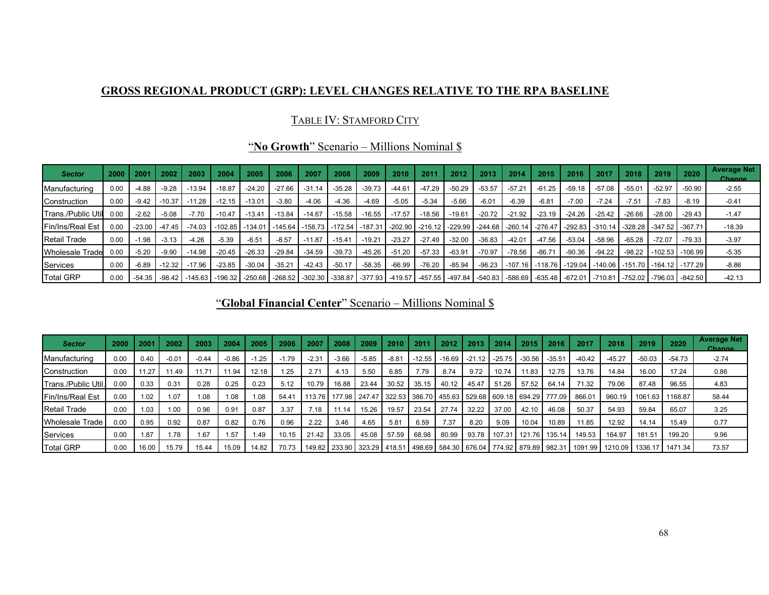## **GROSS REGIONAL PRODUCT (GRP): LEVEL CHANGES RELATIVE TO THE RPA BASELINE**

## TABLE IV: STAMFORD CITY

# "**No Growth**" Scenario – Millions Nominal \$

| Sector                 | 2000 | $200^{\circ}$ | 2002     | 2003      | 200 <sub>4</sub> | 2005       | 2006            | 2007     | 2008                          | 2009     | 2010     | 201     | 2012     | 2013                                                                  | 2014     | 2015                                    | 2016                | 2017     | 2018      | 2019                | 2020                | <b>Average Net</b><br>Change |
|------------------------|------|---------------|----------|-----------|------------------|------------|-----------------|----------|-------------------------------|----------|----------|---------|----------|-----------------------------------------------------------------------|----------|-----------------------------------------|---------------------|----------|-----------|---------------------|---------------------|------------------------------|
| Manufacturing          | 0.00 | -4.88         | $-9.28$  | $-13.94$  | $-18.87$         | $-24.20$   | $-27.66$        | $-31.14$ | $-35.28$                      | $-39.73$ | $-44.61$ | -47.29  | $-50.29$ | $-53.57$                                                              | $-57.21$ | $-61.25$                                | $-59.18$            | $-57.08$ | $-55.01$  | $-52.97$            | $-50.90$            | $-2.55$                      |
| Construction           | 0.00 | -9.42         | -10.37   | $-11.28$  | $-12.15$         | $-13.01$   | $-3.80$         | $-4.06$  | $-4.36$                       | $-4.69$  | $-5.05$  | $-5.34$ | $-5.66$  | $-6.01$                                                               | $-6.39$  | $-6.81$                                 | $-7.00$             | $-7.24$  | $-7.51$   | $-7.83$             | $-8.19$             | $-0.41$                      |
| Trans./Public Util     | 0.00 | $-2.62$       | $-5.08$  | $-7.70$   | $-10.47$         | $-13.4'$   | $-13.84$        | $-14.67$ | $-15.58$                      | $-16.55$ | $-17.57$ | -18.56  | $-19.61$ | $-20.72$                                                              | $-21.92$ | $-23.19$                                | $-24.26$            | $-25.42$ | $-26.66$  | $-28.00$            | $-29.43$            | $-1.47$                      |
| Fin/Ins/Real Est       |      | $-23.00$      | -47.45   | -74.03    | -102.85          | 134.01 - ا |                 |          | $-145.64$ $-158.73$ $-172.54$ |          |          |         |          | -187.31 -202.90 -216.12 -229.99 -244.68 -260.14 -276.47               |          |                                         | $-292.83$ $-310.14$ |          |           | $-328.28$ -347.52   | $-367.71$           | $-18.39$                     |
| Retail Trade           | 0.00 | $-1.98$       | $-3.13$  | $-4.26$   | $-5.39$          | $-6.51$    | $-8.57$         | $-11.87$ | $-15.41$                      | $-19.21$ | $-23.27$ | -27.49  | $-32.00$ | $-36.83$                                                              | -42.01   | -47.56                                  | -53.04              | -58.96   | $-65.28$  | $-72.07$            | -79.33              | $-3.97$                      |
| <b>Wholesale Trade</b> | 0.00 | -5.20         | $-9.90$  | $-14.98$  | $-20.45$         | $-26.33$   | $-29.84$        | $-34.59$ | $-39.73$                      | $-45.26$ | $-51.20$ | -57.33  | $-63.91$ | $-70.97$                                                              | $-78.56$ | $-86.71$                                | -90.36              | -94.22   | $-98.22$  |                     | $-102.53$ -106.99   | $-5.35$                      |
| Services               | 0.00 | $-6.89$       | $-12.32$ | $-17.96$  | $-23.85$         | $-30.04$   | $-35.2^{\circ}$ | $-42.43$ | $-50.17$                      | $-58.35$ | $-66.99$ | -76.20  | $-85.94$ | $-96.23$                                                              |          | $-107.16$ $-118.76$                     | $-129.04$           | -140.06  | $-151.70$ | $-164.12$ $-177.29$ |                     | $-8.86$                      |
| <b>Total GRP</b>       | 0.00 | $-54.35$      | $-98.42$ | $-145.63$ | 196.32           | $-250.68$  | $-268.52$       |          |                               |          |          |         |          | $-302.30$ $-338.87$ $-377.93$ $-419.57$ $-457.55$ $-497.84$ $-540.83$ |          | $-586.69$ $-635.48$ $-672.01$ $-710.81$ |                     |          | $-752.02$ |                     | $-796.03$ $-842.50$ | $-42.13$                     |

| <b>Sector</b>       | 2000 | 200       | 2002    | 2003    | 2004  | 2005    | 2006    | 2007    | 2008    | 2009          | 2010    | 201'   | 2012  | 2013  | 2014                                                                  | 2015     | 2016          | 2017     | 2018            | 2019            | 2020     | <b>Average Net</b><br>Change |
|---------------------|------|-----------|---------|---------|-------|---------|---------|---------|---------|---------------|---------|--------|-------|-------|-----------------------------------------------------------------------|----------|---------------|----------|-----------------|-----------------|----------|------------------------------|
| Manufacturing       | 0.00 | 0.40      | $-0.01$ | $-0.44$ | -0.86 | $-1.25$ | $-1.79$ | $-2.31$ | $-3.66$ | $-5.85$       | $-8.81$ | -12.55 | 16.69 |       | $-21.12$ $-25.75$                                                     | $-30.56$ | $-35.51$      | $-40.42$ | $-45.27$        | -50.03          | $-54.73$ | $-2.74$                      |
| Construction        | 0.00 | $11.27 -$ | 1.49    |         | 11.94 | 12.18   | .25     | 2.71    | 4.13    | 5.50          | 6.85    | 7.79   | 8.74  | 9.72  | 10.74                                                                 | 11.83    | 12.75         | 13.76    | 14.84           | 16.00           | 17.24    | 0.86                         |
| Trans./Public Util. | 0.00 | 0.33      | 0.31    | 0.28    | 0.25  | 0.23    | 5.12    | 10.79   | 16.88   | 23.44         | 30.52   | 35.15  | 40.12 | 45.47 | 51.26                                                                 | 57.52    | 64.14         | 71.32    | 79.06           | 87.48           | 96.55    | 4.83                         |
| Fin/Ins/Real Est    | 0.00 | 1.02      | 1.07    | 1.08    | 1.08  | 1.08    | 54.41   | 113.76  |         | 177.98 247.47 |         |        |       |       | 322.53 386.70 455.63 529.68 609.18 694.29 777.09                      |          |               | 866.01   | 960.19          | 1061.63         | 1168.87  | 58.44                        |
| Retail Trade        | 0.00 | 1.03      | 00.1    | 0.96    | 0.91  | 0.87    | 3.37    | 7.18    | 11.14   | 15.26         | 19.57   | 23.54  | 27.74 | 32.22 | 37.00                                                                 | 42.10    | 46.08         | 50.37    | 54.93           | 59.84           | 65.07    | 3.25                         |
| Wholesale Trade     | 0.00 | 0.95      | 0.92    | 0.87    | 0.82  | 0.76    | 0.96    | 2.22    | 3.46    | 4.65          | 5.81    | 6.59   | 7.37  | 8.20  | 9.09                                                                  | 10.04    | 10.89         | 11.85    | 12.92           | 14.14           | 15.49    | 0.77                         |
| Services            | 0.00 | 1.87      | 1.78    | 1.67    | 1.57  | 1.49    | 10.15   | 21.42   | 33.05   | 45.08         | 57.59   | 68.98  | 80.99 | 93.78 | 107.31                                                                |          | 121.76 135.14 | 149.53   | 164.97          | 181.51          | 199.20   | 9.96                         |
| <b>Total GRP</b>    | 0.00 | 16.00     | 15.79   | 15.44   | 15.09 | 14.82   | 70.73   |         |         |               |         |        |       |       | 149.82 233.90 323.29 418.51 498.69 584.30 676.04 774.92 879.89 982.31 |          |               |          | 1091.99 1210.09 | 1336.17 1471.34 |          | 73.57                        |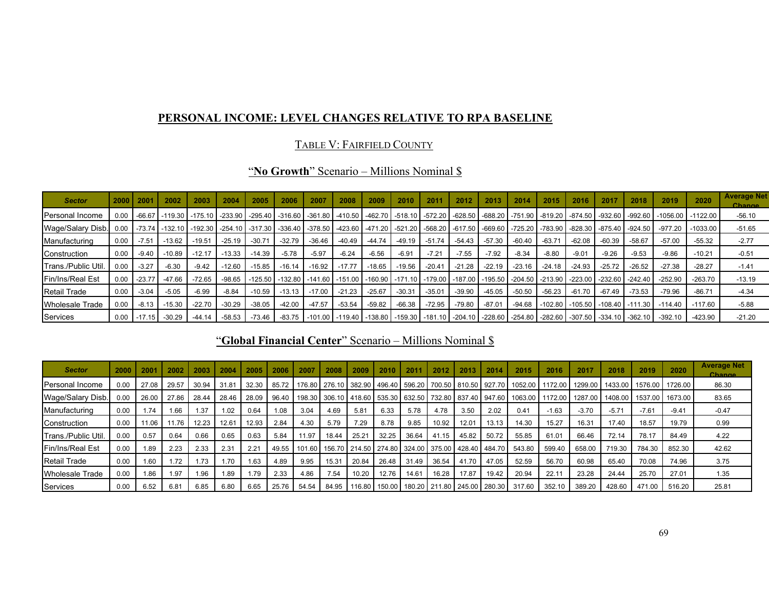## **PERSONAL INCOME: LEVEL CHANGES RELATIVE TO RPA BASELINE**

## TABLE V: FAIRFIELD COUNTY

# "**No Growth**" Scenario – Millions Nominal \$

| <b>Sector</b>          | 2000 | 2001       | 2002      | 2003      | 2004     | 2005      | 2006        | 2007     | 2008      | 2009     | 2010     | 2011     | 2012     | 2013                                              | 2014     | 2015                    | 2016     | 2017     | 2018                                                                                                                             | 2019                                                                                                                                                                                                   | 2020       | <b>Average Net</b><br>Change |
|------------------------|------|------------|-----------|-----------|----------|-----------|-------------|----------|-----------|----------|----------|----------|----------|---------------------------------------------------|----------|-------------------------|----------|----------|----------------------------------------------------------------------------------------------------------------------------------|--------------------------------------------------------------------------------------------------------------------------------------------------------------------------------------------------------|------------|------------------------------|
| Personal Income        | 0.00 |            |           |           |          |           |             |          |           |          |          |          |          |                                                   |          |                         |          |          |                                                                                                                                  | -66.67   -119.30   -175.10   -233.90   -295.40   -316.60   -361.80   -410.50   -462.70   -518.10   -572.20   -628.50   -688.20   -751.90   -819.20   -874.50   -932.60   -992.60   -1056.00   -1122.00 |            | $-56.10$                     |
| Wage/Salary Disb.      | 0.00 | $-73.74$   | $-132.10$ | $-192.30$ |          |           |             |          |           |          |          |          |          |                                                   |          |                         |          |          | -294.50 --254.10 -317.30 -336.40 -378.50 -423.60 -471.20 -521.20 -568.20 -617.50 -669.60 -725.20 -783.90 -828.30 -875.40 -924.50 | -977.20                                                                                                                                                                                                | $-1033.00$ | $-51.65$                     |
| Manufacturing          | 0.00 | $-7.51$    | -13.62    | $-19.51$  | $-25.19$ | $-30.71$  | -32.79      | -36.46   | -40.49    | -44.74   | $-49.19$ | -51.74   | $-54.43$ | $-57.30$                                          | $-60.40$ | $-63.71$                | $-62.08$ | $-60.39$ | $-58.67$                                                                                                                         | $-57.00$                                                                                                                                                                                               | $-55.32$   | $-2.77$                      |
| Construction           | 0.00 | -9.40      | -10.89    | $-12.17$  | $-13.33$ | -14.39    | -5.78       | $-5.97$  | $-6.24$   | -6.56    | $-6.91$  | $-7.21$  | -7.55    | -7.92                                             | $-8.34$  | $-8.80$                 | $-9.01$  | -9.26    | $-9.53$                                                                                                                          | $-9.86$                                                                                                                                                                                                | $-10.21$   | $-0.51$                      |
| Trans./Public Util.    | 0.00 | $-3.27$    | $-6.30$   | $-9.42$   | -12.60   | -15.85    | $-16.14$    | $-16.92$ | $-17.77$  | $-18.65$ | $-19.56$ | $-20.41$ | -21.28   | $-22.19$                                          | $-23.16$ | $-24.18$                | $-24.93$ | $-25.72$ | -26.52                                                                                                                           | $-27.38$                                                                                                                                                                                               | $-28.27$   | $-1.41$                      |
| Fin/Ins/Real Est       | 0.00 | $-23.77$   | -47.66    | -72.65    | -98.65   | $-125.50$ | $-132.80$ I | -141.60  | $-151.00$ |          |          |          |          | $-160.90$ $-171.10$ $-179.00$ $-187.00$ $-195.50$ |          | -204.50 -213.90 -223.00 |          |          | 0 232.60 -242.40 <del>∂</del>                                                                                                    | $-252.90$                                                                                                                                                                                              | $-263.70$  | $-13.19$                     |
| <b>Retail Trade</b>    | 0.00 | -3.04      | $-5.05$   | $-6.99$   | $-8.84$  | $-10.59$  | $-13.13$    | $-17.00$ | $-21.23$  | $-25.67$ | $-30.31$ | $-35.01$ | $-39.90$ | $-45.05$                                          | $-50.50$ | $-56.23$                | $-61.70$ | $-67.49$ | $-73.53$                                                                                                                         | -79.96                                                                                                                                                                                                 | $-86.71$   | $-4.34$                      |
| <b>Wholesale Trade</b> | 0.00 | $-8.13$    | $-15.30$  | -22.70    | -30.29   | $-38.05$  | $-42.00$    | $-47.57$ | $-53.54$  | -59.82   | $-66.38$ | -72.95   | -79.80   | $-87.01$                                          | $-94.68$ | $-102.80$ I             |          |          | $-105.50$ $-108.40$ $-111.30$ $-114.40$                                                                                          |                                                                                                                                                                                                        | $-117.60$  | $-5.88$                      |
| Services               | 0.00 | l -17.15 l | -30.29    | -44.14    | -58.53   | -73.46    | $-83.75$    |          |           |          |          |          |          |                                                   |          |                         |          |          | -101.00   -119.40   -138.80   -159.30   -181.10   -204.10   -228.60   -254.80   -282.60   -307.50   -334.10   -362.10   -392.10  |                                                                                                                                                                                                        | $-423.90$  | $-21.20$                     |

| <b>Sector</b>          | 2000 | 2001  | 2002  | 2003  | 2004  | 2005  | 2006  | 2007    | 2008  | 2009                                                                  | 2010  | 2011  | 2012  | 2013  | 2014  | 2015                                                         | 2016    | 2017    | 2018    | 2019    | 2020                                                                                                                                      | <b>Average Net</b><br>Change |
|------------------------|------|-------|-------|-------|-------|-------|-------|---------|-------|-----------------------------------------------------------------------|-------|-------|-------|-------|-------|--------------------------------------------------------------|---------|---------|---------|---------|-------------------------------------------------------------------------------------------------------------------------------------------|------------------------------|
| Personal Income        | 0.00 | 27.08 | 29.57 | 30.94 | 31.81 | 32.30 |       |         |       |                                                                       |       |       |       |       |       |                                                              |         |         |         |         | 85.72   176.80   276.10   382.90   496.40   596.20   700.50   810.50   927.70   1052.00   1172.00   1299.00   1433.00   1576.00   1726.00 | 86.30                        |
| Wage/Salary Disb.      | 0.00 | 26.00 | 27.86 | 28.44 | 28.46 | 28.09 | 96.40 |         |       |                                                                       |       |       |       |       |       |                                                              |         |         |         |         | 198.30   306.10   418.60   535.30   632.50   732.80   837.40   947.60   1063.00   1172.00   1287.00   1408.00   1537.00   1673.00         | 83.65                        |
| Manufacturing          | 0.00 | 1.74  | 1.66  | .37   | 1.02  | 0.64  | 1.08  | 3.04    | 4.69  | 5.81                                                                  | 6.33  | 5.78  | 4.78  | 3.50  | 2.02  | 0.41                                                         | $-1.63$ | $-3.70$ | $-5.71$ | $-7.61$ | $-9.41$                                                                                                                                   | $-0.47$                      |
| Construction           | 0.00 | 11.06 | 11.76 | 12.23 | 12.61 | 12.93 | 2.84  | 4.30    | 5.79  | 7.29                                                                  | 8.78  | 9.85  | 10.92 | 12.01 | 13.13 | 14.30                                                        | 15.27   | 16.31   | 17.40   | 18.57   | 19.79                                                                                                                                     | 0.99                         |
| Trans./Public Util.    | 0.00 | 0.57  | 0.64  | 0.66  | 0.65  | 0.63  | 5.84  | 11.97   | 18.44 | 25.21                                                                 | 32.25 | 36.64 | 41.15 | 45.82 | 50.72 | 55.85                                                        | 61.01   | 66.46   | 72.14   | 78.17   | 84.49                                                                                                                                     | 4.22                         |
| Fin/Ins/Real Est       | 0.00 | 1.89  | 2.23  | 2.33  | 2.31  | 2.21  | 49.55 |         |       | 101.60   156.70   214.50   274.80   324.00   375.00   428.40   484.70 |       |       |       |       |       | 543.80                                                       | 599.40  | 658.00  | 719.30  | 784.30  | 852.30                                                                                                                                    | 42.62                        |
| <b>Retail Trade</b>    | 0.00 | 1.60  | 1.72  | 1.73  | 1.70  | 1.63  | 4.89  | 9.95    | 15.31 | 20.84                                                                 | 26.48 | 31.49 | 36.54 | 41.70 | 47.05 | 52.59                                                        | 56.70   | 60.98   | 65.40   | 70.08   | 74.96                                                                                                                                     | 3.75                         |
| <b>Wholesale Trade</b> | 0.00 | 1.86  | 1.97  | .96   | 1.89  | 1.79  | 2.33  | 4.86    | 7.54  | 10.20                                                                 | 12.76 | 14.61 | 16.28 | 17.87 | 19.42 | 20.94                                                        | 22.11   | 23.28   | 24.44   | 25.70   | 27.01                                                                                                                                     | 1.35                         |
| <b>Services</b>        | 0.00 | 6.52  | 6.81  | 6.85  | 6.80  | 6.65  | 25.76 | $54.54$ | 84.95 |                                                                       |       |       |       |       |       | 116.80   150.00   180.20   211.80   245.00   280.30   317.60 | 352.10  | 389.20  | 428.60  | 471.00  | 516.20                                                                                                                                    | 25.81                        |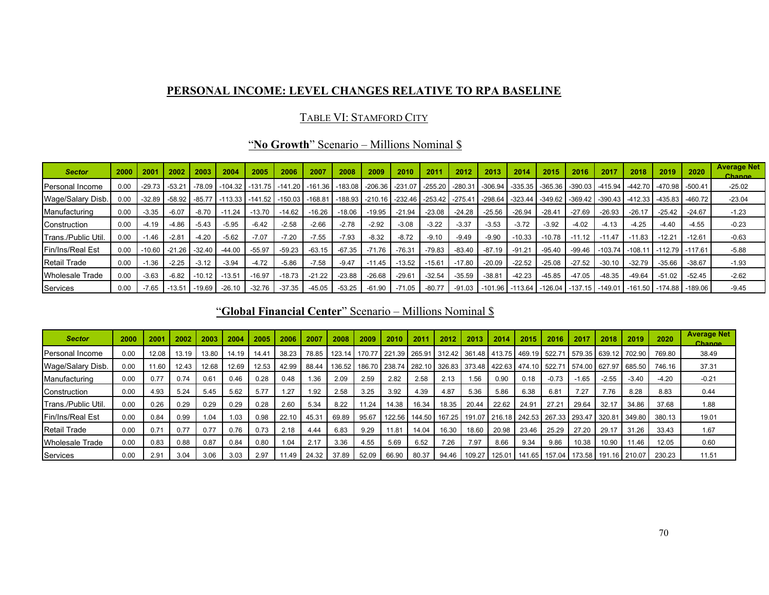## **PERSONAL INCOME: LEVEL CHANGES RELATIVE TO RPA BASELINE**

## TABLE VI: STAMFORD CITY

# "**No Growth**" Scenario – Millions Nominal \$

| <b>Sector</b>          | 2000 | 2001     | 2002     | 2003    | 2004      | 2005                | 2006     | 2007                                    | 2008     | 2009     | 2010     | 2011     | 2012     | 2013     | 2014                                                                                                                            | 2015     | 2016     | 2017      | 2018     | 2019                    | 2020      | <b>Average Net</b><br>Change |
|------------------------|------|----------|----------|---------|-----------|---------------------|----------|-----------------------------------------|----------|----------|----------|----------|----------|----------|---------------------------------------------------------------------------------------------------------------------------------|----------|----------|-----------|----------|-------------------------|-----------|------------------------------|
| Personal Income        | 0.00 | $-29.73$ | $-53.21$ | -78.09  |           | $-104.32$ $-131.75$ |          | -141.20 -161.36 -183.08 -206.36 -231.07 |          |          |          |          |          |          | -255.20 -280.31 -306.94 -335.35 -365.36 -390.03 -415.94                                                                         |          |          |           |          | -442.70 -470.98 -500.41 |           | $-25.02$                     |
| Wage/Salary Disb.      | 0.00 | $-32.89$ | $-58.92$ | -85.77  | $-113.33$ | $-141.52$           |          | $-150.03$ $-168.81$                     |          |          |          |          |          |          | -188.93   -210.16   -232.46   -253.42   -275.41   -298.64   -323.44   -349.62   -369.42   -390.43   -412.33   -435.83   -460.72 |          |          |           |          |                         |           | $-23.04$                     |
| Manufacturing          | 0.00 | $-3.35$  | $-6.07$  | $-8.70$ | -11.24    | $-13.70$            | -14.62   | $-16.26$                                | $-18.06$ | $-19.95$ | -21.94   | $-23.08$ | $-24.28$ | $-25.56$ | $-26.94$                                                                                                                        | $-28.41$ | $-27.69$ | $-26.93$  | $-26.17$ | $-25.42$                | $-24.67$  | $-1.23$                      |
| Construction           | 0.00 | $-4.19$  | -4.86    | $-5.43$ | $-5.95$   | $-6.42$             | $-2.58$  | $-2.66$                                 | $-2.78$  | $-2.92$  | $-3.08$  | $-3.22$  | $-3.37$  | $-3.53$  | $-3.72$                                                                                                                         | $-3.92$  | $-4.02$  | $-4.13$   | $-4.25$  | -4.40                   | $-4.55$   | $-0.23$                      |
| Trans./Public Util.    | 0.00 | $-1.46$  | $-2.81$  | $-4.20$ | $-5.62$   | $-7.07$             | $-7.20$  | $-7.55$                                 | $-7.93$  | $-8.32$  | $-8.72$  | $-9.10$  | -9.49    | $-9.90$  | $-10.33$                                                                                                                        | $-10.78$ | $-11.12$ | $-11.47$  | $-11.83$ | $-12.21$                | $-12.61$  | $-0.63$                      |
| Fin/Ins/Real Est       | 0.00 | $-10.60$ | $-21.26$ | -32.40  | $-44.00$  | $-55.97$            | -59.23   | $-63.15$                                | -67.35   | -71.76   | $-76.31$ | -79.83   | $-83.40$ | -87.19   | $-91.21$                                                                                                                        | $-95.40$ | $-99.46$ | $-103.74$ |          | $-108.11$ $-112.79$     | $-117.61$ | $-5.88$                      |
| Retail Trade           | 0.00 | $-1.36$  | $-2.25$  | $-3.12$ | $-3.94$   | $-4.72$             | $-5.86$  | $-7.58$                                 | $-9.47$  | $-11.45$ | -13.52   | $-15.61$ | $-17.80$ | $-20.09$ | $-22.52$                                                                                                                        | $-25.08$ | $-27.52$ | $-30.10$  | $-32.79$ | $-35.66$                | $-38.67$  | $-1.93$                      |
| <b>Wholesale Trade</b> | 0.00 | $-3.63$  | $-6.82$  | -10.12  | -13.51    | $-16.97$            | $-18.73$ | $-21.22$                                | $-23.88$ | $-26.68$ | $-29.61$ | $-32.54$ | $-35.59$ | $-38.81$ | $-42.23$                                                                                                                        | $-45.85$ | $-47.05$ | $-48.35$  | -49.64   | $-51.02$                | $-52.45$  | $-2.62$                      |
| Services               | 0.00 | -7.65    | $-13.51$ | -19.69  | $-26.10$  | -32.76              | -37.35   | -45.05                                  | -53.25   | -61.90   | -71.05   | $-80.77$ | -91.03   |          | -101.96 -113.64 -126.04 -137.15 -149.01                                                                                         |          |          |           |          | -161.50 -174.88 -189.06 |           | $-9.45$                      |

| <b>Sector</b>       | 2000 | 200 <sup>7</sup> | 2002  | 2003  | 2004  | 2005  | 2006  | 2007  | 2008  | 2009  | 2010                                                                                                      | 2011   | 2012   | 2013   | 2014                               | 2015  | 2016          | 2017    | 2018    | 2019          | 2020    | <b>Average Net</b><br>Change |
|---------------------|------|------------------|-------|-------|-------|-------|-------|-------|-------|-------|-----------------------------------------------------------------------------------------------------------|--------|--------|--------|------------------------------------|-------|---------------|---------|---------|---------------|---------|------------------------------|
| Personal Income     | 0.00 | 12.08            | 13.19 | 13.80 | 14.19 | 14.41 | 38.23 | 78.85 |       |       | 123.14   170.77   221.39   265.91   312.42   361.48   413.75   469.19   522.71   579.35   639.12   702.90 |        |        |        |                                    |       |               |         |         |               | 769.80  | 38.49                        |
| Wage/Salary Disb.   | 0.00 | 11.60            | 12.43 | 12.68 | 12.69 | 12.53 | 42.99 | 88.44 |       |       | 136.52   186.70   238.74   282.10   326.83   373.48   422.63   474.10   522.71   574.00   627.97   685.50 |        |        |        |                                    |       |               |         |         |               | 746.16  | 37.31                        |
| Manufacturing       | 0.00 | 0.77             | 0.74  | 0.61  | 0.46  | 0.28  | 0.48  | 1.36  | 2.09  | 2.59  | 2.82                                                                                                      | 2.58   | 2.13   | .56    | 0.90                               | 0.18  | $-0.73$       | $-1.65$ | $-2.55$ | $-3.40$       | $-4.20$ | $-0.21$                      |
| Construction        | 0.00 | 4.93             | 5.24  | 5.45  | 5.62  | 5.77  | 1.27  | 1.92  | 2.58  | 3.25  | 3.92                                                                                                      | 4.39   | 4.87   | 5.36   | 5.86                               | 6.38  | 6.81          | 7.27    | 7.76    | 8.28          | 8.83    | 0.44                         |
| Trans./Public Util. | 0.00 | 0.26             | 0.29  | 0.29  | 0.29  | 0.28  | 2.60  | 5.34  | 8.22  | 1.24  | 14.38                                                                                                     | 16.34  | 18.35  | 20.44  | 22.62                              | 24.91 | 27.2          | 29.64   | 32.17   | 34.86         | 37.68   | 1.88                         |
| Fin/Ins/Real Est    | 0.00 | 0.84             | 0.99  | 1.04  | 1.03  | 0.98  | 22.10 | 45.31 | 69.89 | 95.67 | 122.56                                                                                                    | 144.50 | 167.25 |        | 191.07 216.18 242.53 267.33 293.47 |       |               |         |         | 320.81 349.80 | 380.13  | 19.01                        |
| <b>Retail Trade</b> | 0.00 | 0.71             | 0.77  | 0.77  | 0.76  | 0.73  | 2.18  | 4.44  | 6.83  | 9.29  | 11.81                                                                                                     | 14.04  | 16.30  | 18.60  | 20.98                              | 23.46 | 25.29         | 27.20   | 29.17   | 31.26         | 33.43   | 1.67                         |
| Wholesale Trade     | 0.00 | 0.83             | 0.88  | 0.87  | 0.84  | 0.80  | 1.04  | 2.17  | 3.36  | 4.55  | 5.69                                                                                                      | 6.52   | 7.26   | 7.97   | 8.66                               | 9.34  | 9.86          | 10.38   | 10.90   | 11.46         | 12.05   | 0.60                         |
| Services            | 0.00 | 2.91             | 3.04  | 3.06  | 3.03  | 2.97  | 11.49 | 24.32 | 37.89 | 52.09 | 66.90                                                                                                     | 80.37  | 94.46  | 109.27 | 125.01                             |       | 141.65 157.04 | 173.58  |         | 191.16 210.07 | 230.23  | 11.51                        |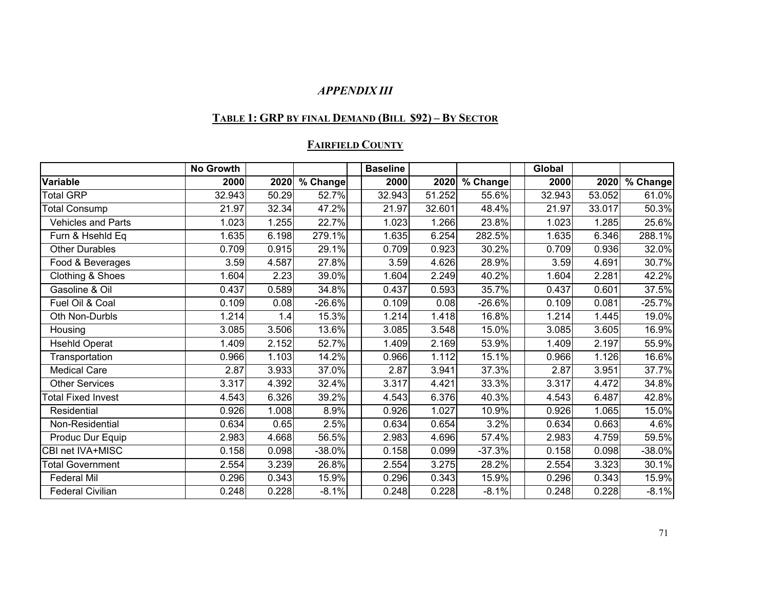#### *APPENDIX III*

#### **TABLE 1: GRP BY FINAL DEMAND (BILL \$92) – BY SECTOR**

#### **FAIRFIELD COUNTY**

|                           | No Growth |       |          | <b>Baseline</b> |        |          | Global |        |          |
|---------------------------|-----------|-------|----------|-----------------|--------|----------|--------|--------|----------|
| Variable                  | 2000      | 2020  | % Change | 2000            | 2020   | % Change | 2000   | 2020   | % Change |
| Total GRP                 | 32.943    | 50.29 | 52.7%    | 32.943          | 51.252 | 55.6%    | 32.943 | 53.052 | 61.0%    |
| <b>Total Consump</b>      | 21.97     | 32.34 | 47.2%    | 21.97           | 32.601 | 48.4%    | 21.97  | 33.017 | 50.3%    |
| Vehicles and Parts        | 1.023     | 1.255 | 22.7%    | 1.023           | 1.266  | 23.8%    | 1.023  | 1.285  | 25.6%    |
| Furn & Hsehld Eq          | 1.635     | 6.198 | 279.1%   | 1.635           | 6.254  | 282.5%   | 1.635  | 6.346  | 288.1%   |
| <b>Other Durables</b>     | 0.709     | 0.915 | 29.1%    | 0.709           | 0.923  | 30.2%    | 0.709  | 0.936  | 32.0%    |
| Food & Beverages          | 3.59      | 4.587 | 27.8%    | 3.59            | 4.626  | 28.9%    | 3.59   | 4.691  | 30.7%    |
| Clothing & Shoes          | 1.604     | 2.23  | 39.0%    | 1.604           | 2.249  | 40.2%    | 1.604  | 2.281  | 42.2%    |
| Gasoline & Oil            | 0.437     | 0.589 | 34.8%    | 0.437           | 0.593  | 35.7%    | 0.437  | 0.601  | 37.5%    |
| Fuel Oil & Coal           | 0.109     | 0.08  | $-26.6%$ | 0.109           | 0.08   | $-26.6%$ | 0.109  | 0.081  | $-25.7%$ |
| Oth Non-Durbls            | 1.214     | 1.4   | 15.3%    | 1.214           | 1.418  | 16.8%    | 1.214  | 1.445  | 19.0%    |
| Housing                   | 3.085     | 3.506 | 13.6%    | 3.085           | 3.548  | 15.0%    | 3.085  | 3.605  | 16.9%    |
| <b>Hsehld Operat</b>      | 1.409     | 2.152 | 52.7%    | 1.409           | 2.169  | 53.9%    | 1.409  | 2.197  | 55.9%    |
| Transportation            | 0.966     | 1.103 | 14.2%    | 0.966           | 1.112  | 15.1%    | 0.966  | 1.126  | 16.6%    |
| <b>Medical Care</b>       | 2.87      | 3.933 | 37.0%    | 2.87            | 3.941  | 37.3%    | 2.87   | 3.951  | 37.7%    |
| <b>Other Services</b>     | 3.317     | 4.392 | 32.4%    | 3.317           | 4.421  | 33.3%    | 3.317  | 4.472  | 34.8%    |
| <b>Total Fixed Invest</b> | 4.543     | 6.326 | 39.2%    | 4.543           | 6.376  | 40.3%    | 4.543  | 6.487  | 42.8%    |
| Residential               | 0.926     | 1.008 | 8.9%     | 0.926           | 1.027  | 10.9%    | 0.926  | 1.065  | 15.0%    |
| Non-Residential           | 0.634     | 0.65  | 2.5%     | 0.634           | 0.654  | 3.2%     | 0.634  | 0.663  | 4.6%     |
| Produc Dur Equip          | 2.983     | 4.668 | 56.5%    | 2.983           | 4.696  | 57.4%    | 2.983  | 4.759  | 59.5%    |
| CBI net IVA+MISC          | 0.158     | 0.098 | $-38.0%$ | 0.158           | 0.099  | $-37.3%$ | 0.158  | 0.098  | $-38.0%$ |
| <b>Total Government</b>   | 2.554     | 3.239 | 26.8%    | 2.554           | 3.275  | 28.2%    | 2.554  | 3.323  | 30.1%    |
| <b>Federal Mil</b>        | 0.296     | 0.343 | 15.9%    | 0.296           | 0.343  | 15.9%    | 0.296  | 0.343  | 15.9%    |
| <b>Federal Civilian</b>   | 0.248     | 0.228 | $-8.1%$  | 0.248           | 0.228  | $-8.1%$  | 0.248  | 0.228  | $-8.1%$  |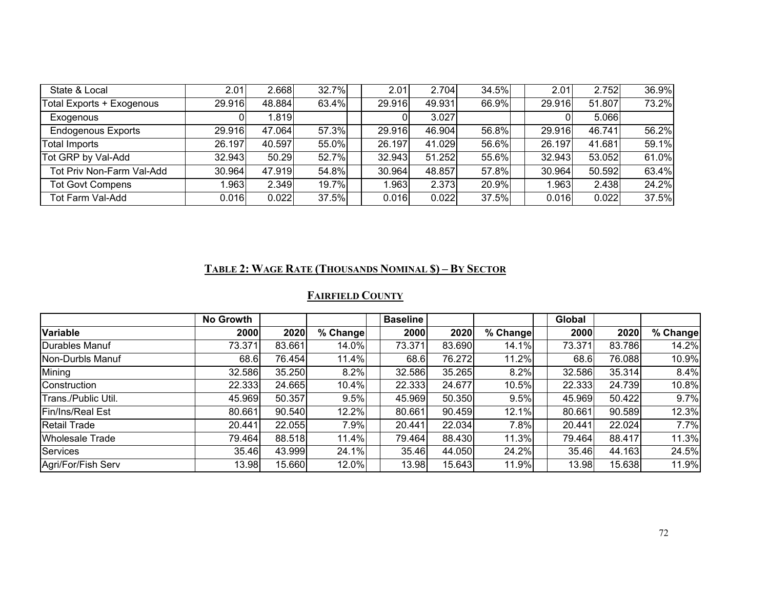| State & Local             | 2.01   | 2.668  | 32.7% | 2.01         | 2.704  | 34.5% | 2.01   | 2.752  | 36.9% |
|---------------------------|--------|--------|-------|--------------|--------|-------|--------|--------|-------|
| Total Exports + Exogenous | 29.916 | 48.884 | 63.4% | 29.916       | 49.931 | 66.9% | 29.916 | 51.807 | 73.2% |
| Exogenous                 |        | 1.819  |       |              | 3.027  |       |        | 5.066  |       |
| <b>Endogenous Exports</b> | 29.916 | 47.064 | 57.3% | 29.916       | 46.904 | 56.8% | 29.916 | 46.741 | 56.2% |
| Total Imports             | 26.197 | 40.597 | 55.0% | 26.197       | 41.029 | 56.6% | 26.197 | 41.681 | 59.1% |
| Tot GRP by Val-Add        | 32.943 | 50.29  | 52.7% | 32.943       | 51.252 | 55.6% | 32.943 | 53.052 | 61.0% |
| Tot Priv Non-Farm Val-Add | 30.964 | 47.919 | 54.8% | 30.964       | 48.857 | 57.8% | 30.964 | 50.592 | 63.4% |
| <b>Tot Govt Compens</b>   | 1.963  | 2.349  | 19.7% | <b>1.963</b> | 2.373  | 20.9% | 1.963  | 2.438  | 24.2% |
| Tot Farm Val-Add          | 0.016  | 0.022  | 37.5% | 0.016        | 0.022  | 37.5% | 0.016  | 0.022  | 37.5% |

#### **TABLE 2: WAGE RATE (THOUSANDS NOMINAL \$) – BY SECTOR**

#### **FAIRFIELD COUNTY**

|                        | <b>No Growth</b> |        |          | <b>Baseline</b> |        |          | Global |        |          |
|------------------------|------------------|--------|----------|-----------------|--------|----------|--------|--------|----------|
| <b>Variable</b>        | 2000             | 2020   | % Change | 2000            | 2020   | % Change | 2000   | 2020   | % Change |
| Durables Manuf         | 73.371           | 83.661 | 14.0%    | 73.371          | 83.690 | 14.1%    | 73.371 | 83.786 | 14.2%    |
| Non-Durbls Manuf       | 68.6             | 76.454 | 11.4%    | 68.6            | 76.272 | 11.2%    | 68.6   | 76.088 | 10.9%    |
| Mining                 | 32.586           | 35.250 | 8.2%     | 32.586          | 35.265 | 8.2%     | 32.586 | 35.314 | 8.4%     |
| Construction           | 22.333           | 24.665 | 10.4%    | 22.333          | 24.677 | 10.5%    | 22.333 | 24.739 | 10.8%    |
| Trans./Public Util.    | 45.969           | 50.357 | 9.5%     | 45.969          | 50.350 | 9.5%     | 45.969 | 50.422 | 9.7%     |
| Fin/Ins/Real Est       | 80.661           | 90.540 | 12.2%    | 80.661          | 90.459 | 12.1%    | 80.661 | 90.589 | 12.3%    |
| <b>Retail Trade</b>    | 20.441           | 22.055 | 7.9%     | 20.441          | 22.034 | 7.8%     | 20.441 | 22.024 | 7.7%     |
| <b>Wholesale Trade</b> | 79.464           | 88.518 | 11.4%    | 79.464          | 88.430 | 11.3%    | 79.464 | 88.417 | 11.3%    |
| Services               | 35.46            | 43.999 | 24.1%    | 35.46           | 44.050 | 24.2%    | 35.46  | 44.163 | 24.5%    |
| Agri/For/Fish Serv     | 13.98            | 15.660 | 12.0%    | 13.98           | 15.643 | 11.9%    | 13.98  | 15.638 | 11.9%    |